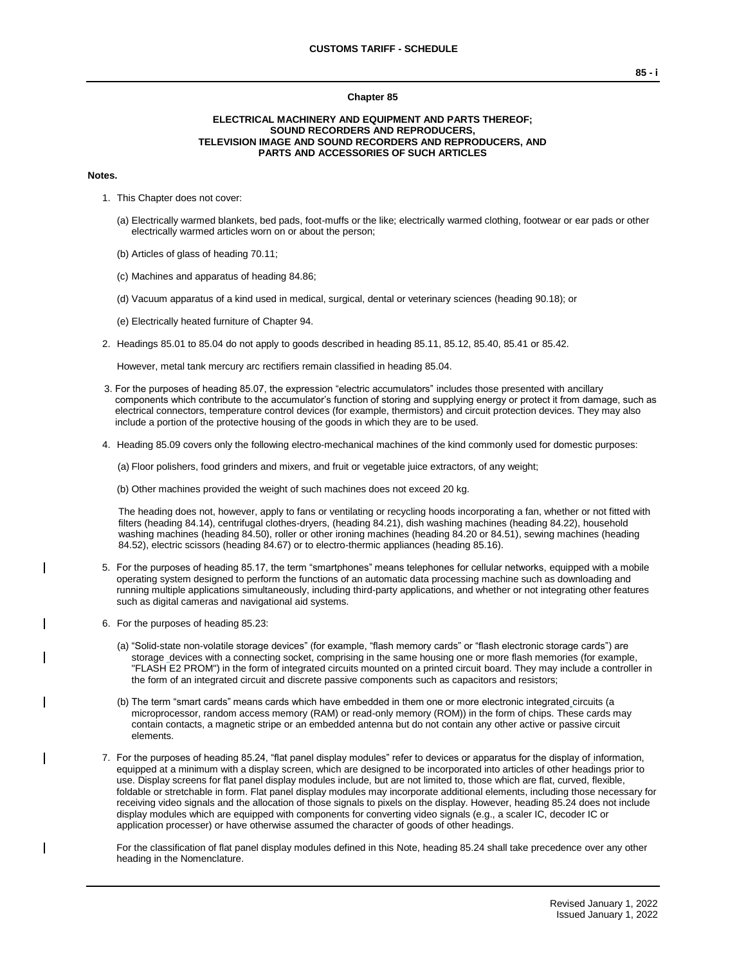#### **Chapter 85**

#### **ELECTRICAL MACHINERY AND EQUIPMENT AND PARTS THEREOF; SOUND RECORDERS AND REPRODUCERS, TELEVISION IMAGE AND SOUND RECORDERS AND REPRODUCERS, AND PARTS AND ACCESSORIES OF SUCH ARTICLES**

#### **Notes.**

- 1. This Chapter does not cover:
	- (a) Electrically warmed blankets, bed pads, foot-muffs or the like; electrically warmed clothing, footwear or ear pads or other electrically warmed articles worn on or about the person;
	- (b) Articles of glass of heading 70.11;
	- (c) Machines and apparatus of heading 84.86;
	- (d) Vacuum apparatus of a kind used in medical, surgical, dental or veterinary sciences (heading 90.18); or
	- (e) Electrically heated furniture of Chapter 94.
- 2. Headings 85.01 to 85.04 do not apply to goods described in heading 85.11, 85.12, 85.40, 85.41 or 85.42.

However, metal tank mercury arc rectifiers remain classified in heading 85.04.

- 3. For the purposes of heading 85.07, the expression "electric accumulators" includes those presented with ancillary components which contribute to the accumulator's function of storing and supplying energy or protect it from damage, such as electrical connectors, temperature control devices (for example, thermistors) and circuit protection devices. They may also include a portion of the protective housing of the goods in which they are to be used.
- 4. Heading 85.09 covers only the following electro-mechanical machines of the kind commonly used for domestic purposes:

(a) Floor polishers, food grinders and mixers, and fruit or vegetable juice extractors, of any weight;

(b) Other machines provided the weight of such machines does not exceed 20 kg.

The heading does not, however, apply to fans or ventilating or recycling hoods incorporating a fan, whether or not fitted with filters (heading 84.14), centrifugal clothes-dryers, (heading 84.21), dish washing machines (heading 84.22), household washing machines (heading 84.50), roller or other ironing machines (heading 84.20 or 84.51), sewing machines (heading 84.52), electric scissors (heading 84.67) or to electro-thermic appliances (heading 85.16).

- 5. For the purposes of heading 85.17, the term "smartphones" means telephones for cellular networks, equipped with a mobile operating system designed to perform the functions of an automatic data processing machine such as downloading and running multiple applications simultaneously, including third-party applications, and whether or not integrating other features such as digital cameras and navigational aid systems.
- 6. For the purposes of heading 85.23:
	- (a) "Solid-state non-volatile storage devices" (for example, "flash memory cards" or "flash electronic storage cards") are storage devices with a connecting socket, comprising in the same housing one or more flash memories (for example, "FLASH E2 PROM") in the form of integrated circuits mounted on a printed circuit board. They may include a controller in the form of an integrated circuit and discrete passive components such as capacitors and resistors;
	- (b) The term "smart cards" means cards which have embedded in them one or more electronic integrated circuits (a microprocessor, random access memory (RAM) or read-only memory (ROM)) in the form of chips. These cards may contain contacts, a magnetic stripe or an embedded antenna but do not contain any other active or passive circuit elements.
- 7. For the purposes of heading 85.24, "flat panel display modules" refer to devices or apparatus for the display of information, equipped at a minimum with a display screen, which are designed to be incorporated into articles of other headings prior to use. Display screens for flat panel display modules include, but are not limited to, those which are flat, curved, flexible, foldable or stretchable in form. Flat panel display modules may incorporate additional elements, including those necessary for receiving video signals and the allocation of those signals to pixels on the display. However, heading 85.24 does not include display modules which are equipped with components for converting video signals (e.g., a scaler IC, decoder IC or application processer) or have otherwise assumed the character of goods of other headings.

For the classification of flat panel display modules defined in this Note, heading 85.24 shall take precedence over any other heading in the Nomenclature.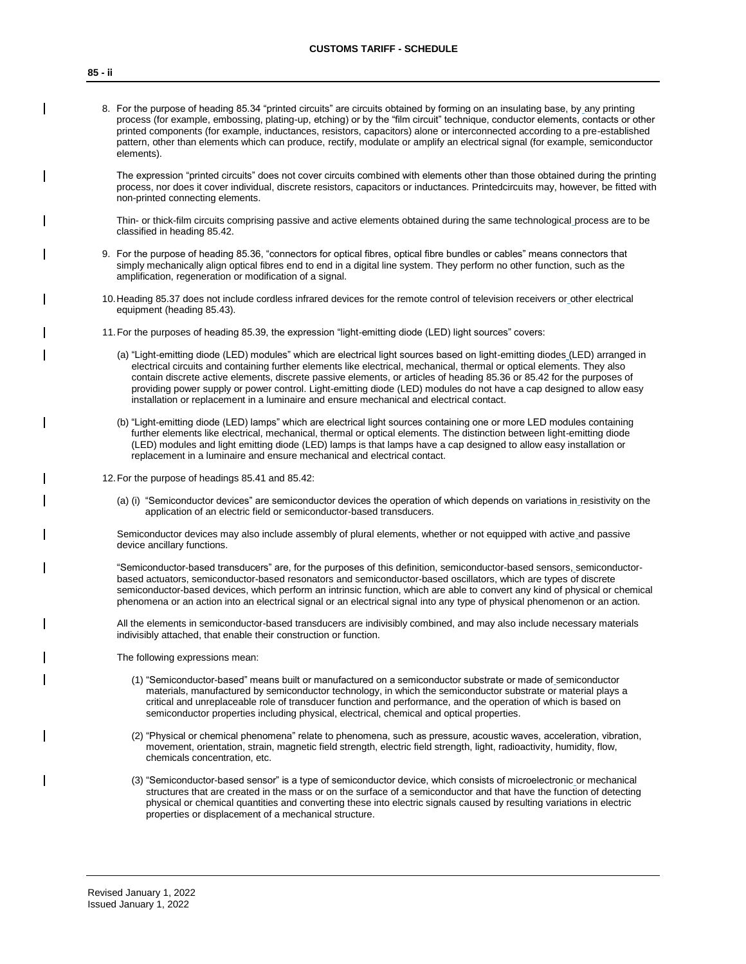8. For the purpose of heading 85.34 "printed circuits" are circuits obtained by forming on an insulating base, by any printing process (for example, embossing, plating-up, etching) or by the "film circuit" technique, conductor elements, contacts or other printed components (for example, inductances, resistors, capacitors) alone or interconnected according to a pre-established pattern, other than elements which can produce, rectify, modulate or amplify an electrical signal (for example, semiconductor elements).

The expression "printed circuits" does not cover circuits combined with elements other than those obtained during the printing process, nor does it cover individual, discrete resistors, capacitors or inductances. Printedcircuits may, however, be fitted with non-printed connecting elements.

Thin- or thick-film circuits comprising passive and active elements obtained during the same technological process are to be classified in heading 85.42.

- 9. For the purpose of heading 85.36, "connectors for optical fibres, optical fibre bundles or cables" means connectors that simply mechanically align optical fibres end to end in a digital line system. They perform no other function, such as the amplification, regeneration or modification of a signal.
- 10.Heading 85.37 does not include cordless infrared devices for the remote control of television receivers or other electrical equipment (heading 85.43).
- 11.For the purposes of heading 85.39, the expression "light-emitting diode (LED) light sources" covers:
	- (a) "Light-emitting diode (LED) modules" which are electrical light sources based on light-emitting diodes (LED) arranged in electrical circuits and containing further elements like electrical, mechanical, thermal or optical elements. They also contain discrete active elements, discrete passive elements, or articles of heading 85.36 or 85.42 for the purposes of providing power supply or power control. Light-emitting diode (LED) modules do not have a cap designed to allow easy installation or replacement in a luminaire and ensure mechanical and electrical contact.
	- (b) "Light-emitting diode (LED) lamps" which are electrical light sources containing one or more LED modules containing further elements like electrical, mechanical, thermal or optical elements. The distinction between light-emitting diode (LED) modules and light emitting diode (LED) lamps is that lamps have a cap designed to allow easy installation or replacement in a luminaire and ensure mechanical and electrical contact.
- 12.For the purpose of headings 85.41 and 85.42:
	- (a) (i) "Semiconductor devices" are semiconductor devices the operation of which depends on variations in resistivity on the application of an electric field or semiconductor-based transducers.

Semiconductor devices may also include assembly of plural elements, whether or not equipped with active and passive device ancillary functions.

"Semiconductor-based transducers" are, for the purposes of this definition, semiconductor-based sensors, semiconductorbased actuators, semiconductor-based resonators and semiconductor-based oscillators, which are types of discrete semiconductor-based devices, which perform an intrinsic function, which are able to convert any kind of physical or chemical phenomena or an action into an electrical signal or an electrical signal into any type of physical phenomenon or an action.

All the elements in semiconductor-based transducers are indivisibly combined, and may also include necessary materials indivisibly attached, that enable their construction or function.

The following expressions mean:

- (1) "Semiconductor-based" means built or manufactured on a semiconductor substrate or made of semiconductor materials, manufactured by semiconductor technology, in which the semiconductor substrate or material plays a critical and unreplaceable role of transducer function and performance, and the operation of which is based on semiconductor properties including physical, electrical, chemical and optical properties.
- (2) "Physical or chemical phenomena" relate to phenomena, such as pressure, acoustic waves, acceleration, vibration, movement, orientation, strain, magnetic field strength, electric field strength, light, radioactivity, humidity, flow, chemicals concentration, etc.
- (3) "Semiconductor-based sensor" is a type of semiconductor device, which consists of microelectronic or mechanical structures that are created in the mass or on the surface of a semiconductor and that have the function of detecting physical or chemical quantities and converting these into electric signals caused by resulting variations in electric properties or displacement of a mechanical structure.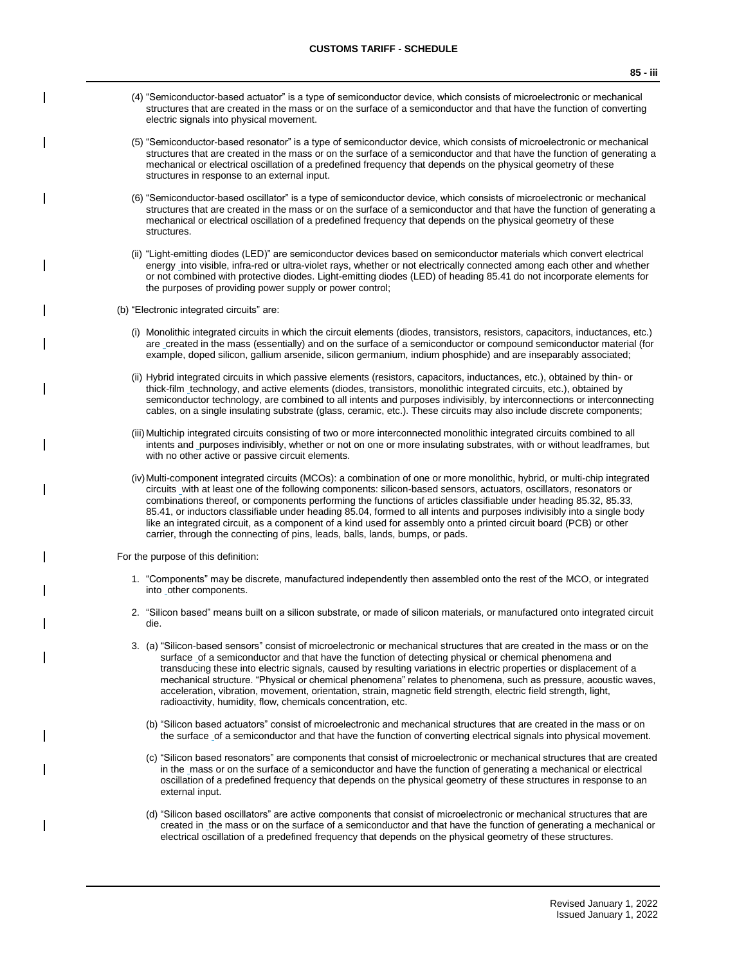- (5) "Semiconductor-based resonator" is a type of semiconductor device, which consists of microelectronic or mechanical structures that are created in the mass or on the surface of a semiconductor and that have the function of generating a mechanical or electrical oscillation of a predefined frequency that depends on the physical geometry of these structures in response to an external input.
- (6) "Semiconductor-based oscillator" is a type of semiconductor device, which consists of microelectronic or mechanical structures that are created in the mass or on the surface of a semiconductor and that have the function of generating a mechanical or electrical oscillation of a predefined frequency that depends on the physical geometry of these structures.
- (ii) "Light-emitting diodes (LED)" are semiconductor devices based on semiconductor materials which convert electrical energy into visible, infra-red or ultra-violet rays, whether or not electrically connected among each other and whether or not combined with protective diodes. Light-emitting diodes (LED) of heading 85.41 do not incorporate elements for the purposes of providing power supply or power control;
- (b) "Electronic integrated circuits" are:
	- (i) Monolithic integrated circuits in which the circuit elements (diodes, transistors, resistors, capacitors, inductances, etc.) are created in the mass (essentially) and on the surface of a semiconductor or compound semiconductor material (for example, doped silicon, gallium arsenide, silicon germanium, indium phosphide) and are inseparably associated;
	- (ii) Hybrid integrated circuits in which passive elements (resistors, capacitors, inductances, etc.), obtained by thin- or thick-film technology, and active elements (diodes, transistors, monolithic integrated circuits, etc.), obtained by semiconductor technology, are combined to all intents and purposes indivisibly, by interconnections or interconnecting cables, on a single insulating substrate (glass, ceramic, etc.). These circuits may also include discrete components;
	- (iii) Multichip integrated circuits consisting of two or more interconnected monolithic integrated circuits combined to all intents and purposes indivisibly, whether or not on one or more insulating substrates, with or without leadframes, but with no other active or passive circuit elements.
	- (iv)Multi-component integrated circuits (MCOs): a combination of one or more monolithic, hybrid, or multi-chip integrated circuits with at least one of the following components: silicon-based sensors, actuators, oscillators, resonators or combinations thereof, or components performing the functions of articles classifiable under heading 85.32, 85.33, 85.41, or inductors classifiable under heading 85.04, formed to all intents and purposes indivisibly into a single body like an integrated circuit, as a component of a kind used for assembly onto a printed circuit board (PCB) or other carrier, through the connecting of pins, leads, balls, lands, bumps, or pads.

For the purpose of this definition:

- 1. "Components" may be discrete, manufactured independently then assembled onto the rest of the MCO, or integrated into \_other components.
- 2. "Silicon based" means built on a silicon substrate, or made of silicon materials, or manufactured onto integrated circuit die.
- 3. (a) "Silicon-based sensors" consist of microelectronic or mechanical structures that are created in the mass or on the surface of a semiconductor and that have the function of detecting physical or chemical phenomena and transducing these into electric signals, caused by resulting variations in electric properties or displacement of a mechanical structure. "Physical or chemical phenomena" relates to phenomena, such as pressure, acoustic waves, acceleration, vibration, movement, orientation, strain, magnetic field strength, electric field strength, light, radioactivity, humidity, flow, chemicals concentration, etc.
	- (b) "Silicon based actuators" consist of microelectronic and mechanical structures that are created in the mass or on the surface of a semiconductor and that have the function of converting electrical signals into physical movement.
	- (c) "Silicon based resonators" are components that consist of microelectronic or mechanical structures that are created in the mass or on the surface of a semiconductor and have the function of generating a mechanical or electrical oscillation of a predefined frequency that depends on the physical geometry of these structures in response to an external input.
	- (d) "Silicon based oscillators" are active components that consist of microelectronic or mechanical structures that are created in the mass or on the surface of a semiconductor and that have the function of generating a mechanical or electrical oscillation of a predefined frequency that depends on the physical geometry of these structures.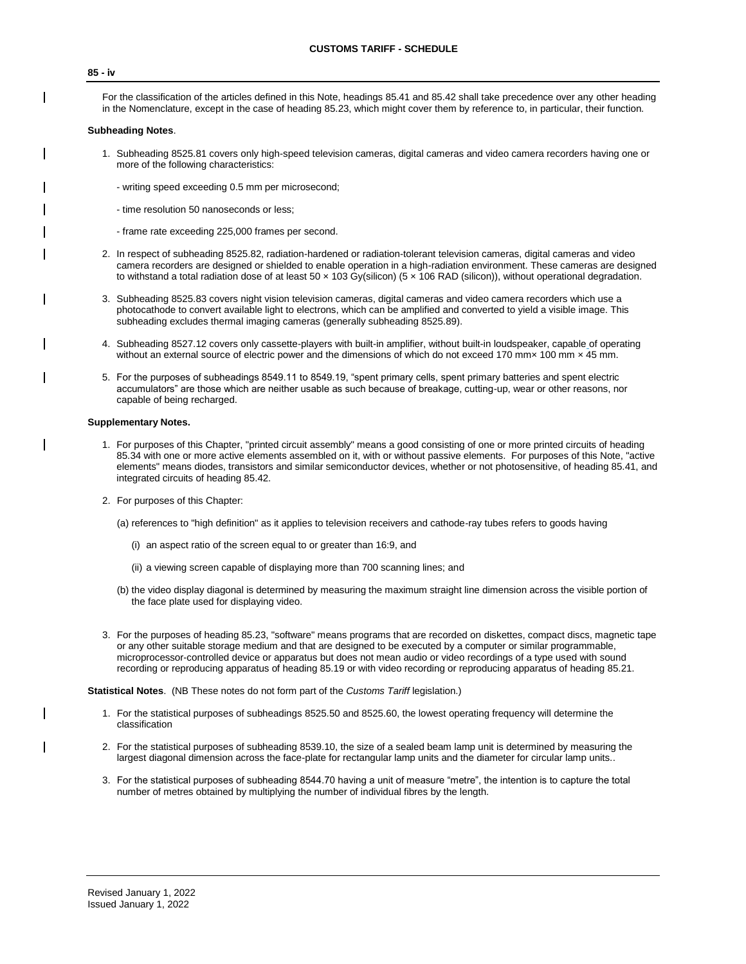#### **85 - iv**

For the classification of the articles defined in this Note, headings 85.41 and 85.42 shall take precedence over any other heading in the Nomenclature, except in the case of heading 85.23, which might cover them by reference to, in particular, their function.

#### **Subheading Notes**.

- 1. Subheading 8525.81 covers only high-speed television cameras, digital cameras and video camera recorders having one or more of the following characteristics:
	- writing speed exceeding 0.5 mm per microsecond;
	- time resolution 50 nanoseconds or less;
	- frame rate exceeding 225,000 frames per second.
- 2. In respect of subheading 8525.82, radiation-hardened or radiation-tolerant television cameras, digital cameras and video camera recorders are designed or shielded to enable operation in a high-radiation environment. These cameras are designed to withstand a total radiation dose of at least 50 x 103 Gy(silicon) (5 x 106 RAD (silicon)), without operational degradation.
- 3. Subheading 8525.83 covers night vision television cameras, digital cameras and video camera recorders which use a photocathode to convert available light to electrons, which can be amplified and converted to yield a visible image. This subheading excludes thermal imaging cameras (generally subheading 8525.89).
- 4. Subheading 8527.12 covers only cassette-players with built-in amplifier, without built-in loudspeaker, capable of operating without an external source of electric power and the dimensions of which do not exceed 170 mm× 100 mm × 45 mm.
- 5. For the purposes of subheadings 8549.11 to 8549.19, "spent primary cells, spent primary batteries and spent electric accumulators" are those which are neither usable as such because of breakage, cutting-up, wear or other reasons, nor capable of being recharged.

#### **Supplementary Notes.**

- 1. For purposes of this Chapter, "printed circuit assembly" means a good consisting of one or more printed circuits of heading 85.34 with one or more active elements assembled on it, with or without passive elements. For purposes of this Note, "active elements" means diodes, transistors and similar semiconductor devices, whether or not photosensitive, of heading 85.41, and integrated circuits of heading 85.42.
- 2. For purposes of this Chapter:
	- (a) references to "high definition" as it applies to television receivers and cathode-ray tubes refers to goods having
		- (i) an aspect ratio of the screen equal to or greater than 16:9, and
		- (ii) a viewing screen capable of displaying more than 700 scanning lines; and
	- (b) the video display diagonal is determined by measuring the maximum straight line dimension across the visible portion of the face plate used for displaying video.
- 3. For the purposes of heading 85.23, "software" means programs that are recorded on diskettes, compact discs, magnetic tape or any other suitable storage medium and that are designed to be executed by a computer or similar programmable, microprocessor-controlled device or apparatus but does not mean audio or video recordings of a type used with sound recording or reproducing apparatus of heading 85.19 or with video recording or reproducing apparatus of heading 85.21.

**Statistical Notes**. (NB These notes do not form part of the *Customs Tariff* legislation.)

- 1. For the statistical purposes of subheadings 8525.50 and 8525.60, the lowest operating frequency will determine the classification
- 2. For the statistical purposes of subheading 8539.10, the size of a sealed beam lamp unit is determined by measuring the largest diagonal dimension across the face-plate for rectangular lamp units and the diameter for circular lamp units..
- 3. For the statistical purposes of subheading 8544.70 having a unit of measure "metre", the intention is to capture the total number of metres obtained by multiplying the number of individual fibres by the length.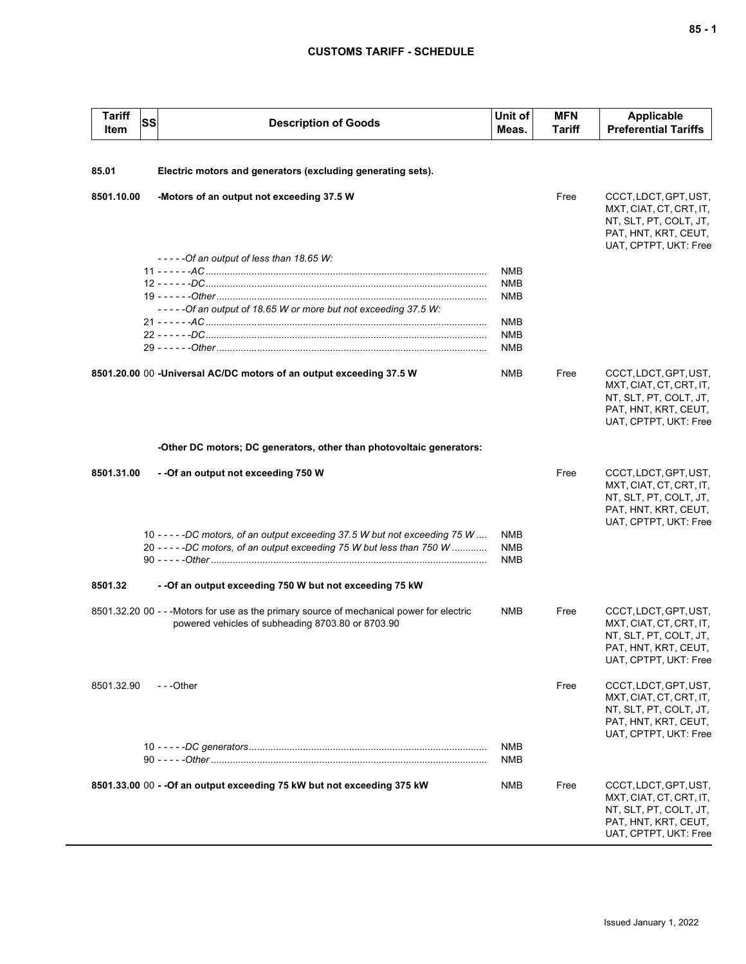| <b>Tariff</b><br>Item | <b>SS</b> | <b>Description of Goods</b>                                                                                                                            | Unit of<br>Meas.                       | <b>MFN</b><br>Tariff | <b>Applicable</b><br><b>Preferential Tariffs</b>                                                                            |
|-----------------------|-----------|--------------------------------------------------------------------------------------------------------------------------------------------------------|----------------------------------------|----------------------|-----------------------------------------------------------------------------------------------------------------------------|
| 85.01                 |           | Electric motors and generators (excluding generating sets).                                                                                            |                                        |                      |                                                                                                                             |
|                       |           |                                                                                                                                                        |                                        |                      |                                                                                                                             |
| 8501.10.00            |           | -Motors of an output not exceeding 37.5 W                                                                                                              |                                        | Free                 | CCCT, LDCT, GPT, UST,<br>MXT, CIAT, CT, CRT, IT,<br>NT, SLT, PT, COLT, JT,<br>PAT, HNT, KRT, CEUT,<br>UAT, CPTPT, UKT: Free |
|                       |           | $---Of an output of less than 18.65 W:$                                                                                                                |                                        |                      |                                                                                                                             |
|                       |           |                                                                                                                                                        | <b>NMB</b>                             |                      |                                                                                                                             |
|                       |           |                                                                                                                                                        | <b>NMB</b>                             |                      |                                                                                                                             |
|                       |           | -----Of an output of 18.65 W or more but not exceeding 37.5 W:                                                                                         | <b>NMB</b>                             |                      |                                                                                                                             |
|                       |           |                                                                                                                                                        | <b>NMB</b>                             |                      |                                                                                                                             |
|                       |           |                                                                                                                                                        | <b>NMB</b>                             |                      |                                                                                                                             |
|                       |           |                                                                                                                                                        | <b>NMB</b>                             |                      |                                                                                                                             |
|                       |           | 8501.20.00 00 -Universal AC/DC motors of an output exceeding 37.5 W                                                                                    | <b>NMB</b>                             | Free                 | CCCT, LDCT, GPT, UST,<br>MXT, CIAT, CT, CRT, IT,<br>NT, SLT, PT, COLT, JT,<br>PAT, HNT, KRT, CEUT,<br>UAT, CPTPT, UKT: Free |
|                       |           | -Other DC motors; DC generators, other than photovoltaic generators:                                                                                   |                                        |                      |                                                                                                                             |
| 8501.31.00            |           | - - Of an output not exceeding 750 W                                                                                                                   |                                        | Free                 | CCCT, LDCT, GPT, UST,<br>MXT, CIAT, CT, CRT, IT,<br>NT, SLT, PT, COLT, JT,<br>PAT, HNT, KRT, CEUT,<br>UAT, CPTPT, UKT: Free |
|                       |           | 10 - - - - -DC motors, of an output exceeding 37.5 W but not exceeding 75 W<br>20 - - - - - DC motors, of an output exceeding 75 W but less than 750 W | <b>NMB</b><br><b>NMB</b><br><b>NMB</b> |                      |                                                                                                                             |
| 8501.32               |           | - - Of an output exceeding 750 W but not exceeding 75 kW                                                                                               |                                        |                      |                                                                                                                             |
|                       |           | 8501.32.20 00 - - - Motors for use as the primary source of mechanical power for electric<br>powered vehicles of subheading 8703.80 or 8703.90         | NMB                                    | Free                 | CCCT, LDCT, GPT, UST,<br>MXT, CIAT, CT, CRT, IT,<br>NT, SLT, PT, COLT, JT,<br>PAT, HNT, KRT, CEUT,<br>UAT, CPTPT, UKT: Free |
| 8501.32.90            |           | $-$ - -Other                                                                                                                                           |                                        | Free                 | CCCT, LDCT, GPT, UST,<br>MXT, CIAT, CT, CRT, IT,<br>NT, SLT, PT, COLT, JT,<br>PAT, HNT, KRT, CEUT,<br>UAT, CPTPT, UKT: Free |
|                       |           |                                                                                                                                                        | <b>NMB</b><br>NMB                      |                      |                                                                                                                             |
|                       |           | 8501.33.00 00 - - Of an output exceeding 75 kW but not exceeding 375 kW                                                                                | NMB                                    | Free                 | CCCT, LDCT, GPT, UST,<br>MXT, CIAT, CT, CRT, IT,<br>NT, SLT, PT, COLT, JT,<br>PAT, HNT, KRT, CEUT,<br>UAT, CPTPT, UKT: Free |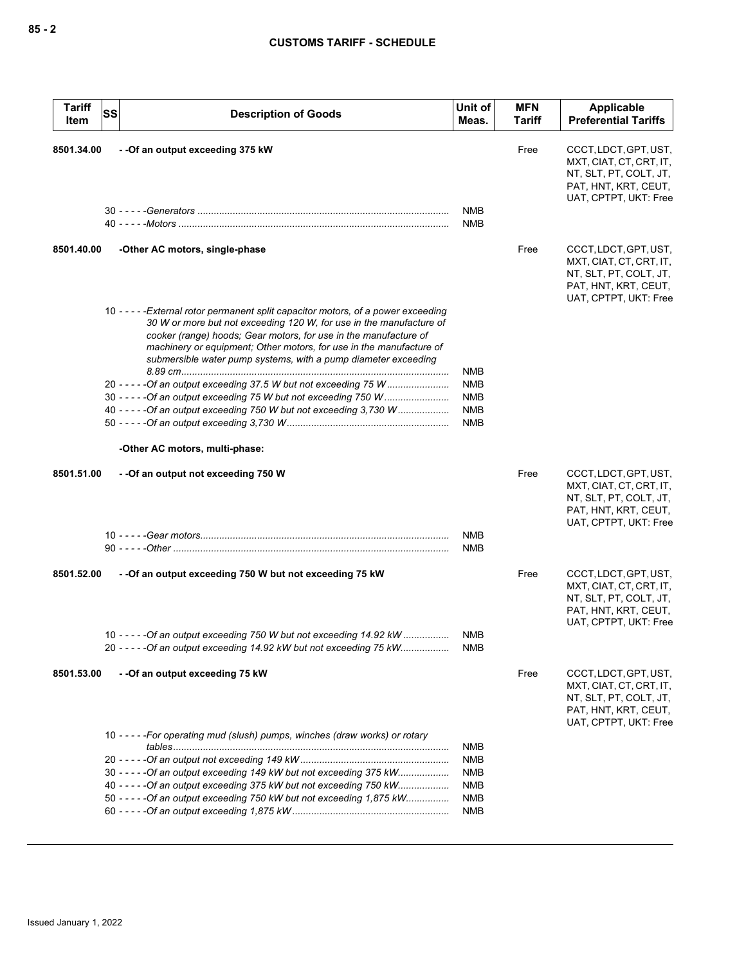| <b>Tariff</b><br>Item | <b>SS</b> | <b>Description of Goods</b>                                                                                                                                                                                                                                                                                                                                                                                                                                                                                                                                                            | Unit of<br>Meas.                                                   | <b>MFN</b><br>Tariff | Applicable<br><b>Preferential Tariffs</b>                                                                                   |
|-----------------------|-----------|----------------------------------------------------------------------------------------------------------------------------------------------------------------------------------------------------------------------------------------------------------------------------------------------------------------------------------------------------------------------------------------------------------------------------------------------------------------------------------------------------------------------------------------------------------------------------------------|--------------------------------------------------------------------|----------------------|-----------------------------------------------------------------------------------------------------------------------------|
| 8501.34.00            |           | -- Of an output exceeding 375 kW                                                                                                                                                                                                                                                                                                                                                                                                                                                                                                                                                       | <b>NMB</b><br><b>NMB</b>                                           | Free                 | CCCT, LDCT, GPT, UST,<br>MXT, CIAT, CT, CRT, IT,<br>NT, SLT, PT, COLT, JT,<br>PAT, HNT, KRT, CEUT,<br>UAT, CPTPT, UKT: Free |
| 8501.40.00            |           | -Other AC motors, single-phase                                                                                                                                                                                                                                                                                                                                                                                                                                                                                                                                                         |                                                                    | Free                 | CCCT, LDCT, GPT, UST,<br>MXT, CIAT, CT, CRT, IT,<br>NT, SLT, PT, COLT, JT,<br>PAT, HNT, KRT, CEUT,<br>UAT, CPTPT, UKT: Free |
|                       |           | 10 - - - - - External rotor permanent split capacitor motors, of a power exceeding<br>30 W or more but not exceeding 120 W, for use in the manufacture of<br>cooker (range) hoods; Gear motors, for use in the manufacture of<br>machinery or equipment; Other motors, for use in the manufacture of<br>submersible water pump systems, with a pump diameter exceeding<br>20 - - - - - Of an output exceeding 37.5 W but not exceeding 75 W<br>30 - - - - - Of an output exceeding 75 W but not exceeding 750 W<br>40 - - - - - Of an output exceeding 750 W but not exceeding 3,730 W | <b>NMB</b><br><b>NMB</b><br><b>NMB</b><br><b>NMB</b><br><b>NMB</b> |                      |                                                                                                                             |
|                       |           | -Other AC motors, multi-phase:                                                                                                                                                                                                                                                                                                                                                                                                                                                                                                                                                         |                                                                    |                      |                                                                                                                             |
| 8501.51.00            |           | - - Of an output not exceeding 750 W                                                                                                                                                                                                                                                                                                                                                                                                                                                                                                                                                   | <b>NMB</b>                                                         | Free                 | CCCT, LDCT, GPT, UST,<br>MXT, CIAT, CT, CRT, IT,<br>NT, SLT, PT, COLT, JT,<br>PAT, HNT, KRT, CEUT,<br>UAT, CPTPT, UKT: Free |
|                       |           |                                                                                                                                                                                                                                                                                                                                                                                                                                                                                                                                                                                        | <b>NMB</b>                                                         |                      |                                                                                                                             |
| 8501.52.00            |           | - - Of an output exceeding 750 W but not exceeding 75 kW                                                                                                                                                                                                                                                                                                                                                                                                                                                                                                                               |                                                                    | Free                 | CCCT, LDCT, GPT, UST,<br>MXT, CIAT, CT, CRT, IT,<br>NT, SLT, PT, COLT, JT,<br>PAT, HNT, KRT, CEUT,<br>UAT, CPTPT, UKT: Free |
|                       |           | 10 - - - - - Of an output exceeding 750 W but not exceeding 14.92 kW<br>20 - - - - - Of an output exceeding 14.92 kW but not exceeding 75 kW                                                                                                                                                                                                                                                                                                                                                                                                                                           | <b>NMB</b><br>NMB                                                  |                      |                                                                                                                             |
| 8501.53.00            |           | --Of an output exceeding 75 kW                                                                                                                                                                                                                                                                                                                                                                                                                                                                                                                                                         |                                                                    | Free                 | CCCT, LDCT, GPT, UST,<br>MXT, CIAT, CT, CRT, IT,<br>NT, SLT, PT, COLT, JT,<br>PAT, HNT, KRT, CEUT,<br>UAT, CPTPT, UKT: Free |
|                       |           | 10 - - - - - For operating mud (slush) pumps, winches (draw works) or rotary                                                                                                                                                                                                                                                                                                                                                                                                                                                                                                           | NMB                                                                |                      |                                                                                                                             |
|                       |           |                                                                                                                                                                                                                                                                                                                                                                                                                                                                                                                                                                                        | <b>NMB</b>                                                         |                      |                                                                                                                             |
|                       |           | 30 - - - - - Of an output exceeding 149 kW but not exceeding 375 kW<br>40 - - - - - Of an output exceeding 375 kW but not exceeding 750 kW<br>50 - - - - - Of an output exceeding 750 kW but not exceeding 1,875 kW                                                                                                                                                                                                                                                                                                                                                                    | <b>NMB</b><br><b>NMB</b><br>NMB<br><b>NMB</b>                      |                      |                                                                                                                             |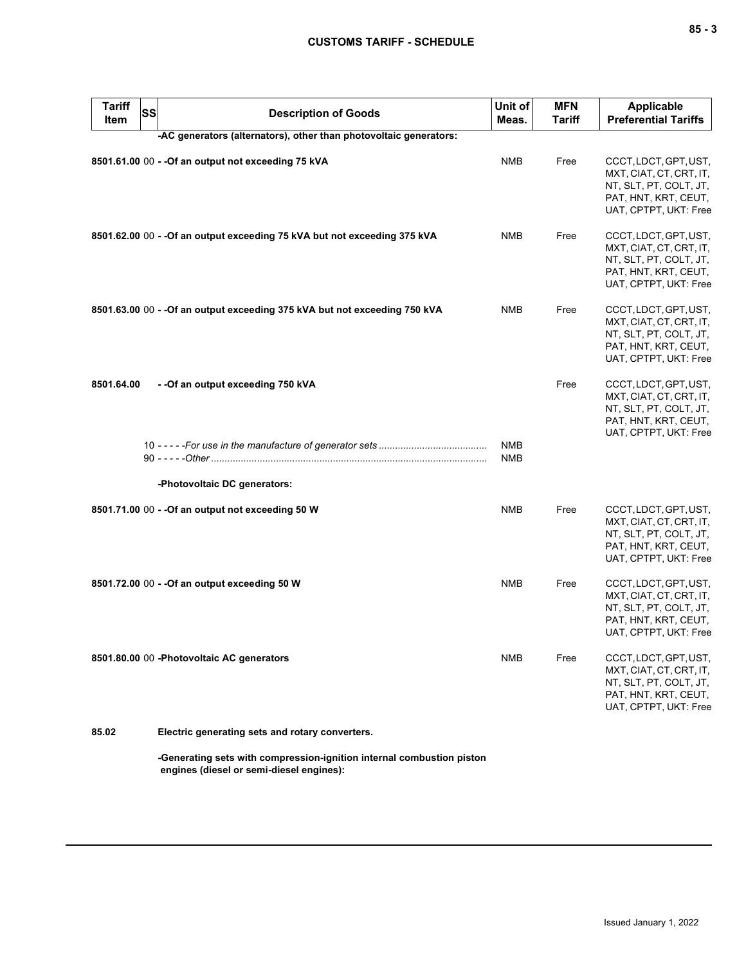| <b>Tariff</b><br>Item | <b>SS</b> | <b>Description of Goods</b>                                                | Unit of<br>Meas.         | <b>MFN</b><br><b>Tariff</b> | <b>Applicable</b><br><b>Preferential Tariffs</b>                                                                            |
|-----------------------|-----------|----------------------------------------------------------------------------|--------------------------|-----------------------------|-----------------------------------------------------------------------------------------------------------------------------|
|                       |           | -AC generators (alternators), other than photovoltaic generators:          |                          |                             |                                                                                                                             |
|                       |           | 8501.61.00 00 - - Of an output not exceeding 75 kVA                        | <b>NMB</b>               | Free                        | CCCT, LDCT, GPT, UST,<br>MXT, CIAT, CT, CRT, IT,<br>NT, SLT, PT, COLT, JT,<br>PAT, HNT, KRT, CEUT,<br>UAT, CPTPT, UKT: Free |
|                       |           | 8501.62.00 00 - - Of an output exceeding 75 kVA but not exceeding 375 kVA  | NMB                      | Free                        | CCCT, LDCT, GPT, UST,<br>MXT, CIAT, CT, CRT, IT,<br>NT, SLT, PT, COLT, JT,<br>PAT, HNT, KRT, CEUT,<br>UAT, CPTPT, UKT: Free |
|                       |           | 8501.63.00 00 - - Of an output exceeding 375 kVA but not exceeding 750 kVA | NMB                      | Free                        | CCCT, LDCT, GPT, UST,<br>MXT, CIAT, CT, CRT, IT,<br>NT, SLT, PT, COLT, JT,<br>PAT, HNT, KRT, CEUT,<br>UAT, CPTPT, UKT: Free |
| 8501.64.00            |           | --Of an output exceeding 750 kVA                                           |                          | Free                        | CCCT, LDCT, GPT, UST,<br>MXT, CIAT, CT, CRT, IT,<br>NT, SLT, PT, COLT, JT,<br>PAT, HNT, KRT, CEUT,<br>UAT, CPTPT, UKT: Free |
|                       |           |                                                                            | <b>NMB</b><br><b>NMB</b> |                             |                                                                                                                             |
|                       |           | -Photovoltaic DC generators:                                               |                          |                             |                                                                                                                             |
|                       |           | 8501.71.00 00 - - Of an output not exceeding 50 W                          | NMB                      | Free                        | CCCT, LDCT, GPT, UST,<br>MXT, CIAT, CT, CRT, IT,<br>NT, SLT, PT, COLT, JT,<br>PAT, HNT, KRT, CEUT,<br>UAT, CPTPT, UKT: Free |
|                       |           | 8501.72.00 00 - - Of an output exceeding 50 W                              | <b>NMB</b>               | Free                        | CCCT, LDCT, GPT, UST,<br>MXT, CIAT, CT, CRT, IT,<br>NT, SLT, PT, COLT, JT,<br>PAT, HNT, KRT, CEUT,<br>UAT, CPTPT, UKT: Free |
|                       |           | 8501.80.00 00 -Photovoltaic AC generators                                  | <b>NMB</b>               | Free                        | CCCT, LDCT, GPT, UST,<br>MXT, CIAT, CT, CRT, IT,<br>NT, SLT, PT, COLT, JT,<br>PAT, HNT, KRT, CEUT,<br>UAT, CPTPT, UKT: Free |
| 85.02                 |           | Electric generating sets and rotary converters.                            |                          |                             |                                                                                                                             |

**-Generating sets with compression-ignition internal combustion piston engines (diesel or semi-diesel engines):**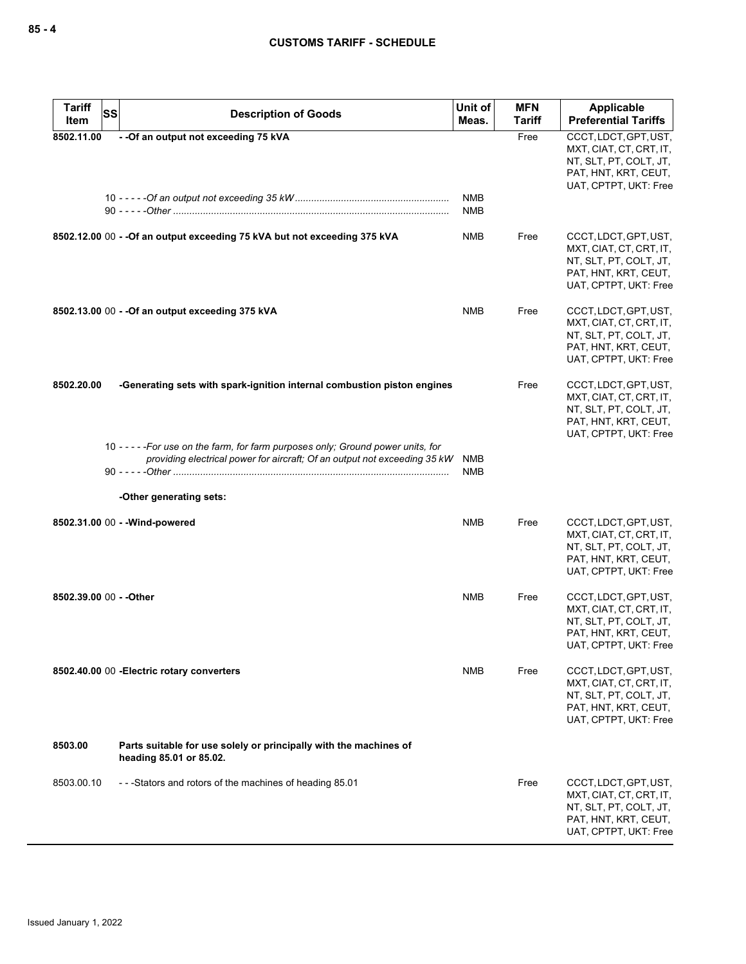| <b>Tariff</b><br><b>SS</b><br>Item | <b>Description of Goods</b>                                                                                                                                | Unit of<br>Meas.         | <b>MFN</b><br><b>Tariff</b> | <b>Applicable</b><br><b>Preferential Tariffs</b>                                                                            |
|------------------------------------|------------------------------------------------------------------------------------------------------------------------------------------------------------|--------------------------|-----------------------------|-----------------------------------------------------------------------------------------------------------------------------|
| 8502.11.00                         | -- Of an output not exceeding 75 kVA                                                                                                                       | <b>NMB</b>               | Free                        | CCCT, LDCT, GPT, UST,<br>MXT, CIAT, CT, CRT, IT,<br>NT, SLT, PT, COLT, JT,<br>PAT, HNT, KRT, CEUT,<br>UAT, CPTPT, UKT: Free |
|                                    |                                                                                                                                                            | <b>NMB</b>               |                             |                                                                                                                             |
|                                    | 8502.12.00 00 - - Of an output exceeding 75 kVA but not exceeding 375 kVA                                                                                  | <b>NMB</b>               | Free                        | CCCT, LDCT, GPT, UST,<br>MXT, CIAT, CT, CRT, IT,<br>NT, SLT, PT, COLT, JT,<br>PAT, HNT, KRT, CEUT,<br>UAT, CPTPT, UKT: Free |
|                                    | 8502.13.00 00 - - Of an output exceeding 375 kVA                                                                                                           | NMB                      | Free                        | CCCT, LDCT, GPT, UST,<br>MXT, CIAT, CT, CRT, IT,<br>NT, SLT, PT, COLT, JT,<br>PAT, HNT, KRT, CEUT,<br>UAT, CPTPT, UKT: Free |
| 8502.20.00                         | -Generating sets with spark-ignition internal combustion piston engines                                                                                    |                          | Free                        | CCCT, LDCT, GPT, UST,<br>MXT, CIAT, CT, CRT, IT,<br>NT, SLT, PT, COLT, JT,<br>PAT, HNT, KRT, CEUT,<br>UAT, CPTPT, UKT: Free |
|                                    | 10 ----- For use on the farm, for farm purposes only; Ground power units, for<br>providing electrical power for aircraft; Of an output not exceeding 35 kW | <b>NMB</b><br><b>NMB</b> |                             |                                                                                                                             |
|                                    | -Other generating sets:                                                                                                                                    |                          |                             |                                                                                                                             |
|                                    | 8502.31.00 00 - - Wind-powered                                                                                                                             | <b>NMB</b>               | Free                        | CCCT, LDCT, GPT, UST,<br>MXT, CIAT, CT, CRT, IT,<br>NT, SLT, PT, COLT, JT,<br>PAT, HNT, KRT, CEUT,<br>UAT, CPTPT, UKT: Free |
| 8502.39.00 00 - - Other            |                                                                                                                                                            | <b>NMB</b>               | Free                        | CCCT, LDCT, GPT, UST,<br>MXT, CIAT, CT, CRT, IT,<br>NT, SLT, PT, COLT, JT,<br>PAT, HNT, KRT, CEUT,<br>UAT, CPTPT, UKT: Free |
|                                    | 8502.40.00 00 - Electric rotary converters                                                                                                                 | NMB                      | Free                        | CCCT, LDCT, GPT, UST,<br>MXT, CIAT, CT, CRT, IT,<br>NT, SLT, PT, COLT, JT,<br>PAT, HNT, KRT, CEUT,<br>UAT, CPTPT, UKT: Free |
| 8503.00                            | Parts suitable for use solely or principally with the machines of<br>heading 85.01 or 85.02.                                                               |                          |                             |                                                                                                                             |
| 8503.00.10                         | -- - Stators and rotors of the machines of heading 85.01                                                                                                   |                          | Free                        | CCCT, LDCT, GPT, UST,<br>MXT, CIAT, CT, CRT, IT,<br>NT, SLT, PT, COLT, JT,<br>PAT, HNT, KRT, CEUT,<br>UAT, CPTPT, UKT: Free |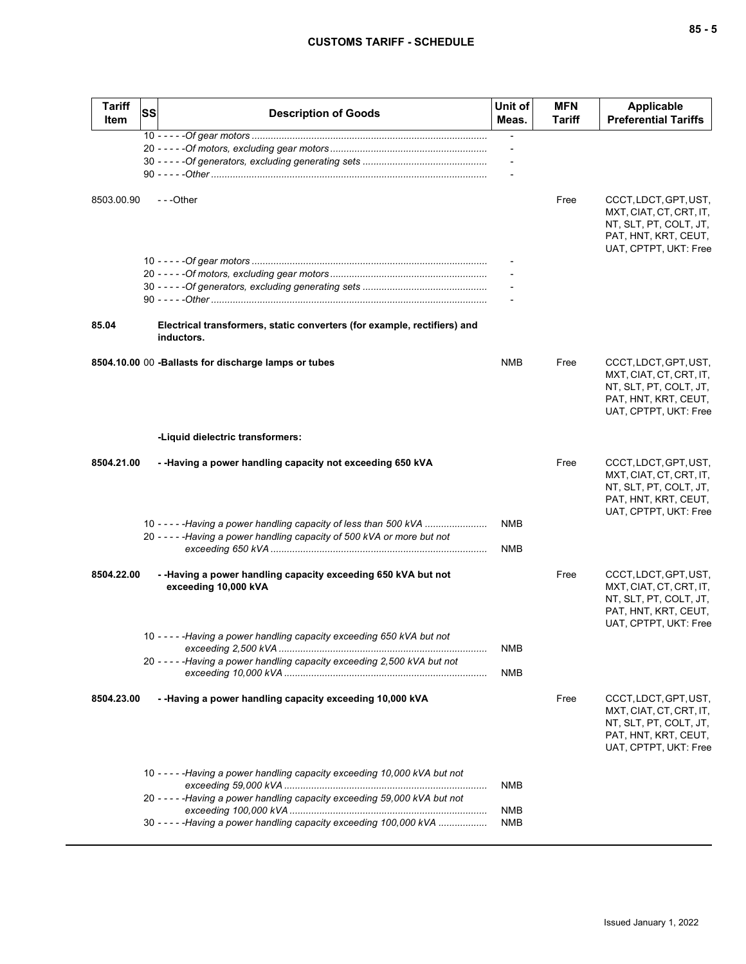| I<br>I<br>$-$<br>v<br>۰. |  | $\overline{\phantom{a}}$ |
|--------------------------|--|--------------------------|
|--------------------------|--|--------------------------|

| <b>Tariff</b><br>Item | <b>SS</b> | <b>Description of Goods</b>                                                            | Unit of<br>Meas.         | <b>MFN</b><br>Tariff | <b>Applicable</b><br><b>Preferential Tariffs</b>                                                                            |
|-----------------------|-----------|----------------------------------------------------------------------------------------|--------------------------|----------------------|-----------------------------------------------------------------------------------------------------------------------------|
|                       |           |                                                                                        | $\overline{\phantom{m}}$ |                      |                                                                                                                             |
|                       |           |                                                                                        |                          |                      |                                                                                                                             |
|                       |           |                                                                                        |                          |                      |                                                                                                                             |
|                       |           |                                                                                        |                          |                      |                                                                                                                             |
| 8503.00.90            |           | $- -$ Other                                                                            |                          | Free                 | CCCT, LDCT, GPT, UST,<br>MXT, CIAT, CT, CRT, IT,<br>NT, SLT, PT, COLT, JT,<br>PAT, HNT, KRT, CEUT,<br>UAT, CPTPT, UKT: Free |
|                       |           |                                                                                        |                          |                      |                                                                                                                             |
|                       |           |                                                                                        |                          |                      |                                                                                                                             |
|                       |           |                                                                                        |                          |                      |                                                                                                                             |
|                       |           |                                                                                        |                          |                      |                                                                                                                             |
| 85.04                 |           | Electrical transformers, static converters (for example, rectifiers) and<br>inductors. |                          |                      |                                                                                                                             |
|                       |           | 8504.10.00 00 -Ballasts for discharge lamps or tubes                                   | <b>NMB</b>               | Free                 | CCCT, LDCT, GPT, UST,<br>MXT, CIAT, CT, CRT, IT,<br>NT, SLT, PT, COLT, JT,<br>PAT, HNT, KRT, CEUT,<br>UAT, CPTPT, UKT: Free |
|                       |           | -Liquid dielectric transformers:                                                       |                          |                      |                                                                                                                             |
| 8504.21.00            |           | - -Having a power handling capacity not exceeding 650 kVA                              |                          | Free                 | CCCT, LDCT, GPT, UST,<br>MXT, CIAT, CT, CRT, IT,<br>NT, SLT, PT, COLT, JT,<br>PAT, HNT, KRT, CEUT,<br>UAT, CPTPT, UKT: Free |
|                       |           | 10 - - - - - Having a power handling capacity of less than 500 kVA                     | <b>NMB</b>               |                      |                                                                                                                             |
|                       |           | 20 - - - - - Having a power handling capacity of 500 kVA or more but not               |                          |                      |                                                                                                                             |
|                       |           |                                                                                        | <b>NMB</b>               |                      |                                                                                                                             |
| 8504.22.00            |           | - - Having a power handling capacity exceeding 650 kVA but not<br>exceeding 10,000 kVA |                          | Free                 | CCCT, LDCT, GPT, UST,<br>MXT, CIAT, CT, CRT, IT,<br>NT, SLT, PT, COLT, JT,<br>PAT, HNT, KRT, CEUT,<br>UAT, CPTPT, UKT: Free |
|                       |           | 10 - - - - - Having a power handling capacity exceeding 650 kVA but not                |                          |                      |                                                                                                                             |
|                       |           | 20 - - - - - Having a power handling capacity exceeding 2,500 kVA but not              | <b>NMB</b>               |                      |                                                                                                                             |
|                       |           |                                                                                        | <b>NMB</b>               |                      |                                                                                                                             |
| 8504.23.00            |           | - -Having a power handling capacity exceeding 10,000 kVA                               |                          | Free                 | CCCT, LDCT, GPT, UST,<br>MXT, CIAT, CT, CRT, IT,<br>NT, SLT, PT, COLT, JT,<br>PAT, HNT, KRT, CEUT,<br>UAT, CPTPT, UKT: Free |
|                       |           | 10 - - - - - Having a power handling capacity exceeding 10,000 kVA but not             | NMB                      |                      |                                                                                                                             |
|                       |           | 20 - - - - - Having a power handling capacity exceeding 59,000 kVA but not             |                          |                      |                                                                                                                             |
|                       |           |                                                                                        | <b>NMB</b>               |                      |                                                                                                                             |
|                       |           | 30 - - - - - Having a power handling capacity exceeding 100,000 kVA                    | NMB                      |                      |                                                                                                                             |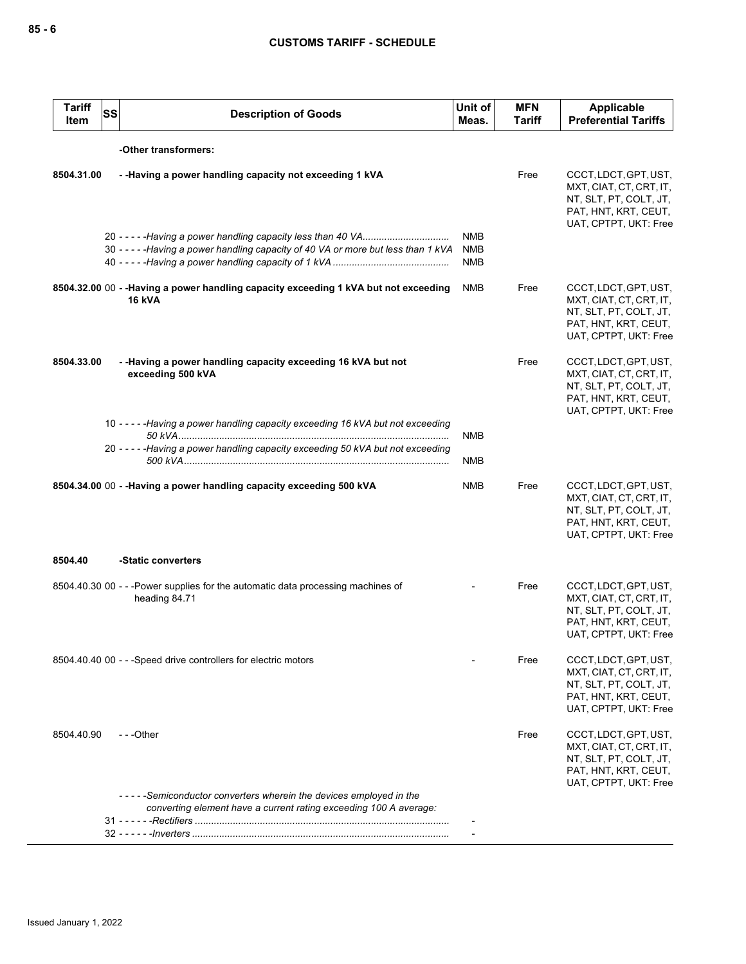| <b>Tariff</b><br>Item | <b>SS</b> | <b>Description of Goods</b>                                                                                                            | Unit of<br>Meas.                       | <b>MFN</b><br><b>Tariff</b> | <b>Applicable</b><br><b>Preferential Tariffs</b>                                                                            |
|-----------------------|-----------|----------------------------------------------------------------------------------------------------------------------------------------|----------------------------------------|-----------------------------|-----------------------------------------------------------------------------------------------------------------------------|
|                       |           | -Other transformers:                                                                                                                   |                                        |                             |                                                                                                                             |
| 8504.31.00            |           | - - Having a power handling capacity not exceeding 1 kVA                                                                               |                                        | Free                        | CCCT, LDCT, GPT, UST,<br>MXT, CIAT, CT, CRT, IT,<br>NT, SLT, PT, COLT, JT,<br>PAT, HNT, KRT, CEUT,<br>UAT, CPTPT, UKT: Free |
|                       |           | 30 - - - - - Having a power handling capacity of 40 VA or more but less than 1 kVA                                                     | <b>NMB</b><br><b>NMB</b><br><b>NMB</b> |                             |                                                                                                                             |
|                       |           | 8504.32.00 00 - - Having a power handling capacity exceeding 1 kVA but not exceeding<br><b>16 kVA</b>                                  | <b>NMB</b>                             | Free                        | CCCT, LDCT, GPT, UST,<br>MXT, CIAT, CT, CRT, IT,<br>NT, SLT, PT, COLT, JT,<br>PAT, HNT, KRT, CEUT,<br>UAT, CPTPT, UKT: Free |
| 8504.33.00            |           | --Having a power handling capacity exceeding 16 kVA but not<br>exceeding 500 kVA                                                       |                                        | Free                        | CCCT, LDCT, GPT, UST,<br>MXT, CIAT, CT, CRT, IT,<br>NT, SLT, PT, COLT, JT,<br>PAT, HNT, KRT, CEUT,<br>UAT, CPTPT, UKT: Free |
|                       |           | 10 - - - - - Having a power handling capacity exceeding 16 kVA but not exceeding                                                       | <b>NMB</b>                             |                             |                                                                                                                             |
|                       |           | 20 - - - - - Having a power handling capacity exceeding 50 kVA but not exceeding                                                       | NMB                                    |                             |                                                                                                                             |
|                       |           | 8504.34.00 00 - - Having a power handling capacity exceeding 500 kVA                                                                   | NMB                                    | Free                        | CCCT, LDCT, GPT, UST,<br>MXT, CIAT, CT, CRT, IT,<br>NT, SLT, PT, COLT, JT,<br>PAT, HNT, KRT, CEUT,<br>UAT, CPTPT, UKT: Free |
| 8504.40               |           | -Static converters                                                                                                                     |                                        |                             |                                                                                                                             |
|                       |           | 8504.40.30 00 - - - Power supplies for the automatic data processing machines of<br>heading 84.71                                      |                                        | Free                        | CCCT, LDCT, GPT, UST,<br>MXT, CIAT, CT, CRT, IT,<br>NT, SLT, PT, COLT, JT,<br>PAT, HNT, KRT, CEUT,<br>UAT, CPTPT, UKT: Free |
|                       |           | 8504.40.40 00 - - -Speed drive controllers for electric motors                                                                         |                                        | Free                        | CCCT, LDCT, GPT, UST,<br>MXT, CIAT, CT, CRT, IT,<br>NT, SLT, PT, COLT, JT,<br>PAT, HNT, KRT, CEUT,<br>UAT, CPTPT, UKT: Free |
| 8504.40.90            |           | $- -$ Other                                                                                                                            |                                        | Free                        | CCCT, LDCT, GPT, UST,<br>MXT, CIAT, CT, CRT, IT,<br>NT, SLT, PT, COLT, JT,<br>PAT, HNT, KRT, CEUT,<br>UAT, CPTPT, UKT: Free |
|                       |           | -----Semiconductor converters wherein the devices employed in the<br>converting element have a current rating exceeding 100 A average: |                                        |                             |                                                                                                                             |
|                       |           |                                                                                                                                        |                                        |                             |                                                                                                                             |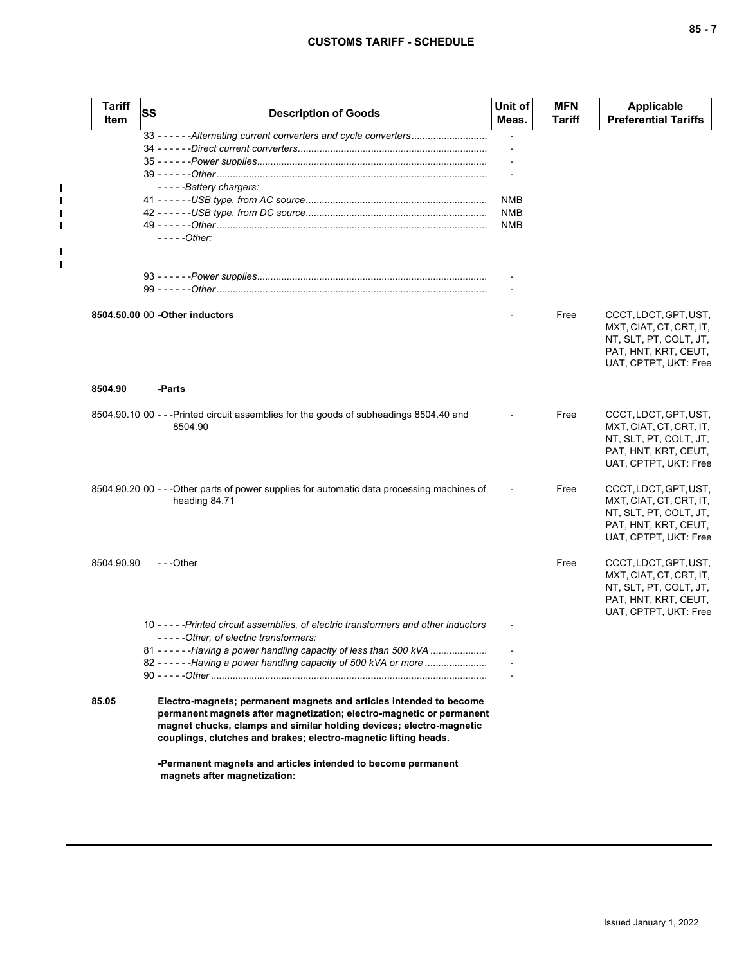$\mathbf{I}$  $\blacksquare$  $\mathbf I$  $\mathbf I$ 

 $\mathbf I$  $\mathbf{I}$ 

| <b>Tariff</b><br>Item | <b>SS</b> | <b>Description of Goods</b>                                                                                                                                                                                                                                                          | Unit of<br>Meas. | <b>MFN</b><br>Tariff | Applicable<br><b>Preferential Tariffs</b>                                                                                   |
|-----------------------|-----------|--------------------------------------------------------------------------------------------------------------------------------------------------------------------------------------------------------------------------------------------------------------------------------------|------------------|----------------------|-----------------------------------------------------------------------------------------------------------------------------|
|                       |           | 33 - - - - - - Alternating current converters and cycle converters                                                                                                                                                                                                                   |                  |                      |                                                                                                                             |
|                       |           |                                                                                                                                                                                                                                                                                      |                  |                      |                                                                                                                             |
|                       |           |                                                                                                                                                                                                                                                                                      |                  |                      |                                                                                                                             |
|                       |           | -----Battery chargers:                                                                                                                                                                                                                                                               |                  |                      |                                                                                                                             |
|                       |           |                                                                                                                                                                                                                                                                                      | <b>NMB</b>       |                      |                                                                                                                             |
|                       |           |                                                                                                                                                                                                                                                                                      | <b>NMB</b>       |                      |                                                                                                                             |
|                       |           |                                                                                                                                                                                                                                                                                      | <b>NMB</b>       |                      |                                                                                                                             |
|                       |           | $---Other:$                                                                                                                                                                                                                                                                          |                  |                      |                                                                                                                             |
|                       |           |                                                                                                                                                                                                                                                                                      |                  |                      |                                                                                                                             |
|                       |           |                                                                                                                                                                                                                                                                                      |                  |                      |                                                                                                                             |
|                       |           | 8504.50.00 00 - Other inductors                                                                                                                                                                                                                                                      |                  | Free                 | CCCT, LDCT, GPT, UST,<br>MXT, CIAT, CT, CRT, IT,<br>NT, SLT, PT, COLT, JT,<br>PAT, HNT, KRT, CEUT,<br>UAT, CPTPT, UKT: Free |
| 8504.90               |           | -Parts                                                                                                                                                                                                                                                                               |                  |                      |                                                                                                                             |
|                       |           | 8504.90.10 00 - - - Printed circuit assemblies for the goods of subheadings 8504.40 and<br>8504.90                                                                                                                                                                                   |                  | Free                 | CCCT, LDCT, GPT, UST,<br>MXT, CIAT, CT, CRT, IT,<br>NT, SLT, PT, COLT, JT,<br>PAT, HNT, KRT, CEUT,<br>UAT, CPTPT, UKT: Free |
|                       |           | 8504.90.20 00 - - - Other parts of power supplies for automatic data processing machines of<br>heading 84.71                                                                                                                                                                         |                  | Free                 | CCCT, LDCT, GPT, UST,<br>MXT, CIAT, CT, CRT, IT,<br>NT, SLT, PT, COLT, JT,<br>PAT, HNT, KRT, CEUT,<br>UAT, CPTPT, UKT: Free |
| 8504.90.90            |           | $-$ - -Other                                                                                                                                                                                                                                                                         |                  | Free                 | CCCT, LDCT, GPT, UST,<br>MXT, CIAT, CT, CRT, IT,<br>NT, SLT, PT, COLT, JT,<br>PAT, HNT, KRT, CEUT,<br>UAT, CPTPT, UKT: Free |
|                       |           | 10 - - - - - Printed circuit assemblies, of electric transformers and other inductors<br>-----Other, of electric transformers:                                                                                                                                                       |                  |                      |                                                                                                                             |
|                       |           | 81 - - - - - - Having a power handling capacity of less than 500 kVA                                                                                                                                                                                                                 |                  |                      |                                                                                                                             |
|                       |           | 82 - - - - - - Having a power handling capacity of 500 kVA or more                                                                                                                                                                                                                   |                  |                      |                                                                                                                             |
| 85.05                 |           | Electro-magnets; permanent magnets and articles intended to become<br>permanent magnets after magnetization; electro-magnetic or permanent<br>magnet chucks, clamps and similar holding devices; electro-magnetic<br>couplings, clutches and brakes; electro-magnetic lifting heads. |                  |                      |                                                                                                                             |
|                       |           | -Permanent magnets and articles intended to become permanent<br>magnets after magnetization:                                                                                                                                                                                         |                  |                      |                                                                                                                             |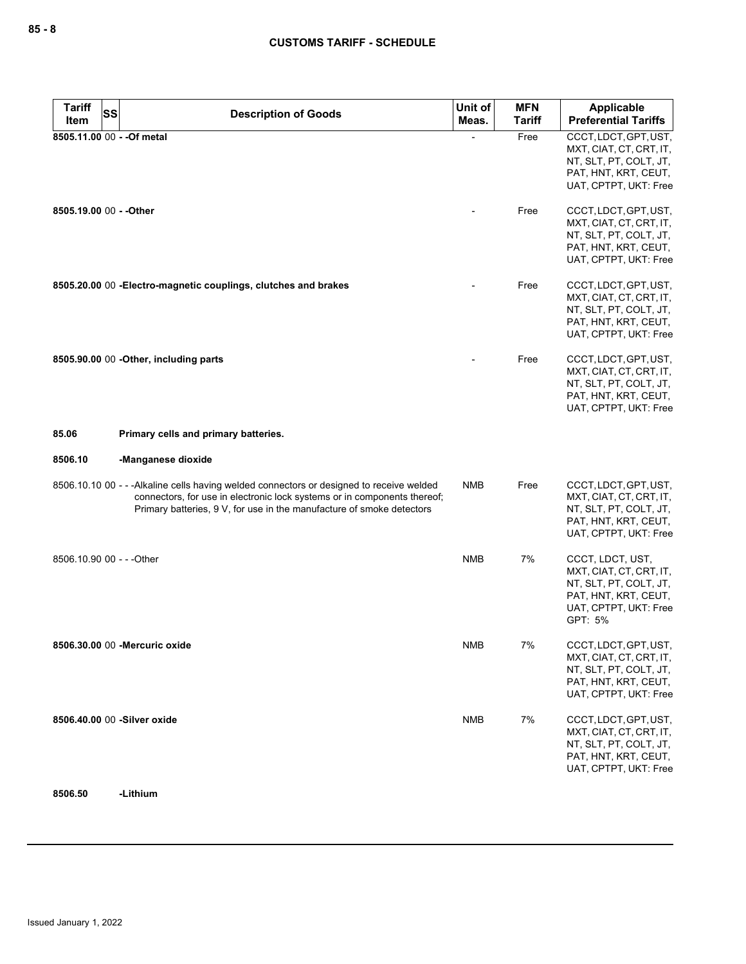| <b>Tariff</b><br><b>SS</b><br>Item | <b>Description of Goods</b>                                                                                                                                                                                                                    | Unit of<br>Meas. | <b>MFN</b><br><b>Tariff</b> | <b>Applicable</b><br><b>Preferential Tariffs</b>                                                                                  |
|------------------------------------|------------------------------------------------------------------------------------------------------------------------------------------------------------------------------------------------------------------------------------------------|------------------|-----------------------------|-----------------------------------------------------------------------------------------------------------------------------------|
| 8505.11.00 00 - - Of metal         |                                                                                                                                                                                                                                                |                  | Free                        | CCCT, LDCT, GPT, UST,<br>MXT, CIAT, CT, CRT, IT,<br>NT, SLT, PT, COLT, JT,<br>PAT, HNT, KRT, CEUT,<br>UAT, CPTPT, UKT: Free       |
| 8505.19.00 00 - - Other            |                                                                                                                                                                                                                                                |                  | Free                        | CCCT, LDCT, GPT, UST,<br>MXT, CIAT, CT, CRT, IT,<br>NT, SLT, PT, COLT, JT,<br>PAT, HNT, KRT, CEUT,<br>UAT, CPTPT, UKT: Free       |
|                                    | 8505.20.00 00 - Electro-magnetic couplings, clutches and brakes                                                                                                                                                                                |                  | Free                        | CCCT, LDCT, GPT, UST,<br>MXT, CIAT, CT, CRT, IT,<br>NT, SLT, PT, COLT, JT,<br>PAT, HNT, KRT, CEUT,<br>UAT, CPTPT, UKT: Free       |
|                                    | 8505.90.00 00 - Other, including parts                                                                                                                                                                                                         |                  | Free                        | CCCT, LDCT, GPT, UST,<br>MXT, CIAT, CT, CRT, IT,<br>NT, SLT, PT, COLT, JT,<br>PAT, HNT, KRT, CEUT,<br>UAT, CPTPT, UKT: Free       |
| 85.06                              | Primary cells and primary batteries.                                                                                                                                                                                                           |                  |                             |                                                                                                                                   |
| 8506.10                            | -Manganese dioxide                                                                                                                                                                                                                             |                  |                             |                                                                                                                                   |
|                                    | 8506.10.10 00 - - - Alkaline cells having welded connectors or designed to receive welded<br>connectors, for use in electronic lock systems or in components thereof;<br>Primary batteries, 9 V, for use in the manufacture of smoke detectors | <b>NMB</b>       | Free                        | CCCT, LDCT, GPT, UST,<br>MXT, CIAT, CT, CRT, IT,<br>NT, SLT, PT, COLT, JT,<br>PAT, HNT, KRT, CEUT,<br>UAT, CPTPT, UKT: Free       |
| 8506.10.90 00 - - - Other          |                                                                                                                                                                                                                                                | <b>NMB</b>       | 7%                          | CCCT, LDCT, UST,<br>MXT, CIAT, CT, CRT, IT,<br>NT, SLT, PT, COLT, JT,<br>PAT, HNT, KRT, CEUT,<br>UAT, CPTPT, UKT: Free<br>GPT: 5% |
|                                    | 8506.30.00 00 - Mercuric oxide                                                                                                                                                                                                                 | <b>NMB</b>       | 7%                          | CCCT, LDCT, GPT, UST,<br>MXT, CIAT, CT, CRT, IT,<br>NT, SLT, PT, COLT, JT,<br>PAT, HNT, KRT, CEUT,<br>UAT, CPTPT, UKT: Free       |
|                                    | 8506.40.00 00 -Silver oxide                                                                                                                                                                                                                    | <b>NMB</b>       | 7%                          | CCCT, LDCT, GPT, UST,<br>MXT, CIAT, CT, CRT, IT,<br>NT, SLT, PT, COLT, JT,<br>PAT, HNT, KRT, CEUT,<br>UAT, CPTPT, UKT: Free       |
| 8506.50                            | -Lithium                                                                                                                                                                                                                                       |                  |                             |                                                                                                                                   |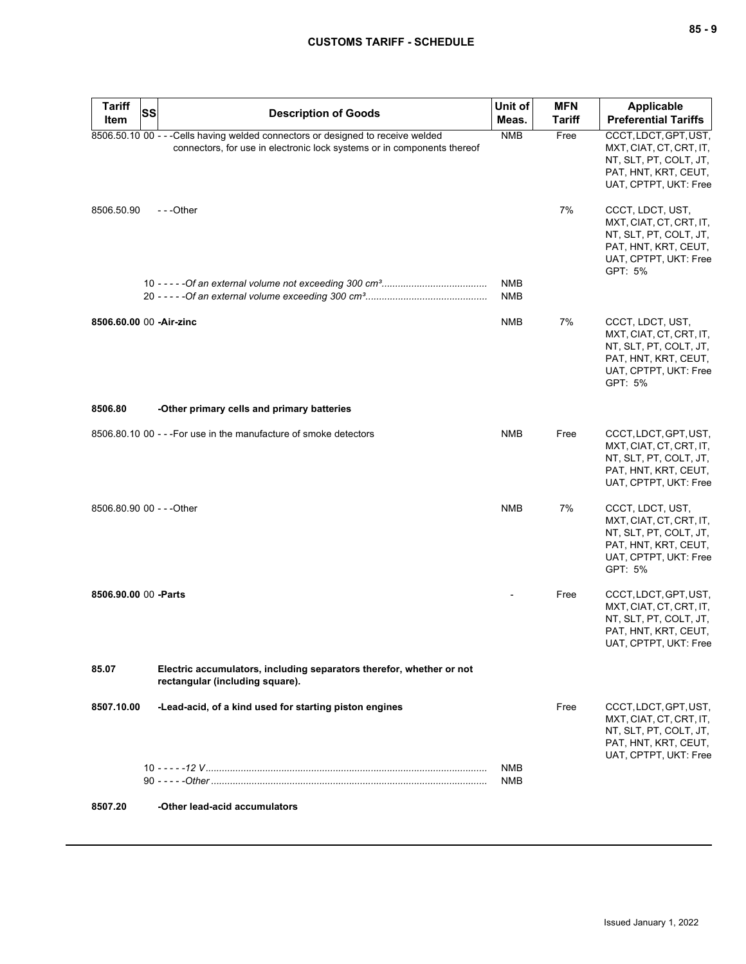| <b>Tariff</b>             | <b>SS</b><br><b>Description of Goods</b>                                                                                                                    | Unit of                  | <b>MFN</b>    | <b>Applicable</b>                                                                                                                 |
|---------------------------|-------------------------------------------------------------------------------------------------------------------------------------------------------------|--------------------------|---------------|-----------------------------------------------------------------------------------------------------------------------------------|
| Item                      |                                                                                                                                                             | Meas.                    | <b>Tariff</b> | <b>Preferential Tariffs</b>                                                                                                       |
|                           | 8506.50.10 00 - - - Cells having welded connectors or designed to receive welded<br>connectors, for use in electronic lock systems or in components thereof | <b>NMB</b>               | Free          | CCCT, LDCT, GPT, UST,<br>MXT, CIAT, CT, CRT, IT,<br>NT, SLT, PT, COLT, JT,<br>PAT, HNT, KRT, CEUT,<br>UAT, CPTPT, UKT: Free       |
| 8506.50.90                | ---Other                                                                                                                                                    |                          | 7%            | CCCT, LDCT, UST,<br>MXT, CIAT, CT, CRT, IT,<br>NT, SLT, PT, COLT, JT,<br>PAT, HNT, KRT, CEUT,<br>UAT, CPTPT, UKT: Free<br>GPT: 5% |
|                           |                                                                                                                                                             | <b>NMB</b><br><b>NMB</b> |               |                                                                                                                                   |
| 8506.60.00 00 -Air-zinc   |                                                                                                                                                             | <b>NMB</b>               | 7%            | CCCT, LDCT, UST,<br>MXT, CIAT, CT, CRT, IT,<br>NT, SLT, PT, COLT, JT,<br>PAT, HNT, KRT, CEUT,<br>UAT, CPTPT, UKT: Free<br>GPT: 5% |
| 8506.80                   | -Other primary cells and primary batteries                                                                                                                  |                          |               |                                                                                                                                   |
|                           | 8506.80.10 00 - - - For use in the manufacture of smoke detectors                                                                                           | <b>NMB</b>               | Free          | CCCT, LDCT, GPT, UST,<br>MXT, CIAT, CT, CRT, IT,<br>NT, SLT, PT, COLT, JT,<br>PAT, HNT, KRT, CEUT,<br>UAT, CPTPT, UKT: Free       |
| 8506.80.90 00 - - - Other |                                                                                                                                                             | <b>NMB</b>               | 7%            | CCCT, LDCT, UST,<br>MXT, CIAT, CT, CRT, IT,<br>NT, SLT, PT, COLT, JT,<br>PAT, HNT, KRT, CEUT,<br>UAT, CPTPT, UKT: Free<br>GPT: 5% |
| 8506.90.00 00 -Parts      |                                                                                                                                                             |                          | Free          | CCCT, LDCT, GPT, UST,<br>MXT, CIAT, CT, CRT, IT,<br>NT, SLT, PT, COLT, JT,<br>PAT, HNT, KRT, CEUT,<br>UAT, CPTPT, UKT: Free       |
| 85.07                     | Electric accumulators, including separators therefor, whether or not<br>rectangular (including square).                                                     |                          |               |                                                                                                                                   |
| 8507.10.00                | -Lead-acid, of a kind used for starting piston engines                                                                                                      |                          | Free          | CCCT, LDCT, GPT, UST,<br>MXT, CIAT, CT, CRT, IT,<br>NT, SLT, PT, COLT, JT,<br>PAT, HNT, KRT, CEUT,<br>UAT, CPTPT, UKT: Free       |
|                           |                                                                                                                                                             | <b>NMB</b><br><b>NMB</b> |               |                                                                                                                                   |
| 8507.20                   | -Other lead-acid accumulators                                                                                                                               |                          |               |                                                                                                                                   |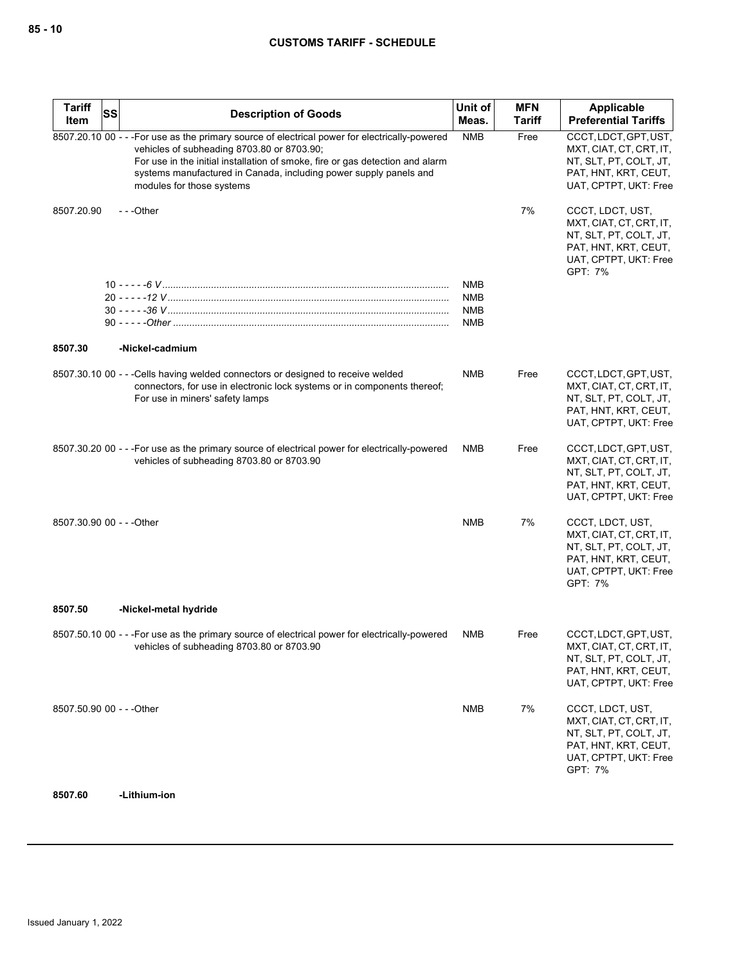| <b>Tariff</b>             | <b>SS</b> | <b>Description of Goods</b>                                                                                                                                                                                                                                                                                                     | Unit of                                | <b>MFN</b>    | Applicable                                                                                                                        |
|---------------------------|-----------|---------------------------------------------------------------------------------------------------------------------------------------------------------------------------------------------------------------------------------------------------------------------------------------------------------------------------------|----------------------------------------|---------------|-----------------------------------------------------------------------------------------------------------------------------------|
| Item                      |           |                                                                                                                                                                                                                                                                                                                                 | Meas.                                  | <b>Tariff</b> | <b>Preferential Tariffs</b>                                                                                                       |
|                           |           | 8507.20.10 00 - - - For use as the primary source of electrical power for electrically-powered<br>vehicles of subheading 8703.80 or 8703.90;<br>For use in the initial installation of smoke, fire or gas detection and alarm<br>systems manufactured in Canada, including power supply panels and<br>modules for those systems | <b>NMB</b>                             | Free          | CCCT, LDCT, GPT, UST,<br>MXT, CIAT, CT, CRT, IT,<br>NT, SLT, PT, COLT, JT,<br>PAT, HNT, KRT, CEUT,<br>UAT, CPTPT, UKT: Free       |
| 8507.20.90                |           | ---Other                                                                                                                                                                                                                                                                                                                        |                                        | 7%            | CCCT, LDCT, UST,<br>MXT, CIAT, CT, CRT, IT,<br>NT, SLT, PT, COLT, JT,<br>PAT, HNT, KRT, CEUT,<br>UAT, CPTPT, UKT: Free<br>GPT: 7% |
|                           |           |                                                                                                                                                                                                                                                                                                                                 | <b>NMB</b><br>NMB<br><b>NMB</b><br>NMB |               |                                                                                                                                   |
| 8507.30                   |           | -Nickel-cadmium                                                                                                                                                                                                                                                                                                                 |                                        |               |                                                                                                                                   |
|                           |           | 8507.30.10 00 - - - Cells having welded connectors or designed to receive welded<br>connectors, for use in electronic lock systems or in components thereof;<br>For use in miners' safety lamps                                                                                                                                 | <b>NMB</b>                             | Free          | CCCT, LDCT, GPT, UST,<br>MXT, CIAT, CT, CRT, IT,<br>NT, SLT, PT, COLT, JT,<br>PAT, HNT, KRT, CEUT,<br>UAT, CPTPT, UKT: Free       |
|                           |           | 8507.30.20 00 - - - For use as the primary source of electrical power for electrically-powered<br>vehicles of subheading 8703.80 or 8703.90                                                                                                                                                                                     | NMB                                    | Free          | CCCT, LDCT, GPT, UST,<br>MXT, CIAT, CT, CRT, IT,<br>NT, SLT, PT, COLT, JT,<br>PAT, HNT, KRT, CEUT,<br>UAT, CPTPT, UKT: Free       |
| 8507.30.90 00 - - - Other |           |                                                                                                                                                                                                                                                                                                                                 | <b>NMB</b>                             | 7%            | CCCT, LDCT, UST,<br>MXT, CIAT, CT, CRT, IT,<br>NT, SLT, PT, COLT, JT,<br>PAT, HNT, KRT, CEUT,<br>UAT, CPTPT, UKT: Free<br>GPT: 7% |
| 8507.50                   |           | -Nickel-metal hydride                                                                                                                                                                                                                                                                                                           |                                        |               |                                                                                                                                   |
|                           |           | 8507.50.10 00 - - - For use as the primary source of electrical power for electrically-powered<br>vehicles of subheading 8703.80 or 8703.90                                                                                                                                                                                     | <b>NMB</b>                             | Free          | CCCT, LDCT, GPT, UST,<br>MXT, CIAT, CT, CRT, IT,<br>NT, SLT, PT, COLT, JT,<br>PAT, HNT, KRT, CEUT,<br>UAT, CPTPT, UKT: Free       |
| 8507.50.90 00 - - - Other |           |                                                                                                                                                                                                                                                                                                                                 | <b>NMB</b>                             | 7%            | CCCT, LDCT, UST,<br>MXT, CIAT, CT, CRT, IT,<br>NT, SLT, PT, COLT, JT,<br>PAT, HNT, KRT, CEUT,<br>UAT, CPTPT, UKT: Free<br>GPT: 7% |

**8507.60 -Lithium-ion**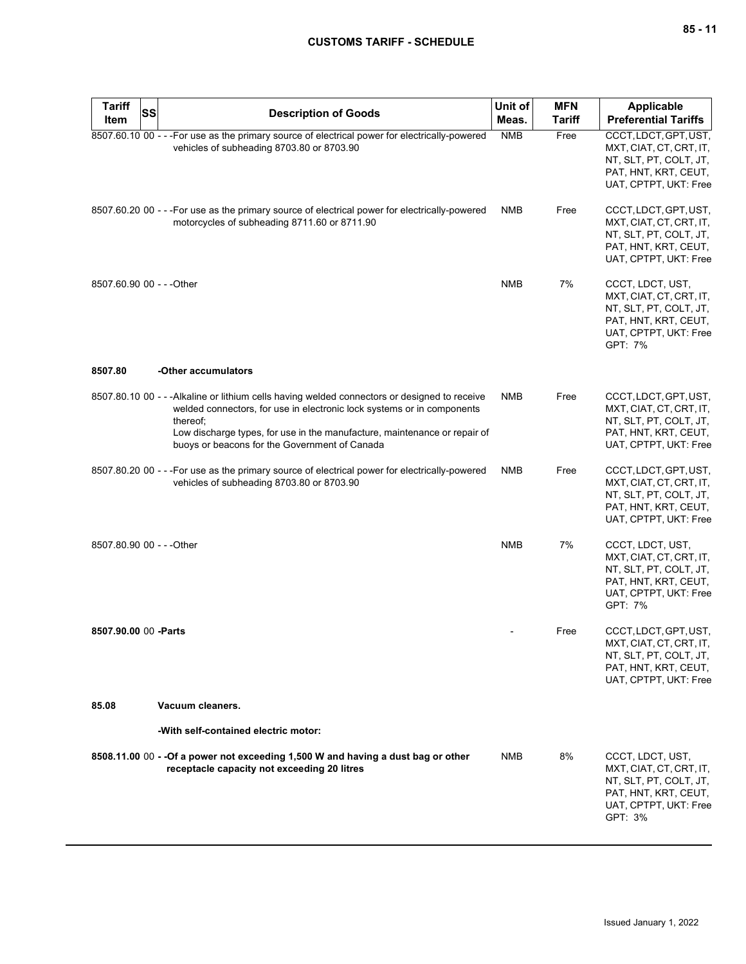| <b>Tariff</b><br>Item     | SS<br><b>Description of Goods</b>                                                                                                                                                                                                                                                                                 | Unit of<br>Meas. | <b>MFN</b><br>Tariff | <b>Applicable</b><br><b>Preferential Tariffs</b>                                                                                  |
|---------------------------|-------------------------------------------------------------------------------------------------------------------------------------------------------------------------------------------------------------------------------------------------------------------------------------------------------------------|------------------|----------------------|-----------------------------------------------------------------------------------------------------------------------------------|
|                           | 8507.60.10 00 - - - For use as the primary source of electrical power for electrically-powered<br>vehicles of subheading 8703.80 or 8703.90                                                                                                                                                                       | <b>NMB</b>       | Free                 | CCCT, LDCT, GPT, UST,<br>MXT, CIAT, CT, CRT, IT,<br>NT, SLT, PT, COLT, JT,<br>PAT, HNT, KRT, CEUT,<br>UAT, CPTPT, UKT: Free       |
|                           | 8507.60.20 00 - - - For use as the primary source of electrical power for electrically-powered<br>motorcycles of subheading 8711.60 or 8711.90                                                                                                                                                                    | NMB              | Free                 | CCCT, LDCT, GPT, UST,<br>MXT, CIAT, CT, CRT, IT,<br>NT, SLT, PT, COLT, JT,<br>PAT, HNT, KRT, CEUT,<br>UAT, CPTPT, UKT: Free       |
| 8507.60.90 00 - - - Other |                                                                                                                                                                                                                                                                                                                   | <b>NMB</b>       | 7%                   | CCCT, LDCT, UST,<br>MXT, CIAT, CT, CRT, IT,<br>NT, SLT, PT, COLT, JT,<br>PAT, HNT, KRT, CEUT,<br>UAT, CPTPT, UKT: Free<br>GPT: 7% |
| 8507.80                   | -Other accumulators                                                                                                                                                                                                                                                                                               |                  |                      |                                                                                                                                   |
|                           | 8507.80.10 00 - - - Alkaline or lithium cells having welded connectors or designed to receive<br>welded connectors, for use in electronic lock systems or in components<br>thereof;<br>Low discharge types, for use in the manufacture, maintenance or repair of<br>buoys or beacons for the Government of Canada | <b>NMB</b>       | Free                 | CCCT, LDCT, GPT, UST,<br>MXT, CIAT, CT, CRT, IT,<br>NT, SLT, PT, COLT, JT,<br>PAT, HNT, KRT, CEUT,<br>UAT, CPTPT, UKT: Free       |
|                           | 8507.80.20 00 - - - For use as the primary source of electrical power for electrically-powered<br>vehicles of subheading 8703.80 or 8703.90                                                                                                                                                                       | <b>NMB</b>       | Free                 | CCCT, LDCT, GPT, UST,<br>MXT, CIAT, CT, CRT, IT,<br>NT, SLT, PT, COLT, JT,<br>PAT, HNT, KRT, CEUT,<br>UAT, CPTPT, UKT: Free       |
| 8507.80.90 00 - - - Other |                                                                                                                                                                                                                                                                                                                   | <b>NMB</b>       | 7%                   | CCCT, LDCT, UST,<br>MXT, CIAT, CT, CRT, IT,<br>NT, SLT, PT, COLT, JT,<br>PAT, HNT, KRT, CEUT,<br>UAT, CPTPT, UKT: Free<br>GPT: 7% |
| 8507.90.00 00 - Parts     |                                                                                                                                                                                                                                                                                                                   |                  | Free                 | CCCT, LDCT, GPT, UST,<br>MXT, CIAT, CT, CRT, IT,<br>NT, SLT, PT, COLT, JT,<br>PAT, HNT, KRT, CEUT,<br>UAT, CPTPT, UKT: Free       |
| 85.08                     | Vacuum cleaners.                                                                                                                                                                                                                                                                                                  |                  |                      |                                                                                                                                   |
|                           | -With self-contained electric motor:                                                                                                                                                                                                                                                                              |                  |                      |                                                                                                                                   |
|                           | 8508.11.00 00 - - Of a power not exceeding 1,500 W and having a dust bag or other<br>receptacle capacity not exceeding 20 litres                                                                                                                                                                                  | NMB              | 8%                   | CCCT, LDCT, UST,<br>MXT, CIAT, CT, CRT, IT,<br>NT, SLT, PT, COLT, JT,<br>PAT, HNT, KRT, CEUT,<br>UAT, CPTPT, UKT: Free<br>GPT: 3% |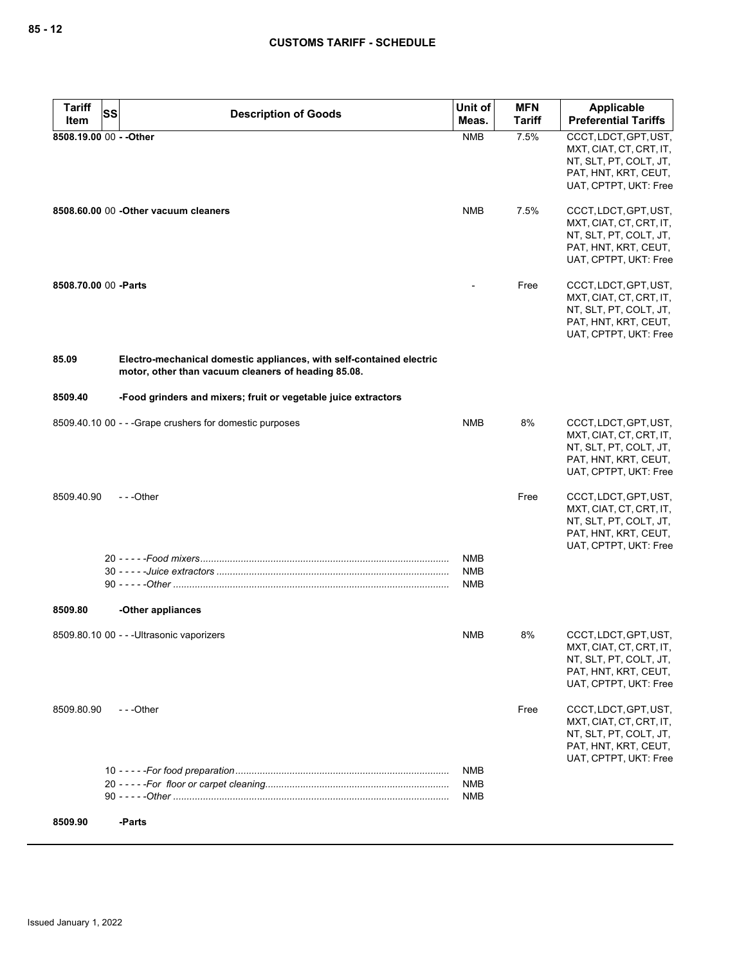| <b>Tariff</b><br><b>SS</b> | <b>Description of Goods</b>                                                                                                 | Unit of                  | <b>MFN</b>    | Applicable                                        |
|----------------------------|-----------------------------------------------------------------------------------------------------------------------------|--------------------------|---------------|---------------------------------------------------|
| Item                       |                                                                                                                             | Meas.                    | <b>Tariff</b> | <b>Preferential Tariffs</b>                       |
| 8508.19.00 00 - - Other    |                                                                                                                             | <b>NMB</b>               | 7.5%          | CCCT, LDCT, GPT, UST,                             |
|                            |                                                                                                                             |                          |               | MXT, CIAT, CT, CRT, IT,<br>NT, SLT, PT, COLT, JT, |
|                            |                                                                                                                             |                          |               | PAT, HNT, KRT, CEUT,                              |
|                            |                                                                                                                             |                          |               | UAT, CPTPT, UKT: Free                             |
|                            | 8508.60.00 00 - Other vacuum cleaners                                                                                       | NMB                      | 7.5%          | CCCT, LDCT, GPT, UST,                             |
|                            |                                                                                                                             |                          |               | MXT, CIAT, CT, CRT, IT,                           |
|                            |                                                                                                                             |                          |               | NT, SLT, PT, COLT, JT,                            |
|                            |                                                                                                                             |                          |               | PAT, HNT, KRT, CEUT,                              |
|                            |                                                                                                                             |                          |               | UAT, CPTPT, UKT: Free                             |
| 8508.70.00 00 - Parts      |                                                                                                                             |                          | Free          | CCCT, LDCT, GPT, UST,                             |
|                            |                                                                                                                             |                          |               | MXT, CIAT, CT, CRT, IT,                           |
|                            |                                                                                                                             |                          |               | NT, SLT, PT, COLT, JT,                            |
|                            |                                                                                                                             |                          |               | PAT, HNT, KRT, CEUT,<br>UAT, CPTPT, UKT: Free     |
| 85.09                      |                                                                                                                             |                          |               |                                                   |
|                            | Electro-mechanical domestic appliances, with self-contained electric<br>motor, other than vacuum cleaners of heading 85.08. |                          |               |                                                   |
| 8509.40                    | -Food grinders and mixers; fruit or vegetable juice extractors                                                              |                          |               |                                                   |
|                            | 8509.40.10 00 - - - Grape crushers for domestic purposes                                                                    | <b>NMB</b>               | 8%            | CCCT, LDCT, GPT, UST,                             |
|                            |                                                                                                                             |                          |               | MXT, CIAT, CT, CRT, IT,                           |
|                            |                                                                                                                             |                          |               | NT, SLT, PT, COLT, JT,<br>PAT, HNT, KRT, CEUT,    |
|                            |                                                                                                                             |                          |               | UAT, CPTPT, UKT: Free                             |
|                            |                                                                                                                             |                          |               |                                                   |
| 8509.40.90                 | $- -$ Other                                                                                                                 |                          | Free          | CCCT, LDCT, GPT, UST,                             |
|                            |                                                                                                                             |                          |               | MXT, CIAT, CT, CRT, IT,<br>NT, SLT, PT, COLT, JT, |
|                            |                                                                                                                             |                          |               | PAT, HNT, KRT, CEUT,                              |
|                            |                                                                                                                             |                          |               | UAT, CPTPT, UKT: Free                             |
|                            |                                                                                                                             | <b>NMB</b>               |               |                                                   |
|                            |                                                                                                                             | <b>NMB</b>               |               |                                                   |
|                            |                                                                                                                             | NMB                      |               |                                                   |
| 8509.80                    | -Other appliances                                                                                                           |                          |               |                                                   |
|                            | 8509.80.10 00 - - - Ultrasonic vaporizers                                                                                   | NMB                      | 8%            | CCCT, LDCT, GPT, UST,                             |
|                            |                                                                                                                             |                          |               | MXT, CIAT, CT, CRT, IT,                           |
|                            |                                                                                                                             |                          |               | NT, SLT, PT, COLT, JT,                            |
|                            |                                                                                                                             |                          |               | PAT, HNT, KRT, CEUT,<br>UAT, CPTPT, UKT: Free     |
| 8509.80.90                 | $- -$ Other                                                                                                                 |                          | Free          | CCCT, LDCT, GPT, UST,                             |
|                            |                                                                                                                             |                          |               | MXT, CIAT, CT, CRT, IT,                           |
|                            |                                                                                                                             |                          |               | NT, SLT, PT, COLT, JT,                            |
|                            |                                                                                                                             |                          |               | PAT, HNT, KRT, CEUT,                              |
|                            |                                                                                                                             |                          |               | UAT, CPTPT, UKT: Free                             |
|                            |                                                                                                                             | <b>NMB</b><br><b>NMB</b> |               |                                                   |
|                            |                                                                                                                             | <b>NMB</b>               |               |                                                   |
|                            |                                                                                                                             |                          |               |                                                   |
| 8509.90                    | -Parts                                                                                                                      |                          |               |                                                   |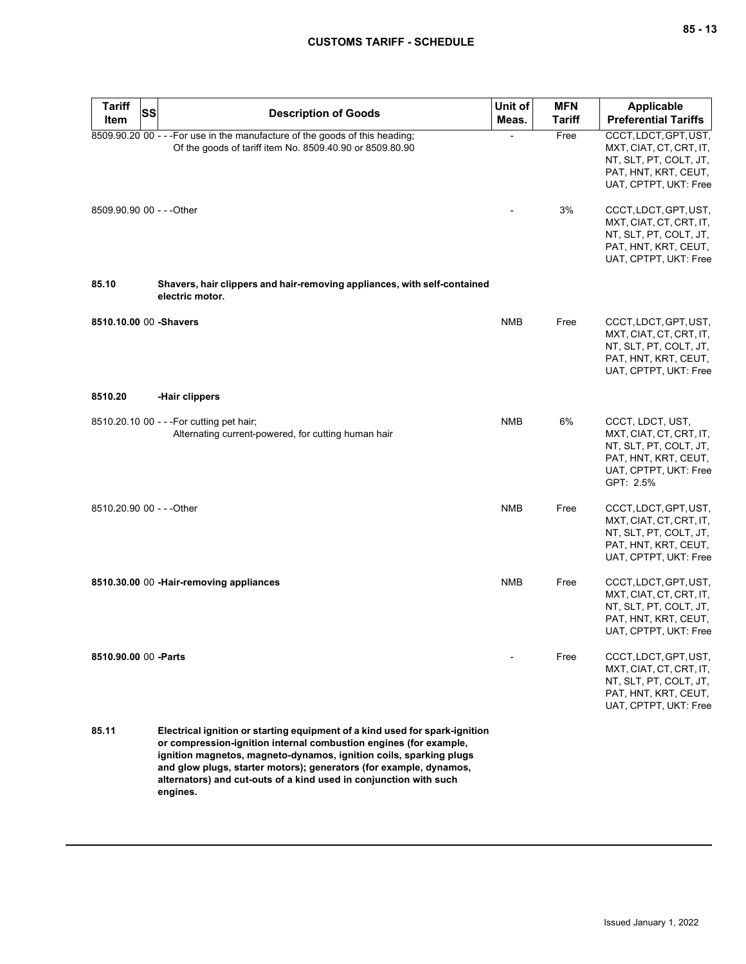| <b>Tariff</b><br>Item     | SS | <b>Description of Goods</b>                                                                                                                                                                                                                                                                                                                                                   | Unit of<br>Meas. | <b>MFN</b><br>Tariff | Applicable<br><b>Preferential Tariffs</b>                                                                                           |
|---------------------------|----|-------------------------------------------------------------------------------------------------------------------------------------------------------------------------------------------------------------------------------------------------------------------------------------------------------------------------------------------------------------------------------|------------------|----------------------|-------------------------------------------------------------------------------------------------------------------------------------|
|                           |    | 8509.90.20 00 - - - For use in the manufacture of the goods of this heading;<br>Of the goods of tariff item No. 8509.40.90 or 8509.80.90                                                                                                                                                                                                                                      |                  | Free                 | CCCT, LDCT, GPT, UST,<br>MXT, CIAT, CT, CRT, IT,<br>NT, SLT, PT, COLT, JT,<br>PAT, HNT, KRT, CEUT,<br>UAT, CPTPT, UKT: Free         |
| 8509.90.90 00 - - - Other |    |                                                                                                                                                                                                                                                                                                                                                                               |                  | 3%                   | CCCT, LDCT, GPT, UST,<br>MXT, CIAT, CT, CRT, IT,<br>NT, SLT, PT, COLT, JT,<br>PAT, HNT, KRT, CEUT,<br>UAT, CPTPT, UKT: Free         |
| 85.10                     |    | Shavers, hair clippers and hair-removing appliances, with self-contained<br>electric motor.                                                                                                                                                                                                                                                                                   |                  |                      |                                                                                                                                     |
| 8510.10.00 00 -Shavers    |    |                                                                                                                                                                                                                                                                                                                                                                               | <b>NMB</b>       | Free                 | CCCT, LDCT, GPT, UST,<br>MXT, CIAT, CT, CRT, IT,<br>NT, SLT, PT, COLT, JT,<br>PAT, HNT, KRT, CEUT,<br>UAT, CPTPT, UKT: Free         |
| 8510.20                   |    | -Hair clippers                                                                                                                                                                                                                                                                                                                                                                |                  |                      |                                                                                                                                     |
|                           |    | 8510.20.10 00 - - - For cutting pet hair;<br>Alternating current-powered, for cutting human hair                                                                                                                                                                                                                                                                              | <b>NMB</b>       | 6%                   | CCCT, LDCT, UST,<br>MXT, CIAT, CT, CRT, IT,<br>NT, SLT, PT, COLT, JT,<br>PAT, HNT, KRT, CEUT,<br>UAT, CPTPT, UKT: Free<br>GPT: 2.5% |
| 8510.20.90 00 - - - Other |    |                                                                                                                                                                                                                                                                                                                                                                               | <b>NMB</b>       | Free                 | CCCT, LDCT, GPT, UST,<br>MXT, CIAT, CT, CRT, IT,<br>NT, SLT, PT, COLT, JT,<br>PAT, HNT, KRT, CEUT,<br>UAT, CPTPT, UKT: Free         |
|                           |    | 8510.30.00 00 - Hair-removing appliances                                                                                                                                                                                                                                                                                                                                      | <b>NMB</b>       | Free                 | CCCT, LDCT, GPT, UST,<br>MXT, CIAT, CT, CRT, IT,<br>NT, SLT, PT, COLT, JT,<br>PAT, HNT, KRT, CEUT,<br>UAT, CPTPT, UKT: Free         |
| 8510.90.00 00 - Parts     |    |                                                                                                                                                                                                                                                                                                                                                                               |                  | Free                 | CCCT, LDCT, GPT, UST,<br>MXT, CIAT, CT, CRT, IT,<br>NT, SLT, PT, COLT, JT,<br>PAT, HNT, KRT, CEUT,<br>UAT, CPTPT, UKT: Free         |
| 85.11                     |    | Electrical ignition or starting equipment of a kind used for spark-ignition<br>or compression-ignition internal combustion engines (for example,<br>ignition magnetos, magneto-dynamos, ignition coils, sparking plugs<br>and glow plugs, starter motors); generators (for example, dynamos,<br>alternators) and cut-outs of a kind used in conjunction with such<br>engines. |                  |                      |                                                                                                                                     |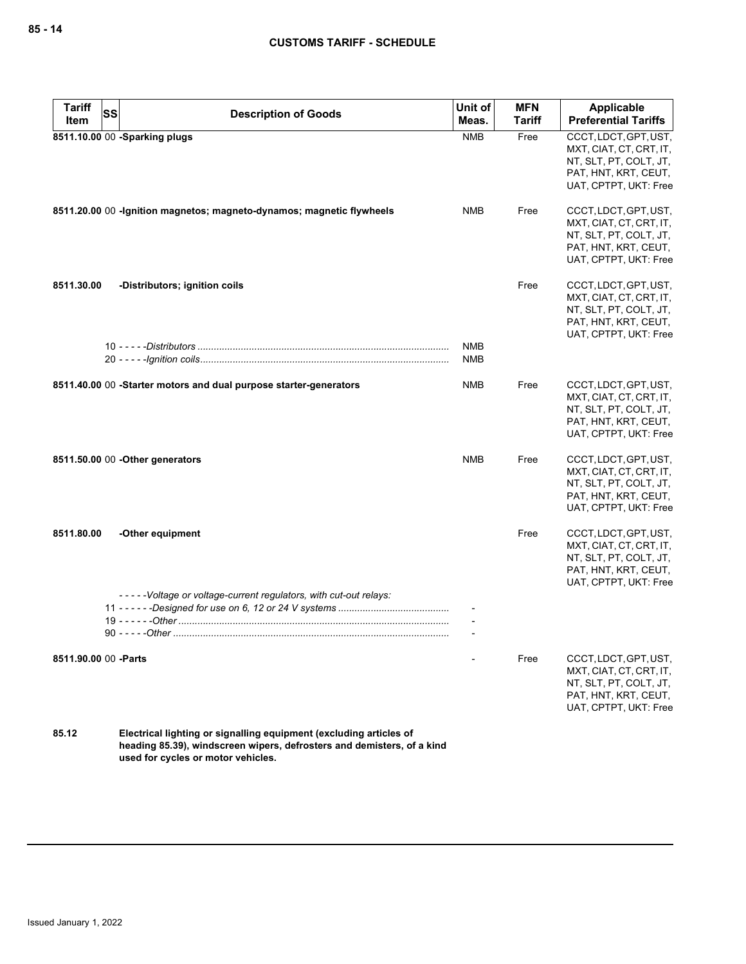| <b>Preferential Tariffs</b><br><b>Tariff</b><br>Meas.<br>Item<br>8511.10.00 00 -Sparking plugs<br><b>NMB</b><br>Free<br>CCCT, LDCT, GPT, UST,<br>MXT, CIAT, CT, CRT, IT,<br>NT, SLT, PT, COLT, JT,<br>PAT, HNT, KRT, CEUT,<br>8511.20.00 00 -Ignition magnetos; magneto-dynamos; magnetic flywheels<br><b>NMB</b><br>Free<br>CCCT, LDCT, GPT, UST,<br>MXT, CIAT, CT, CRT, IT,<br>NT, SLT, PT, COLT, JT,<br>PAT, HNT, KRT, CEUT,<br>Free<br>CCCT, LDCT, GPT, UST,<br>8511.30.00<br>-Distributors; ignition coils<br>MXT, CIAT, CT, CRT, IT,<br>NT, SLT, PT, COLT, JT,<br>PAT, HNT, KRT, CEUT,<br><b>NMB</b><br><b>NMB</b><br>8511.40.00 00 -Starter motors and dual purpose starter-generators<br><b>NMB</b><br>CCCT, LDCT, GPT, UST,<br>Free<br>MXT, CIAT, CT, CRT, IT,<br>NT, SLT, PT, COLT, JT,<br>PAT, HNT, KRT, CEUT,<br><b>NMB</b><br>Free<br>CCCT, LDCT, GPT, UST,<br>8511.50.00 00 - Other generators<br>MXT, CIAT, CT, CRT, IT,<br>NT, SLT, PT, COLT, JT,<br>PAT, HNT, KRT, CEUT,<br>8511.80.00<br>-Other equipment<br>Free<br>CCCT, LDCT, GPT, UST,<br>MXT, CIAT, CT, CRT, IT,<br>NT, SLT, PT, COLT, JT,<br>PAT, HNT, KRT, CEUT,<br>-----Voltage or voltage-current regulators, with cut-out relays:<br>Free<br>CCCT, LDCT, GPT, UST,<br>8511.90.00 00 - Parts<br>MXT, CIAT, CT, CRT, IT,<br>NT, SLT, PT, COLT, JT,<br>PAT, HNT, KRT, CEUT,<br>85.12<br>Electrical lighting or signalling equipment (excluding articles of | <b>Tariff</b> | SS                          | Unit of | <b>MFN</b> | Applicable |
|-------------------------------------------------------------------------------------------------------------------------------------------------------------------------------------------------------------------------------------------------------------------------------------------------------------------------------------------------------------------------------------------------------------------------------------------------------------------------------------------------------------------------------------------------------------------------------------------------------------------------------------------------------------------------------------------------------------------------------------------------------------------------------------------------------------------------------------------------------------------------------------------------------------------------------------------------------------------------------------------------------------------------------------------------------------------------------------------------------------------------------------------------------------------------------------------------------------------------------------------------------------------------------------------------------------------------------------------------------------------------------------------------------------------------------------|---------------|-----------------------------|---------|------------|------------|
| UAT, CPTPT, UKT: Free<br>UAT, CPTPT, UKT: Free<br>UAT, CPTPT, UKT: Free<br>UAT, CPTPT, UKT: Free<br>UAT, CPTPT, UKT: Free<br>UAT, CPTPT, UKT: Free<br>UAT, CPTPT, UKT: Free                                                                                                                                                                                                                                                                                                                                                                                                                                                                                                                                                                                                                                                                                                                                                                                                                                                                                                                                                                                                                                                                                                                                                                                                                                                         |               | <b>Description of Goods</b> |         |            |            |
|                                                                                                                                                                                                                                                                                                                                                                                                                                                                                                                                                                                                                                                                                                                                                                                                                                                                                                                                                                                                                                                                                                                                                                                                                                                                                                                                                                                                                                     |               |                             |         |            |            |
|                                                                                                                                                                                                                                                                                                                                                                                                                                                                                                                                                                                                                                                                                                                                                                                                                                                                                                                                                                                                                                                                                                                                                                                                                                                                                                                                                                                                                                     |               |                             |         |            |            |
|                                                                                                                                                                                                                                                                                                                                                                                                                                                                                                                                                                                                                                                                                                                                                                                                                                                                                                                                                                                                                                                                                                                                                                                                                                                                                                                                                                                                                                     |               |                             |         |            |            |
|                                                                                                                                                                                                                                                                                                                                                                                                                                                                                                                                                                                                                                                                                                                                                                                                                                                                                                                                                                                                                                                                                                                                                                                                                                                                                                                                                                                                                                     |               |                             |         |            |            |
|                                                                                                                                                                                                                                                                                                                                                                                                                                                                                                                                                                                                                                                                                                                                                                                                                                                                                                                                                                                                                                                                                                                                                                                                                                                                                                                                                                                                                                     |               |                             |         |            |            |
|                                                                                                                                                                                                                                                                                                                                                                                                                                                                                                                                                                                                                                                                                                                                                                                                                                                                                                                                                                                                                                                                                                                                                                                                                                                                                                                                                                                                                                     |               |                             |         |            |            |
|                                                                                                                                                                                                                                                                                                                                                                                                                                                                                                                                                                                                                                                                                                                                                                                                                                                                                                                                                                                                                                                                                                                                                                                                                                                                                                                                                                                                                                     |               |                             |         |            |            |
|                                                                                                                                                                                                                                                                                                                                                                                                                                                                                                                                                                                                                                                                                                                                                                                                                                                                                                                                                                                                                                                                                                                                                                                                                                                                                                                                                                                                                                     |               |                             |         |            |            |
|                                                                                                                                                                                                                                                                                                                                                                                                                                                                                                                                                                                                                                                                                                                                                                                                                                                                                                                                                                                                                                                                                                                                                                                                                                                                                                                                                                                                                                     |               |                             |         |            |            |
|                                                                                                                                                                                                                                                                                                                                                                                                                                                                                                                                                                                                                                                                                                                                                                                                                                                                                                                                                                                                                                                                                                                                                                                                                                                                                                                                                                                                                                     |               |                             |         |            |            |
|                                                                                                                                                                                                                                                                                                                                                                                                                                                                                                                                                                                                                                                                                                                                                                                                                                                                                                                                                                                                                                                                                                                                                                                                                                                                                                                                                                                                                                     |               |                             |         |            |            |
|                                                                                                                                                                                                                                                                                                                                                                                                                                                                                                                                                                                                                                                                                                                                                                                                                                                                                                                                                                                                                                                                                                                                                                                                                                                                                                                                                                                                                                     |               |                             |         |            |            |
|                                                                                                                                                                                                                                                                                                                                                                                                                                                                                                                                                                                                                                                                                                                                                                                                                                                                                                                                                                                                                                                                                                                                                                                                                                                                                                                                                                                                                                     |               |                             |         |            |            |
|                                                                                                                                                                                                                                                                                                                                                                                                                                                                                                                                                                                                                                                                                                                                                                                                                                                                                                                                                                                                                                                                                                                                                                                                                                                                                                                                                                                                                                     |               |                             |         |            |            |
|                                                                                                                                                                                                                                                                                                                                                                                                                                                                                                                                                                                                                                                                                                                                                                                                                                                                                                                                                                                                                                                                                                                                                                                                                                                                                                                                                                                                                                     |               |                             |         |            |            |
|                                                                                                                                                                                                                                                                                                                                                                                                                                                                                                                                                                                                                                                                                                                                                                                                                                                                                                                                                                                                                                                                                                                                                                                                                                                                                                                                                                                                                                     |               |                             |         |            |            |
|                                                                                                                                                                                                                                                                                                                                                                                                                                                                                                                                                                                                                                                                                                                                                                                                                                                                                                                                                                                                                                                                                                                                                                                                                                                                                                                                                                                                                                     |               |                             |         |            |            |
|                                                                                                                                                                                                                                                                                                                                                                                                                                                                                                                                                                                                                                                                                                                                                                                                                                                                                                                                                                                                                                                                                                                                                                                                                                                                                                                                                                                                                                     |               |                             |         |            |            |
|                                                                                                                                                                                                                                                                                                                                                                                                                                                                                                                                                                                                                                                                                                                                                                                                                                                                                                                                                                                                                                                                                                                                                                                                                                                                                                                                                                                                                                     |               |                             |         |            |            |
|                                                                                                                                                                                                                                                                                                                                                                                                                                                                                                                                                                                                                                                                                                                                                                                                                                                                                                                                                                                                                                                                                                                                                                                                                                                                                                                                                                                                                                     |               |                             |         |            |            |
|                                                                                                                                                                                                                                                                                                                                                                                                                                                                                                                                                                                                                                                                                                                                                                                                                                                                                                                                                                                                                                                                                                                                                                                                                                                                                                                                                                                                                                     |               |                             |         |            |            |
|                                                                                                                                                                                                                                                                                                                                                                                                                                                                                                                                                                                                                                                                                                                                                                                                                                                                                                                                                                                                                                                                                                                                                                                                                                                                                                                                                                                                                                     |               |                             |         |            |            |
|                                                                                                                                                                                                                                                                                                                                                                                                                                                                                                                                                                                                                                                                                                                                                                                                                                                                                                                                                                                                                                                                                                                                                                                                                                                                                                                                                                                                                                     |               |                             |         |            |            |
|                                                                                                                                                                                                                                                                                                                                                                                                                                                                                                                                                                                                                                                                                                                                                                                                                                                                                                                                                                                                                                                                                                                                                                                                                                                                                                                                                                                                                                     |               |                             |         |            |            |
|                                                                                                                                                                                                                                                                                                                                                                                                                                                                                                                                                                                                                                                                                                                                                                                                                                                                                                                                                                                                                                                                                                                                                                                                                                                                                                                                                                                                                                     |               |                             |         |            |            |
|                                                                                                                                                                                                                                                                                                                                                                                                                                                                                                                                                                                                                                                                                                                                                                                                                                                                                                                                                                                                                                                                                                                                                                                                                                                                                                                                                                                                                                     |               |                             |         |            |            |
|                                                                                                                                                                                                                                                                                                                                                                                                                                                                                                                                                                                                                                                                                                                                                                                                                                                                                                                                                                                                                                                                                                                                                                                                                                                                                                                                                                                                                                     |               |                             |         |            |            |
|                                                                                                                                                                                                                                                                                                                                                                                                                                                                                                                                                                                                                                                                                                                                                                                                                                                                                                                                                                                                                                                                                                                                                                                                                                                                                                                                                                                                                                     |               |                             |         |            |            |
|                                                                                                                                                                                                                                                                                                                                                                                                                                                                                                                                                                                                                                                                                                                                                                                                                                                                                                                                                                                                                                                                                                                                                                                                                                                                                                                                                                                                                                     |               |                             |         |            |            |
|                                                                                                                                                                                                                                                                                                                                                                                                                                                                                                                                                                                                                                                                                                                                                                                                                                                                                                                                                                                                                                                                                                                                                                                                                                                                                                                                                                                                                                     |               |                             |         |            |            |
|                                                                                                                                                                                                                                                                                                                                                                                                                                                                                                                                                                                                                                                                                                                                                                                                                                                                                                                                                                                                                                                                                                                                                                                                                                                                                                                                                                                                                                     |               |                             |         |            |            |
|                                                                                                                                                                                                                                                                                                                                                                                                                                                                                                                                                                                                                                                                                                                                                                                                                                                                                                                                                                                                                                                                                                                                                                                                                                                                                                                                                                                                                                     |               |                             |         |            |            |
|                                                                                                                                                                                                                                                                                                                                                                                                                                                                                                                                                                                                                                                                                                                                                                                                                                                                                                                                                                                                                                                                                                                                                                                                                                                                                                                                                                                                                                     |               |                             |         |            |            |
|                                                                                                                                                                                                                                                                                                                                                                                                                                                                                                                                                                                                                                                                                                                                                                                                                                                                                                                                                                                                                                                                                                                                                                                                                                                                                                                                                                                                                                     |               |                             |         |            |            |
|                                                                                                                                                                                                                                                                                                                                                                                                                                                                                                                                                                                                                                                                                                                                                                                                                                                                                                                                                                                                                                                                                                                                                                                                                                                                                                                                                                                                                                     |               |                             |         |            |            |
|                                                                                                                                                                                                                                                                                                                                                                                                                                                                                                                                                                                                                                                                                                                                                                                                                                                                                                                                                                                                                                                                                                                                                                                                                                                                                                                                                                                                                                     |               |                             |         |            |            |

**heading 85.39), windscreen wipers, defrosters and demisters, of a kind used for cycles or motor vehicles.**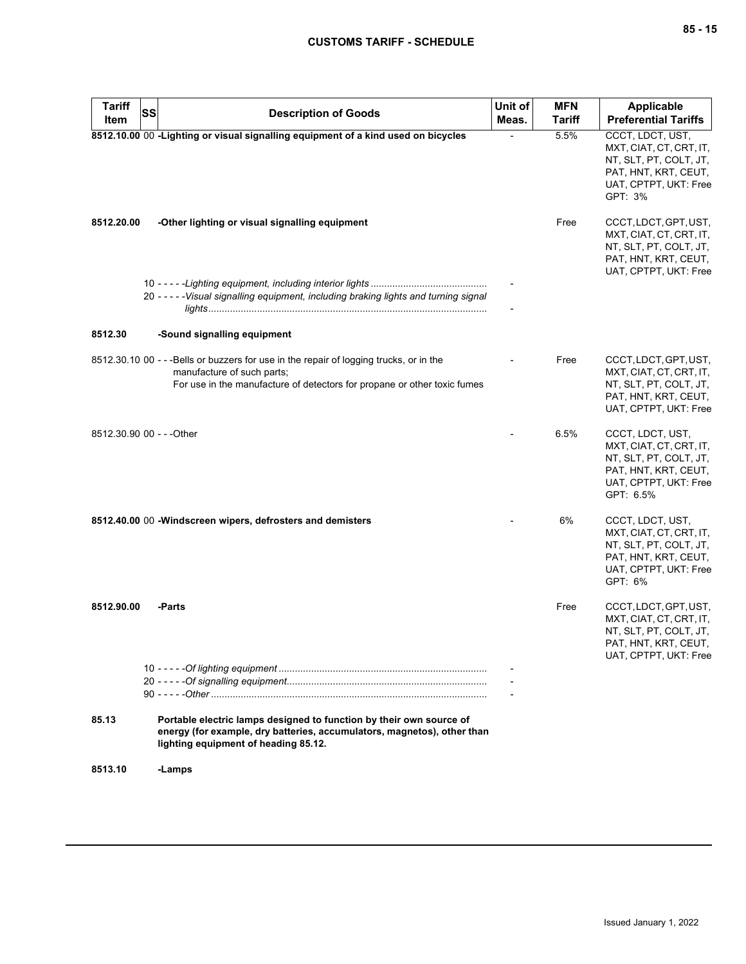| <b>Tariff</b><br>Item     | SS | <b>Description of Goods</b>                                                                                                                                                                       | Unit of<br>Meas. | <b>MFN</b><br><b>Tariff</b> | <b>Applicable</b><br><b>Preferential Tariffs</b>                                                                                    |
|---------------------------|----|---------------------------------------------------------------------------------------------------------------------------------------------------------------------------------------------------|------------------|-----------------------------|-------------------------------------------------------------------------------------------------------------------------------------|
|                           |    | 8512.10.00 00 -Lighting or visual signalling equipment of a kind used on bicycles                                                                                                                 |                  | 5.5%                        | CCCT, LDCT, UST,<br>MXT, CIAT, CT, CRT, IT,<br>NT, SLT, PT, COLT, JT,<br>PAT, HNT, KRT, CEUT,<br>UAT, CPTPT, UKT: Free<br>GPT: 3%   |
| 8512.20.00                |    | -Other lighting or visual signalling equipment                                                                                                                                                    |                  | Free                        | CCCT, LDCT, GPT, UST,<br>MXT, CIAT, CT, CRT, IT,<br>NT, SLT, PT, COLT, JT,<br>PAT, HNT, KRT, CEUT,<br>UAT, CPTPT, UKT: Free         |
|                           |    | 20 - - - - - Visual signalling equipment, including braking lights and turning signal                                                                                                             |                  |                             |                                                                                                                                     |
| 8512.30                   |    | -Sound signalling equipment                                                                                                                                                                       |                  |                             |                                                                                                                                     |
|                           |    | 8512.30.10 00 - - - Bells or buzzers for use in the repair of logging trucks, or in the<br>manufacture of such parts;<br>For use in the manufacture of detectors for propane or other toxic fumes |                  | Free                        | CCCT, LDCT, GPT, UST,<br>MXT, CIAT, CT, CRT, IT,<br>NT, SLT, PT, COLT, JT,<br>PAT, HNT, KRT, CEUT,<br>UAT, CPTPT, UKT: Free         |
| 8512.30.90 00 - - - Other |    |                                                                                                                                                                                                   |                  | 6.5%                        | CCCT, LDCT, UST,<br>MXT, CIAT, CT, CRT, IT,<br>NT, SLT, PT, COLT, JT,<br>PAT, HNT, KRT, CEUT,<br>UAT, CPTPT, UKT: Free<br>GPT: 6.5% |
|                           |    | 8512.40.00 00 -Windscreen wipers, defrosters and demisters                                                                                                                                        |                  | 6%                          | CCCT, LDCT, UST,<br>MXT, CIAT, CT, CRT, IT,<br>NT, SLT, PT, COLT, JT,<br>PAT, HNT, KRT, CEUT,<br>UAT, CPTPT, UKT: Free<br>GPT: 6%   |
| 8512.90.00                |    | -Parts                                                                                                                                                                                            |                  | Free                        | CCCT, LDCT, GPT, UST,<br>MXT, CIAT, CT, CRT, IT,<br>NT, SLT, PT, COLT, JT,<br>PAT, HNT, KRT, CEUT,<br>UAT, CPTPT, UKT: Free         |
|                           |    |                                                                                                                                                                                                   |                  |                             |                                                                                                                                     |
| 85.13                     |    | Portable electric lamps designed to function by their own source of<br>energy (for example, dry batteries, accumulators, magnetos), other than<br>lighting equipment of heading 85.12.            |                  |                             |                                                                                                                                     |
| 8513.10                   |    | -Lamps                                                                                                                                                                                            |                  |                             |                                                                                                                                     |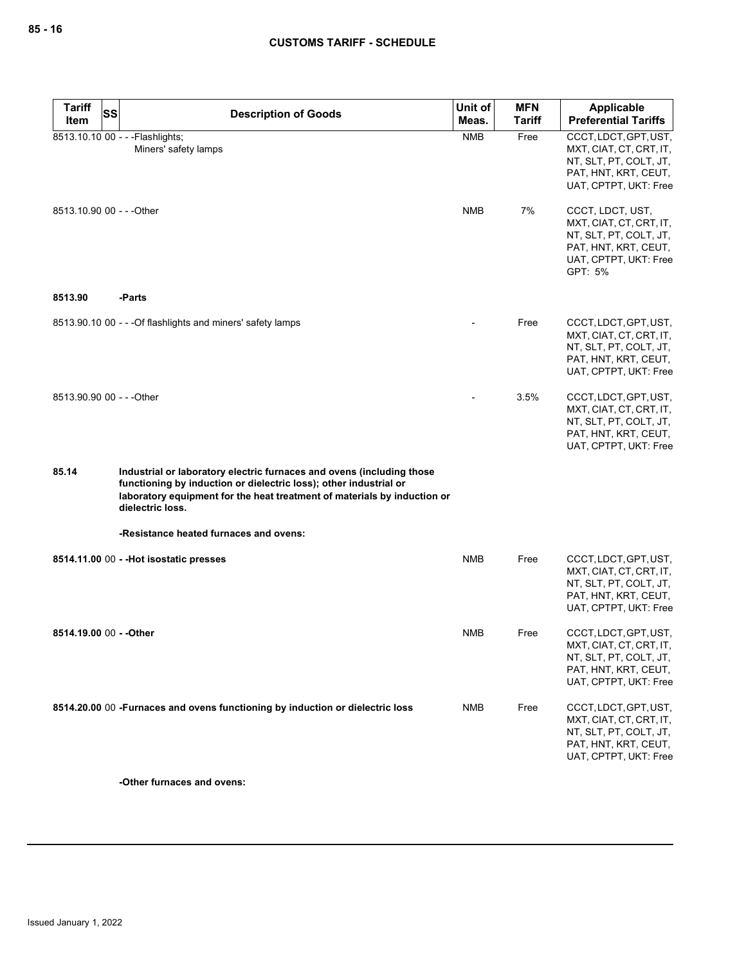| <b>Tariff</b><br><b>SS</b> | <b>Description of Goods</b>                                                                                                                                                                                                                | Unit of    | <b>MFN</b>    | Applicable                                                                                                                        |
|----------------------------|--------------------------------------------------------------------------------------------------------------------------------------------------------------------------------------------------------------------------------------------|------------|---------------|-----------------------------------------------------------------------------------------------------------------------------------|
| Item                       |                                                                                                                                                                                                                                            | Meas.      | <b>Tariff</b> | <b>Preferential Tariffs</b>                                                                                                       |
|                            | 8513.10.10 00 - - - Flashlights;<br>Miners' safety lamps                                                                                                                                                                                   | <b>NMB</b> | Free          | CCCT, LDCT, GPT, UST,<br>MXT, CIAT, CT, CRT, IT,<br>NT, SLT, PT, COLT, JT,<br>PAT, HNT, KRT, CEUT,<br>UAT, CPTPT, UKT: Free       |
| 8513.10.90 00 - - - Other  |                                                                                                                                                                                                                                            | <b>NMB</b> | 7%            | CCCT, LDCT, UST,<br>MXT, CIAT, CT, CRT, IT,<br>NT, SLT, PT, COLT, JT,<br>PAT, HNT, KRT, CEUT,<br>UAT, CPTPT, UKT: Free<br>GPT: 5% |
| 8513.90                    | -Parts                                                                                                                                                                                                                                     |            |               |                                                                                                                                   |
|                            | 8513.90.10 00 - - - Of flashlights and miners' safety lamps                                                                                                                                                                                |            | Free          | CCCT, LDCT, GPT, UST,<br>MXT, CIAT, CT, CRT, IT,<br>NT, SLT, PT, COLT, JT,<br>PAT, HNT, KRT, CEUT,<br>UAT, CPTPT, UKT: Free       |
| 8513.90.90 00 - - - Other  |                                                                                                                                                                                                                                            |            | 3.5%          | CCCT, LDCT, GPT, UST,<br>MXT, CIAT, CT, CRT, IT,<br>NT, SLT, PT, COLT, JT,<br>PAT, HNT, KRT, CEUT,<br>UAT, CPTPT, UKT: Free       |
| 85.14                      | Industrial or laboratory electric furnaces and ovens (including those<br>functioning by induction or dielectric loss); other industrial or<br>laboratory equipment for the heat treatment of materials by induction or<br>dielectric loss. |            |               |                                                                                                                                   |
|                            | -Resistance heated furnaces and ovens:                                                                                                                                                                                                     |            |               |                                                                                                                                   |
|                            | 8514.11.00 00 - - Hot isostatic presses                                                                                                                                                                                                    | <b>NMB</b> | Free          | CCCT, LDCT, GPT, UST,<br>MXT, CIAT, CT, CRT, IT,<br>NT, SLT, PT, COLT, JT,<br>PAT, HNT, KRT, CEUT,<br>UAT, CPTPT, UKT: Free       |
| 8514.19.00 00 - - Other    |                                                                                                                                                                                                                                            | <b>NMB</b> | Free          | CCCT, LDCT, GPT, UST,<br>MXT, CIAT, CT, CRT, IT,<br>NT, SLT, PT, COLT, JT,<br>PAT, HNT, KRT, CEUT,<br>UAT, CPTPT, UKT: Free       |
|                            | 8514.20.00 00 -Furnaces and ovens functioning by induction or dielectric loss                                                                                                                                                              | <b>NMB</b> | Free          | CCCT, LDCT, GPT, UST,<br>MXT, CIAT, CT, CRT, IT,<br>NT, SLT, PT, COLT, JT,<br>PAT, HNT, KRT, CEUT,<br>UAT, CPTPT, UKT: Free       |

**-Other furnaces and ovens:**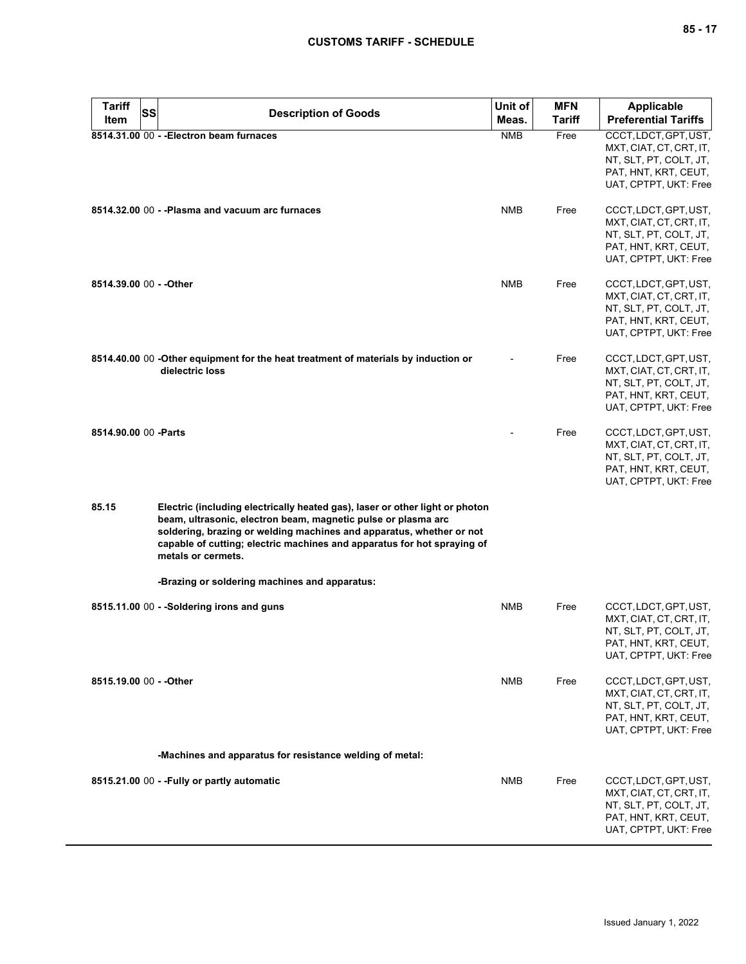| <b>Tariff</b><br>SS     | <b>Description of Goods</b>                                                                                                                                                                                                                                                                                            | Unit of    | <b>MFN</b>    | <b>Applicable</b>                                                                                                           |
|-------------------------|------------------------------------------------------------------------------------------------------------------------------------------------------------------------------------------------------------------------------------------------------------------------------------------------------------------------|------------|---------------|-----------------------------------------------------------------------------------------------------------------------------|
| Item                    |                                                                                                                                                                                                                                                                                                                        | Meas.      | <b>Tariff</b> | <b>Preferential Tariffs</b>                                                                                                 |
|                         | 8514.31.00 00 - - Electron beam furnaces                                                                                                                                                                                                                                                                               | <b>NMB</b> | Free          | CCCT, LDCT, GPT, UST,<br>MXT, CIAT, CT, CRT, IT,<br>NT, SLT, PT, COLT, JT,<br>PAT, HNT, KRT, CEUT,<br>UAT, CPTPT, UKT: Free |
|                         | 8514.32.00 00 - - Plasma and vacuum arc furnaces                                                                                                                                                                                                                                                                       | <b>NMB</b> | Free          | CCCT, LDCT, GPT, UST,<br>MXT, CIAT, CT, CRT, IT,<br>NT, SLT, PT, COLT, JT,<br>PAT, HNT, KRT, CEUT,<br>UAT, CPTPT, UKT: Free |
| 8514.39.00 00 - - Other |                                                                                                                                                                                                                                                                                                                        | <b>NMB</b> | Free          | CCCT, LDCT, GPT, UST,<br>MXT, CIAT, CT, CRT, IT,<br>NT, SLT, PT, COLT, JT,<br>PAT, HNT, KRT, CEUT,<br>UAT, CPTPT, UKT: Free |
|                         | 8514.40.00 00 -Other equipment for the heat treatment of materials by induction or<br>dielectric loss                                                                                                                                                                                                                  |            | Free          | CCCT, LDCT, GPT, UST,<br>MXT, CIAT, CT, CRT, IT,<br>NT, SLT, PT, COLT, JT,<br>PAT, HNT, KRT, CEUT,<br>UAT, CPTPT, UKT: Free |
| 8514.90.00 00 - Parts   |                                                                                                                                                                                                                                                                                                                        |            | Free          | CCCT, LDCT, GPT, UST,<br>MXT, CIAT, CT, CRT, IT,<br>NT, SLT, PT, COLT, JT,<br>PAT, HNT, KRT, CEUT,<br>UAT, CPTPT, UKT: Free |
| 85.15                   | Electric (including electrically heated gas), laser or other light or photon<br>beam, ultrasonic, electron beam, magnetic pulse or plasma arc<br>soldering, brazing or welding machines and apparatus, whether or not<br>capable of cutting; electric machines and apparatus for hot spraying of<br>metals or cermets. |            |               |                                                                                                                             |
|                         | -Brazing or soldering machines and apparatus:                                                                                                                                                                                                                                                                          |            |               |                                                                                                                             |
|                         | 8515.11.00 00 - -Soldering irons and guns                                                                                                                                                                                                                                                                              | <b>NMB</b> | Free          | CCCT, LDCT, GPT, UST,<br>MXT, CIAT, CT, CRT, IT,<br>NT, SLT, PT, COLT, JT,<br>PAT, HNT, KRT, CEUT,<br>UAT, CPTPT, UKT: Free |
| 8515.19.00 00 - - Other |                                                                                                                                                                                                                                                                                                                        | NMB        | Free          | CCCT, LDCT, GPT, UST,<br>MXT, CIAT, CT, CRT, IT,<br>NT, SLT, PT, COLT, JT,<br>PAT, HNT, KRT, CEUT,<br>UAT, CPTPT, UKT: Free |
|                         | -Machines and apparatus for resistance welding of metal:                                                                                                                                                                                                                                                               |            |               |                                                                                                                             |
|                         | 8515.21.00 00 - - Fully or partly automatic                                                                                                                                                                                                                                                                            | <b>NMB</b> | Free          | CCCT, LDCT, GPT, UST,<br>MXT, CIAT, CT, CRT, IT,<br>NT, SLT, PT, COLT, JT,<br>PAT, HNT, KRT, CEUT,<br>UAT, CPTPT, UKT: Free |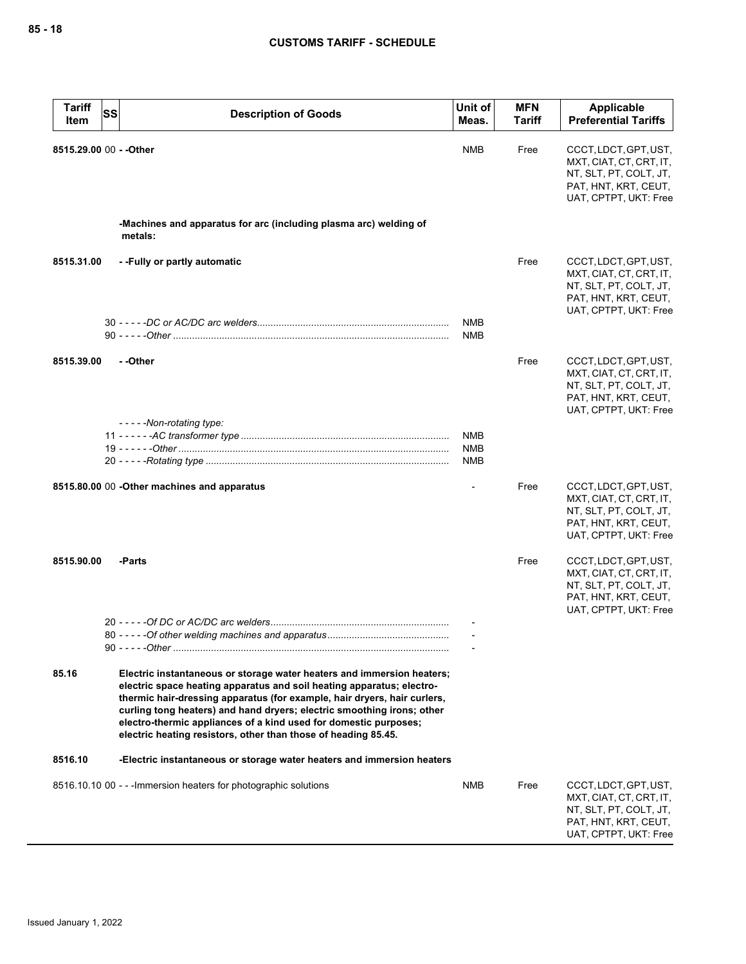| <b>Tariff</b> | <b>Description of Goods</b>                                                                                                                                                                                                                                                                                                                                                                                                                 | Unit of                         | <b>MFN</b>    | <b>Applicable</b>                                                                                                           |  |
|---------------|---------------------------------------------------------------------------------------------------------------------------------------------------------------------------------------------------------------------------------------------------------------------------------------------------------------------------------------------------------------------------------------------------------------------------------------------|---------------------------------|---------------|-----------------------------------------------------------------------------------------------------------------------------|--|
| Item          | <b>SS</b>                                                                                                                                                                                                                                                                                                                                                                                                                                   | Meas.                           | <b>Tariff</b> | <b>Preferential Tariffs</b>                                                                                                 |  |
|               | 8515.29.00 00 - - Other                                                                                                                                                                                                                                                                                                                                                                                                                     | <b>NMB</b>                      | Free          | CCCT, LDCT, GPT, UST,<br>MXT, CIAT, CT, CRT, IT,<br>NT, SLT, PT, COLT, JT,<br>PAT, HNT, KRT, CEUT,<br>UAT, CPTPT, UKT: Free |  |
|               | -Machines and apparatus for arc (including plasma arc) welding of<br>metals:                                                                                                                                                                                                                                                                                                                                                                |                                 |               |                                                                                                                             |  |
| 8515.31.00    | --Fully or partly automatic                                                                                                                                                                                                                                                                                                                                                                                                                 |                                 | Free          | CCCT, LDCT, GPT, UST,<br>MXT, CIAT, CT, CRT, IT,<br>NT, SLT, PT, COLT, JT,<br>PAT, HNT, KRT, CEUT,<br>UAT, CPTPT, UKT: Free |  |
|               |                                                                                                                                                                                                                                                                                                                                                                                                                                             | <b>NMB</b><br>NMB               |               |                                                                                                                             |  |
| 8515.39.00    | - -Other                                                                                                                                                                                                                                                                                                                                                                                                                                    |                                 | Free          | CCCT, LDCT, GPT, UST,<br>MXT, CIAT, CT, CRT, IT,<br>NT, SLT, PT, COLT, JT,<br>PAT, HNT, KRT, CEUT,<br>UAT, CPTPT, UKT: Free |  |
|               | -----Non-rotating type:                                                                                                                                                                                                                                                                                                                                                                                                                     | NMB<br><b>NMB</b><br><b>NMB</b> |               |                                                                                                                             |  |
|               | 8515.80.00 00 - Other machines and apparatus                                                                                                                                                                                                                                                                                                                                                                                                |                                 | Free          | CCCT, LDCT, GPT, UST,<br>MXT, CIAT, CT, CRT, IT,<br>NT, SLT, PT, COLT, JT,<br>PAT, HNT, KRT, CEUT,<br>UAT, CPTPT, UKT: Free |  |
| 8515.90.00    | -Parts                                                                                                                                                                                                                                                                                                                                                                                                                                      |                                 | Free          | CCCT, LDCT, GPT, UST,<br>MXT, CIAT, CT, CRT, IT,<br>NT, SLT, PT, COLT, JT,<br>PAT, HNT, KRT, CEUT,<br>UAT, CPTPT, UKT: Free |  |
|               | <u>90 - - - - -Other ………………………………………………………………………………………</u>                                                                                                                                                                                                                                                                                                                                                                                  |                                 |               |                                                                                                                             |  |
| 85.16         | Electric instantaneous or storage water heaters and immersion heaters;<br>electric space heating apparatus and soil heating apparatus; electro-<br>thermic hair-dressing apparatus (for example, hair dryers, hair curlers,<br>curling tong heaters) and hand dryers; electric smoothing irons; other<br>electro-thermic appliances of a kind used for domestic purposes;<br>electric heating resistors, other than those of heading 85.45. |                                 |               |                                                                                                                             |  |
| 8516.10       | -Electric instantaneous or storage water heaters and immersion heaters                                                                                                                                                                                                                                                                                                                                                                      |                                 |               |                                                                                                                             |  |
|               | 8516.10.10 00 - - - Immersion heaters for photographic solutions                                                                                                                                                                                                                                                                                                                                                                            | NMB                             | Free          | CCCT, LDCT, GPT, UST,<br>MXT, CIAT, CT, CRT, IT,<br>NT, SLT, PT, COLT, JT,<br>PAT, HNT, KRT, CEUT,<br>UAT, CPTPT, UKT: Free |  |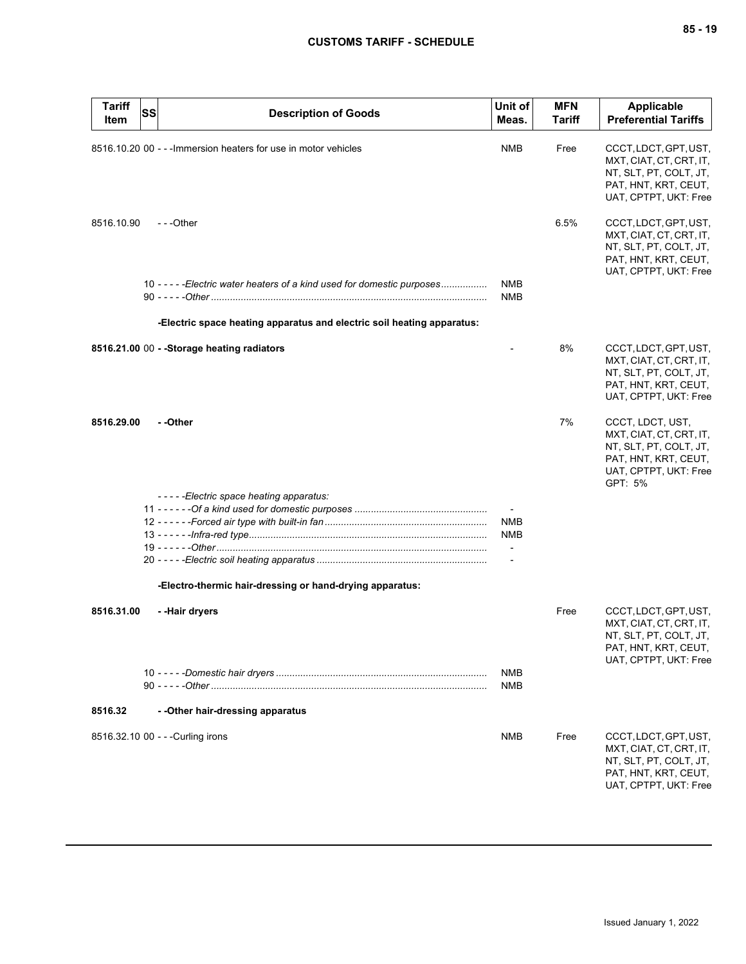| <b>Tariff</b><br>Item | SS | <b>Description of Goods</b>                                              | Unit of<br>Meas.         | <b>MFN</b><br><b>Tariff</b> | <b>Applicable</b><br><b>Preferential Tariffs</b>                                                                                  |
|-----------------------|----|--------------------------------------------------------------------------|--------------------------|-----------------------------|-----------------------------------------------------------------------------------------------------------------------------------|
|                       |    | 8516.10.20 00 - - - Immersion heaters for use in motor vehicles          | <b>NMB</b>               | Free                        | CCCT, LDCT, GPT, UST,<br>MXT, CIAT, CT, CRT, IT,<br>NT, SLT, PT, COLT, JT,<br>PAT, HNT, KRT, CEUT,<br>UAT, CPTPT, UKT: Free       |
| 8516.10.90            |    | ---Other                                                                 |                          | 6.5%                        | CCCT, LDCT, GPT, UST,<br>MXT, CIAT, CT, CRT, IT,<br>NT, SLT, PT, COLT, JT,<br>PAT, HNT, KRT, CEUT,<br>UAT, CPTPT, UKT: Free       |
|                       |    | 10 - - - - - Electric water heaters of a kind used for domestic purposes | NMB<br><b>NMB</b>        |                             |                                                                                                                                   |
|                       |    | -Electric space heating apparatus and electric soil heating apparatus:   |                          |                             |                                                                                                                                   |
|                       |    | 8516.21.00 00 - - Storage heating radiators                              |                          | 8%                          | CCCT, LDCT, GPT, UST,<br>MXT, CIAT, CT, CRT, IT,<br>NT, SLT, PT, COLT, JT,<br>PAT, HNT, KRT, CEUT,<br>UAT, CPTPT, UKT: Free       |
| 8516.29.00            |    | - -Other                                                                 |                          | 7%                          | CCCT, LDCT, UST,<br>MXT, CIAT, CT, CRT, IT,<br>NT, SLT, PT, COLT, JT,<br>PAT, HNT, KRT, CEUT,<br>UAT, CPTPT, UKT: Free<br>GPT: 5% |
|                       |    | -----Electric space heating apparatus:                                   |                          |                             |                                                                                                                                   |
|                       |    |                                                                          |                          |                             |                                                                                                                                   |
|                       |    |                                                                          | <b>NMB</b><br>NMB        |                             |                                                                                                                                   |
|                       |    |                                                                          | $\overline{\phantom{a}}$ |                             |                                                                                                                                   |
|                       |    |                                                                          |                          |                             |                                                                                                                                   |
|                       |    | -Electro-thermic hair-dressing or hand-drying apparatus:                 |                          |                             |                                                                                                                                   |
| 8516.31.00            |    | - -Hair dryers                                                           |                          | Free                        | CCCT, LDCT, GPT, UST,<br>MXT, CIAT, CT, CRT, IT,<br>NT, SLT, PT, COLT, JT,<br>PAT, HNT, KRT, CEUT,<br>UAT, CPTPT, UKT: Free       |
|                       |    |                                                                          | NMB<br>NMB               |                             |                                                                                                                                   |
| 8516.32               |    | - - Other hair-dressing apparatus                                        |                          |                             |                                                                                                                                   |
|                       |    | 8516.32.10 00 - - - Curling irons                                        | NMB                      | Free                        | CCCT, LDCT, GPT, UST,<br>MXT, CIAT, CT, CRT, IT,<br>NT, SLT, PT, COLT, JT,<br>PAT, HNT, KRT, CEUT,<br>UAT, CPTPT, UKT: Free       |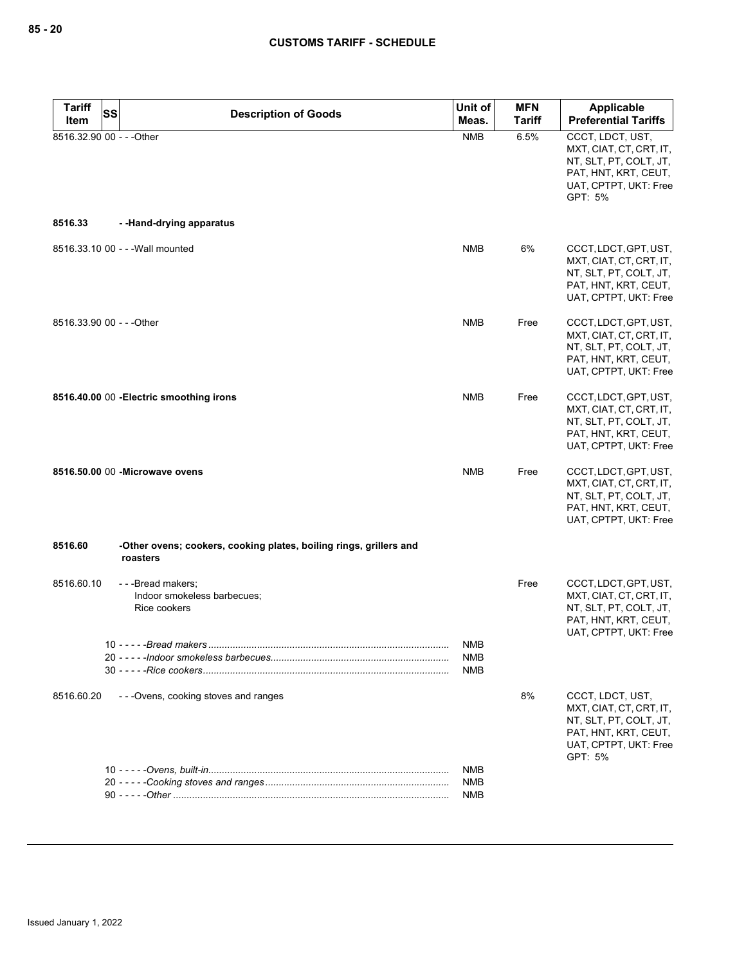| <b>Tariff</b>             | SS<br><b>Description of Goods</b>                                              | Unit of                                | <b>MFN</b>    | <b>Applicable</b>                                                                                                                 |
|---------------------------|--------------------------------------------------------------------------------|----------------------------------------|---------------|-----------------------------------------------------------------------------------------------------------------------------------|
| Item                      |                                                                                | Meas.                                  | <b>Tariff</b> | <b>Preferential Tariffs</b>                                                                                                       |
| 8516.32.90 00 - - - Other |                                                                                | <b>NMB</b>                             | 6.5%          | CCCT, LDCT, UST,<br>MXT, CIAT, CT, CRT, IT,<br>NT, SLT, PT, COLT, JT,<br>PAT, HNT, KRT, CEUT,<br>UAT, CPTPT, UKT: Free<br>GPT: 5% |
| 8516.33                   | --Hand-drying apparatus                                                        |                                        |               |                                                                                                                                   |
|                           | 8516.33.10 00 - - - Wall mounted                                               | <b>NMB</b>                             | 6%            | CCCT, LDCT, GPT, UST,<br>MXT, CIAT, CT, CRT, IT,<br>NT, SLT, PT, COLT, JT,<br>PAT, HNT, KRT, CEUT,<br>UAT, CPTPT, UKT: Free       |
| 8516.33.90 00 - - - Other |                                                                                | <b>NMB</b>                             | Free          | CCCT, LDCT, GPT, UST,<br>MXT, CIAT, CT, CRT, IT,<br>NT, SLT, PT, COLT, JT,<br>PAT, HNT, KRT, CEUT,<br>UAT, CPTPT, UKT: Free       |
|                           | 8516.40.00 00 - Electric smoothing irons                                       | <b>NMB</b>                             | Free          | CCCT, LDCT, GPT, UST,<br>MXT, CIAT, CT, CRT, IT,<br>NT, SLT, PT, COLT, JT,<br>PAT, HNT, KRT, CEUT,<br>UAT, CPTPT, UKT: Free       |
|                           | 8516.50.00 00 - Microwave ovens                                                | <b>NMB</b>                             | Free          | CCCT, LDCT, GPT, UST,<br>MXT, CIAT, CT, CRT, IT,<br>NT, SLT, PT, COLT, JT,<br>PAT, HNT, KRT, CEUT,<br>UAT, CPTPT, UKT: Free       |
| 8516.60                   | -Other ovens; cookers, cooking plates, boiling rings, grillers and<br>roasters |                                        |               |                                                                                                                                   |
| 8516.60.10                | ---Bread makers;<br>Indoor smokeless barbecues;<br>Rice cookers                |                                        | Free          | CCCT, LDCT, GPT, UST,<br>MXT, CIAT, CT, CRT, IT,<br>NT, SLT, PT, COLT, JT,<br>PAT, HNT, KRT, CEUT,<br>UAT, CPTPT, UKT: Free       |
|                           | 10 - - - - - Bread makers                                                      | <b>NMB</b><br><b>NMB</b><br><b>NMB</b> |               |                                                                                                                                   |
| 8516.60.20                | - - - Ovens, cooking stoves and ranges                                         |                                        | 8%            | CCCT, LDCT, UST,<br>MXT, CIAT, CT, CRT, IT,<br>NT, SLT, PT, COLT, JT,<br>PAT, HNT, KRT, CEUT,<br>UAT, CPTPT, UKT: Free<br>GPT: 5% |
|                           |                                                                                | NMB                                    |               |                                                                                                                                   |
|                           |                                                                                | <b>NMB</b>                             |               |                                                                                                                                   |
|                           |                                                                                | <b>NMB</b>                             |               |                                                                                                                                   |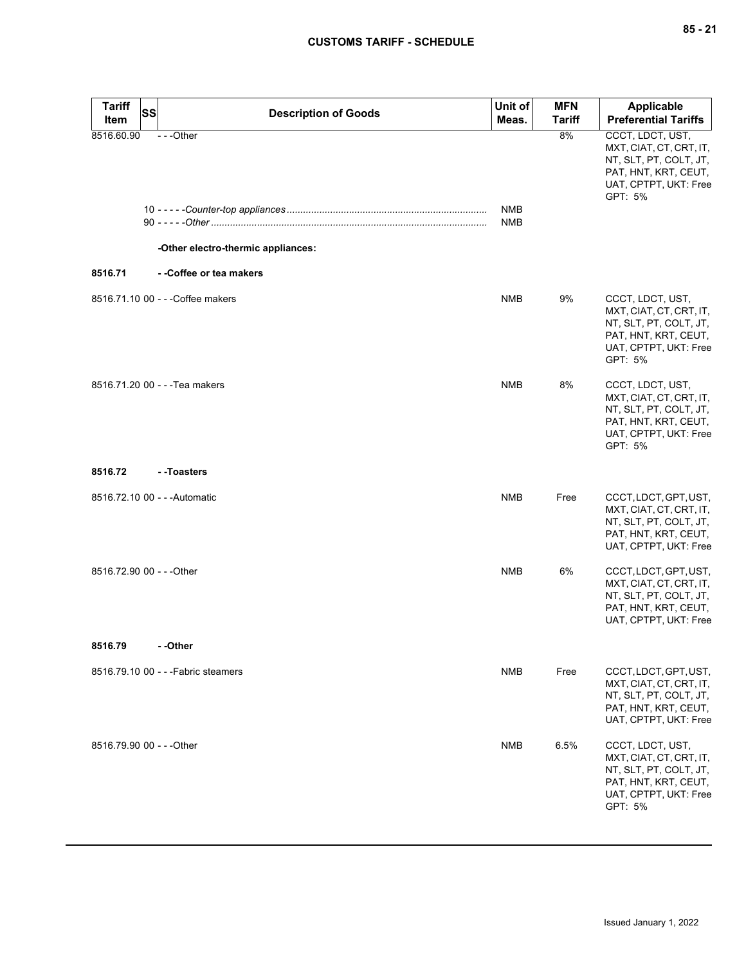| <b>Tariff</b><br>Item     | <b>SS</b> | <b>Description of Goods</b>                    | Unit of<br>Meas. | <b>MFN</b><br><b>Tariff</b> | <b>Applicable</b><br><b>Preferential Tariffs</b>                                                                                  |
|---------------------------|-----------|------------------------------------------------|------------------|-----------------------------|-----------------------------------------------------------------------------------------------------------------------------------|
| 8516.60.90                |           | ---Other<br>-Other electro-thermic appliances: | NMB<br>NMB       | 8%                          | CCCT, LDCT, UST,<br>MXT, CIAT, CT, CRT, IT,<br>NT, SLT, PT, COLT, JT,<br>PAT, HNT, KRT, CEUT,<br>UAT, CPTPT, UKT: Free<br>GPT: 5% |
| 8516.71                   |           | - -Coffee or tea makers                        |                  |                             |                                                                                                                                   |
|                           |           | 8516.71.10 00 - - - Coffee makers              | <b>NMB</b>       | 9%                          | CCCT, LDCT, UST,<br>MXT, CIAT, CT, CRT, IT,<br>NT, SLT, PT, COLT, JT,<br>PAT, HNT, KRT, CEUT,<br>UAT, CPTPT, UKT: Free<br>GPT: 5% |
|                           |           | 8516.71.20 00 - - - Tea makers                 | <b>NMB</b>       | 8%                          | CCCT, LDCT, UST,<br>MXT, CIAT, CT, CRT, IT,<br>NT, SLT, PT, COLT, JT,<br>PAT, HNT, KRT, CEUT,<br>UAT, CPTPT, UKT: Free<br>GPT: 5% |
| 8516.72                   |           | --Toasters                                     |                  |                             |                                                                                                                                   |
|                           |           | 8516.72.10 00 - - - Automatic                  | <b>NMB</b>       | Free                        | CCCT, LDCT, GPT, UST,<br>MXT, CIAT, CT, CRT, IT,<br>NT, SLT, PT, COLT, JT,<br>PAT, HNT, KRT, CEUT,<br>UAT, CPTPT, UKT: Free       |
| 8516.72.90 00 - - - Other |           |                                                | <b>NMB</b>       | 6%                          | CCCT, LDCT, GPT, UST,<br>MXT, CIAT, CT, CRT, IT,<br>NT, SLT, PT, COLT, JT,<br>PAT, HNT, KRT, CEUT,<br>UAT, CPTPT, UKT: Free       |
| 8516.79                   |           | - -Other                                       |                  |                             |                                                                                                                                   |
|                           |           | 8516.79.10 00 - - - Fabric steamers            | NMB              | Free                        | CCCT, LDCT, GPT, UST,<br>MXT, CIAT, CT, CRT, IT,<br>NT, SLT, PT, COLT, JT,<br>PAT, HNT, KRT, CEUT,<br>UAT, CPTPT, UKT: Free       |
| 8516.79.90 00 - - - Other |           |                                                | <b>NMB</b>       | 6.5%                        | CCCT, LDCT, UST,<br>MXT, CIAT, CT, CRT, IT,<br>NT, SLT, PT, COLT, JT,<br>PAT, HNT, KRT, CEUT,<br>UAT, CPTPT, UKT: Free<br>GPT: 5% |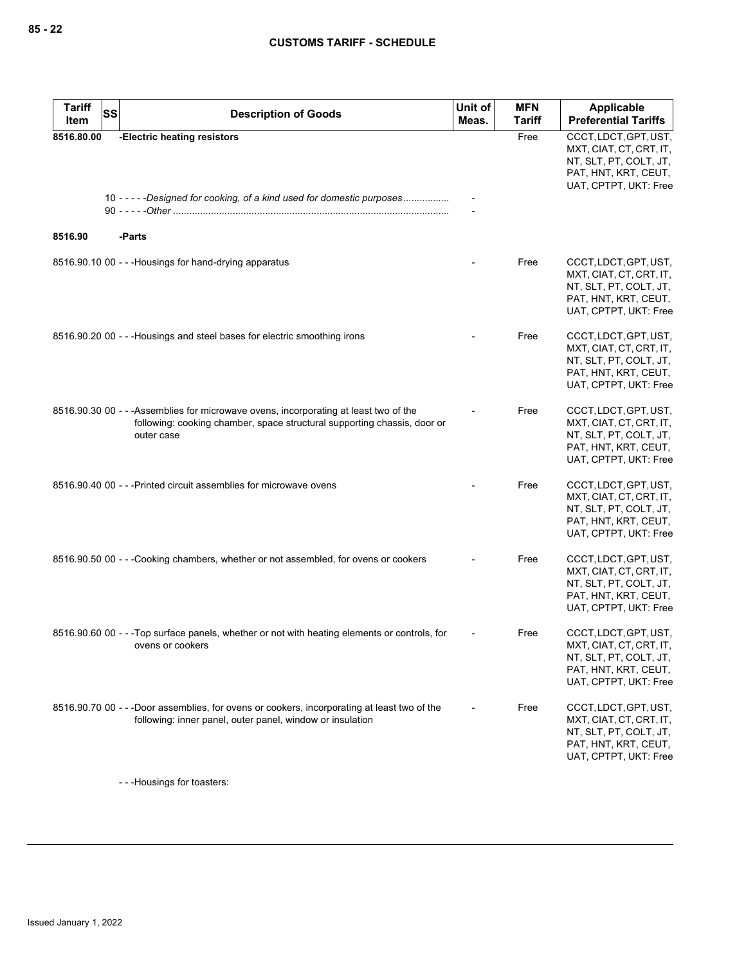| <b>Tariff</b><br>Item | <b>SS</b> | <b>Description of Goods</b>                                                                                                                                                     | Unit of<br>Meas. | <b>MFN</b><br><b>Tariff</b> | Applicable<br><b>Preferential Tariffs</b>                                                                                   |
|-----------------------|-----------|---------------------------------------------------------------------------------------------------------------------------------------------------------------------------------|------------------|-----------------------------|-----------------------------------------------------------------------------------------------------------------------------|
|                       |           |                                                                                                                                                                                 |                  |                             |                                                                                                                             |
| 8516.80.00            |           | -Electric heating resistors<br>10 -----Designed for cooking, of a kind used for domestic purposes                                                                               |                  | Free                        | CCCT, LDCT, GPT, UST,<br>MXT, CIAT, CT, CRT, IT,<br>NT, SLT, PT, COLT, JT,<br>PAT, HNT, KRT, CEUT,<br>UAT, CPTPT, UKT: Free |
| 8516.90               |           | -Parts                                                                                                                                                                          |                  |                             |                                                                                                                             |
|                       |           | 8516.90.10 00 - - - Housings for hand-drying apparatus                                                                                                                          |                  | Free                        | CCCT, LDCT, GPT, UST,<br>MXT, CIAT, CT, CRT, IT,<br>NT, SLT, PT, COLT, JT,<br>PAT, HNT, KRT, CEUT,<br>UAT, CPTPT, UKT: Free |
|                       |           | 8516.90.20 00 - - - Housings and steel bases for electric smoothing irons                                                                                                       |                  | Free                        | CCCT, LDCT, GPT, UST,<br>MXT, CIAT, CT, CRT, IT,<br>NT, SLT, PT, COLT, JT,<br>PAT, HNT, KRT, CEUT,<br>UAT, CPTPT, UKT: Free |
|                       |           | 8516.90.30 00 - - - Assemblies for microwave ovens, incorporating at least two of the<br>following: cooking chamber, space structural supporting chassis, door or<br>outer case |                  | Free                        | CCCT, LDCT, GPT, UST,<br>MXT, CIAT, CT, CRT, IT,<br>NT, SLT, PT, COLT, JT,<br>PAT, HNT, KRT, CEUT,<br>UAT, CPTPT, UKT: Free |
|                       |           | 8516.90.40 00 - - - Printed circuit assemblies for microwave ovens                                                                                                              |                  | Free                        | CCCT, LDCT, GPT, UST,<br>MXT, CIAT, CT, CRT, IT,<br>NT, SLT, PT, COLT, JT,<br>PAT, HNT, KRT, CEUT,<br>UAT, CPTPT, UKT: Free |
|                       |           | 8516.90.50 00 - - -Cooking chambers, whether or not assembled, for ovens or cookers                                                                                             |                  | Free                        | CCCT, LDCT, GPT, UST,<br>MXT, CIAT, CT, CRT, IT,<br>NT, SLT, PT, COLT, JT,<br>PAT, HNT, KRT, CEUT,<br>UAT, CPTPT, UKT: Free |
|                       |           | 8516.90.60 00 - - -Top surface panels, whether or not with heating elements or controls, for<br>ovens or cookers                                                                |                  | Free                        | CCCT, LDCT, GPT, UST,<br>MXT, CIAT, CT, CRT, IT,<br>NT, SLT, PT, COLT, JT,<br>PAT, HNT, KRT, CEUT,<br>UAT, CPTPT, UKT: Free |
|                       |           | 8516.90.70 00 - - -Door assemblies, for ovens or cookers, incorporating at least two of the<br>following: inner panel, outer panel, window or insulation                        |                  | Free                        | CCCT, LDCT, GPT, UST,<br>MXT, CIAT, CT, CRT, IT,<br>NT, SLT, PT, COLT, JT,<br>PAT, HNT, KRT, CEUT,<br>UAT, CPTPT, UKT: Free |

- - -Housings for toasters: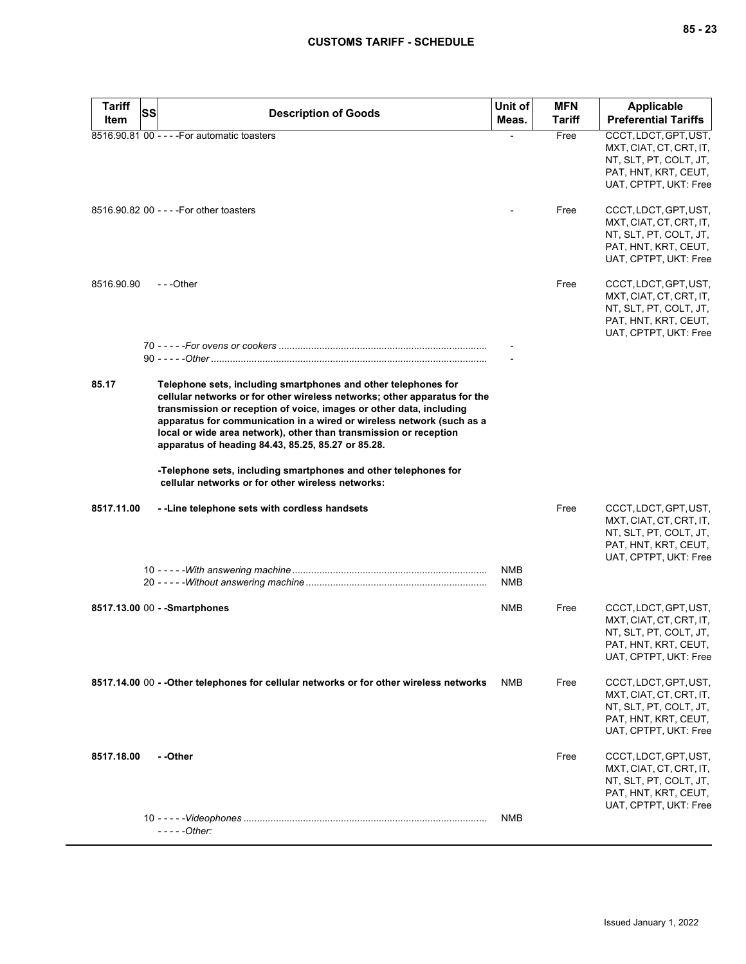| <b>Tariff</b> | SS<br><b>Description of Goods</b>                                                                                                                                                                                                                                                                                                                                                                                      | Unit of    | <b>MFN</b>    | <b>Applicable</b>                                                                                                           |
|---------------|------------------------------------------------------------------------------------------------------------------------------------------------------------------------------------------------------------------------------------------------------------------------------------------------------------------------------------------------------------------------------------------------------------------------|------------|---------------|-----------------------------------------------------------------------------------------------------------------------------|
| Item          |                                                                                                                                                                                                                                                                                                                                                                                                                        | Meas.      | <b>Tariff</b> | <b>Preferential Tariffs</b>                                                                                                 |
|               | 8516.90.81 00 - - - - For automatic toasters                                                                                                                                                                                                                                                                                                                                                                           |            | Free          | CCCT, LDCT, GPT, UST,<br>MXT, CIAT, CT, CRT, IT,<br>NT, SLT, PT, COLT, JT,<br>PAT, HNT, KRT, CEUT,<br>UAT, CPTPT, UKT: Free |
|               | 8516.90.82 00 - - - - For other toasters                                                                                                                                                                                                                                                                                                                                                                               |            | Free          | CCCT, LDCT, GPT, UST,<br>MXT, CIAT, CT, CRT, IT,<br>NT, SLT, PT, COLT, JT,<br>PAT, HNT, KRT, CEUT,<br>UAT, CPTPT, UKT: Free |
| 8516.90.90    | ---Other                                                                                                                                                                                                                                                                                                                                                                                                               |            | Free          | CCCT, LDCT, GPT, UST,<br>MXT, CIAT, CT, CRT, IT,<br>NT, SLT, PT, COLT, JT,<br>PAT, HNT, KRT, CEUT,<br>UAT, CPTPT, UKT: Free |
|               |                                                                                                                                                                                                                                                                                                                                                                                                                        |            |               |                                                                                                                             |
|               |                                                                                                                                                                                                                                                                                                                                                                                                                        |            |               |                                                                                                                             |
| 85.17         | Telephone sets, including smartphones and other telephones for<br>cellular networks or for other wireless networks; other apparatus for the<br>transmission or reception of voice, images or other data, including<br>apparatus for communication in a wired or wireless network (such as a<br>local or wide area network), other than transmission or reception<br>apparatus of heading 84.43, 85.25, 85.27 or 85.28. |            |               |                                                                                                                             |
|               | -Telephone sets, including smartphones and other telephones for<br>cellular networks or for other wireless networks:                                                                                                                                                                                                                                                                                                   |            |               |                                                                                                                             |
| 8517.11.00    | - - Line telephone sets with cordless handsets                                                                                                                                                                                                                                                                                                                                                                         | <b>NMB</b> | Free          | CCCT, LDCT, GPT, UST,<br>MXT, CIAT, CT, CRT, IT,<br>NT, SLT, PT, COLT, JT,<br>PAT, HNT, KRT, CEUT,<br>UAT, CPTPT, UKT: Free |
|               |                                                                                                                                                                                                                                                                                                                                                                                                                        | NMB        |               |                                                                                                                             |
|               | 8517.13.00 00 - - Smartphones                                                                                                                                                                                                                                                                                                                                                                                          | <b>NMB</b> | Free          | CCCT, LDCT, GPT, UST,<br>MXT, CIAT, CT, CRT, IT,<br>NT, SLT, PT, COLT, JT,<br>PAT, HNT, KRT, CEUT,<br>UAT, CPTPT, UKT: Free |
|               | 8517.14.00 00 - - Other telephones for cellular networks or for other wireless networks                                                                                                                                                                                                                                                                                                                                | NMB        | Free          | CCCT, LDCT, GPT, UST,<br>MXT, CIAT, CT, CRT, IT,<br>NT, SLT, PT, COLT, JT,<br>PAT, HNT, KRT, CEUT,<br>UAT, CPTPT, UKT: Free |
| 8517.18.00    | - -Other                                                                                                                                                                                                                                                                                                                                                                                                               |            | Free          | CCCT, LDCT, GPT, UST,<br>MXT, CIAT, CT, CRT, IT,<br>NT, SLT, PT, COLT, JT,<br>PAT, HNT, KRT, CEUT,<br>UAT, CPTPT, UKT: Free |
|               | - - - - -Other:                                                                                                                                                                                                                                                                                                                                                                                                        | <b>NMB</b> |               |                                                                                                                             |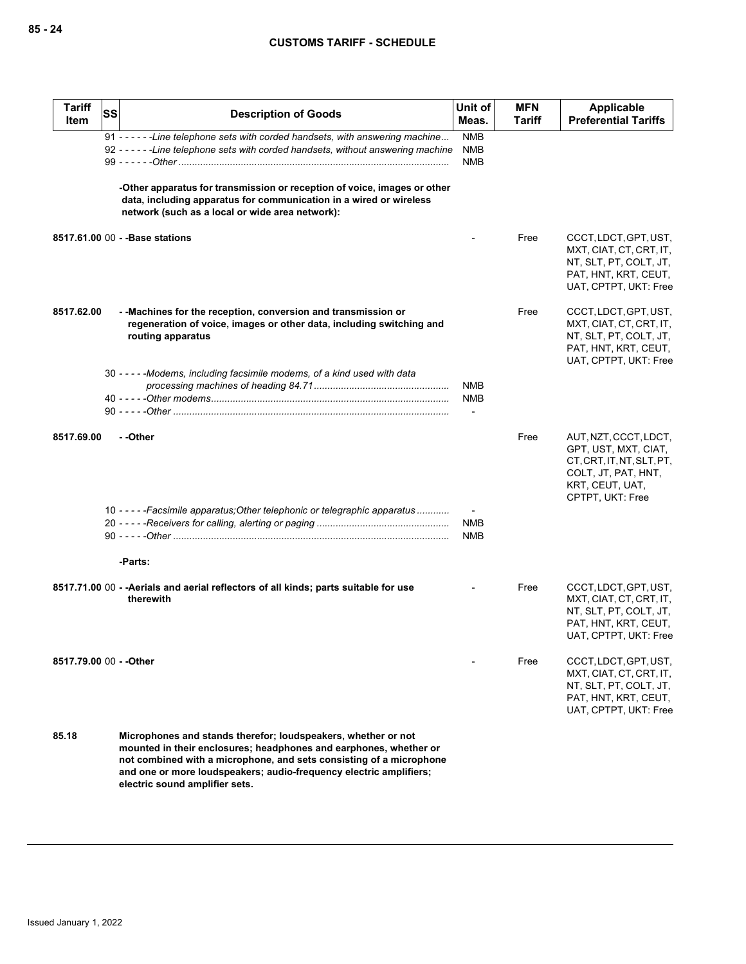| <b>Tariff</b><br>Item   | SS | <b>Description of Goods</b>                                                                                                                                                                                                                                                                                       | Unit of<br>Meas.                       | <b>MFN</b><br>Tariff | <b>Applicable</b><br><b>Preferential Tariffs</b>                                                                                         |
|-------------------------|----|-------------------------------------------------------------------------------------------------------------------------------------------------------------------------------------------------------------------------------------------------------------------------------------------------------------------|----------------------------------------|----------------------|------------------------------------------------------------------------------------------------------------------------------------------|
|                         |    | 91 - - - - - - Line telephone sets with corded handsets, with answering machine<br>92 - - - - - - Line telephone sets with corded handsets, without answering machine                                                                                                                                             | <b>NMB</b><br><b>NMB</b><br><b>NMB</b> |                      |                                                                                                                                          |
|                         |    | -Other apparatus for transmission or reception of voice, images or other<br>data, including apparatus for communication in a wired or wireless<br>network (such as a local or wide area network):                                                                                                                 |                                        |                      |                                                                                                                                          |
|                         |    | 8517.61.00 00 - - Base stations                                                                                                                                                                                                                                                                                   |                                        | Free                 | CCCT, LDCT, GPT, UST,<br>MXT, CIAT, CT, CRT, IT,<br>NT, SLT, PT, COLT, JT,<br>PAT, HNT, KRT, CEUT,<br>UAT, CPTPT, UKT: Free              |
| 8517.62.00              |    | - - Machines for the reception, conversion and transmission or<br>regeneration of voice, images or other data, including switching and<br>routing apparatus                                                                                                                                                       |                                        | Free                 | CCCT, LDCT, GPT, UST,<br>MXT, CIAT, CT, CRT, IT,<br>NT, SLT, PT, COLT, JT,<br>PAT, HNT, KRT, CEUT,<br>UAT, CPTPT, UKT: Free              |
|                         |    | 30 - - - - - Modems, including facsimile modems, of a kind used with data                                                                                                                                                                                                                                         | <b>NMB</b><br><b>NMB</b>               |                      |                                                                                                                                          |
| 8517.69.00              |    | - -Other                                                                                                                                                                                                                                                                                                          |                                        | Free                 | AUT, NZT, CCCT, LDCT,<br>GPT, UST, MXT, CIAT,<br>CT, CRT, IT, NT, SLT, PT,<br>COLT, JT, PAT, HNT,<br>KRT, CEUT, UAT,<br>CPTPT, UKT: Free |
|                         |    | 10 - - - - - Facsimile apparatus; Other telephonic or telegraphic apparatus                                                                                                                                                                                                                                       | <b>NMB</b><br><b>NMB</b>               |                      |                                                                                                                                          |
|                         |    | -Parts:<br>8517.71.00 00 - - Aerials and aerial reflectors of all kinds; parts suitable for use<br>therewith                                                                                                                                                                                                      |                                        | Free                 | CCCT, LDCT, GPT, UST,<br>MXT, CIAT, CT, CRT, IT,<br>NT, SLT, PT, COLT, JT,<br>PAT, HNT, KRT, CEUT,<br>UAT, CPTPT, UKT: Free              |
| 8517.79.00 00 - - Other |    |                                                                                                                                                                                                                                                                                                                   |                                        | Free                 | CCCT, LDCT, GPT, UST,<br>MXT, CIAT, CT, CRT, IT,<br>NT, SLT, PT, COLT, JT,<br>PAT, HNT, KRT, CEUT,<br>UAT, CPTPT, UKT: Free              |
| 85.18                   |    | Microphones and stands therefor; loudspeakers, whether or not<br>mounted in their enclosures; headphones and earphones, whether or<br>not combined with a microphone, and sets consisting of a microphone<br>and one or more loudspeakers; audio-frequency electric amplifiers;<br>electric sound amplifier sets. |                                        |                      |                                                                                                                                          |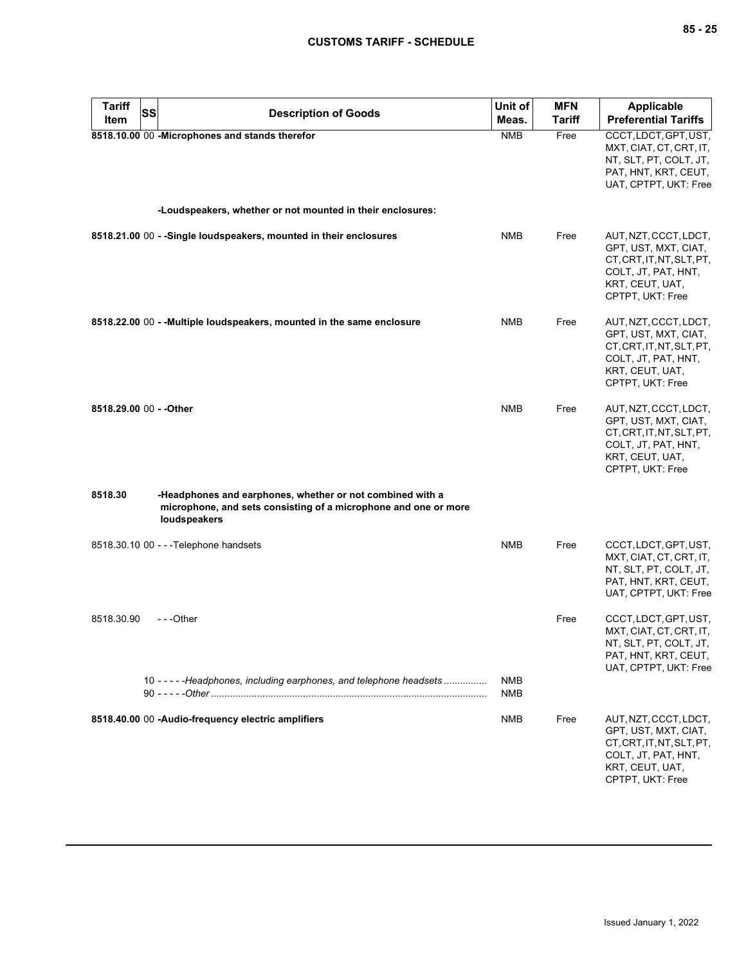| <b>Tariff</b><br>Item   | SS | <b>Description of Goods</b>                                                                                                                  | Unit of<br>Meas. | <b>MFN</b><br><b>Tariff</b> | <b>Applicable</b><br><b>Preferential Tariffs</b>                                                                                         |
|-------------------------|----|----------------------------------------------------------------------------------------------------------------------------------------------|------------------|-----------------------------|------------------------------------------------------------------------------------------------------------------------------------------|
|                         |    | 8518.10.00 00 -Microphones and stands therefor                                                                                               | <b>NMB</b>       | Free                        | CCCT, LDCT, GPT, UST,<br>MXT, CIAT, CT, CRT, IT,<br>NT, SLT, PT, COLT, JT,<br>PAT, HNT, KRT, CEUT,<br>UAT, CPTPT, UKT: Free              |
|                         |    | -Loudspeakers, whether or not mounted in their enclosures:                                                                                   |                  |                             |                                                                                                                                          |
|                         |    | 8518.21.00 00 - -Single loudspeakers, mounted in their enclosures                                                                            | <b>NMB</b>       | Free                        | AUT, NZT, CCCT, LDCT,<br>GPT, UST, MXT, CIAT,<br>CT, CRT, IT, NT, SLT, PT,<br>COLT, JT, PAT, HNT,<br>KRT, CEUT, UAT,<br>CPTPT, UKT: Free |
|                         |    | 8518.22.00 00 - - Multiple loudspeakers, mounted in the same enclosure                                                                       | <b>NMB</b>       | Free                        | AUT, NZT, CCCT, LDCT,<br>GPT, UST, MXT, CIAT,<br>CT, CRT, IT, NT, SLT, PT,<br>COLT, JT, PAT, HNT,<br>KRT, CEUT, UAT,<br>CPTPT, UKT: Free |
| 8518.29.00 00 - - Other |    |                                                                                                                                              | <b>NMB</b>       | Free                        | AUT, NZT, CCCT, LDCT,<br>GPT, UST, MXT, CIAT,<br>CT, CRT, IT, NT, SLT, PT,<br>COLT, JT, PAT, HNT,<br>KRT, CEUT, UAT,<br>CPTPT, UKT: Free |
| 8518.30                 |    | -Headphones and earphones, whether or not combined with a<br>microphone, and sets consisting of a microphone and one or more<br>loudspeakers |                  |                             |                                                                                                                                          |
|                         |    | 8518.30.10 00 - - - Telephone handsets                                                                                                       | <b>NMB</b>       | Free                        | CCCT, LDCT, GPT, UST,<br>MXT, CIAT, CT, CRT, IT,<br>NT, SLT, PT, COLT, JT,<br>PAT, HNT, KRT, CEUT,<br>UAT, CPTPT, UKT: Free              |
| 8518.30.90              |    | ---Other<br>10 - - - - - Headphones, including earphones, and telephone headsets                                                             | <b>NMB</b>       | Free                        | CCCT, LDCT, GPT, UST,<br>MXT, CIAT, CT, CRT, IT,<br>NT, SLT, PT, COLT, JT,<br>PAT, HNT, KRT, CEUT,<br>UAT, CPTPT, UKT: Free              |
|                         |    |                                                                                                                                              | NMB              |                             |                                                                                                                                          |
|                         |    | 8518.40.00 00 -Audio-frequency electric amplifiers                                                                                           | NMB              | Free                        | AUT, NZT, CCCT, LDCT,<br>GPT, UST, MXT, CIAT,<br>CT, CRT, IT, NT, SLT, PT,<br>COLT, JT, PAT, HNT,<br>KRT, CEUT, UAT,<br>CPTPT, UKT: Free |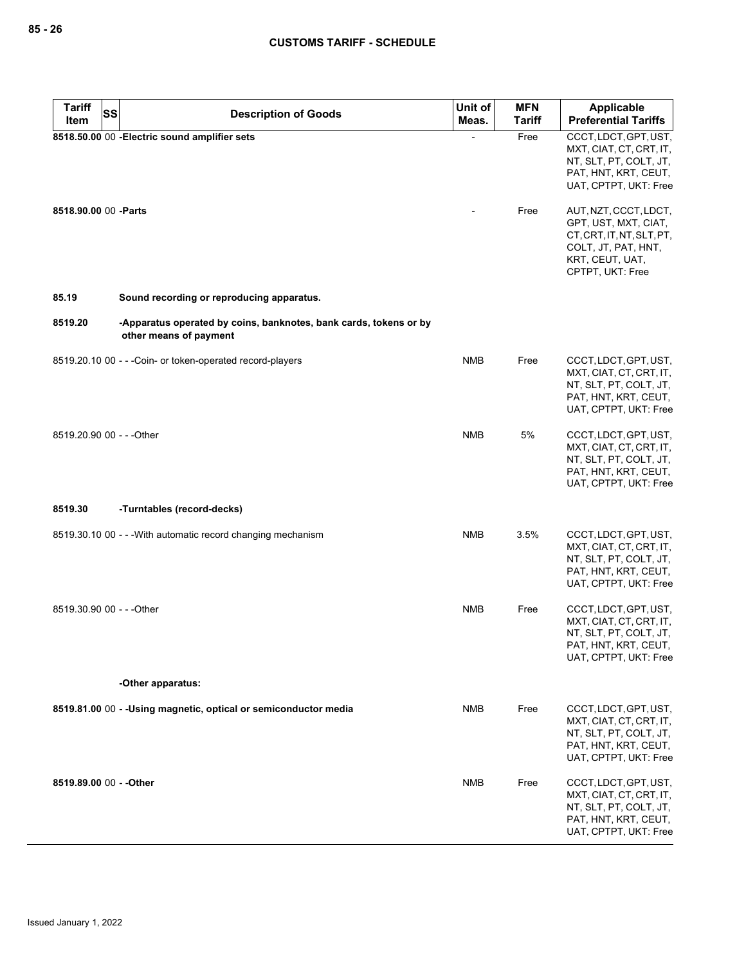| <b>Tariff</b><br>SS       | <b>Description of Goods</b>                                                                 | Unit of    | <b>MFN</b>    | Applicable                                                                                                                               |
|---------------------------|---------------------------------------------------------------------------------------------|------------|---------------|------------------------------------------------------------------------------------------------------------------------------------------|
| Item                      |                                                                                             | Meas.      | <b>Tariff</b> | <b>Preferential Tariffs</b>                                                                                                              |
|                           | 8518.50.00 00 - Electric sound amplifier sets                                               |            | Free          | CCCT, LDCT, GPT, UST,<br>MXT, CIAT, CT, CRT, IT,<br>NT, SLT, PT, COLT, JT,<br>PAT, HNT, KRT, CEUT,<br>UAT, CPTPT, UKT: Free              |
| 8518.90.00 00 - Parts     |                                                                                             |            | Free          | AUT, NZT, CCCT, LDCT,<br>GPT, UST, MXT, CIAT,<br>CT, CRT, IT, NT, SLT, PT,<br>COLT, JT, PAT, HNT,<br>KRT, CEUT, UAT,<br>CPTPT, UKT: Free |
| 85.19                     | Sound recording or reproducing apparatus.                                                   |            |               |                                                                                                                                          |
| 8519.20                   | -Apparatus operated by coins, banknotes, bank cards, tokens or by<br>other means of payment |            |               |                                                                                                                                          |
|                           | 8519.20.10 00 - - - Coin- or token-operated record-players                                  | <b>NMB</b> | Free          | CCCT, LDCT, GPT, UST,<br>MXT, CIAT, CT, CRT, IT,<br>NT, SLT, PT, COLT, JT,<br>PAT, HNT, KRT, CEUT,<br>UAT, CPTPT, UKT: Free              |
| 8519.20.90 00 - - - Other |                                                                                             | <b>NMB</b> | 5%            | CCCT, LDCT, GPT, UST,<br>MXT, CIAT, CT, CRT, IT,<br>NT, SLT, PT, COLT, JT,<br>PAT, HNT, KRT, CEUT,<br>UAT, CPTPT, UKT: Free              |
| 8519.30                   | -Turntables (record-decks)                                                                  |            |               |                                                                                                                                          |
|                           | 8519.30.10 00 - - - With automatic record changing mechanism                                | <b>NMB</b> | 3.5%          | CCCT, LDCT, GPT, UST,<br>MXT, CIAT, CT, CRT, IT,<br>NT, SLT, PT, COLT, JT,<br>PAT, HNT, KRT, CEUT,<br>UAT, CPTPT, UKT: Free              |
| 8519.30.90 00 - - - Other |                                                                                             | <b>NMB</b> | Free          | CCCT, LDCT, GPT, UST,<br>MXT, CIAT, CT, CRT, IT,<br>NT, SLT, PT, COLT, JT,<br>PAT, HNT, KRT, CEUT,<br>UAT, CPTPT, UKT: Free              |
|                           | -Other apparatus:                                                                           |            |               |                                                                                                                                          |
|                           | 8519.81.00 00 - - Using magnetic, optical or semiconductor media                            | <b>NMB</b> | Free          | CCCT, LDCT, GPT, UST,<br>MXT, CIAT, CT, CRT, IT,<br>NT, SLT, PT, COLT, JT,<br>PAT, HNT, KRT, CEUT,<br>UAT, CPTPT, UKT: Free              |
| 8519.89.00 00 - - Other   |                                                                                             | <b>NMB</b> | Free          | CCCT, LDCT, GPT, UST,<br>MXT, CIAT, CT, CRT, IT,<br>NT, SLT, PT, COLT, JT,<br>PAT, HNT, KRT, CEUT,<br>UAT, CPTPT, UKT: Free              |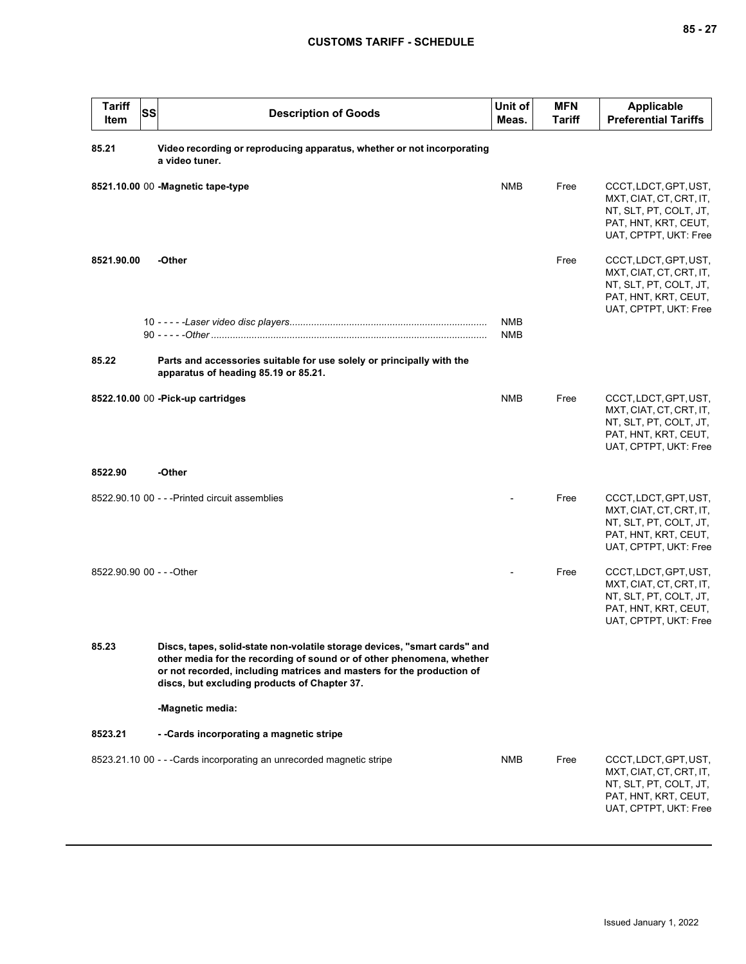| <b>Tariff</b><br>Item     | SS | <b>Description of Goods</b>                                                                                                                                                                                                                                                 | Unit of<br>Meas.         | <b>MFN</b><br><b>Tariff</b> | <b>Applicable</b><br><b>Preferential Tariffs</b>                                                                            |
|---------------------------|----|-----------------------------------------------------------------------------------------------------------------------------------------------------------------------------------------------------------------------------------------------------------------------------|--------------------------|-----------------------------|-----------------------------------------------------------------------------------------------------------------------------|
| 85.21                     |    | Video recording or reproducing apparatus, whether or not incorporating<br>a video tuner.                                                                                                                                                                                    |                          |                             |                                                                                                                             |
|                           |    | 8521.10.00 00 - Magnetic tape-type                                                                                                                                                                                                                                          | <b>NMB</b>               | Free                        | CCCT, LDCT, GPT, UST,<br>MXT, CIAT, CT, CRT, IT,<br>NT, SLT, PT, COLT, JT,<br>PAT, HNT, KRT, CEUT,<br>UAT, CPTPT, UKT: Free |
| 8521.90.00                |    | -Other                                                                                                                                                                                                                                                                      |                          | Free                        | CCCT, LDCT, GPT, UST,<br>MXT, CIAT, CT, CRT, IT,<br>NT, SLT, PT, COLT, JT,<br>PAT, HNT, KRT, CEUT,<br>UAT, CPTPT, UKT: Free |
|                           |    |                                                                                                                                                                                                                                                                             | <b>NMB</b><br><b>NMB</b> |                             |                                                                                                                             |
| 85.22                     |    | Parts and accessories suitable for use solely or principally with the<br>apparatus of heading 85.19 or 85.21.                                                                                                                                                               |                          |                             |                                                                                                                             |
|                           |    | 8522.10.00 00 - Pick-up cartridges                                                                                                                                                                                                                                          | <b>NMB</b>               | Free                        | CCCT, LDCT, GPT, UST,<br>MXT, CIAT, CT, CRT, IT,<br>NT, SLT, PT, COLT, JT,<br>PAT, HNT, KRT, CEUT,<br>UAT, CPTPT, UKT: Free |
| 8522.90                   |    | -Other                                                                                                                                                                                                                                                                      |                          |                             |                                                                                                                             |
|                           |    | 8522.90.10 00 - - - Printed circuit assemblies                                                                                                                                                                                                                              |                          | Free                        | CCCT, LDCT, GPT, UST,<br>MXT, CIAT, CT, CRT, IT,<br>NT, SLT, PT, COLT, JT,<br>PAT, HNT, KRT, CEUT,<br>UAT, CPTPT, UKT: Free |
| 8522.90.90 00 - - - Other |    |                                                                                                                                                                                                                                                                             |                          | Free                        | CCCT, LDCT, GPT, UST,<br>MXT, CIAT, CT, CRT, IT,<br>NT, SLT, PT, COLT, JT,<br>PAT, HNT, KRT, CEUT,<br>UAT, CPTPT, UKT: Free |
| 85.23                     |    | Discs, tapes, solid-state non-volatile storage devices, "smart cards" and<br>other media for the recording of sound or of other phenomena, whether<br>or not recorded, including matrices and masters for the production of<br>discs, but excluding products of Chapter 37. |                          |                             |                                                                                                                             |
|                           |    | -Magnetic media:                                                                                                                                                                                                                                                            |                          |                             |                                                                                                                             |
| 8523.21                   |    | - - Cards incorporating a magnetic stripe                                                                                                                                                                                                                                   |                          |                             |                                                                                                                             |
|                           |    | 8523.21.10 00 - - - Cards incorporating an unrecorded magnetic stripe                                                                                                                                                                                                       | <b>NMB</b>               | Free                        | CCCT, LDCT, GPT, UST,<br>MXT, CIAT, CT, CRT, IT,<br>NT, SLT, PT, COLT, JT,<br>PAT, HNT, KRT, CEUT,<br>UAT, CPTPT, UKT: Free |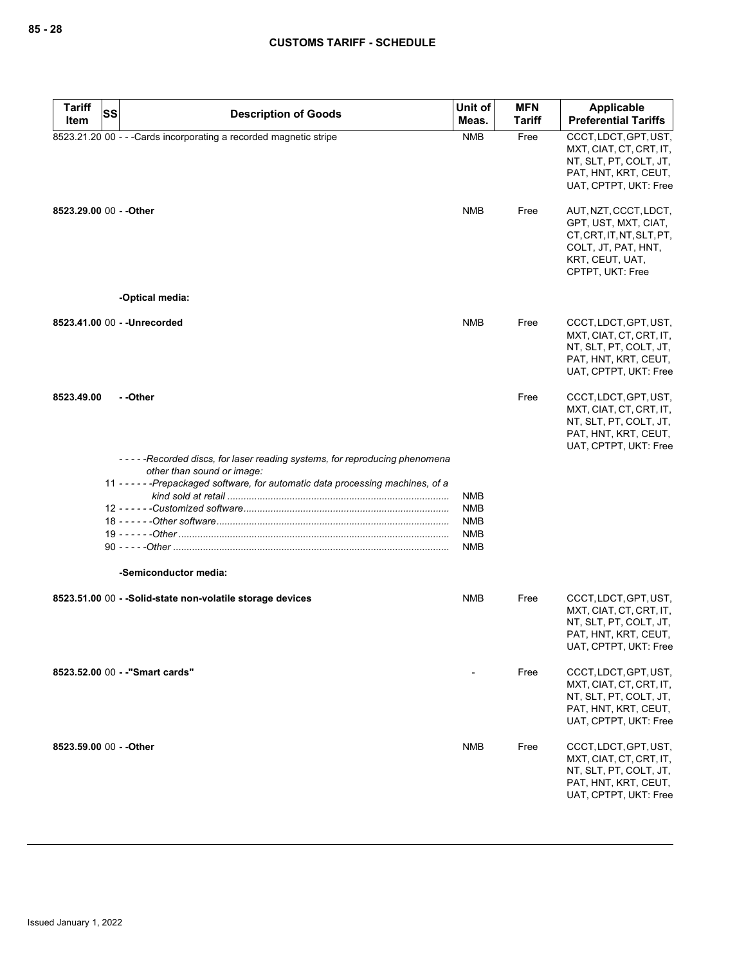| <b>Tariff</b>           | <b>SS</b><br><b>Description of Goods</b>                                                                | Unit of           | <b>MFN</b>    | Applicable                                                                                                                               |
|-------------------------|---------------------------------------------------------------------------------------------------------|-------------------|---------------|------------------------------------------------------------------------------------------------------------------------------------------|
| Item                    |                                                                                                         | Meas.             | <b>Tariff</b> | <b>Preferential Tariffs</b>                                                                                                              |
|                         | 8523.21.20 00 - - - Cards incorporating a recorded magnetic stripe                                      | <b>NMB</b>        | Free          | CCCT, LDCT, GPT, UST,<br>MXT, CIAT, CT, CRT, IT,<br>NT, SLT, PT, COLT, JT,<br>PAT, HNT, KRT, CEUT,<br>UAT, CPTPT, UKT: Free              |
| 8523.29.00 00 - - Other |                                                                                                         | NMB               | Free          | AUT, NZT, CCCT, LDCT,<br>GPT, UST, MXT, CIAT,<br>CT, CRT, IT, NT, SLT, PT,<br>COLT, JT, PAT, HNT,<br>KRT, CEUT, UAT,<br>CPTPT, UKT: Free |
|                         | -Optical media:                                                                                         |                   |               |                                                                                                                                          |
|                         | 8523.41.00 00 - - Unrecorded                                                                            | <b>NMB</b>        | Free          | CCCT, LDCT, GPT, UST,<br>MXT, CIAT, CT, CRT, IT,<br>NT, SLT, PT, COLT, JT,<br>PAT, HNT, KRT, CEUT,<br>UAT, CPTPT, UKT: Free              |
| 8523.49.00              | - -Other                                                                                                |                   | Free          | CCCT, LDCT, GPT, UST,<br>MXT, CIAT, CT, CRT, IT,<br>NT, SLT, PT, COLT, JT,<br>PAT, HNT, KRT, CEUT,<br>UAT, CPTPT, UKT: Free              |
|                         | -----Recorded discs, for laser reading systems, for reproducing phenomena<br>other than sound or image: |                   |               |                                                                                                                                          |
|                         | 11 - - - - - - Prepackaged software, for automatic data processing machines, of a                       |                   |               |                                                                                                                                          |
|                         |                                                                                                         | NMB<br><b>NMB</b> |               |                                                                                                                                          |
|                         |                                                                                                         | NMB               |               |                                                                                                                                          |
|                         |                                                                                                         | <b>NMB</b>        |               |                                                                                                                                          |
|                         |                                                                                                         | NMB               |               |                                                                                                                                          |
|                         | -Semiconductor media:                                                                                   |                   |               |                                                                                                                                          |
|                         | 8523.51.00 00 - - Solid-state non-volatile storage devices                                              | NMB               | Free          | CCCT, LDCT, GPT, UST,<br>MXT, CIAT, CT, CRT, IT,<br>NT, SLT, PT, COLT, JT,<br>PAT, HNT, KRT, CEUT,<br>UAT, CPTPT, UKT: Free              |
|                         | 8523.52.00 00 - - "Smart cards"                                                                         |                   | Free          | CCCT, LDCT, GPT, UST,<br>MXT, CIAT, CT, CRT, IT,<br>NT, SLT, PT, COLT, JT,<br>PAT, HNT, KRT, CEUT,<br>UAT, CPTPT, UKT: Free              |
| 8523.59.00 00 - - Other |                                                                                                         | <b>NMB</b>        | Free          | CCCT, LDCT, GPT, UST,<br>MXT, CIAT, CT, CRT, IT,<br>NT, SLT, PT, COLT, JT,<br>PAT, HNT, KRT, CEUT,<br>UAT, CPTPT, UKT: Free              |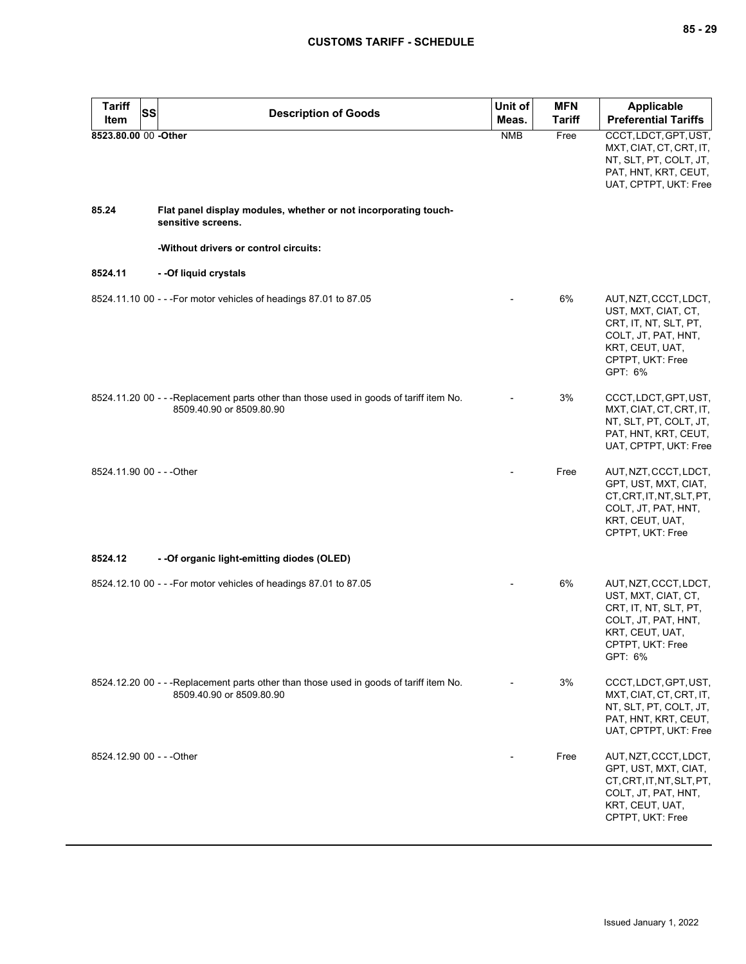| <b>Tariff</b><br>Item     | SS | <b>Description of Goods</b>                                                                                         | Unit of<br>Meas. | <b>MFN</b><br><b>Tariff</b> | Applicable<br><b>Preferential Tariffs</b>                                                                                                      |
|---------------------------|----|---------------------------------------------------------------------------------------------------------------------|------------------|-----------------------------|------------------------------------------------------------------------------------------------------------------------------------------------|
| 8523.80.00 00 -Other      |    |                                                                                                                     | <b>NMB</b>       | Free                        | CCCT, LDCT, GPT, UST,<br>MXT, CIAT, CT, CRT, IT,<br>NT, SLT, PT, COLT, JT,<br>PAT, HNT, KRT, CEUT,<br>UAT, CPTPT, UKT: Free                    |
| 85.24                     |    | Flat panel display modules, whether or not incorporating touch-<br>sensitive screens.                               |                  |                             |                                                                                                                                                |
|                           |    | -Without drivers or control circuits:                                                                               |                  |                             |                                                                                                                                                |
| 8524.11                   |    | - - Of liquid crystals                                                                                              |                  |                             |                                                                                                                                                |
|                           |    | 8524.11.10 00 - - - For motor vehicles of headings 87.01 to 87.05                                                   |                  | 6%                          | AUT, NZT, CCCT, LDCT,<br>UST, MXT, CIAT, CT,<br>CRT, IT, NT, SLT, PT,<br>COLT, JT, PAT, HNT,<br>KRT, CEUT, UAT,<br>CPTPT, UKT: Free<br>GPT: 6% |
|                           |    | 8524.11.20 00 - - - Replacement parts other than those used in goods of tariff item No.<br>8509.40.90 or 8509.80.90 |                  | 3%                          | CCCT, LDCT, GPT, UST,<br>MXT, CIAT, CT, CRT, IT,<br>NT, SLT, PT, COLT, JT,<br>PAT, HNT, KRT, CEUT,<br>UAT, CPTPT, UKT: Free                    |
| 8524.11.90 00 - - - Other |    |                                                                                                                     |                  | Free                        | AUT, NZT, CCCT, LDCT,<br>GPT, UST, MXT, CIAT,<br>CT, CRT, IT, NT, SLT, PT,<br>COLT, JT, PAT, HNT,<br>KRT, CEUT, UAT,<br>CPTPT, UKT: Free       |
| 8524.12                   |    | - - Of organic light-emitting diodes (OLED)                                                                         |                  |                             |                                                                                                                                                |
|                           |    | 8524.12.10 00 - - - For motor vehicles of headings 87.01 to 87.05                                                   |                  | 6%                          | AUT, NZT, CCCT, LDCT,<br>UST, MXT, CIAT, CT,<br>CRT, IT, NT, SLT, PT,<br>COLT, JT, PAT, HNT,<br>KRT, CEUT, UAT,<br>CPTPT, UKT: Free<br>GPT: 6% |
|                           |    | 8524.12.20 00 - - - Replacement parts other than those used in goods of tariff item No.<br>8509.40.90 or 8509.80.90 |                  | 3%                          | CCCT, LDCT, GPT, UST,<br>MXT, CIAT, CT, CRT, IT,<br>NT, SLT, PT, COLT, JT,<br>PAT, HNT, KRT, CEUT,<br>UAT, CPTPT, UKT: Free                    |
| 8524.12.90 00 - - - Other |    |                                                                                                                     |                  | Free                        | AUT, NZT, CCCT, LDCT,<br>GPT, UST, MXT, CIAT,<br>CT, CRT, IT, NT, SLT, PT,<br>COLT, JT, PAT, HNT,<br>KRT, CEUT, UAT,<br>CPTPT, UKT: Free       |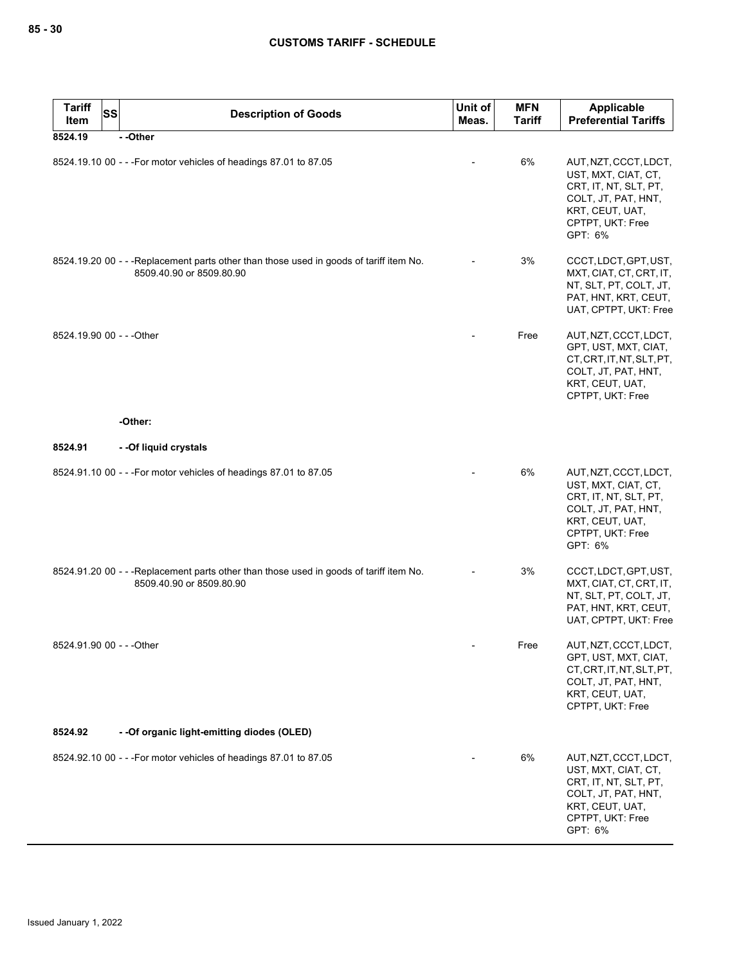| <b>Tariff</b><br><b>SS</b><br>Item | <b>Description of Goods</b>                                                                                         | Unit of<br>Meas. | <b>MFN</b><br><b>Tariff</b> | <b>Applicable</b><br><b>Preferential Tariffs</b>                                                                                               |
|------------------------------------|---------------------------------------------------------------------------------------------------------------------|------------------|-----------------------------|------------------------------------------------------------------------------------------------------------------------------------------------|
| 8524.19                            | --Other                                                                                                             |                  |                             |                                                                                                                                                |
|                                    | 8524.19.10 00 - - - For motor vehicles of headings 87.01 to 87.05                                                   |                  | 6%                          | AUT, NZT, CCCT, LDCT,<br>UST, MXT, CIAT, CT,<br>CRT, IT, NT, SLT, PT,<br>COLT, JT, PAT, HNT,<br>KRT, CEUT, UAT,<br>CPTPT, UKT: Free<br>GPT: 6% |
|                                    | 8524.19.20 00 - - - Replacement parts other than those used in goods of tariff item No.<br>8509.40.90 or 8509.80.90 |                  | 3%                          | CCCT, LDCT, GPT, UST,<br>MXT, CIAT, CT, CRT, IT,<br>NT, SLT, PT, COLT, JT,<br>PAT, HNT, KRT, CEUT,<br>UAT, CPTPT, UKT: Free                    |
| 8524.19.90 00 - - - Other          |                                                                                                                     |                  | Free                        | AUT, NZT, CCCT, LDCT,<br>GPT, UST, MXT, CIAT,<br>CT, CRT, IT, NT, SLT, PT,<br>COLT, JT, PAT, HNT,<br>KRT, CEUT, UAT,<br>CPTPT, UKT: Free       |
|                                    | -Other:                                                                                                             |                  |                             |                                                                                                                                                |
| 8524.91                            | - - Of liquid crystals                                                                                              |                  |                             |                                                                                                                                                |
|                                    | 8524.91.10 00 - - - For motor vehicles of headings 87.01 to 87.05                                                   |                  | 6%                          | AUT, NZT, CCCT, LDCT,<br>UST, MXT, CIAT, CT,<br>CRT, IT, NT, SLT, PT,<br>COLT, JT, PAT, HNT,<br>KRT, CEUT, UAT,<br>CPTPT, UKT: Free<br>GPT: 6% |
|                                    | 8524.91.20 00 - - - Replacement parts other than those used in goods of tariff item No.<br>8509.40.90 or 8509.80.90 |                  | 3%                          | CCCT, LDCT, GPT, UST,<br>MXT, CIAT, CT, CRT, IT,<br>NT, SLT, PT, COLT, JT,<br>PAT, HNT, KRT, CEUT,<br>UAT, CPTPT, UKT: Free                    |
| 8524.91.90 00 - - - Other          |                                                                                                                     |                  | Free                        | AUT, NZT, CCCT, LDCT,<br>GPT, UST, MXT, CIAT,<br>CT, CRT, IT, NT, SLT, PT,<br>COLT, JT, PAT, HNT,<br>KRT, CEUT, UAT,<br>CPTPT, UKT: Free       |
| 8524.92                            | - - Of organic light-emitting diodes (OLED)                                                                         |                  |                             |                                                                                                                                                |
|                                    | 8524.92.10 00 - - - For motor vehicles of headings 87.01 to 87.05                                                   |                  | 6%                          | AUT, NZT, CCCT, LDCT,<br>UST, MXT, CIAT, CT,<br>CRT, IT, NT, SLT, PT,<br>COLT, JT, PAT, HNT,<br>KRT, CEUT, UAT,<br>CPTPT, UKT: Free<br>GPT: 6% |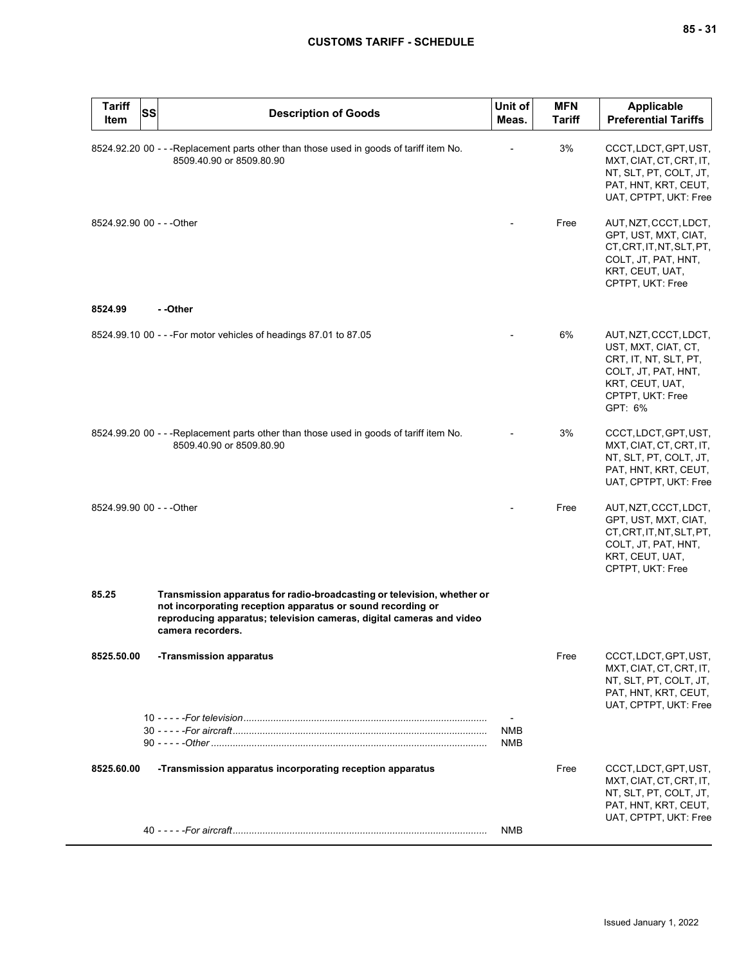| <b>Tariff</b><br><b>SS</b><br><b>Item</b> | <b>Description of Goods</b>                                                                                                                                                                                                         | Unit of<br>Meas. | <b>MFN</b><br><b>Tariff</b> | <b>Applicable</b><br><b>Preferential Tariffs</b>                                                                                               |
|-------------------------------------------|-------------------------------------------------------------------------------------------------------------------------------------------------------------------------------------------------------------------------------------|------------------|-----------------------------|------------------------------------------------------------------------------------------------------------------------------------------------|
|                                           | 8524.92.20 00 - - - Replacement parts other than those used in goods of tariff item No.<br>8509.40.90 or 8509.80.90                                                                                                                 |                  | 3%                          | CCCT, LDCT, GPT, UST,<br>MXT, CIAT, CT, CRT, IT,<br>NT, SLT, PT, COLT, JT,<br>PAT, HNT, KRT, CEUT,<br>UAT, CPTPT, UKT: Free                    |
| 8524.92.90 00 - - - Other                 |                                                                                                                                                                                                                                     |                  | Free                        | AUT, NZT, CCCT, LDCT,<br>GPT, UST, MXT, CIAT,<br>CT, CRT, IT, NT, SLT, PT,<br>COLT, JT, PAT, HNT,<br>KRT, CEUT, UAT,<br>CPTPT, UKT: Free       |
| 8524.99                                   | - -Other                                                                                                                                                                                                                            |                  |                             |                                                                                                                                                |
|                                           | 8524.99.10 00 - - - For motor vehicles of headings 87.01 to 87.05                                                                                                                                                                   |                  | 6%                          | AUT, NZT, CCCT, LDCT,<br>UST, MXT, CIAT, CT,<br>CRT, IT, NT, SLT, PT,<br>COLT, JT, PAT, HNT,<br>KRT, CEUT, UAT,<br>CPTPT, UKT: Free<br>GPT: 6% |
|                                           | 8524.99.20 00 - - - Replacement parts other than those used in goods of tariff item No.<br>8509.40.90 or 8509.80.90                                                                                                                 |                  | 3%                          | CCCT, LDCT, GPT, UST,<br>MXT, CIAT, CT, CRT, IT,<br>NT, SLT, PT, COLT, JT,<br>PAT, HNT, KRT, CEUT,<br>UAT, CPTPT, UKT: Free                    |
| 8524.99.90 00 - - - Other                 |                                                                                                                                                                                                                                     |                  | Free                        | AUT, NZT, CCCT, LDCT,<br>GPT, UST, MXT, CIAT,<br>CT, CRT, IT, NT, SLT, PT,<br>COLT, JT, PAT, HNT,<br>KRT, CEUT, UAT,<br>CPTPT, UKT: Free       |
| 85.25                                     | Transmission apparatus for radio-broadcasting or television, whether or<br>not incorporating reception apparatus or sound recording or<br>reproducing apparatus; television cameras, digital cameras and video<br>camera recorders. |                  |                             |                                                                                                                                                |
| 8525.50.00                                | -Transmission apparatus                                                                                                                                                                                                             |                  | Free                        | CCCT, LDCT, GPT, UST,<br>MXT, CIAT, CT, CRT, IT,<br>NT, SLT, PT, COLT, JT,<br>PAT, HNT, KRT, CEUT,<br>UAT, CPTPT, UKT: Free                    |
|                                           |                                                                                                                                                                                                                                     | NMB<br>NMB       |                             |                                                                                                                                                |
| 8525.60.00                                | -Transmission apparatus incorporating reception apparatus                                                                                                                                                                           |                  | Free                        | CCCT, LDCT, GPT, UST,<br>MXT, CIAT, CT, CRT, IT,<br>NT, SLT, PT, COLT, JT,<br>PAT, HNT, KRT, CEUT,                                             |
|                                           |                                                                                                                                                                                                                                     | NMB              |                             | UAT, CPTPT, UKT: Free                                                                                                                          |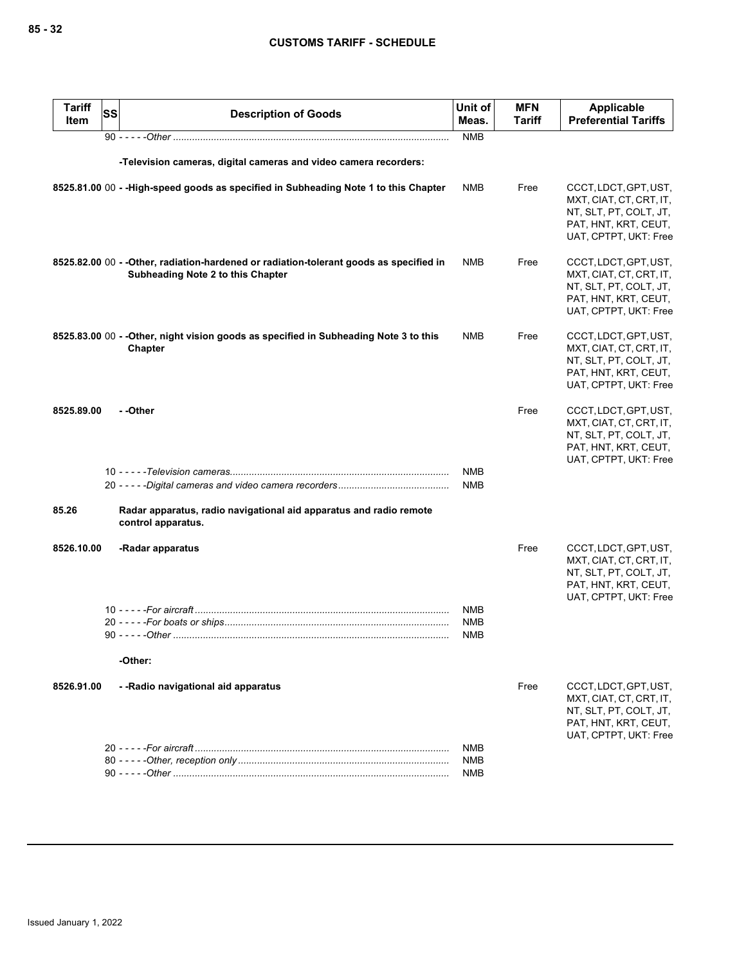| <b>Tariff</b><br>Item | <b>SS</b> | <b>Description of Goods</b>                                                                                                  | Unit of<br>Meas.                | <b>MFN</b><br><b>Tariff</b> | <b>Applicable</b><br><b>Preferential Tariffs</b>                                                                            |
|-----------------------|-----------|------------------------------------------------------------------------------------------------------------------------------|---------------------------------|-----------------------------|-----------------------------------------------------------------------------------------------------------------------------|
|                       |           |                                                                                                                              | <b>NMB</b>                      |                             |                                                                                                                             |
|                       |           | -Television cameras, digital cameras and video camera recorders:                                                             |                                 |                             |                                                                                                                             |
|                       |           | 8525.81.00 00 - - High-speed goods as specified in Subheading Note 1 to this Chapter                                         | <b>NMB</b>                      | Free                        | CCCT, LDCT, GPT, UST,<br>MXT, CIAT, CT, CRT, IT,<br>NT, SLT, PT, COLT, JT,<br>PAT, HNT, KRT, CEUT,<br>UAT, CPTPT, UKT: Free |
|                       |           | 8525.82.00 00 - - Other, radiation-hardened or radiation-tolerant goods as specified in<br>Subheading Note 2 to this Chapter | NMB                             | Free                        | CCCT, LDCT, GPT, UST,<br>MXT, CIAT, CT, CRT, IT,<br>NT, SLT, PT, COLT, JT,<br>PAT, HNT, KRT, CEUT,<br>UAT, CPTPT, UKT: Free |
|                       |           | 8525.83.00 00 - - Other, night vision goods as specified in Subheading Note 3 to this<br>Chapter                             | <b>NMB</b>                      | Free                        | CCCT, LDCT, GPT, UST,<br>MXT, CIAT, CT, CRT, IT,<br>NT, SLT, PT, COLT, JT,<br>PAT, HNT, KRT, CEUT,<br>UAT, CPTPT, UKT: Free |
| 8525.89.00            |           | - -Other                                                                                                                     |                                 | Free                        | CCCT, LDCT, GPT, UST,<br>MXT, CIAT, CT, CRT, IT,<br>NT, SLT, PT, COLT, JT,<br>PAT, HNT, KRT, CEUT,<br>UAT, CPTPT, UKT: Free |
|                       |           |                                                                                                                              | <b>NMB</b><br><b>NMB</b>        |                             |                                                                                                                             |
| 85.26                 |           | Radar apparatus, radio navigational aid apparatus and radio remote<br>control apparatus.                                     |                                 |                             |                                                                                                                             |
| 8526.10.00            |           | -Radar apparatus                                                                                                             |                                 | Free                        | CCCT, LDCT, GPT, UST,<br>MXT, CIAT, CT, CRT, IT,<br>NT, SLT, PT, COLT, JT,<br>PAT, HNT, KRT, CEUT,<br>UAT, CPTPT, UKT: Free |
|                       |           |                                                                                                                              | NMB<br><b>NMB</b><br><b>NMB</b> |                             |                                                                                                                             |
|                       |           | -Other:                                                                                                                      |                                 |                             |                                                                                                                             |
| 8526.91.00            |           | --Radio navigational aid apparatus                                                                                           |                                 | Free                        | CCCT, LDCT, GPT, UST,<br>MXT, CIAT, CT, CRT, IT,<br>NT, SLT, PT, COLT, JT,<br>PAT, HNT, KRT, CEUT,<br>UAT, CPTPT, UKT: Free |
|                       |           |                                                                                                                              | <b>NMB</b><br><b>NMB</b>        |                             |                                                                                                                             |
|                       |           |                                                                                                                              | <b>NMB</b>                      |                             |                                                                                                                             |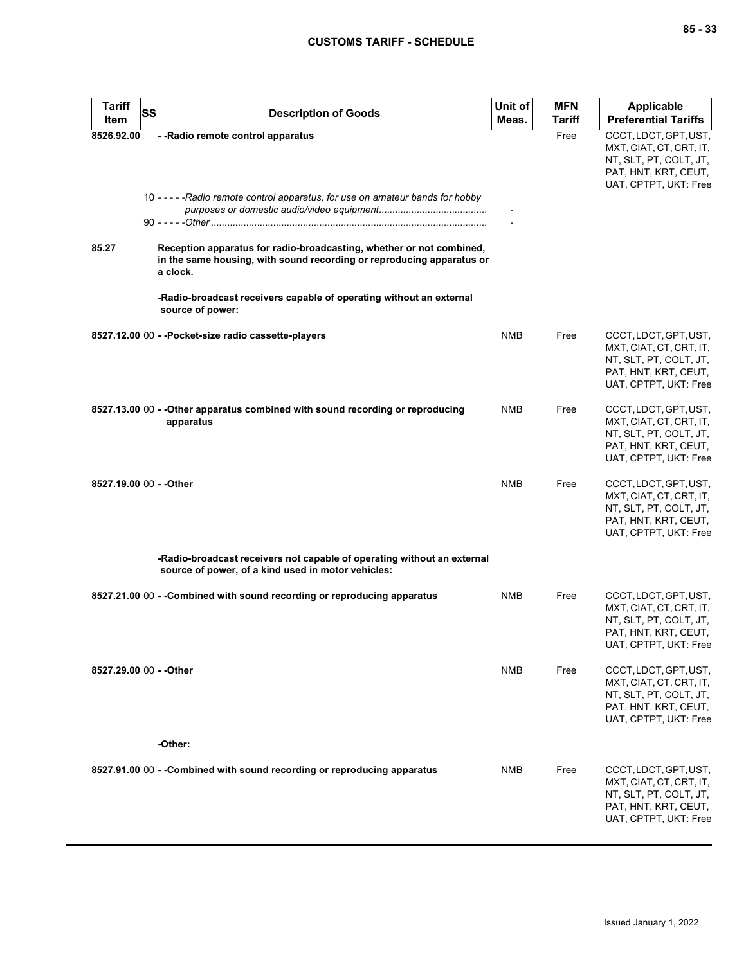| <b>Tariff</b><br>Item | <b>SS</b><br><b>Description of Goods</b>                                                                                                                  | Unit of<br>Meas. | <b>MFN</b><br>Tariff | Applicable<br><b>Preferential Tariffs</b>                                                                                   |
|-----------------------|-----------------------------------------------------------------------------------------------------------------------------------------------------------|------------------|----------------------|-----------------------------------------------------------------------------------------------------------------------------|
| 8526.92.00            | - - Radio remote control apparatus                                                                                                                        |                  | Free                 | CCCT, LDCT, GPT, UST,<br>MXT, CIAT, CT, CRT, IT,<br>NT, SLT, PT, COLT, JT,<br>PAT, HNT, KRT, CEUT,<br>UAT, CPTPT, UKT: Free |
|                       | 10 - - - - - Radio remote control apparatus, for use on amateur bands for hobby                                                                           |                  |                      |                                                                                                                             |
| 85.27                 | Reception apparatus for radio-broadcasting, whether or not combined,<br>in the same housing, with sound recording or reproducing apparatus or<br>a clock. |                  |                      |                                                                                                                             |
|                       | -Radio-broadcast receivers capable of operating without an external<br>source of power:                                                                   |                  |                      |                                                                                                                             |
|                       | 8527.12.00 00 - - Pocket-size radio cassette-players                                                                                                      | <b>NMB</b>       | Free                 | CCCT, LDCT, GPT, UST,<br>MXT, CIAT, CT, CRT, IT,<br>NT, SLT, PT, COLT, JT,<br>PAT, HNT, KRT, CEUT,<br>UAT, CPTPT, UKT: Free |
|                       | 8527.13.00 00 - - Other apparatus combined with sound recording or reproducing<br>apparatus                                                               | <b>NMB</b>       | Free                 | CCCT, LDCT, GPT, UST,<br>MXT, CIAT, CT, CRT, IT,<br>NT, SLT, PT, COLT, JT,<br>PAT, HNT, KRT, CEUT,<br>UAT, CPTPT, UKT: Free |
|                       | 8527.19.00 00 - - Other                                                                                                                                   | <b>NMB</b>       | Free                 | CCCT, LDCT, GPT, UST,<br>MXT, CIAT, CT, CRT, IT,<br>NT, SLT, PT, COLT, JT,<br>PAT, HNT, KRT, CEUT,<br>UAT, CPTPT, UKT: Free |
|                       | -Radio-broadcast receivers not capable of operating without an external<br>source of power, of a kind used in motor vehicles:                             |                  |                      |                                                                                                                             |
|                       | 8527.21.00 00 - - Combined with sound recording or reproducing apparatus                                                                                  | <b>NMB</b>       | Free                 | CCCT, LDCT, GPT, UST,<br>MXT, CIAT, CT, CRT, IT,<br>NT, SLT, PT, COLT, JT,<br>PAT, HNT, KRT, CEUT,<br>UAT, CPTPT, UKT: Free |
|                       | 8527.29.00 00 - - Other                                                                                                                                   | NMB              | Free                 | CCCT, LDCT, GPT, UST,<br>MXT, CIAT, CT, CRT, IT,<br>NT, SLT, PT, COLT, JT,<br>PAT, HNT, KRT, CEUT,<br>UAT, CPTPT, UKT: Free |
|                       | -Other:                                                                                                                                                   |                  |                      |                                                                                                                             |
|                       | 8527.91.00 00 - -Combined with sound recording or reproducing apparatus                                                                                   | NMB              | Free                 | CCCT, LDCT, GPT, UST,<br>MXT, CIAT, CT, CRT, IT,<br>NT, SLT, PT, COLT, JT,<br>PAT, HNT, KRT, CEUT,<br>UAT, CPTPT, UKT: Free |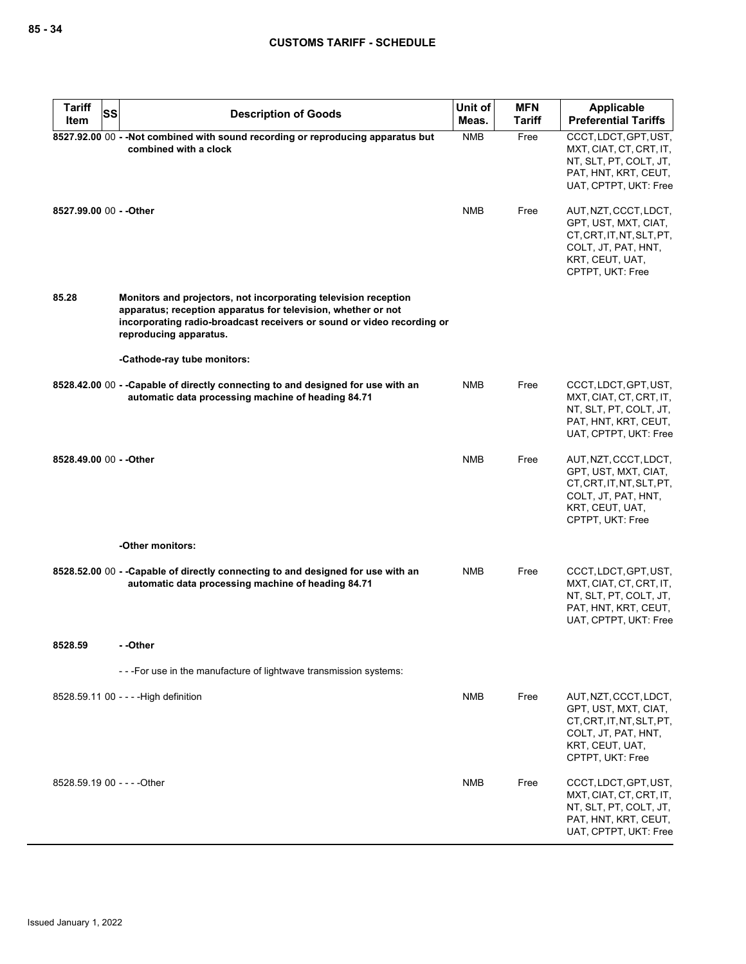| <b>Tariff</b>               | SS | <b>Description of Goods</b>                                                                                                                                                                                                          | Unit of    | <b>MFN</b>    | <b>Applicable</b>                                                                                                                        |
|-----------------------------|----|--------------------------------------------------------------------------------------------------------------------------------------------------------------------------------------------------------------------------------------|------------|---------------|------------------------------------------------------------------------------------------------------------------------------------------|
| Item                        |    |                                                                                                                                                                                                                                      | Meas.      | <b>Tariff</b> | <b>Preferential Tariffs</b>                                                                                                              |
|                             |    | 8527.92.00 00 - - Not combined with sound recording or reproducing apparatus but<br>combined with a clock                                                                                                                            | <b>NMB</b> | Free          | CCCT, LDCT, GPT, UST,<br>MXT, CIAT, CT, CRT, IT,<br>NT, SLT, PT, COLT, JT,<br>PAT, HNT, KRT, CEUT,<br>UAT, CPTPT, UKT: Free              |
| 8527.99.00 00 - - Other     |    |                                                                                                                                                                                                                                      | <b>NMB</b> | Free          | AUT, NZT, CCCT, LDCT,<br>GPT, UST, MXT, CIAT,<br>CT, CRT, IT, NT, SLT, PT,<br>COLT, JT, PAT, HNT,<br>KRT, CEUT, UAT,<br>CPTPT, UKT: Free |
| 85.28                       |    | Monitors and projectors, not incorporating television reception<br>apparatus; reception apparatus for television, whether or not<br>incorporating radio-broadcast receivers or sound or video recording or<br>reproducing apparatus. |            |               |                                                                                                                                          |
|                             |    | -Cathode-ray tube monitors:                                                                                                                                                                                                          |            |               |                                                                                                                                          |
|                             |    | 8528.42.00 00 - - Capable of directly connecting to and designed for use with an<br>automatic data processing machine of heading 84.71                                                                                               | <b>NMB</b> | Free          | CCCT, LDCT, GPT, UST,<br>MXT, CIAT, CT, CRT, IT,<br>NT, SLT, PT, COLT, JT,<br>PAT, HNT, KRT, CEUT,<br>UAT, CPTPT, UKT: Free              |
| 8528.49.00 00 - - Other     |    |                                                                                                                                                                                                                                      | <b>NMB</b> | Free          | AUT, NZT, CCCT, LDCT,<br>GPT, UST, MXT, CIAT,<br>CT, CRT, IT, NT, SLT, PT,<br>COLT, JT, PAT, HNT,<br>KRT, CEUT, UAT,<br>CPTPT, UKT: Free |
|                             |    | -Other monitors:                                                                                                                                                                                                                     |            |               |                                                                                                                                          |
|                             |    | 8528.52.00 00 - - Capable of directly connecting to and designed for use with an<br>automatic data processing machine of heading 84.71                                                                                               | <b>NMB</b> | Free          | CCCT, LDCT, GPT, UST,<br>MXT, CIAT, CT, CRT, IT,<br>NT, SLT, PT, COLT, JT,<br>PAT, HNT, KRT, CEUT,<br>UAT, CPTPT, UKT: Free              |
| 8528.59                     |    | - -Other                                                                                                                                                                                                                             |            |               |                                                                                                                                          |
|                             |    | --- For use in the manufacture of lightwave transmission systems:                                                                                                                                                                    |            |               |                                                                                                                                          |
|                             |    | 8528.59.11 00 - - - - High definition                                                                                                                                                                                                | <b>NMB</b> | Free          | AUT, NZT, CCCT, LDCT,<br>GPT, UST, MXT, CIAT,<br>CT, CRT, IT, NT, SLT, PT,<br>COLT, JT, PAT, HNT,<br>KRT, CEUT, UAT,<br>CPTPT, UKT: Free |
| 8528.59.19 00 - - - - Other |    |                                                                                                                                                                                                                                      | <b>NMB</b> | Free          | CCCT, LDCT, GPT, UST,<br>MXT, CIAT, CT, CRT, IT,<br>NT, SLT, PT, COLT, JT,<br>PAT, HNT, KRT, CEUT,<br>UAT, CPTPT, UKT: Free              |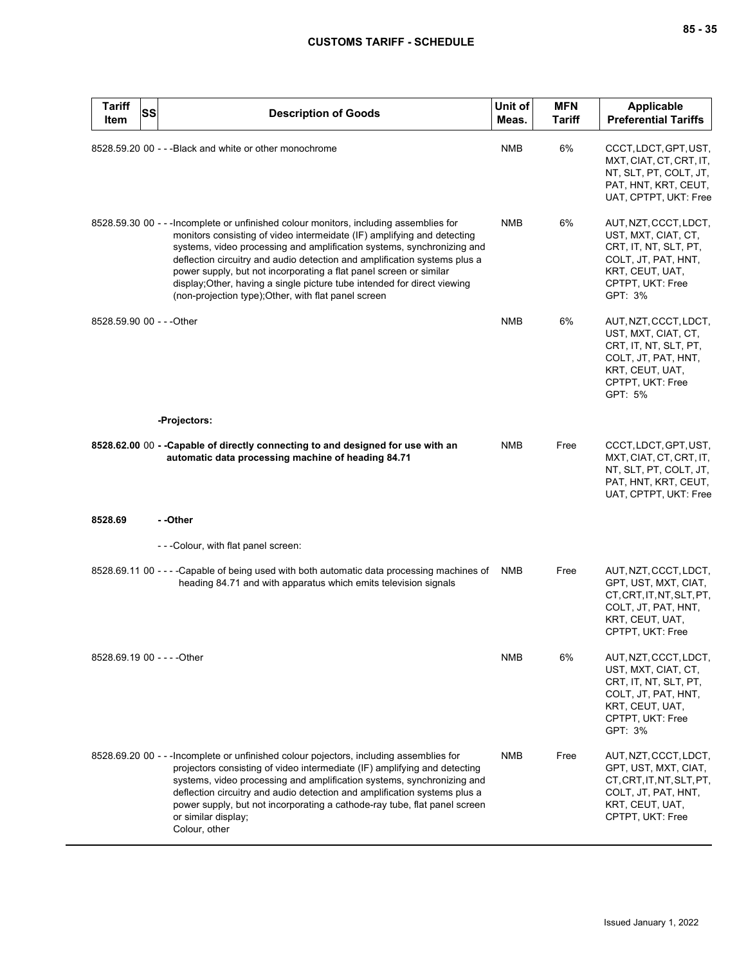| <b>Tariff</b><br><b>SS</b><br>Item | <b>Description of Goods</b>                                                                                                                                                                                                                                                                                                                                                                                                                                                                                                        | Unit of<br>Meas. | <b>MFN</b><br><b>Tariff</b> | Applicable<br><b>Preferential Tariffs</b>                                                                                                      |
|------------------------------------|------------------------------------------------------------------------------------------------------------------------------------------------------------------------------------------------------------------------------------------------------------------------------------------------------------------------------------------------------------------------------------------------------------------------------------------------------------------------------------------------------------------------------------|------------------|-----------------------------|------------------------------------------------------------------------------------------------------------------------------------------------|
|                                    | 8528.59.20 00 - - - Black and white or other monochrome                                                                                                                                                                                                                                                                                                                                                                                                                                                                            | <b>NMB</b>       | 6%                          | CCCT, LDCT, GPT, UST,<br>MXT, CIAT, CT, CRT, IT,<br>NT, SLT, PT, COLT, JT,<br>PAT, HNT, KRT, CEUT,<br>UAT, CPTPT, UKT: Free                    |
|                                    | 8528.59.30 00 - - - Incomplete or unfinished colour monitors, including assemblies for<br>monitors consisting of video intermeidate (IF) amplifying and detecting<br>systems, video processing and amplification systems, synchronizing and<br>deflection circuitry and audio detection and amplification systems plus a<br>power supply, but not incorporating a flat panel screen or similar<br>display; Other, having a single picture tube intended for direct viewing<br>(non-projection type); Other, with flat panel screen | <b>NMB</b>       | 6%                          | AUT, NZT, CCCT, LDCT,<br>UST, MXT, CIAT, CT,<br>CRT, IT, NT, SLT, PT,<br>COLT, JT, PAT, HNT,<br>KRT, CEUT, UAT,<br>CPTPT, UKT: Free<br>GPT: 3% |
| 8528.59.90 00 - - - Other          |                                                                                                                                                                                                                                                                                                                                                                                                                                                                                                                                    | <b>NMB</b>       | 6%                          | AUT, NZT, CCCT, LDCT,<br>UST, MXT, CIAT, CT,<br>CRT, IT, NT, SLT, PT,<br>COLT, JT, PAT, HNT,<br>KRT, CEUT, UAT,<br>CPTPT, UKT: Free<br>GPT: 5% |
|                                    | -Projectors:                                                                                                                                                                                                                                                                                                                                                                                                                                                                                                                       |                  |                             |                                                                                                                                                |
|                                    | 8528.62.00 00 - - Capable of directly connecting to and designed for use with an<br>automatic data processing machine of heading 84.71                                                                                                                                                                                                                                                                                                                                                                                             | <b>NMB</b>       | Free                        | CCCT, LDCT, GPT, UST,<br>MXT, CIAT, CT, CRT, IT,<br>NT, SLT, PT, COLT, JT,<br>PAT, HNT, KRT, CEUT,<br>UAT, CPTPT, UKT: Free                    |
| 8528.69                            | --Other                                                                                                                                                                                                                                                                                                                                                                                                                                                                                                                            |                  |                             |                                                                                                                                                |
|                                    | - - - Colour, with flat panel screen:                                                                                                                                                                                                                                                                                                                                                                                                                                                                                              |                  |                             |                                                                                                                                                |
|                                    | 8528.69.11 00 - - - - Capable of being used with both automatic data processing machines of NMB<br>heading 84.71 and with apparatus which emits television signals                                                                                                                                                                                                                                                                                                                                                                 |                  | Free                        | AUT, NZT, CCCT, LDCT,<br>GPT, UST, MXT, CIAT,<br>CT, CRT, IT, NT, SLT, PT,<br>COLT, JT, PAT, HNT,<br>KRT, CEUT, UAT,<br>CPTPT, UKT: Free       |
| 8528.69.19 00 - - - - Other        |                                                                                                                                                                                                                                                                                                                                                                                                                                                                                                                                    | <b>NMB</b>       | 6%                          | AUT, NZT, CCCT, LDCT,<br>UST, MXT, CIAT, CT,<br>CRT, IT, NT, SLT, PT,<br>COLT, JT, PAT, HNT,<br>KRT, CEUT, UAT,<br>CPTPT, UKT: Free<br>GPT: 3% |
|                                    | 8528.69.20 00 - - - Incomplete or unfinished colour pojectors, including assemblies for<br>projectors consisting of video intermediate (IF) amplifying and detecting<br>systems, video processing and amplification systems, synchronizing and<br>deflection circuitry and audio detection and amplification systems plus a<br>power supply, but not incorporating a cathode-ray tube, flat panel screen<br>or similar display;<br>Colour, other                                                                                   | <b>NMB</b>       | Free                        | AUT, NZT, CCCT, LDCT,<br>GPT, UST, MXT, CIAT,<br>CT, CRT, IT, NT, SLT, PT,<br>COLT, JT, PAT, HNT,<br>KRT, CEUT, UAT,<br>CPTPT, UKT: Free       |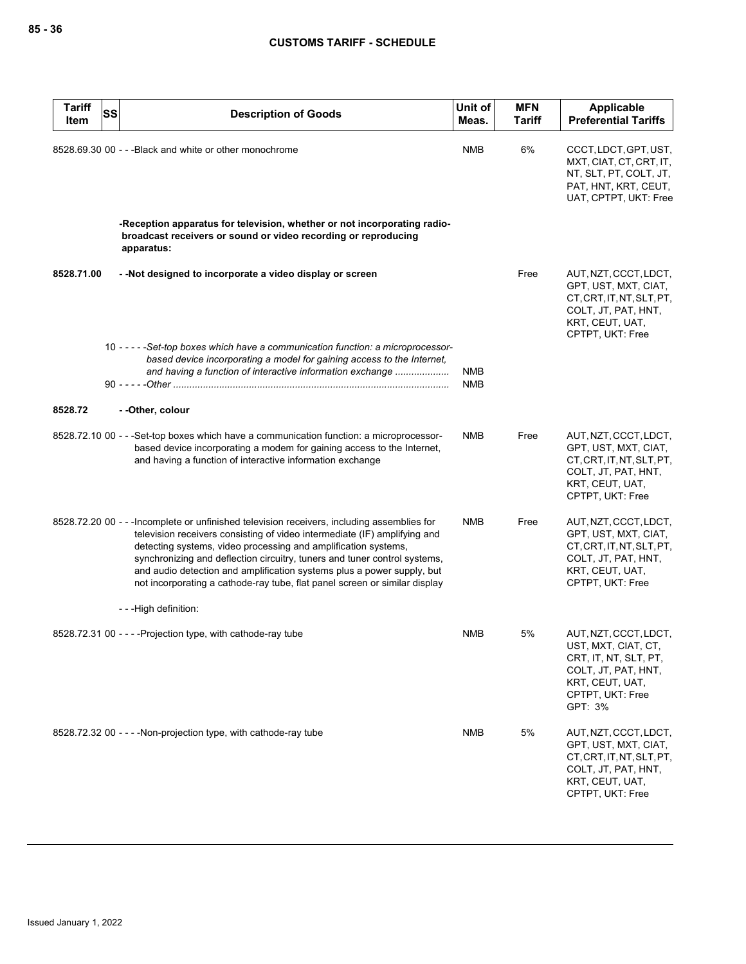| <b>Tariff</b><br>Item | <b>SS</b> | <b>Description of Goods</b>                                                                                                                                                                                                                                                                                                                                                                                                                                                     | Unit of<br>Meas. | <b>MFN</b><br><b>Tariff</b> | <b>Applicable</b><br><b>Preferential Tariffs</b>                                                                                               |
|-----------------------|-----------|---------------------------------------------------------------------------------------------------------------------------------------------------------------------------------------------------------------------------------------------------------------------------------------------------------------------------------------------------------------------------------------------------------------------------------------------------------------------------------|------------------|-----------------------------|------------------------------------------------------------------------------------------------------------------------------------------------|
|                       |           | 8528.69.30 00 - - - Black and white or other monochrome                                                                                                                                                                                                                                                                                                                                                                                                                         | NMB              | 6%                          | CCCT, LDCT, GPT, UST,<br>MXT, CIAT, CT, CRT, IT,<br>NT, SLT, PT, COLT, JT,<br>PAT, HNT, KRT, CEUT,<br>UAT, CPTPT, UKT: Free                    |
|                       |           | -Reception apparatus for television, whether or not incorporating radio-<br>broadcast receivers or sound or video recording or reproducing<br>apparatus:                                                                                                                                                                                                                                                                                                                        |                  |                             |                                                                                                                                                |
| 8528.71.00            |           | - -Not designed to incorporate a video display or screen                                                                                                                                                                                                                                                                                                                                                                                                                        |                  | Free                        | AUT, NZT, CCCT, LDCT,<br>GPT, UST, MXT, CIAT,<br>CT, CRT, IT, NT, SLT, PT,<br>COLT, JT, PAT, HNT,<br>KRT, CEUT, UAT,<br>CPTPT, UKT: Free       |
|                       |           | 10 -----Set-top boxes which have a communication function: a microprocessor-<br>based device incorporating a model for gaining access to the Internet,<br>and having a function of interactive information exchange                                                                                                                                                                                                                                                             | NMB<br>NMB       |                             |                                                                                                                                                |
| 8528.72               |           | - -Other, colour                                                                                                                                                                                                                                                                                                                                                                                                                                                                |                  |                             |                                                                                                                                                |
|                       |           | 8528.72.10 00 - - - Set-top boxes which have a communication function: a microprocessor-<br>based device incorporating a modem for gaining access to the Internet,<br>and having a function of interactive information exchange                                                                                                                                                                                                                                                 | NMB              | Free                        | AUT, NZT, CCCT, LDCT,<br>GPT, UST, MXT, CIAT,<br>CT, CRT, IT, NT, SLT, PT,<br>COLT, JT, PAT, HNT,<br>KRT, CEUT, UAT,<br>CPTPT, UKT: Free       |
|                       |           | 8528.72.20 00 - - - Incomplete or unfinished television receivers, including assemblies for<br>television receivers consisting of video intermediate (IF) amplifying and<br>detecting systems, video processing and amplification systems,<br>synchronizing and deflection circuitry, tuners and tuner control systems,<br>and audio detection and amplification systems plus a power supply, but<br>not incorporating a cathode-ray tube, flat panel screen or similar display | <b>NMB</b>       | Free                        | AUT, NZT, CCCT, LDCT,<br>GPT, UST, MXT, CIAT,<br>CT, CRT, IT, NT, SLT, PT,<br>COLT, JT, PAT, HNT,<br>KRT, CEUT, UAT,<br>CPTPT, UKT: Free       |
|                       |           | ---High definition:                                                                                                                                                                                                                                                                                                                                                                                                                                                             |                  |                             |                                                                                                                                                |
|                       |           | 8528.72.31 00 - - - - Projection type, with cathode-ray tube                                                                                                                                                                                                                                                                                                                                                                                                                    | NMB              | 5%                          | AUT, NZT, CCCT, LDCT,<br>UST, MXT, CIAT, CT,<br>CRT, IT, NT, SLT, PT,<br>COLT, JT, PAT, HNT,<br>KRT, CEUT, UAT,<br>CPTPT, UKT: Free<br>GPT: 3% |
|                       |           | 8528.72.32 00 - - - - Non-projection type, with cathode-ray tube                                                                                                                                                                                                                                                                                                                                                                                                                | <b>NMB</b>       | 5%                          | AUT, NZT, CCCT, LDCT,<br>GPT, UST, MXT, CIAT,<br>CT, CRT, IT, NT, SLT, PT,<br>COLT, JT, PAT, HNT,<br>KRT, CEUT, UAT,<br>CPTPT, UKT: Free       |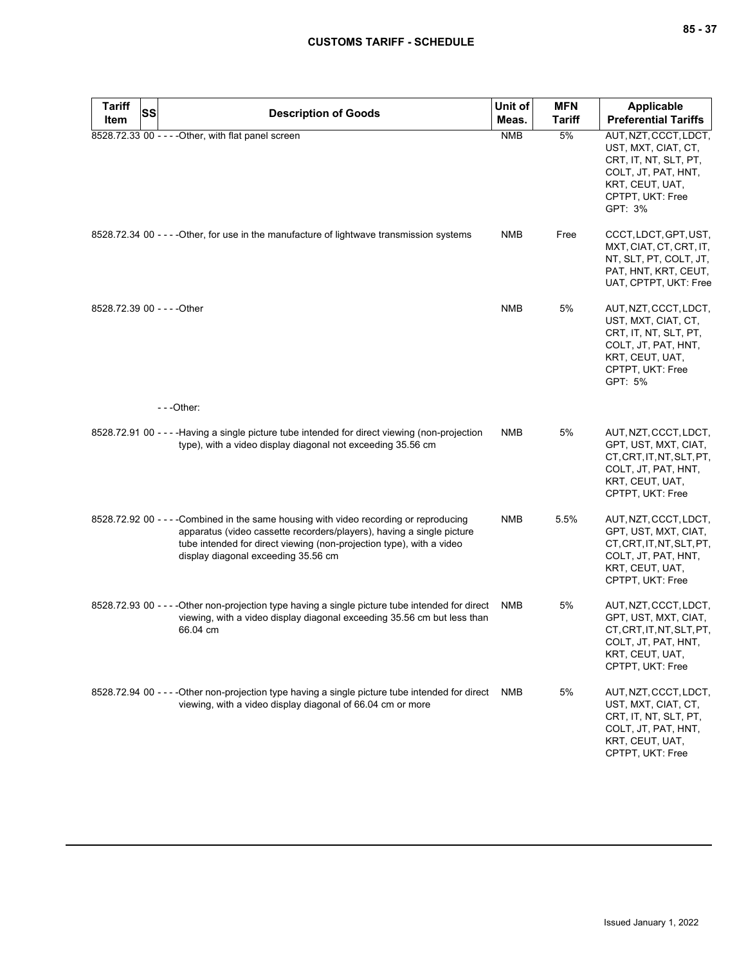| <b>Tariff</b><br>Item       | <b>SS</b> | <b>Description of Goods</b>                                                                                                                                                                                                                                                    | Unit of<br>Meas. | <b>MFN</b><br><b>Tariff</b> | Applicable<br><b>Preferential Tariffs</b>                                                                                                      |
|-----------------------------|-----------|--------------------------------------------------------------------------------------------------------------------------------------------------------------------------------------------------------------------------------------------------------------------------------|------------------|-----------------------------|------------------------------------------------------------------------------------------------------------------------------------------------|
|                             |           | 8528.72.33 00 - - - - Other, with flat panel screen                                                                                                                                                                                                                            | <b>NMB</b>       | 5%                          | AUT, NZT, CCCT, LDCT,<br>UST, MXT, CIAT, CT,<br>CRT, IT, NT, SLT, PT,<br>COLT, JT, PAT, HNT,<br>KRT, CEUT, UAT,<br>CPTPT, UKT: Free<br>GPT: 3% |
|                             |           | 8528.72.34 00 - - - - Other, for use in the manufacture of lightwave transmission systems                                                                                                                                                                                      | <b>NMB</b>       | Free                        | CCCT, LDCT, GPT, UST,<br>MXT, CIAT, CT, CRT, IT,<br>NT, SLT, PT, COLT, JT,<br>PAT, HNT, KRT, CEUT,<br>UAT, CPTPT, UKT: Free                    |
| 8528.72.39 00 - - - - Other |           |                                                                                                                                                                                                                                                                                | <b>NMB</b>       | 5%                          | AUT, NZT, CCCT, LDCT,<br>UST, MXT, CIAT, CT,<br>CRT, IT, NT, SLT, PT,<br>COLT, JT, PAT, HNT,<br>KRT, CEUT, UAT,<br>CPTPT, UKT: Free<br>GPT: 5% |
|                             |           | $- -$ Other:                                                                                                                                                                                                                                                                   |                  |                             |                                                                                                                                                |
|                             |           | 8528.72.91 00 - - - - Having a single picture tube intended for direct viewing (non-projection<br>type), with a video display diagonal not exceeding 35.56 cm                                                                                                                  | <b>NMB</b>       | 5%                          | AUT, NZT, CCCT, LDCT,<br>GPT, UST, MXT, CIAT,<br>CT, CRT, IT, NT, SLT, PT,<br>COLT, JT, PAT, HNT,<br>KRT, CEUT, UAT,<br>CPTPT, UKT: Free       |
|                             |           | 8528.72.92 00 - - - - Combined in the same housing with video recording or reproducing<br>apparatus (video cassette recorders/players), having a single picture<br>tube intended for direct viewing (non-projection type), with a video<br>display diagonal exceeding 35.56 cm | <b>NMB</b>       | 5.5%                        | AUT, NZT, CCCT, LDCT,<br>GPT, UST, MXT, CIAT,<br>CT, CRT, IT, NT, SLT, PT,<br>COLT, JT, PAT, HNT,<br>KRT, CEUT, UAT,<br>CPTPT, UKT: Free       |
|                             |           | 8528.72.93 00 - - - - Other non-projection type having a single picture tube intended for direct<br>viewing, with a video display diagonal exceeding 35.56 cm but less than<br>66.04 cm                                                                                        | NMB              | 5%                          | AUT, NZT, CCCT, LDCT,<br>GPT, UST, MXT, CIAT,<br>CT, CRT, IT, NT, SLT, PT,<br>COLT, JT, PAT, HNT,<br>KRT, CEUT, UAT,<br>CPTPT, UKT: Free       |
|                             |           | 8528.72.94 00 - - - - Other non-projection type having a single picture tube intended for direct<br>viewing, with a video display diagonal of 66.04 cm or more                                                                                                                 | NMB              | 5%                          | AUT, NZT, CCCT, LDCT,<br>UST, MXT, CIAT, CT,<br>CRT, IT, NT, SLT, PT,<br>COLT, JT, PAT, HNT,<br>KRT, CEUT, UAT,<br>CPTPT, UKT: Free            |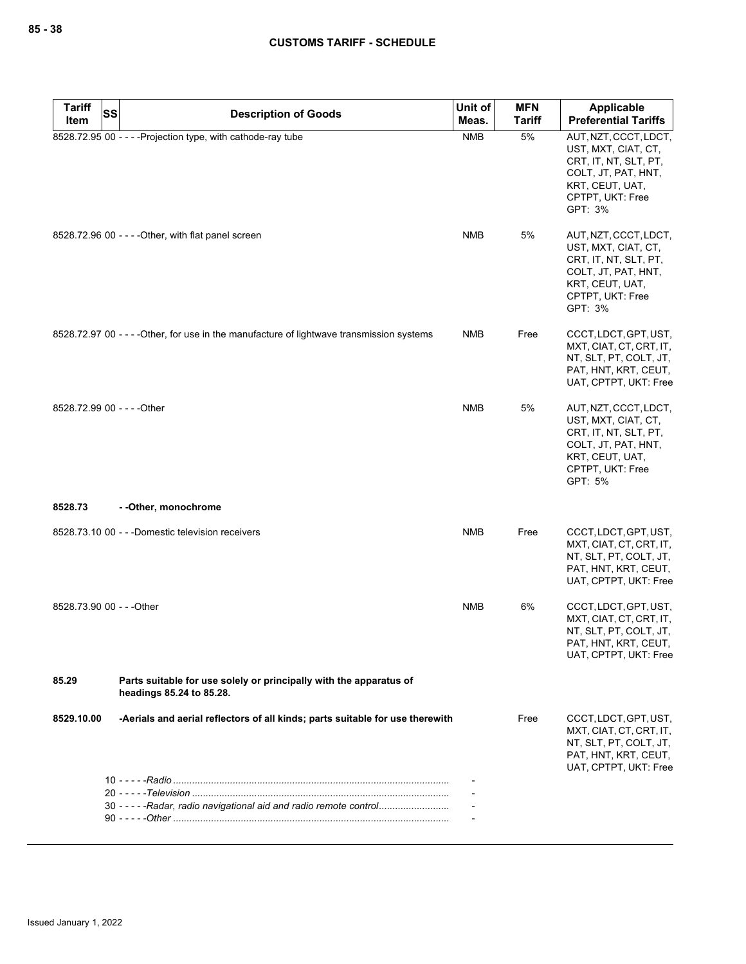| <b>Tariff</b>             | SS                                                                                             | Unit of    | <b>MFN</b>    | Applicable                                                                                                                                     |
|---------------------------|------------------------------------------------------------------------------------------------|------------|---------------|------------------------------------------------------------------------------------------------------------------------------------------------|
| Item                      | <b>Description of Goods</b>                                                                    | Meas.      | <b>Tariff</b> | <b>Preferential Tariffs</b>                                                                                                                    |
|                           | 8528.72.95 00 - - - - Projection type, with cathode-ray tube                                   | <b>NMB</b> | 5%            | AUT, NZT, CCCT, LDCT,<br>UST, MXT, CIAT, CT,<br>CRT, IT, NT, SLT, PT,<br>COLT, JT, PAT, HNT,<br>KRT, CEUT, UAT,<br>CPTPT, UKT: Free<br>GPT: 3% |
|                           | 8528.72.96 00 - - - - Other, with flat panel screen                                            | <b>NMB</b> | 5%            | AUT, NZT, CCCT, LDCT,<br>UST, MXT, CIAT, CT,<br>CRT, IT, NT, SLT, PT,<br>COLT, JT, PAT, HNT,<br>KRT, CEUT, UAT,<br>CPTPT, UKT: Free<br>GPT: 3% |
|                           | 8528.72.97 00 - - - - Other, for use in the manufacture of lightwave transmission systems      | <b>NMB</b> | Free          | CCCT, LDCT, GPT, UST,<br>MXT, CIAT, CT, CRT, IT,<br>NT, SLT, PT, COLT, JT,<br>PAT, HNT, KRT, CEUT,<br>UAT, CPTPT, UKT: Free                    |
|                           | 8528.72.99 00 - - - - Other                                                                    | <b>NMB</b> | 5%            | AUT, NZT, CCCT, LDCT,<br>UST, MXT, CIAT, CT,<br>CRT, IT, NT, SLT, PT,<br>COLT, JT, PAT, HNT,<br>KRT, CEUT, UAT,<br>CPTPT, UKT: Free<br>GPT: 5% |
| 8528.73                   | --Other, monochrome                                                                            |            |               |                                                                                                                                                |
|                           | 8528.73.10 00 - - -Domestic television receivers                                               | <b>NMB</b> | Free          | CCCT, LDCT, GPT, UST,<br>MXT, CIAT, CT, CRT, IT,<br>NT, SLT, PT, COLT, JT,<br>PAT, HNT, KRT, CEUT,<br>UAT, CPTPT, UKT: Free                    |
| 8528.73.90 00 - - - Other |                                                                                                | <b>NMB</b> | 6%            | CCCT, LDCT, GPT, UST,<br>MXT, CIAT, CT, CRT, IT,<br>NT, SLT, PT, COLT, JT,<br>PAT, HNT, KRT, CEUT,<br>UAT, CPTPT, UKT: Free                    |
| 85.29                     | Parts suitable for use solely or principally with the apparatus of<br>headings 85.24 to 85.28. |            |               |                                                                                                                                                |
| 8529.10.00                | -Aerials and aerial reflectors of all kinds; parts suitable for use therewith                  |            | Free          | CCCT, LDCT, GPT, UST,<br>MXT, CIAT, CT, CRT, IT,<br>NT, SLT, PT, COLT, JT,<br>PAT, HNT, KRT, CEUT,<br>UAT, CPTPT, UKT: Free                    |
|                           | 30 - - - - - Radar, radio navigational aid and radio remote control                            |            |               |                                                                                                                                                |
|                           |                                                                                                |            |               |                                                                                                                                                |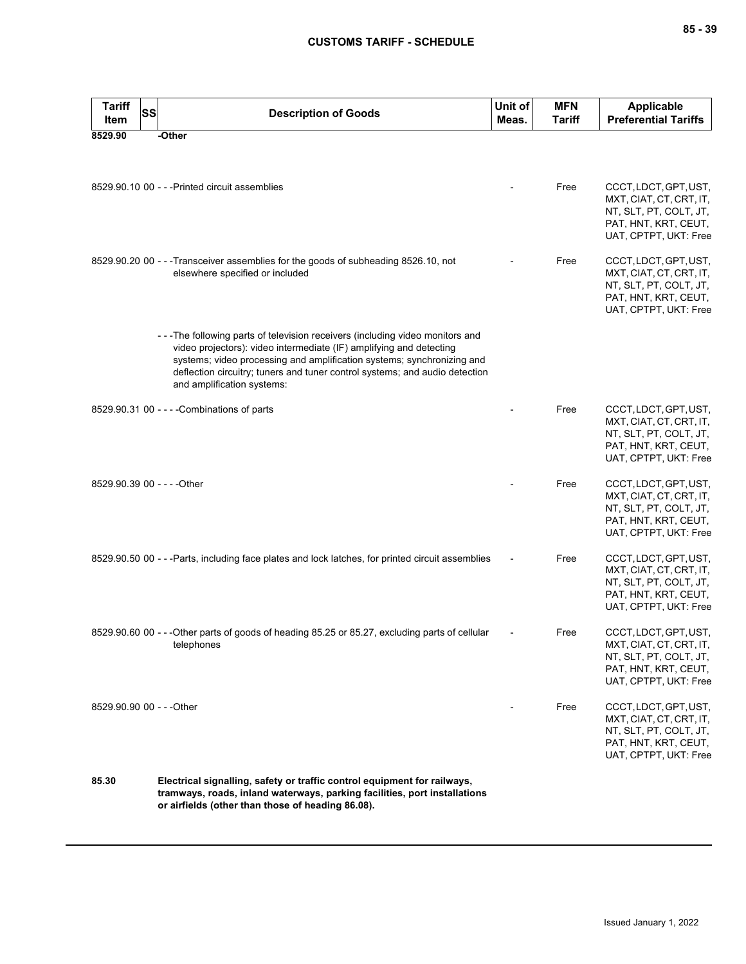| <b>Tariff</b><br>Item     | <b>SS</b><br><b>Description of Goods</b>                                                                                                                                                                                                                                                                                                   | Unit of<br>Meas. | <b>MFN</b><br><b>Tariff</b> | <b>Applicable</b><br><b>Preferential Tariffs</b>                                                                            |
|---------------------------|--------------------------------------------------------------------------------------------------------------------------------------------------------------------------------------------------------------------------------------------------------------------------------------------------------------------------------------------|------------------|-----------------------------|-----------------------------------------------------------------------------------------------------------------------------|
| 8529.90                   | -Other                                                                                                                                                                                                                                                                                                                                     |                  |                             |                                                                                                                             |
|                           | 8529.90.10 00 - - - Printed circuit assemblies                                                                                                                                                                                                                                                                                             |                  | Free                        | CCCT, LDCT, GPT, UST,<br>MXT, CIAT, CT, CRT, IT,<br>NT, SLT, PT, COLT, JT,<br>PAT, HNT, KRT, CEUT,<br>UAT, CPTPT, UKT: Free |
|                           | 8529.90.20 00 - - -Transceiver assemblies for the goods of subheading 8526.10, not<br>elsewhere specified or included                                                                                                                                                                                                                      |                  | Free                        | CCCT, LDCT, GPT, UST,<br>MXT, CIAT, CT, CRT, IT,<br>NT, SLT, PT, COLT, JT,<br>PAT, HNT, KRT, CEUT,<br>UAT, CPTPT, UKT: Free |
|                           | ---The following parts of television receivers (including video monitors and<br>video projectors): video intermediate (IF) amplifying and detecting<br>systems; video processing and amplification systems; synchronizing and<br>deflection circuitry; tuners and tuner control systems; and audio detection<br>and amplification systems: |                  |                             |                                                                                                                             |
|                           | 8529.90.31 00 - - - - Combinations of parts                                                                                                                                                                                                                                                                                                |                  | Free                        | CCCT, LDCT, GPT, UST,<br>MXT, CIAT, CT, CRT, IT,<br>NT, SLT, PT, COLT, JT,<br>PAT, HNT, KRT, CEUT,<br>UAT, CPTPT, UKT: Free |
|                           | 8529.90.39 00 - - - - Other                                                                                                                                                                                                                                                                                                                |                  | Free                        | CCCT, LDCT, GPT, UST,<br>MXT, CIAT, CT, CRT, IT,<br>NT, SLT, PT, COLT, JT,<br>PAT, HNT, KRT, CEUT,<br>UAT, CPTPT, UKT: Free |
|                           | 8529.90.50 00 - - - Parts, including face plates and lock latches, for printed circuit assemblies                                                                                                                                                                                                                                          |                  | Free                        | CCCT, LDCT, GPT, UST,<br>MXT, CIAT, CT, CRT, IT,<br>NT, SLT, PT, COLT, JT,<br>PAT, HNT, KRT, CEUT,<br>UAT, CPTPT, UKT: Free |
|                           | 8529.90.60 00 - - - Other parts of goods of heading 85.25 or 85.27, excluding parts of cellular<br>telephones                                                                                                                                                                                                                              |                  | Free                        | CCCT, LDCT, GPT, UST,<br>MXT, CIAT, CT, CRT, IT,<br>NT, SLT, PT, COLT, JT,<br>PAT, HNT, KRT, CEUT,<br>UAT, CPTPT, UKT: Free |
| 8529.90.90 00 - - - Other |                                                                                                                                                                                                                                                                                                                                            |                  | Free                        | CCCT, LDCT, GPT, UST,<br>MXT, CIAT, CT, CRT, IT,<br>NT, SLT, PT, COLT, JT,<br>PAT, HNT, KRT, CEUT,<br>UAT, CPTPT, UKT: Free |
| 85.30                     | Electrical signalling, safety or traffic control equipment for railways,<br>tramways, roads, inland waterways, parking facilities, port installations<br>or airfields (other than those of heading 86.08).                                                                                                                                 |                  |                             |                                                                                                                             |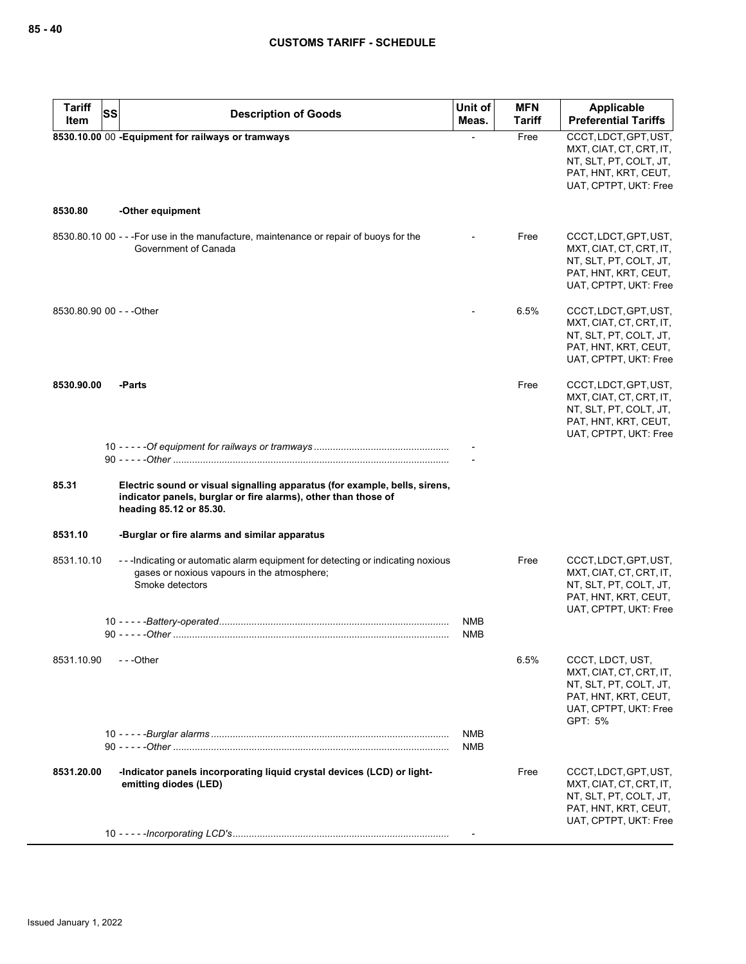| <b>Tariff</b><br>SS<br>Item | <b>Description of Goods</b>                                                                                                                                             | Unit of<br>Meas.         | <b>MFN</b><br><b>Tariff</b> | <b>Applicable</b><br><b>Preferential Tariffs</b>  |
|-----------------------------|-------------------------------------------------------------------------------------------------------------------------------------------------------------------------|--------------------------|-----------------------------|---------------------------------------------------|
|                             | 8530.10.00 00 - Equipment for railways or tramways                                                                                                                      |                          | Free                        | CCCT, LDCT, GPT, UST,                             |
|                             |                                                                                                                                                                         |                          |                             | MXT, CIAT, CT, CRT, IT,                           |
|                             |                                                                                                                                                                         |                          |                             | NT, SLT, PT, COLT, JT,<br>PAT, HNT, KRT, CEUT,    |
|                             |                                                                                                                                                                         |                          |                             | UAT, CPTPT, UKT: Free                             |
|                             |                                                                                                                                                                         |                          |                             |                                                   |
| 8530.80                     | -Other equipment                                                                                                                                                        |                          |                             |                                                   |
|                             | 8530.80.10 00 - - - For use in the manufacture, maintenance or repair of buoys for the                                                                                  |                          | Free                        | CCCT, LDCT, GPT, UST,                             |
|                             | Government of Canada                                                                                                                                                    |                          |                             | MXT, CIAT, CT, CRT, IT,<br>NT, SLT, PT, COLT, JT, |
|                             |                                                                                                                                                                         |                          |                             | PAT, HNT, KRT, CEUT,                              |
|                             |                                                                                                                                                                         |                          |                             | UAT, CPTPT, UKT: Free                             |
| 8530.80.90 00 - - - Other   |                                                                                                                                                                         |                          | 6.5%                        | CCCT, LDCT, GPT, UST,                             |
|                             |                                                                                                                                                                         |                          |                             | MXT, CIAT, CT, CRT, IT,                           |
|                             |                                                                                                                                                                         |                          |                             | NT, SLT, PT, COLT, JT,<br>PAT, HNT, KRT, CEUT,    |
|                             |                                                                                                                                                                         |                          |                             | UAT, CPTPT, UKT: Free                             |
| 8530.90.00                  | -Parts                                                                                                                                                                  |                          | Free                        | CCCT, LDCT, GPT, UST,                             |
|                             |                                                                                                                                                                         |                          |                             | MXT, CIAT, CT, CRT, IT,                           |
|                             |                                                                                                                                                                         |                          |                             | NT, SLT, PT, COLT, JT,                            |
|                             |                                                                                                                                                                         |                          |                             | PAT, HNT, KRT, CEUT,<br>UAT, CPTPT, UKT: Free     |
|                             |                                                                                                                                                                         |                          |                             |                                                   |
|                             |                                                                                                                                                                         |                          |                             |                                                   |
| 85.31                       | Electric sound or visual signalling apparatus (for example, bells, sirens,<br>indicator panels, burglar or fire alarms), other than those of<br>heading 85.12 or 85.30. |                          |                             |                                                   |
| 8531.10                     | -Burglar or fire alarms and similar apparatus                                                                                                                           |                          |                             |                                                   |
| 8531.10.10                  | ---Indicating or automatic alarm equipment for detecting or indicating noxious                                                                                          |                          | Free                        | CCCT, LDCT, GPT, UST,                             |
|                             | gases or noxious vapours in the atmosphere;<br>Smoke detectors                                                                                                          |                          |                             | MXT, CIAT, CT, CRT, IT,<br>NT, SLT, PT, COLT, JT, |
|                             |                                                                                                                                                                         |                          |                             | PAT, HNT, KRT, CEUT,                              |
|                             |                                                                                                                                                                         |                          |                             | UAT, CPTPT, UKT: Free                             |
|                             |                                                                                                                                                                         | <b>NMB</b><br><b>NMB</b> |                             |                                                   |
|                             |                                                                                                                                                                         |                          |                             |                                                   |
| 8531.10.90                  | ---Other                                                                                                                                                                |                          | 6.5%                        | CCCT, LDCT, UST,                                  |
|                             |                                                                                                                                                                         |                          |                             | MXT, CIAT, CT, CRT, IT,<br>NT, SLT, PT, COLT, JT, |
|                             |                                                                                                                                                                         |                          |                             | PAT, HNT, KRT, CEUT,                              |
|                             |                                                                                                                                                                         |                          |                             | UAT, CPTPT, UKT: Free<br>GPT: 5%                  |
|                             |                                                                                                                                                                         | <b>NMB</b>               |                             |                                                   |
|                             |                                                                                                                                                                         | NMB                      |                             |                                                   |
| 8531.20.00                  | -Indicator panels incorporating liquid crystal devices (LCD) or light-                                                                                                  |                          | Free                        | CCCT, LDCT, GPT, UST,                             |
|                             | emitting diodes (LED)                                                                                                                                                   |                          |                             | MXT, CIAT, CT, CRT, IT,                           |
|                             |                                                                                                                                                                         |                          |                             | NT, SLT, PT, COLT, JT,<br>PAT, HNT, KRT, CEUT,    |
|                             |                                                                                                                                                                         |                          |                             | UAT, CPTPT, UKT: Free                             |
|                             |                                                                                                                                                                         |                          |                             |                                                   |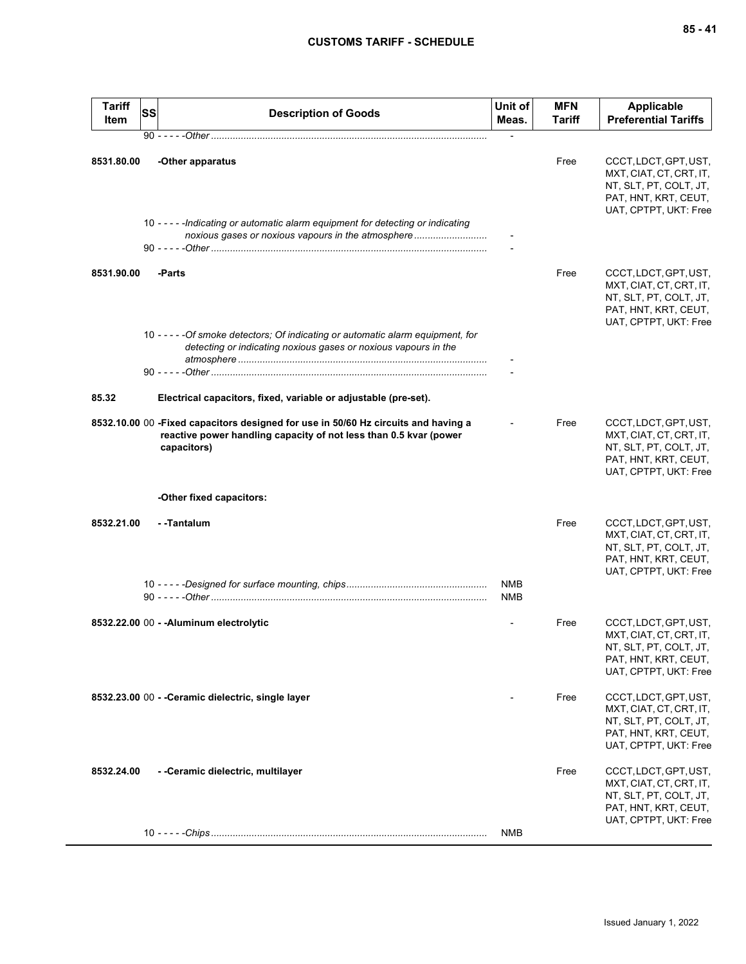| <b>Tariff</b><br>Item | SS | <b>Description of Goods</b>                                                                                                                                            | Unit of<br>Meas.         | <b>MFN</b><br>Tariff | <b>Applicable</b><br><b>Preferential Tariffs</b>                                                                            |
|-----------------------|----|------------------------------------------------------------------------------------------------------------------------------------------------------------------------|--------------------------|----------------------|-----------------------------------------------------------------------------------------------------------------------------|
|                       |    |                                                                                                                                                                        |                          |                      |                                                                                                                             |
| 8531.80.00            |    | -Other apparatus<br>10 - - - - - Indicating or automatic alarm equipment for detecting or indicating<br>noxious gases or noxious vapours in the atmosphere             |                          | Free                 | CCCT, LDCT, GPT, UST,<br>MXT, CIAT, CT, CRT, IT,<br>NT, SLT, PT, COLT, JT,<br>PAT, HNT, KRT, CEUT,<br>UAT, CPTPT, UKT: Free |
|                       |    |                                                                                                                                                                        |                          |                      |                                                                                                                             |
| 8531.90.00            |    | -Parts                                                                                                                                                                 |                          | Free                 | CCCT, LDCT, GPT, UST,<br>MXT, CIAT, CT, CRT, IT,<br>NT, SLT, PT, COLT, JT,<br>PAT, HNT, KRT, CEUT,<br>UAT, CPTPT, UKT: Free |
|                       |    | 10 - - - - - Of smoke detectors; Of indicating or automatic alarm equipment, for<br>detecting or indicating noxious gases or noxious vapours in the                    |                          |                      |                                                                                                                             |
|                       |    |                                                                                                                                                                        |                          |                      |                                                                                                                             |
| 85.32                 |    | Electrical capacitors, fixed, variable or adjustable (pre-set).                                                                                                        |                          |                      |                                                                                                                             |
|                       |    | 8532.10.00 00 -Fixed capacitors designed for use in 50/60 Hz circuits and having a<br>reactive power handling capacity of not less than 0.5 kvar (power<br>capacitors) |                          | Free                 | CCCT, LDCT, GPT, UST,<br>MXT, CIAT, CT, CRT, IT,<br>NT, SLT, PT, COLT, JT,<br>PAT, HNT, KRT, CEUT,<br>UAT, CPTPT, UKT: Free |
|                       |    | -Other fixed capacitors:                                                                                                                                               |                          |                      |                                                                                                                             |
| 8532.21.00            |    | - -Tantalum                                                                                                                                                            |                          | Free                 | CCCT, LDCT, GPT, UST,<br>MXT, CIAT, CT, CRT, IT,<br>NT, SLT, PT, COLT, JT,<br>PAT, HNT, KRT, CEUT,<br>UAT, CPTPT, UKT: Free |
|                       |    |                                                                                                                                                                        | <b>NMB</b><br><b>NMB</b> |                      |                                                                                                                             |
|                       |    | 8532.22.00 00 - - Aluminum electrolytic                                                                                                                                |                          | Free                 | CCCT, LDCT, GPT, UST,<br>MXT, CIAT, CT, CRT, IT,<br>NT, SLT, PT, COLT, JT,<br>PAT, HNT, KRT, CEUT,<br>UAT, CPTPT, UKT: Free |
|                       |    | 8532.23.00 00 - - Ceramic dielectric, single layer                                                                                                                     |                          | Free                 | CCCT, LDCT, GPT, UST,<br>MXT, CIAT, CT, CRT, IT,<br>NT, SLT, PT, COLT, JT,<br>PAT, HNT, KRT, CEUT,<br>UAT, CPTPT, UKT: Free |
| 8532.24.00            |    | - - Ceramic dielectric, multilayer                                                                                                                                     |                          | Free                 | CCCT, LDCT, GPT, UST,<br>MXT, CIAT, CT, CRT, IT,<br>NT, SLT, PT, COLT, JT,<br>PAT, HNT, KRT, CEUT,<br>UAT, CPTPT, UKT: Free |
|                       |    |                                                                                                                                                                        | NMB                      |                      |                                                                                                                             |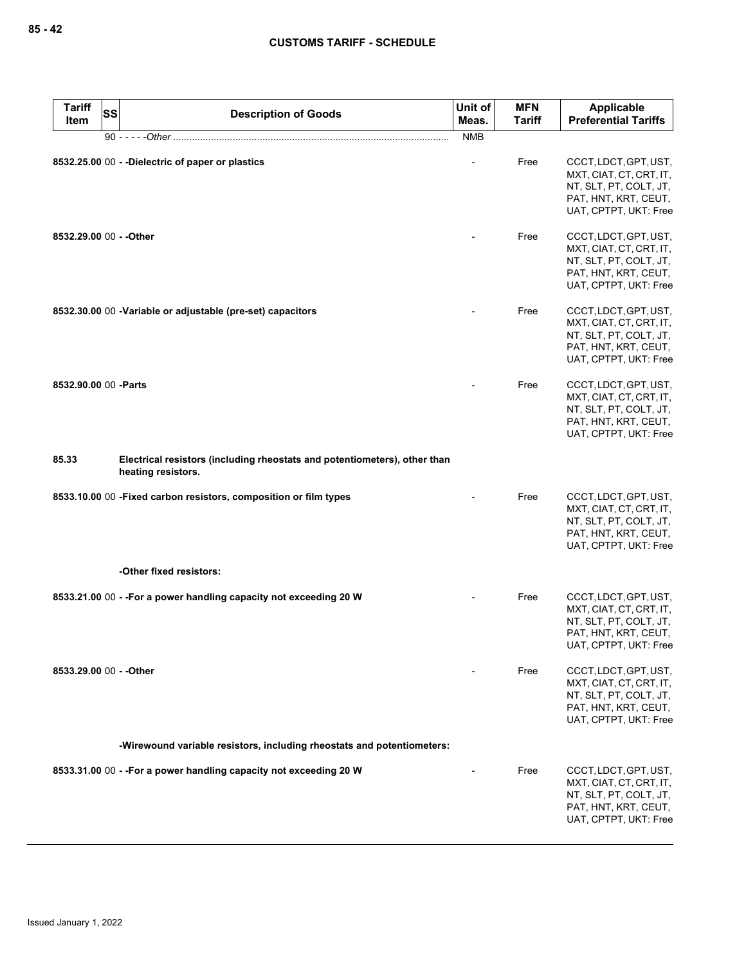| <b>Tariff</b><br>Item | <b>SS</b><br><b>Description of Goods</b>                                                        | Unit of<br>Meas. | <b>MFN</b><br><b>Tariff</b> | Applicable<br><b>Preferential Tariffs</b>                                                                                   |
|-----------------------|-------------------------------------------------------------------------------------------------|------------------|-----------------------------|-----------------------------------------------------------------------------------------------------------------------------|
|                       | 90 - - - - - Other ………………………………………………………………………………………                                            | <b>NMB</b>       |                             |                                                                                                                             |
|                       | 8532.25.00 00 - -Dielectric of paper or plastics                                                |                  | Free                        | CCCT, LDCT, GPT, UST,<br>MXT, CIAT, CT, CRT, IT,<br>NT, SLT, PT, COLT, JT,<br>PAT, HNT, KRT, CEUT,<br>UAT, CPTPT, UKT: Free |
|                       | 8532.29.00 00 - - Other                                                                         |                  | Free                        | CCCT, LDCT, GPT, UST,<br>MXT, CIAT, CT, CRT, IT,<br>NT, SLT, PT, COLT, JT,<br>PAT, HNT, KRT, CEUT,<br>UAT, CPTPT, UKT: Free |
|                       | 8532.30.00 00 - Variable or adjustable (pre-set) capacitors                                     |                  | Free                        | CCCT, LDCT, GPT, UST,<br>MXT, CIAT, CT, CRT, IT,<br>NT, SLT, PT, COLT, JT,<br>PAT, HNT, KRT, CEUT,<br>UAT, CPTPT, UKT: Free |
| 8532.90.00 00 - Parts |                                                                                                 |                  | Free                        | CCCT, LDCT, GPT, UST,<br>MXT, CIAT, CT, CRT, IT,<br>NT, SLT, PT, COLT, JT,<br>PAT, HNT, KRT, CEUT,<br>UAT, CPTPT, UKT: Free |
| 85.33                 | Electrical resistors (including rheostats and potentiometers), other than<br>heating resistors. |                  |                             |                                                                                                                             |
|                       | 8533.10.00 00 - Fixed carbon resistors, composition or film types                               |                  | Free                        | CCCT, LDCT, GPT, UST,<br>MXT, CIAT, CT, CRT, IT,<br>NT, SLT, PT, COLT, JT,<br>PAT, HNT, KRT, CEUT,<br>UAT, CPTPT, UKT: Free |
|                       | -Other fixed resistors:                                                                         |                  |                             |                                                                                                                             |
|                       | 8533.21.00 00 - - For a power handling capacity not exceeding 20 W                              |                  | Free                        | CCCT, LDCT, GPT, UST,<br>MXT, CIAT, CT, CRT, IT,<br>NT, SLT, PT, COLT, JT,<br>PAT, HNT, KRT, CEUT,<br>UAT, CPTPT, UKT: Free |
|                       | 8533.29.00 00 - - Other                                                                         |                  | Free                        | CCCT, LDCT, GPT, UST,<br>MXT, CIAT, CT, CRT, IT,<br>NT, SLT, PT, COLT, JT,<br>PAT, HNT, KRT, CEUT,<br>UAT, CPTPT, UKT: Free |
|                       | -Wirewound variable resistors, including rheostats and potentiometers:                          |                  |                             |                                                                                                                             |
|                       | 8533.31.00 00 - - For a power handling capacity not exceeding 20 W                              |                  | Free                        | CCCT, LDCT, GPT, UST,<br>MXT, CIAT, CT, CRT, IT,<br>NT, SLT, PT, COLT, JT,<br>PAT, HNT, KRT, CEUT,<br>UAT, CPTPT, UKT: Free |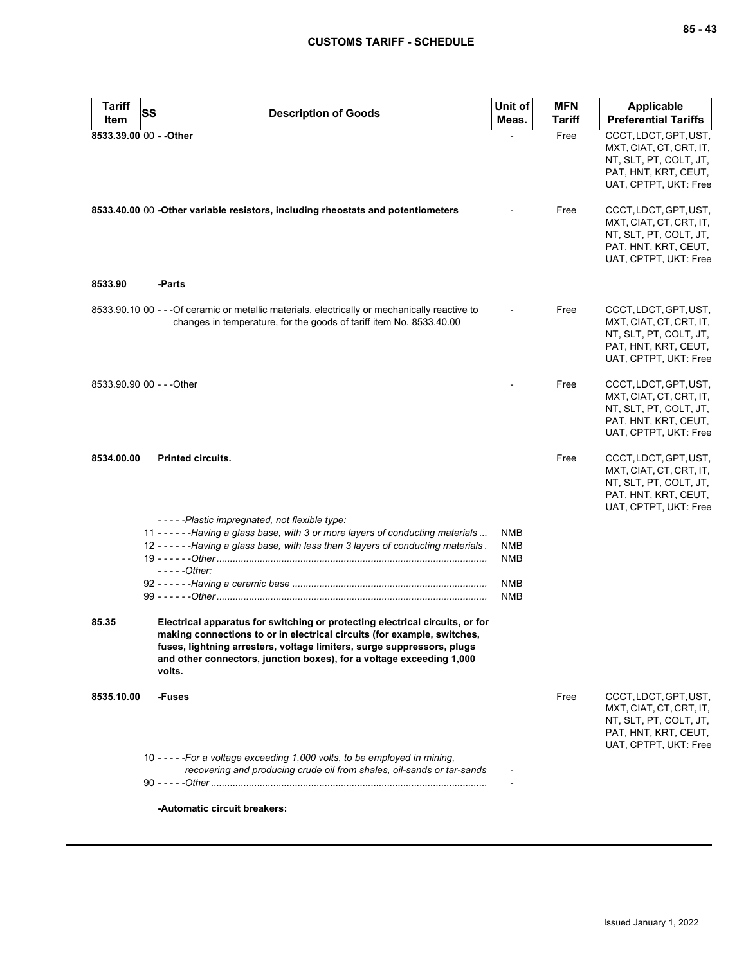| <b>Tariff</b>             | SS | <b>Description of Goods</b>                                                                                                                                                                                                                                                                                         | Unit of                  | <b>MFN</b> | Applicable                                                                                                                  |
|---------------------------|----|---------------------------------------------------------------------------------------------------------------------------------------------------------------------------------------------------------------------------------------------------------------------------------------------------------------------|--------------------------|------------|-----------------------------------------------------------------------------------------------------------------------------|
| Item                      |    |                                                                                                                                                                                                                                                                                                                     | Meas.                    | Tariff     | <b>Preferential Tariffs</b>                                                                                                 |
| 8533.39.00 00 - - Other   |    |                                                                                                                                                                                                                                                                                                                     |                          | Free       | CCCT, LDCT, GPT, UST,<br>MXT, CIAT, CT, CRT, IT,<br>NT, SLT, PT, COLT, JT,<br>PAT, HNT, KRT, CEUT,<br>UAT, CPTPT, UKT: Free |
|                           |    | 8533.40.00 00 -Other variable resistors, including rheostats and potentiometers                                                                                                                                                                                                                                     |                          | Free       | CCCT, LDCT, GPT, UST,<br>MXT, CIAT, CT, CRT, IT,<br>NT, SLT, PT, COLT, JT,<br>PAT, HNT, KRT, CEUT,<br>UAT, CPTPT, UKT: Free |
| 8533.90                   |    | -Parts                                                                                                                                                                                                                                                                                                              |                          |            |                                                                                                                             |
|                           |    | 8533.90.10 00 - - - Of ceramic or metallic materials, electrically or mechanically reactive to<br>changes in temperature, for the goods of tariff item No. 8533.40.00                                                                                                                                               |                          | Free       | CCCT, LDCT, GPT, UST,<br>MXT, CIAT, CT, CRT, IT,<br>NT, SLT, PT, COLT, JT,<br>PAT, HNT, KRT, CEUT,<br>UAT, CPTPT, UKT: Free |
| 8533.90.90 00 - - - Other |    |                                                                                                                                                                                                                                                                                                                     |                          | Free       | CCCT, LDCT, GPT, UST,<br>MXT, CIAT, CT, CRT, IT,<br>NT, SLT, PT, COLT, JT,<br>PAT, HNT, KRT, CEUT,<br>UAT, CPTPT, UKT: Free |
| 8534.00.00                |    | <b>Printed circuits.</b>                                                                                                                                                                                                                                                                                            |                          | Free       | CCCT, LDCT, GPT, UST,<br>MXT, CIAT, CT, CRT, IT,<br>NT, SLT, PT, COLT, JT,<br>PAT, HNT, KRT, CEUT,<br>UAT, CPTPT, UKT: Free |
|                           |    | -----Plastic impregnated, not flexible type:<br>11 - - - - - - Having a glass base, with 3 or more layers of conducting materials                                                                                                                                                                                   | <b>NMB</b>               |            |                                                                                                                             |
|                           |    | 12 - - - - - - Having a glass base, with less than 3 layers of conducting materials.                                                                                                                                                                                                                                | <b>NMB</b><br><b>NMB</b> |            |                                                                                                                             |
|                           |    | $---Other:$                                                                                                                                                                                                                                                                                                         | <b>NMB</b>               |            |                                                                                                                             |
|                           |    |                                                                                                                                                                                                                                                                                                                     | NMB                      |            |                                                                                                                             |
| 85.35                     |    | Electrical apparatus for switching or protecting electrical circuits, or for<br>making connections to or in electrical circuits (for example, switches,<br>fuses, lightning arresters, voltage limiters, surge suppressors, plugs<br>and other connectors, junction boxes), for a voltage exceeding 1,000<br>volts. |                          |            |                                                                                                                             |
| 8535.10.00                |    | -Fuses                                                                                                                                                                                                                                                                                                              |                          | Free       | CCCT, LDCT, GPT, UST,<br>MXT, CIAT, CT, CRT, IT,<br>NT, SLT, PT, COLT, JT,<br>PAT, HNT, KRT, CEUT,<br>UAT, CPTPT, UKT: Free |
|                           |    | 10 - - - - - For a voltage exceeding 1,000 volts, to be employed in mining,<br>recovering and producing crude oil from shales, oil-sands or tar-sands                                                                                                                                                               |                          |            |                                                                                                                             |
|                           |    | -Automatic circuit breakers:                                                                                                                                                                                                                                                                                        |                          |            |                                                                                                                             |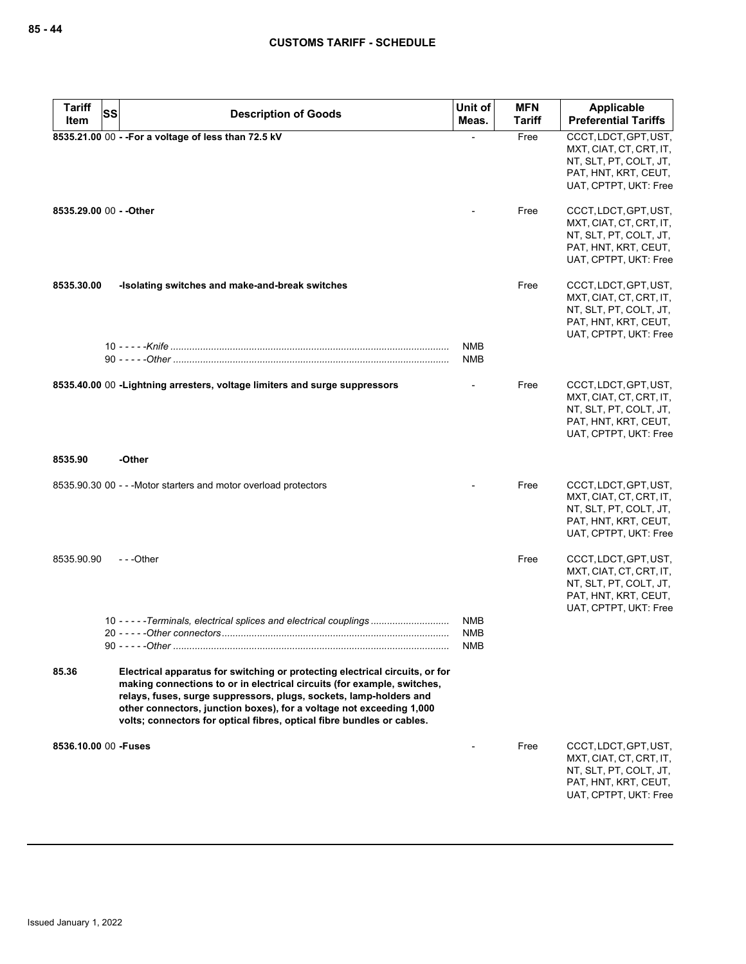| <b>Tariff</b> | <b>SS</b><br><b>Description of Goods</b>                                                                                                                                                                                                                                                                                                                                        | Unit of                                | <b>MFN</b>    | Applicable                                                                                                                  |
|---------------|---------------------------------------------------------------------------------------------------------------------------------------------------------------------------------------------------------------------------------------------------------------------------------------------------------------------------------------------------------------------------------|----------------------------------------|---------------|-----------------------------------------------------------------------------------------------------------------------------|
| Item          |                                                                                                                                                                                                                                                                                                                                                                                 | Meas.                                  | <b>Tariff</b> | <b>Preferential Tariffs</b>                                                                                                 |
|               | 8535.21.00 00 - - For a voltage of less than 72.5 kV                                                                                                                                                                                                                                                                                                                            |                                        | Free          | CCCT, LDCT, GPT, UST,<br>MXT, CIAT, CT, CRT, IT,<br>NT, SLT, PT, COLT, JT,<br>PAT, HNT, KRT, CEUT,<br>UAT, CPTPT, UKT: Free |
|               | 8535.29.00 00 - - Other                                                                                                                                                                                                                                                                                                                                                         |                                        | Free          | CCCT, LDCT, GPT, UST,<br>MXT, CIAT, CT, CRT, IT,<br>NT, SLT, PT, COLT, JT,<br>PAT, HNT, KRT, CEUT,<br>UAT, CPTPT, UKT: Free |
| 8535.30.00    | -Isolating switches and make-and-break switches                                                                                                                                                                                                                                                                                                                                 | <b>NMB</b>                             | Free          | CCCT, LDCT, GPT, UST,<br>MXT, CIAT, CT, CRT, IT,<br>NT, SLT, PT, COLT, JT,<br>PAT, HNT, KRT, CEUT,<br>UAT, CPTPT, UKT: Free |
|               |                                                                                                                                                                                                                                                                                                                                                                                 | <b>NMB</b>                             |               |                                                                                                                             |
|               | 8535.40.00 00 - Lightning arresters, voltage limiters and surge suppressors                                                                                                                                                                                                                                                                                                     |                                        | Free          | CCCT, LDCT, GPT, UST,<br>MXT, CIAT, CT, CRT, IT,<br>NT, SLT, PT, COLT, JT,<br>PAT, HNT, KRT, CEUT,<br>UAT, CPTPT, UKT: Free |
| 8535.90       | -Other                                                                                                                                                                                                                                                                                                                                                                          |                                        |               |                                                                                                                             |
|               | 8535.90.30 00 - - - Motor starters and motor overload protectors                                                                                                                                                                                                                                                                                                                |                                        | Free          | CCCT, LDCT, GPT, UST,<br>MXT, CIAT, CT, CRT, IT,<br>NT, SLT, PT, COLT, JT,<br>PAT, HNT, KRT, CEUT,<br>UAT, CPTPT, UKT: Free |
| 8535.90.90    | ---Other                                                                                                                                                                                                                                                                                                                                                                        |                                        | Free          | CCCT, LDCT, GPT, UST,<br>MXT, CIAT, CT, CRT, IT,<br>NT, SLT, PT, COLT, JT,<br>PAT, HNT, KRT, CEUT,<br>UAT, CPTPT, UKT: Free |
|               | 10 - - - - - Terminals, electrical splices and electrical couplings<br>90 - - - - - - Other                                                                                                                                                                                                                                                                                     | <b>NMB</b><br><b>NMB</b><br><b>NMB</b> |               |                                                                                                                             |
| 85.36         | Electrical apparatus for switching or protecting electrical circuits, or for<br>making connections to or in electrical circuits (for example, switches,<br>relays, fuses, surge suppressors, plugs, sockets, lamp-holders and<br>other connectors, junction boxes), for a voltage not exceeding 1,000<br>volts; connectors for optical fibres, optical fibre bundles or cables. |                                        |               |                                                                                                                             |
|               | 8536.10.00 00 - Fuses                                                                                                                                                                                                                                                                                                                                                           |                                        | Free          | CCCT, LDCT, GPT, UST,<br>MXT, CIAT, CT, CRT, IT,<br>NT, SLT, PT, COLT, JT,<br>PAT, HNT, KRT, CEUT,<br>UAT, CPTPT, UKT: Free |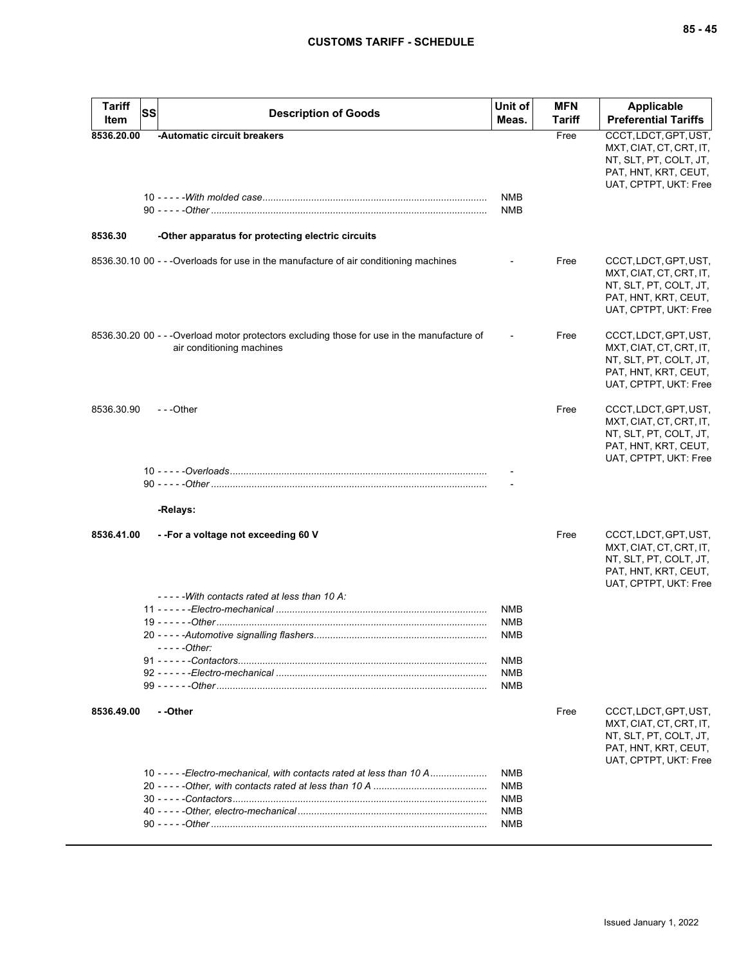| <b>Tariff</b><br>Item | <b>SS</b> | <b>Description of Goods</b>                                                                                              | Unit of<br>Meas.         | <b>MFN</b><br><b>Tariff</b> | Applicable<br><b>Preferential Tariffs</b>                                                                                   |
|-----------------------|-----------|--------------------------------------------------------------------------------------------------------------------------|--------------------------|-----------------------------|-----------------------------------------------------------------------------------------------------------------------------|
| 8536.20.00            |           | -Automatic circuit breakers                                                                                              | NMB<br><b>NMB</b>        | Free                        | CCCT, LDCT, GPT, UST,<br>MXT, CIAT, CT, CRT, IT,<br>NT, SLT, PT, COLT, JT,<br>PAT, HNT, KRT, CEUT,<br>UAT, CPTPT, UKT: Free |
| 8536.30               |           | -Other apparatus for protecting electric circuits                                                                        |                          |                             |                                                                                                                             |
|                       |           | 8536.30.10 00 - - - Overloads for use in the manufacture of air conditioning machines                                    |                          | Free                        | CCCT, LDCT, GPT, UST,<br>MXT, CIAT, CT, CRT, IT,<br>NT, SLT, PT, COLT, JT,<br>PAT, HNT, KRT, CEUT,<br>UAT, CPTPT, UKT: Free |
|                       |           | 8536.30.20 00 - - - Overload motor protectors excluding those for use in the manufacture of<br>air conditioning machines |                          | Free                        | CCCT, LDCT, GPT, UST,<br>MXT, CIAT, CT, CRT, IT,<br>NT, SLT, PT, COLT, JT,<br>PAT, HNT, KRT, CEUT,<br>UAT, CPTPT, UKT: Free |
| 8536.30.90            |           | $- -$ Other                                                                                                              |                          | Free                        | CCCT, LDCT, GPT, UST,<br>MXT, CIAT, CT, CRT, IT,<br>NT, SLT, PT, COLT, JT,<br>PAT, HNT, KRT, CEUT,<br>UAT, CPTPT, UKT: Free |
|                       |           |                                                                                                                          |                          |                             |                                                                                                                             |
|                       |           | -Relays:                                                                                                                 |                          |                             |                                                                                                                             |
| 8536.41.00            |           | --For a voltage not exceeding 60 V<br>-----With contacts rated at less than 10 A:                                        |                          | Free                        | CCCT, LDCT, GPT, UST,<br>MXT, CIAT, CT, CRT, IT,<br>NT, SLT, PT, COLT, JT,<br>PAT, HNT, KRT, CEUT,<br>UAT, CPTPT, UKT: Free |
|                       |           |                                                                                                                          | <b>NMB</b><br><b>NMB</b> |                             |                                                                                                                             |
|                       |           | $---Other:$                                                                                                              | <b>NMB</b>               |                             |                                                                                                                             |
|                       |           |                                                                                                                          | <b>NMB</b>               |                             |                                                                                                                             |
|                       |           |                                                                                                                          | <b>NMB</b><br><b>NMB</b> |                             |                                                                                                                             |
| 8536.49.00            |           | - -Other                                                                                                                 |                          | Free                        | CCCT, LDCT, GPT, UST,<br>MXT, CIAT, CT, CRT, IT,<br>NT, SLT, PT, COLT, JT,<br>PAT, HNT, KRT, CEUT,<br>UAT, CPTPT, UKT: Free |
|                       |           | 10 - - - - - Electro-mechanical, with contacts rated at less than 10 A                                                   | <b>NMB</b>               |                             |                                                                                                                             |
|                       |           |                                                                                                                          | <b>NMB</b><br><b>NMB</b> |                             |                                                                                                                             |
|                       |           |                                                                                                                          | <b>NMB</b>               |                             |                                                                                                                             |
|                       |           |                                                                                                                          | <b>NMB</b>               |                             |                                                                                                                             |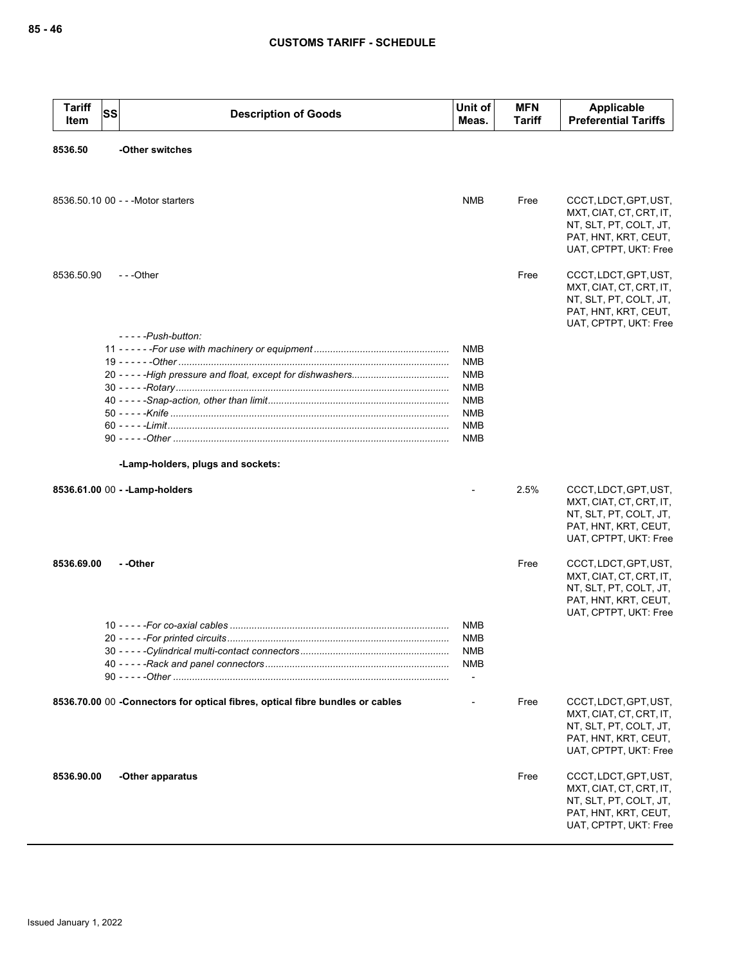| <b>Tariff</b><br>Item | <b>SS</b> | <b>Description of Goods</b>                                                    | Unit of<br>Meas.         | <b>MFN</b><br>Tariff | Applicable<br><b>Preferential Tariffs</b>                                                                                   |
|-----------------------|-----------|--------------------------------------------------------------------------------|--------------------------|----------------------|-----------------------------------------------------------------------------------------------------------------------------|
| 8536.50               |           | -Other switches                                                                |                          |                      |                                                                                                                             |
|                       |           | 8536.50.10 00 - - - Motor starters                                             | <b>NMB</b>               | Free                 | CCCT, LDCT, GPT, UST,<br>MXT, CIAT, CT, CRT, IT,<br>NT, SLT, PT, COLT, JT,<br>PAT, HNT, KRT, CEUT,<br>UAT, CPTPT, UKT: Free |
| 8536.50.90            |           | $- -$ Other                                                                    |                          | Free                 | CCCT, LDCT, GPT, UST,<br>MXT, CIAT, CT, CRT, IT,<br>NT, SLT, PT, COLT, JT,<br>PAT, HNT, KRT, CEUT,<br>UAT, CPTPT, UKT: Free |
|                       |           | $---Push-button:$                                                              |                          |                      |                                                                                                                             |
|                       |           |                                                                                | NMB                      |                      |                                                                                                                             |
|                       |           |                                                                                | <b>NMB</b><br><b>NMB</b> |                      |                                                                                                                             |
|                       |           |                                                                                | <b>NMB</b>               |                      |                                                                                                                             |
|                       |           |                                                                                | <b>NMB</b>               |                      |                                                                                                                             |
|                       |           |                                                                                | <b>NMB</b>               |                      |                                                                                                                             |
|                       |           |                                                                                | <b>NMB</b>               |                      |                                                                                                                             |
|                       |           |                                                                                | <b>NMB</b>               |                      |                                                                                                                             |
|                       |           | -Lamp-holders, plugs and sockets:                                              |                          |                      |                                                                                                                             |
|                       |           | 8536.61.00 00 - - Lamp-holders                                                 |                          | 2.5%                 | CCCT, LDCT, GPT, UST,<br>MXT, CIAT, CT, CRT, IT,<br>NT, SLT, PT, COLT, JT,<br>PAT, HNT, KRT, CEUT,                          |
|                       |           |                                                                                |                          |                      | UAT, CPTPT, UKT: Free                                                                                                       |
| 8536.69.00            |           | - -Other                                                                       |                          | Free                 | CCCT, LDCT, GPT, UST,<br>MXT, CIAT, CT, CRT, IT,<br>NT, SLT, PT, COLT, JT,<br>PAT, HNT, KRT, CEUT,<br>UAT, CPTPT, UKT: Free |
|                       |           |                                                                                | <b>NMB</b>               |                      |                                                                                                                             |
|                       |           |                                                                                | <b>NMB</b>               |                      |                                                                                                                             |
|                       |           |                                                                                | <b>NMB</b><br><b>NMB</b> |                      |                                                                                                                             |
|                       |           |                                                                                | $\overline{\phantom{a}}$ |                      |                                                                                                                             |
|                       |           | 8536.70.00 00 - Connectors for optical fibres, optical fibre bundles or cables |                          | Free                 | CCCT, LDCT, GPT, UST,<br>MXT, CIAT, CT, CRT, IT,<br>NT, SLT, PT, COLT, JT,<br>PAT, HNT, KRT, CEUT,<br>UAT, CPTPT, UKT: Free |
| 8536.90.00            |           | -Other apparatus                                                               |                          | Free                 | CCCT, LDCT, GPT, UST,<br>MXT, CIAT, CT, CRT, IT,<br>NT, SLT, PT, COLT, JT,<br>PAT, HNT, KRT, CEUT,<br>UAT, CPTPT, UKT: Free |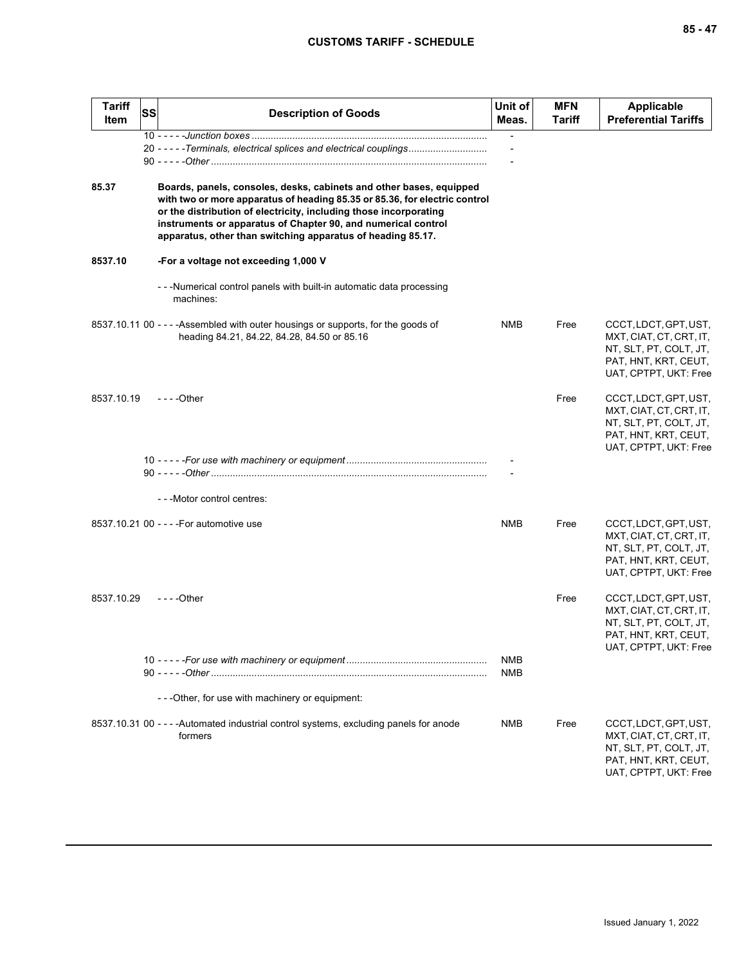| <b>Tariff</b><br>Item | SS | <b>Description of Goods</b>                                                                                                                                                                                                                                                                                                                            | Unit of<br>Meas.         | <b>MFN</b><br>Tariff | Applicable<br><b>Preferential Tariffs</b>                                                                                   |
|-----------------------|----|--------------------------------------------------------------------------------------------------------------------------------------------------------------------------------------------------------------------------------------------------------------------------------------------------------------------------------------------------------|--------------------------|----------------------|-----------------------------------------------------------------------------------------------------------------------------|
|                       |    | 20 - - - - - Terminals, electrical splices and electrical couplings                                                                                                                                                                                                                                                                                    |                          |                      |                                                                                                                             |
| 85.37                 |    | Boards, panels, consoles, desks, cabinets and other bases, equipped<br>with two or more apparatus of heading 85.35 or 85.36, for electric control<br>or the distribution of electricity, including those incorporating<br>instruments or apparatus of Chapter 90, and numerical control<br>apparatus, other than switching apparatus of heading 85.17. |                          |                      |                                                                                                                             |
| 8537.10               |    | -For a voltage not exceeding 1,000 V                                                                                                                                                                                                                                                                                                                   |                          |                      |                                                                                                                             |
|                       |    | --Mumerical control panels with built-in automatic data processing<br>machines:                                                                                                                                                                                                                                                                        |                          |                      |                                                                                                                             |
|                       |    | 8537.10.11 00 - - - - Assembled with outer housings or supports, for the goods of<br>heading 84.21, 84.22, 84.28, 84.50 or 85.16                                                                                                                                                                                                                       | NMB                      | Free                 | CCCT, LDCT, GPT, UST,<br>MXT, CIAT, CT, CRT, IT,<br>NT, SLT, PT, COLT, JT,<br>PAT, HNT, KRT, CEUT,<br>UAT, CPTPT, UKT: Free |
| 8537.10.19            |    | - - - -Other                                                                                                                                                                                                                                                                                                                                           |                          | Free                 | CCCT, LDCT, GPT, UST,<br>MXT, CIAT, CT, CRT, IT,<br>NT, SLT, PT, COLT, JT,<br>PAT, HNT, KRT, CEUT,<br>UAT, CPTPT, UKT: Free |
|                       |    |                                                                                                                                                                                                                                                                                                                                                        |                          |                      |                                                                                                                             |
|                       |    | --Motor control centres:                                                                                                                                                                                                                                                                                                                               |                          |                      |                                                                                                                             |
|                       |    | 8537.10.21 00 - - - - For automotive use                                                                                                                                                                                                                                                                                                               | <b>NMB</b>               | Free                 | CCCT, LDCT, GPT, UST,<br>MXT, CIAT, CT, CRT, IT,<br>NT, SLT, PT, COLT, JT,<br>PAT, HNT, KRT, CEUT,<br>UAT, CPTPT, UKT: Free |
| 8537.10.29            |    | - - - -Other                                                                                                                                                                                                                                                                                                                                           |                          | Free                 | CCCT, LDCT, GPT, UST,<br>MXT, CIAT, CT, CRT, IT,<br>NT, SLT, PT, COLT, JT,<br>PAT, HNT, KRT, CEUT,<br>UAT, CPTPT, UKT: Free |
|                       |    |                                                                                                                                                                                                                                                                                                                                                        | <b>NMB</b><br><b>NMB</b> |                      |                                                                                                                             |
|                       |    | - - - Other, for use with machinery or equipment:                                                                                                                                                                                                                                                                                                      |                          |                      |                                                                                                                             |
|                       |    | 8537.10.31 00 - - - - Automated industrial control systems, excluding panels for anode<br>formers                                                                                                                                                                                                                                                      | <b>NMB</b>               | Free                 | CCCT, LDCT, GPT, UST,<br>MXT, CIAT, CT, CRT, IT,<br>NT, SLT, PT, COLT, JT,<br>PAT, HNT, KRT, CEUT,<br>UAT, CPTPT, UKT: Free |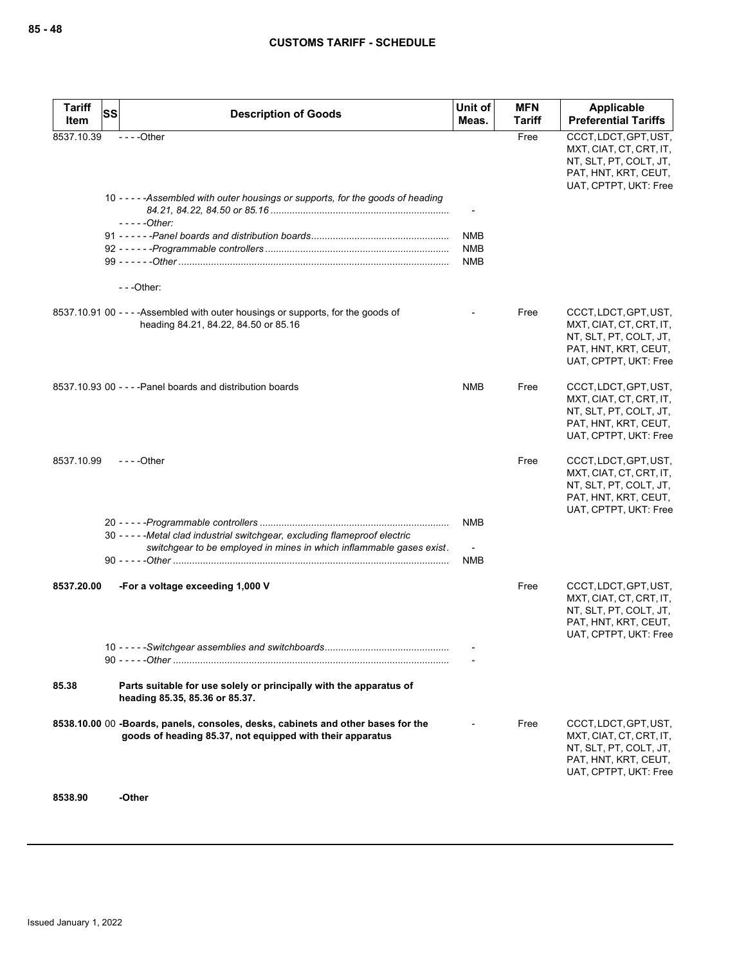| <b>Tariff</b> | SS | <b>Description of Goods</b>                                                                                                                          | Unit of                                | <b>MFN</b>    | Applicable                                                                                                                  |
|---------------|----|------------------------------------------------------------------------------------------------------------------------------------------------------|----------------------------------------|---------------|-----------------------------------------------------------------------------------------------------------------------------|
| Item          |    |                                                                                                                                                      | Meas.                                  | <b>Tariff</b> | <b>Preferential Tariffs</b>                                                                                                 |
| 8537.10.39    |    | $--$ Other<br>10 - - - - - Assembled with outer housings or supports, for the goods of heading                                                       |                                        | Free          | CCCT, LDCT, GPT, UST,<br>MXT, CIAT, CT, CRT, IT,<br>NT, SLT, PT, COLT, JT,<br>PAT, HNT, KRT, CEUT,<br>UAT, CPTPT, UKT: Free |
|               |    | - - - - - Other:                                                                                                                                     | <b>NMB</b><br><b>NMB</b><br><b>NMB</b> |               |                                                                                                                             |
|               |    | $--$ Other:                                                                                                                                          |                                        |               |                                                                                                                             |
|               |    | 8537.10.91 00 - - - - Assembled with outer housings or supports, for the goods of<br>heading 84.21, 84.22, 84.50 or 85.16                            |                                        | Free          | CCCT, LDCT, GPT, UST,<br>MXT, CIAT, CT, CRT, IT,<br>NT, SLT, PT, COLT, JT,<br>PAT, HNT, KRT, CEUT,<br>UAT, CPTPT, UKT: Free |
|               |    | 8537.10.93 00 - - - - Panel boards and distribution boards                                                                                           | <b>NMB</b>                             | Free          | CCCT, LDCT, GPT, UST,<br>MXT, CIAT, CT, CRT, IT,<br>NT, SLT, PT, COLT, JT,<br>PAT, HNT, KRT, CEUT,<br>UAT, CPTPT, UKT: Free |
| 8537.10.99    |    | $- - -$ Other                                                                                                                                        |                                        | Free          | CCCT, LDCT, GPT, UST,<br>MXT, CIAT, CT, CRT, IT,<br>NT, SLT, PT, COLT, JT,<br>PAT, HNT, KRT, CEUT,<br>UAT, CPTPT, UKT: Free |
|               |    | 30 - - - - - Metal clad industrial switchgear, excluding flameproof electric<br>switchgear to be employed in mines in which inflammable gases exist. | <b>NMB</b><br><b>NMB</b>               |               |                                                                                                                             |
| 8537.20.00    |    | -For a voltage exceeding 1,000 V                                                                                                                     |                                        | Free          | CCCT, LDCT, GPT, UST,<br>MXT, CIAT, CT, CRT, IT,<br>NT, SLT, PT, COLT, JT,<br>PAT, HNT, KRT, CEUT,<br>UAT, CPTPT, UKT: Free |
|               |    |                                                                                                                                                      |                                        |               |                                                                                                                             |
| 85.38         |    | Parts suitable for use solely or principally with the apparatus of<br>heading 85.35, 85.36 or 85.37.                                                 |                                        |               |                                                                                                                             |
|               |    | 8538.10.00 00 -Boards, panels, consoles, desks, cabinets and other bases for the<br>goods of heading 85.37, not equipped with their apparatus        |                                        | Free          | CCCT, LDCT, GPT, UST,<br>MXT, CIAT, CT, CRT, IT,<br>NT, SLT, PT, COLT, JT,<br>PAT, HNT, KRT, CEUT,<br>UAT, CPTPT, UKT: Free |
| 8538.90       |    | -Other                                                                                                                                               |                                        |               |                                                                                                                             |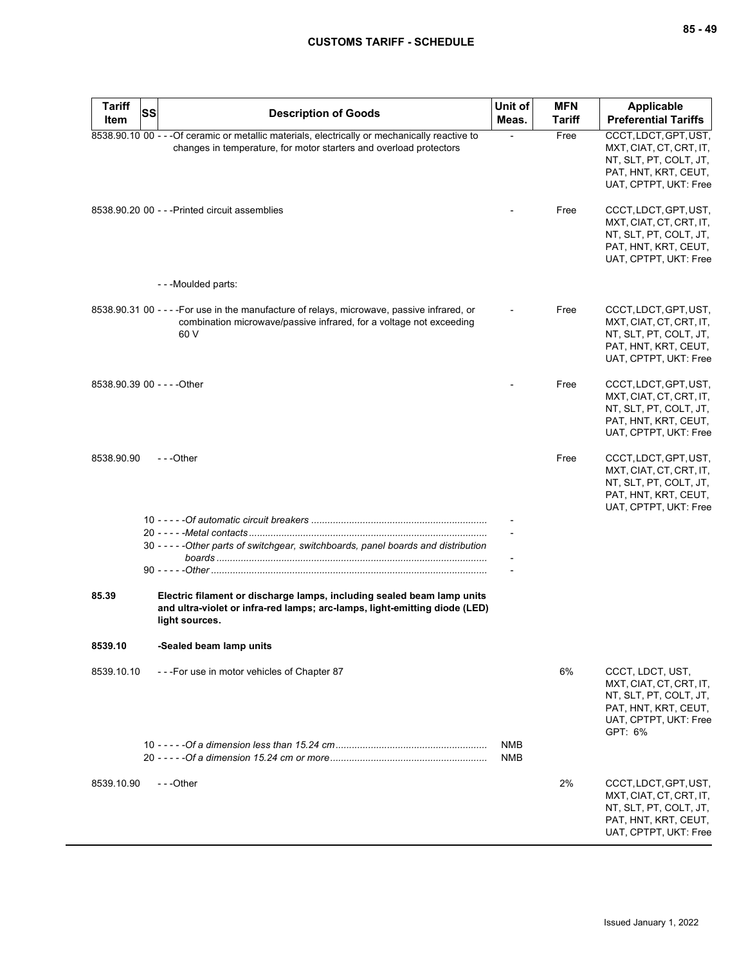| <b>Tariff</b><br><b>Item</b> | SS | <b>Description of Goods</b>                                                                                                                                                | Unit of<br>Meas.  | <b>MFN</b><br>Tariff | <b>Applicable</b><br><b>Preferential Tariffs</b>                                                                                  |
|------------------------------|----|----------------------------------------------------------------------------------------------------------------------------------------------------------------------------|-------------------|----------------------|-----------------------------------------------------------------------------------------------------------------------------------|
|                              |    | 8538.90.10 00 - - - Of ceramic or metallic materials, electrically or mechanically reactive to<br>changes in temperature, for motor starters and overload protectors       |                   | Free                 | CCCT, LDCT, GPT, UST,<br>MXT, CIAT, CT, CRT, IT,<br>NT, SLT, PT, COLT, JT,<br>PAT, HNT, KRT, CEUT,<br>UAT, CPTPT, UKT: Free       |
|                              |    | 8538.90.20 00 - - - Printed circuit assemblies                                                                                                                             |                   | Free                 | CCCT, LDCT, GPT, UST,<br>MXT, CIAT, CT, CRT, IT,<br>NT, SLT, PT, COLT, JT,<br>PAT, HNT, KRT, CEUT,<br>UAT, CPTPT, UKT: Free       |
|                              |    | ---Moulded parts:                                                                                                                                                          |                   |                      |                                                                                                                                   |
|                              |    | 8538.90.31 00 - - - - For use in the manufacture of relays, microwave, passive infrared, or<br>combination microwave/passive infrared, for a voltage not exceeding<br>60 V |                   | Free                 | CCCT, LDCT, GPT, UST,<br>MXT, CIAT, CT, CRT, IT,<br>NT, SLT, PT, COLT, JT,<br>PAT, HNT, KRT, CEUT,<br>UAT, CPTPT, UKT: Free       |
| 8538.90.39 00 - - - - Other  |    |                                                                                                                                                                            |                   | Free                 | CCCT, LDCT, GPT, UST,<br>MXT, CIAT, CT, CRT, IT,<br>NT, SLT, PT, COLT, JT,<br>PAT, HNT, KRT, CEUT,<br>UAT, CPTPT, UKT: Free       |
| 8538.90.90                   |    | $- -$ Other                                                                                                                                                                |                   | Free                 | CCCT, LDCT, GPT, UST,<br>MXT, CIAT, CT, CRT, IT,<br>NT, SLT, PT, COLT, JT,<br>PAT, HNT, KRT, CEUT,<br>UAT, CPTPT, UKT: Free       |
|                              |    |                                                                                                                                                                            |                   |                      |                                                                                                                                   |
|                              |    | 30 - - - - - Other parts of switchgear, switchboards, panel boards and distribution                                                                                        |                   |                      |                                                                                                                                   |
|                              |    |                                                                                                                                                                            |                   |                      |                                                                                                                                   |
| 85.39                        |    | Electric filament or discharge lamps, including sealed beam lamp units<br>and ultra-violet or infra-red lamps; arc-lamps, light-emitting diode (LED)<br>light sources.     |                   |                      |                                                                                                                                   |
| 8539.10                      |    | -Sealed beam lamp units                                                                                                                                                    |                   |                      |                                                                                                                                   |
| 8539.10.10                   |    | ---For use in motor vehicles of Chapter 87                                                                                                                                 |                   | 6%                   | CCCT, LDCT, UST,<br>MXT, CIAT, CT, CRT, IT,<br>NT, SLT, PT, COLT, JT,<br>PAT, HNT, KRT, CEUT,<br>UAT, CPTPT, UKT: Free<br>GPT: 6% |
|                              |    |                                                                                                                                                                            | NMB<br><b>NMB</b> |                      |                                                                                                                                   |
| 8539.10.90                   |    | ---Other                                                                                                                                                                   |                   | 2%                   | CCCT, LDCT, GPT, UST,<br>MXT, CIAT, CT, CRT, IT,<br>NT, SLT, PT, COLT, JT,<br>PAT, HNT, KRT, CEUT,<br>UAT, CPTPT, UKT: Free       |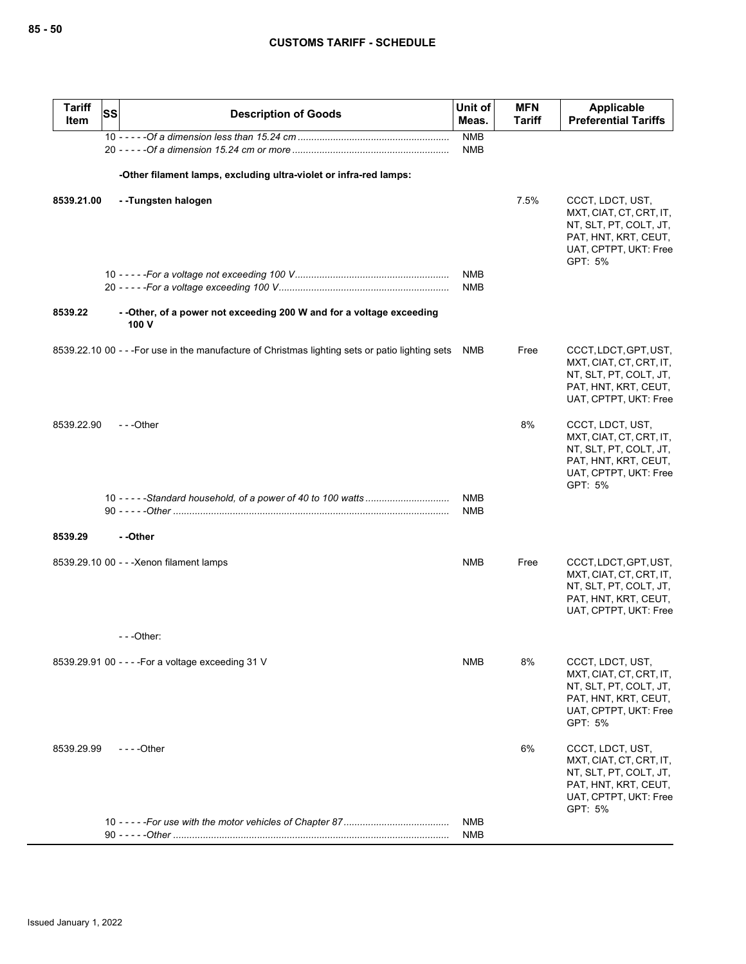| <b>Tariff</b><br>Item | <b>SS</b> | <b>Description of Goods</b>                                                                      | Unit of<br>Meas.         | <b>MFN</b><br><b>Tariff</b> | <b>Applicable</b><br><b>Preferential Tariffs</b>                                                                                  |
|-----------------------|-----------|--------------------------------------------------------------------------------------------------|--------------------------|-----------------------------|-----------------------------------------------------------------------------------------------------------------------------------|
|                       |           |                                                                                                  | <b>NMB</b><br><b>NMB</b> |                             |                                                                                                                                   |
|                       |           | -Other filament lamps, excluding ultra-violet or infra-red lamps:                                |                          |                             |                                                                                                                                   |
| 8539.21.00            |           | --Tungsten halogen                                                                               |                          | 7.5%                        | CCCT, LDCT, UST,<br>MXT, CIAT, CT, CRT, IT,<br>NT, SLT, PT, COLT, JT,<br>PAT, HNT, KRT, CEUT,<br>UAT, CPTPT, UKT: Free<br>GPT: 5% |
|                       |           |                                                                                                  | NMB<br>NMB               |                             |                                                                                                                                   |
| 8539.22               |           | - - Other, of a power not exceeding 200 W and for a voltage exceeding<br>100 V                   |                          |                             |                                                                                                                                   |
|                       |           | 8539.22.10 00 - - - For use in the manufacture of Christmas lighting sets or patio lighting sets | NMB                      | Free                        | CCCT, LDCT, GPT, UST,<br>MXT, CIAT, CT, CRT, IT,<br>NT, SLT, PT, COLT, JT,<br>PAT, HNT, KRT, CEUT,<br>UAT, CPTPT, UKT: Free       |
| 8539.22.90            |           | $- -$ Other                                                                                      |                          | 8%                          | CCCT, LDCT, UST,<br>MXT, CIAT, CT, CRT, IT,<br>NT, SLT, PT, COLT, JT,<br>PAT, HNT, KRT, CEUT,<br>UAT, CPTPT, UKT: Free<br>GPT: 5% |
|                       |           |                                                                                                  | <b>NMB</b><br><b>NMB</b> |                             |                                                                                                                                   |
| 8539.29               |           | --Other                                                                                          |                          |                             |                                                                                                                                   |
|                       |           | 8539.29.10 00 - - - Xenon filament lamps                                                         | <b>NMB</b>               | Free                        | CCCT, LDCT, GPT, UST,<br>MXT, CIAT, CT, CRT, IT,<br>NT, SLT, PT, COLT, JT,<br>PAT, HNT, KRT, CEUT,<br>UAT, CPTPT, UKT: Free       |
|                       |           | $-$ - - Other:                                                                                   |                          |                             |                                                                                                                                   |
|                       |           | 8539.29.91 00 - - - - For a voltage exceeding 31 V                                               | NMB                      | 8%                          | CCCT, LDCT, UST,<br>MXT, CIAT, CT, CRT, IT,<br>NT, SLT, PT, COLT, JT,<br>PAT, HNT, KRT, CEUT,<br>UAT, CPTPT, UKT: Free<br>GPT: 5% |
| 8539.29.99            |           | - - - - Other                                                                                    |                          | 6%                          | CCCT, LDCT, UST,<br>MXT, CIAT, CT, CRT, IT,<br>NT, SLT, PT, COLT, JT,<br>PAT, HNT, KRT, CEUT,<br>UAT, CPTPT, UKT: Free<br>GPT: 5% |
|                       |           |                                                                                                  | NMB<br>NMB               |                             |                                                                                                                                   |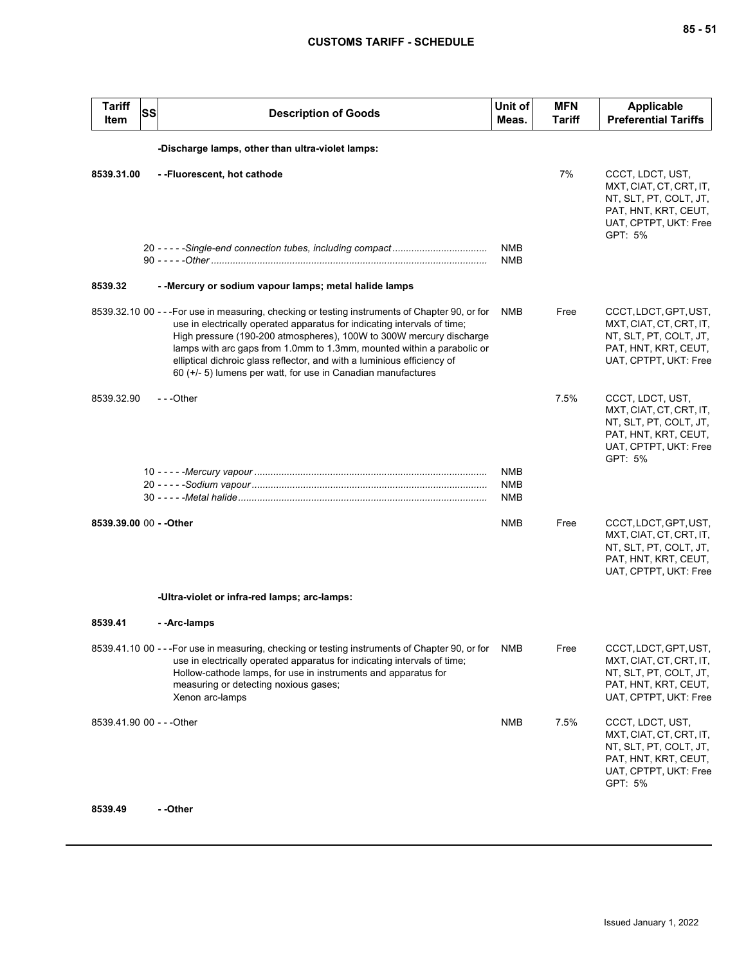| <b>Tariff</b><br>Item     | SS | <b>Description of Goods</b>                                                                                                                                                                                                                                                                                                                                                                                                                                             | Unit of<br>Meas.                | <b>MFN</b><br><b>Tariff</b> | <b>Applicable</b><br><b>Preferential Tariffs</b>                                                                                  |
|---------------------------|----|-------------------------------------------------------------------------------------------------------------------------------------------------------------------------------------------------------------------------------------------------------------------------------------------------------------------------------------------------------------------------------------------------------------------------------------------------------------------------|---------------------------------|-----------------------------|-----------------------------------------------------------------------------------------------------------------------------------|
|                           |    | -Discharge lamps, other than ultra-violet lamps:                                                                                                                                                                                                                                                                                                                                                                                                                        |                                 |                             |                                                                                                                                   |
| 8539.31.00                |    | --Fluorescent, hot cathode                                                                                                                                                                                                                                                                                                                                                                                                                                              |                                 | 7%                          | CCCT, LDCT, UST,<br>MXT, CIAT, CT, CRT, IT,<br>NT, SLT, PT, COLT, JT,<br>PAT, HNT, KRT, CEUT,<br>UAT, CPTPT, UKT: Free<br>GPT: 5% |
|                           |    |                                                                                                                                                                                                                                                                                                                                                                                                                                                                         | <b>NMB</b><br><b>NMB</b>        |                             |                                                                                                                                   |
| 8539.32                   |    | - - Mercury or sodium vapour lamps; metal halide lamps                                                                                                                                                                                                                                                                                                                                                                                                                  |                                 |                             |                                                                                                                                   |
|                           |    | 8539.32.10 00 - - - For use in measuring, checking or testing instruments of Chapter 90, or for<br>use in electrically operated apparatus for indicating intervals of time;<br>High pressure (190-200 atmospheres), 100W to 300W mercury discharge<br>lamps with arc gaps from 1.0mm to 1.3mm, mounted within a parabolic or<br>elliptical dichroic glass reflector, and with a luminious efficiency of<br>60 (+/- 5) lumens per watt, for use in Canadian manufactures | NMB                             | Free                        | CCCT, LDCT, GPT, UST,<br>MXT, CIAT, CT, CRT, IT,<br>NT, SLT, PT, COLT, JT,<br>PAT, HNT, KRT, CEUT,<br>UAT, CPTPT, UKT: Free       |
| 8539.32.90                |    | ---Other                                                                                                                                                                                                                                                                                                                                                                                                                                                                |                                 | 7.5%                        | CCCT, LDCT, UST,<br>MXT, CIAT, CT, CRT, IT,<br>NT, SLT, PT, COLT, JT,<br>PAT, HNT, KRT, CEUT,<br>UAT, CPTPT, UKT: Free<br>GPT: 5% |
|                           |    |                                                                                                                                                                                                                                                                                                                                                                                                                                                                         | NMB<br><b>NMB</b><br><b>NMB</b> |                             |                                                                                                                                   |
| 8539.39.00 00 - - Other   |    |                                                                                                                                                                                                                                                                                                                                                                                                                                                                         | <b>NMB</b>                      | Free                        | CCCT, LDCT, GPT, UST,<br>MXT, CIAT, CT, CRT, IT,<br>NT, SLT, PT, COLT, JT,<br>PAT, HNT, KRT, CEUT,<br>UAT, CPTPT, UKT: Free       |
|                           |    | -Ultra-violet or infra-red lamps; arc-lamps:                                                                                                                                                                                                                                                                                                                                                                                                                            |                                 |                             |                                                                                                                                   |
| 8539.41                   |    | --Arc-lamps                                                                                                                                                                                                                                                                                                                                                                                                                                                             |                                 |                             |                                                                                                                                   |
|                           |    | 8539.41.10 00 - - - For use in measuring, checking or testing instruments of Chapter 90, or for<br>use in electrically operated apparatus for indicating intervals of time;<br>Hollow-cathode lamps, for use in instruments and apparatus for<br>measuring or detecting noxious gases;<br>Xenon arc-lamps                                                                                                                                                               | <b>NMB</b>                      | Free                        | CCCT, LDCT, GPT, UST,<br>MXT, CIAT, CT, CRT, IT,<br>NT, SLT, PT, COLT, JT,<br>PAT, HNT, KRT, CEUT,<br>UAT, CPTPT, UKT: Free       |
| 8539.41.90 00 - - - Other |    |                                                                                                                                                                                                                                                                                                                                                                                                                                                                         | <b>NMB</b>                      | 7.5%                        | CCCT, LDCT, UST,<br>MXT, CIAT, CT, CRT, IT,<br>NT, SLT, PT, COLT, JT,<br>PAT, HNT, KRT, CEUT,<br>UAT, CPTPT, UKT: Free<br>GPT: 5% |

#### **8539.49 - -Other**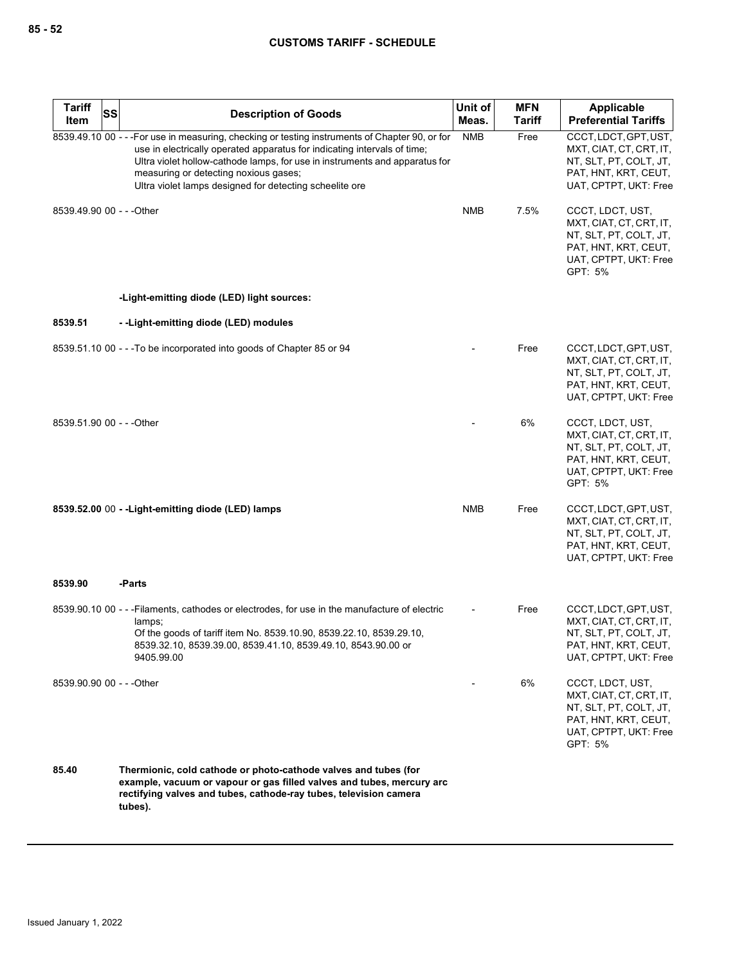| <b>Tariff</b>             | <b>SS</b> | <b>Description of Goods</b>                                                                                                                                                                                                                                                                                                                                    | Unit of    | <b>MFN</b>    | Applicable                                                                                                                        |
|---------------------------|-----------|----------------------------------------------------------------------------------------------------------------------------------------------------------------------------------------------------------------------------------------------------------------------------------------------------------------------------------------------------------------|------------|---------------|-----------------------------------------------------------------------------------------------------------------------------------|
| Item                      |           |                                                                                                                                                                                                                                                                                                                                                                | Meas.      | <b>Tariff</b> | <b>Preferential Tariffs</b>                                                                                                       |
|                           |           | 8539.49.10 00 - - - For use in measuring, checking or testing instruments of Chapter 90, or for<br>use in electrically operated apparatus for indicating intervals of time;<br>Ultra violet hollow-cathode lamps, for use in instruments and apparatus for<br>measuring or detecting noxious gases;<br>Ultra violet lamps designed for detecting scheelite ore | <b>NMB</b> | Free          | CCCT, LDCT, GPT, UST,<br>MXT, CIAT, CT, CRT, IT,<br>NT, SLT, PT, COLT, JT,<br>PAT, HNT, KRT, CEUT,<br>UAT, CPTPT, UKT: Free       |
| 8539.49.90 00 - - - Other |           |                                                                                                                                                                                                                                                                                                                                                                | <b>NMB</b> | 7.5%          | CCCT, LDCT, UST,<br>MXT, CIAT, CT, CRT, IT,<br>NT, SLT, PT, COLT, JT,<br>PAT, HNT, KRT, CEUT,<br>UAT, CPTPT, UKT: Free<br>GPT: 5% |
|                           |           | -Light-emitting diode (LED) light sources:                                                                                                                                                                                                                                                                                                                     |            |               |                                                                                                                                   |
| 8539.51                   |           | --Light-emitting diode (LED) modules                                                                                                                                                                                                                                                                                                                           |            |               |                                                                                                                                   |
|                           |           | 8539.51.10 00 - - - To be incorporated into goods of Chapter 85 or 94                                                                                                                                                                                                                                                                                          |            | Free          | CCCT, LDCT, GPT, UST,<br>MXT, CIAT, CT, CRT, IT,<br>NT, SLT, PT, COLT, JT,<br>PAT, HNT, KRT, CEUT,<br>UAT, CPTPT, UKT: Free       |
| 8539.51.90 00 - - - Other |           |                                                                                                                                                                                                                                                                                                                                                                |            | 6%            | CCCT, LDCT, UST,<br>MXT, CIAT, CT, CRT, IT,<br>NT, SLT, PT, COLT, JT,<br>PAT, HNT, KRT, CEUT,<br>UAT, CPTPT, UKT: Free<br>GPT: 5% |
|                           |           | 8539.52.00 00 - - Light-emitting diode (LED) lamps                                                                                                                                                                                                                                                                                                             | <b>NMB</b> | Free          | CCCT, LDCT, GPT, UST,<br>MXT, CIAT, CT, CRT, IT,<br>NT, SLT, PT, COLT, JT,<br>PAT, HNT, KRT, CEUT,<br>UAT, CPTPT, UKT: Free       |
| 8539.90                   |           | -Parts                                                                                                                                                                                                                                                                                                                                                         |            |               |                                                                                                                                   |
|                           |           | 8539.90.10 00 - - - Filaments, cathodes or electrodes, for use in the manufacture of electric<br>lamps;<br>Of the goods of tariff item No. 8539.10.90, 8539.22.10, 8539.29.10,<br>8539.32.10, 8539.39.00, 8539.41.10, 8539.49.10, 8543.90.00 or<br>9405.99.00                                                                                                  |            | Free          | CCCT, LDCT, GPT, UST,<br>MXT, CIAT, CT, CRT, IT,<br>NT, SLT, PT, COLT, JT,<br>PAT, HNT, KRT, CEUT,<br>UAT, CPTPT, UKT: Free       |
| 8539.90.90 00 - - - Other |           |                                                                                                                                                                                                                                                                                                                                                                |            | 6%            | CCCT, LDCT, UST,<br>MXT, CIAT, CT, CRT, IT,<br>NT, SLT, PT, COLT, JT,<br>PAT, HNT, KRT, CEUT,<br>UAT, CPTPT, UKT: Free<br>GPT: 5% |
| 85.40                     |           | Thermionic, cold cathode or photo-cathode valves and tubes (for<br>example, vacuum or vapour or gas filled valves and tubes, mercury arc<br>rectifying valves and tubes, cathode-ray tubes, television camera<br>tubes).                                                                                                                                       |            |               |                                                                                                                                   |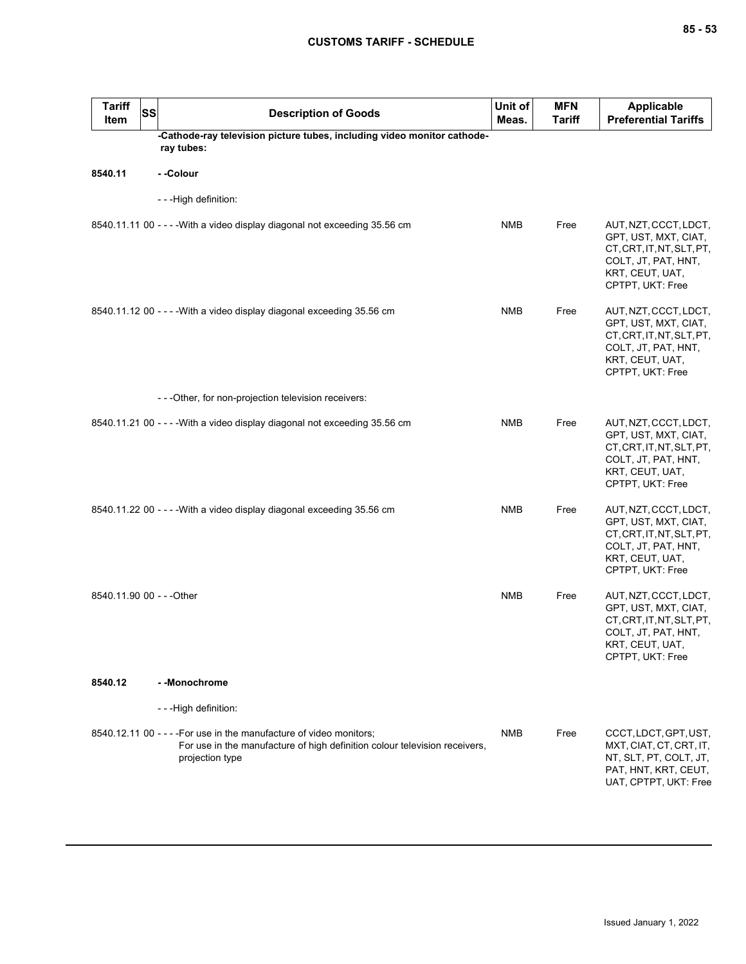| <b>Tariff</b><br>Item     | <b>SS</b> | <b>Description of Goods</b>                                                                                                                                          | Unit of<br>Meas. | <b>MFN</b><br><b>Tariff</b> | <b>Applicable</b><br><b>Preferential Tariffs</b>                                                                                         |
|---------------------------|-----------|----------------------------------------------------------------------------------------------------------------------------------------------------------------------|------------------|-----------------------------|------------------------------------------------------------------------------------------------------------------------------------------|
|                           |           | -Cathode-ray television picture tubes, including video monitor cathode-<br>ray tubes:                                                                                |                  |                             |                                                                                                                                          |
| 8540.11                   |           | - -Colour                                                                                                                                                            |                  |                             |                                                                                                                                          |
|                           |           | - - -High definition:                                                                                                                                                |                  |                             |                                                                                                                                          |
|                           |           | 8540.11.11 00 - - - - With a video display diagonal not exceeding 35.56 cm                                                                                           | <b>NMB</b>       | Free                        | AUT, NZT, CCCT, LDCT,<br>GPT, UST, MXT, CIAT,<br>CT, CRT, IT, NT, SLT, PT,<br>COLT, JT, PAT, HNT,<br>KRT, CEUT, UAT,<br>CPTPT, UKT: Free |
|                           |           | 8540.11.12 00 - - - - With a video display diagonal exceeding 35.56 cm                                                                                               | <b>NMB</b>       | Free                        | AUT, NZT, CCCT, LDCT,<br>GPT, UST, MXT, CIAT,<br>CT, CRT, IT, NT, SLT, PT,<br>COLT, JT, PAT, HNT,<br>KRT, CEUT, UAT,<br>CPTPT, UKT: Free |
|                           |           | - - - Other, for non-projection television receivers:                                                                                                                |                  |                             |                                                                                                                                          |
|                           |           | 8540.11.21 00 - - - - With a video display diagonal not exceeding 35.56 cm                                                                                           | <b>NMB</b>       | Free                        | AUT, NZT, CCCT, LDCT,<br>GPT, UST, MXT, CIAT,<br>CT, CRT, IT, NT, SLT, PT,<br>COLT, JT, PAT, HNT,<br>KRT, CEUT, UAT,<br>CPTPT, UKT: Free |
|                           |           | 8540.11.22 00 - - - - With a video display diagonal exceeding 35.56 cm                                                                                               | <b>NMB</b>       | Free                        | AUT, NZT, CCCT, LDCT,<br>GPT, UST, MXT, CIAT,<br>CT, CRT, IT, NT, SLT, PT,<br>COLT, JT, PAT, HNT,<br>KRT, CEUT, UAT,<br>CPTPT, UKT: Free |
| 8540.11.90 00 - - - Other |           |                                                                                                                                                                      | <b>NMB</b>       | Free                        | AUT, NZT, CCCT, LDCT,<br>GPT, UST, MXT, CIAT,<br>CT, CRT, IT, NT, SLT, PT,<br>COLT, JT, PAT, HNT,<br>KRT, CEUT, UAT,<br>CPTPT, UKT: Free |
| 8540.12                   |           | - - Monochrome                                                                                                                                                       |                  |                             |                                                                                                                                          |
|                           |           | - - - High definition:                                                                                                                                               |                  |                             |                                                                                                                                          |
|                           |           | 8540.12.11 00 - - - - For use in the manufacture of video monitors;<br>For use in the manufacture of high definition colour television receivers,<br>projection type | <b>NMB</b>       | Free                        | CCCT, LDCT, GPT, UST,<br>MXT, CIAT, CT, CRT, IT,<br>NT, SLT, PT, COLT, JT,<br>PAT, HNT, KRT, CEUT,<br>UAT, CPTPT, UKT: Free              |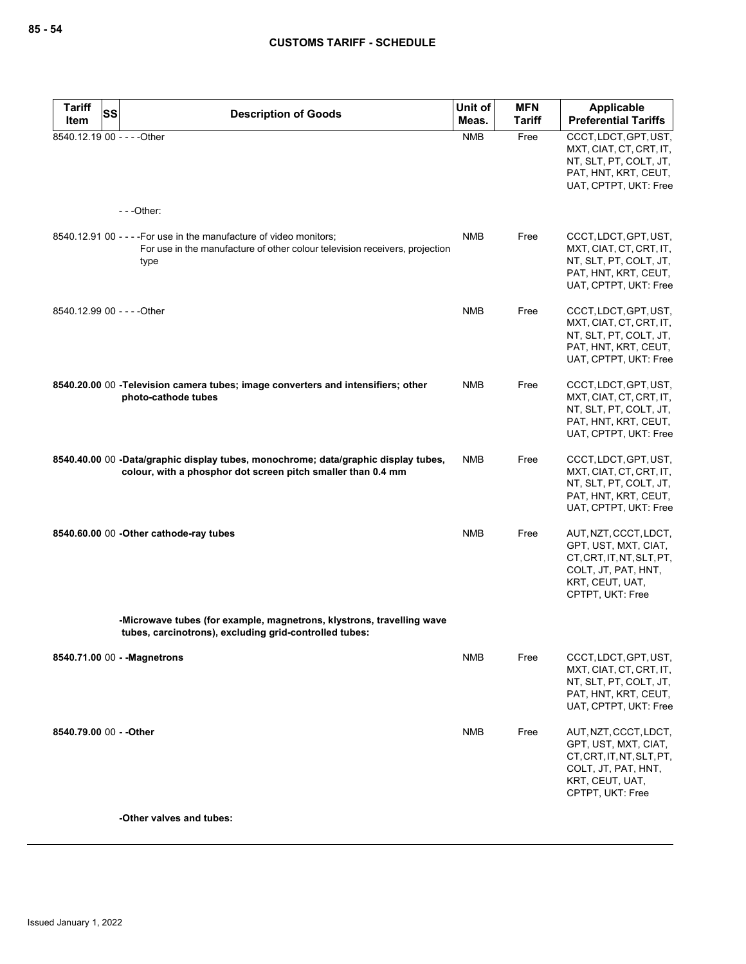| <b>Tariff</b>           | <b>SS</b><br><b>Description of Goods</b>                                                                                                                   | Unit of    | <b>MFN</b>    | Applicable                                                                                                                               |
|-------------------------|------------------------------------------------------------------------------------------------------------------------------------------------------------|------------|---------------|------------------------------------------------------------------------------------------------------------------------------------------|
| Item                    |                                                                                                                                                            | Meas.      | <b>Tariff</b> | <b>Preferential Tariffs</b>                                                                                                              |
|                         | 8540.12.19 00 - - - - Other<br>$--$ Other:                                                                                                                 | <b>NMB</b> | Free          | CCCT, LDCT, GPT, UST,<br>MXT, CIAT, CT, CRT, IT,<br>NT, SLT, PT, COLT, JT,<br>PAT, HNT, KRT, CEUT,<br>UAT, CPTPT, UKT: Free              |
|                         |                                                                                                                                                            |            |               |                                                                                                                                          |
|                         | 8540.12.91 00 - - - - For use in the manufacture of video monitors;<br>For use in the manufacture of other colour television receivers, projection<br>type | <b>NMB</b> | Free          | CCCT, LDCT, GPT, UST,<br>MXT, CIAT, CT, CRT, IT,<br>NT, SLT, PT, COLT, JT,<br>PAT, HNT, KRT, CEUT,<br>UAT, CPTPT, UKT: Free              |
|                         | 8540.12.99 00 - - - - Other                                                                                                                                | <b>NMB</b> | Free          | CCCT, LDCT, GPT, UST,<br>MXT, CIAT, CT, CRT, IT,<br>NT, SLT, PT, COLT, JT,<br>PAT, HNT, KRT, CEUT,<br>UAT, CPTPT, UKT: Free              |
|                         | 8540.20.00 00 - Television camera tubes; image converters and intensifiers; other<br>photo-cathode tubes                                                   | <b>NMB</b> | Free          | CCCT, LDCT, GPT, UST,<br>MXT, CIAT, CT, CRT, IT,<br>NT, SLT, PT, COLT, JT,<br>PAT, HNT, KRT, CEUT,<br>UAT, CPTPT, UKT: Free              |
|                         | 8540.40.00 00 -Data/graphic display tubes, monochrome; data/graphic display tubes,<br>colour, with a phosphor dot screen pitch smaller than 0.4 mm         | <b>NMB</b> | Free          | CCCT, LDCT, GPT, UST,<br>MXT, CIAT, CT, CRT, IT,<br>NT, SLT, PT, COLT, JT,<br>PAT, HNT, KRT, CEUT,<br>UAT, CPTPT, UKT: Free              |
|                         | 8540.60.00 00 - Other cathode-ray tubes                                                                                                                    | <b>NMB</b> | Free          | AUT, NZT, CCCT, LDCT,<br>GPT, UST, MXT, CIAT,<br>CT, CRT, IT, NT, SLT, PT,<br>COLT, JT, PAT, HNT,<br>KRT, CEUT, UAT,<br>CPTPT, UKT: Free |
|                         | -Microwave tubes (for example, magnetrons, klystrons, travelling wave<br>tubes, carcinotrons), excluding grid-controlled tubes:                            |            |               |                                                                                                                                          |
|                         | 8540.71.00 00 - - Magnetrons                                                                                                                               | <b>NMB</b> | Free          | CCCT, LDCT, GPT, UST,<br>MXT, CIAT, CT, CRT, IT,<br>NT, SLT, PT, COLT, JT,<br>PAT, HNT, KRT, CEUT,<br>UAT, CPTPT, UKT: Free              |
| 8540.79.00 00 - - Other |                                                                                                                                                            | <b>NMB</b> | Free          | AUT, NZT, CCCT, LDCT,<br>GPT, UST, MXT, CIAT,<br>CT, CRT, IT, NT, SLT, PT,<br>COLT, JT, PAT, HNT,<br>KRT, CEUT, UAT,<br>CPTPT, UKT: Free |
|                         | -Other valves and tubes:                                                                                                                                   |            |               |                                                                                                                                          |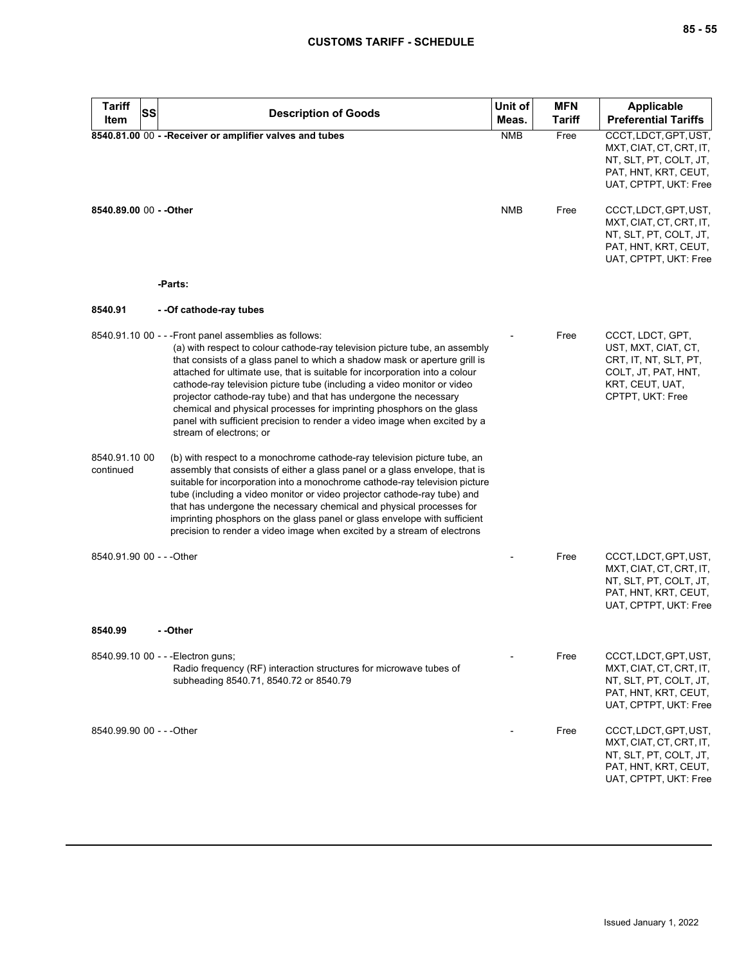| <b>Tariff</b><br><b>SS</b><br>Item | <b>Description of Goods</b>                                                                                                                                                                                                                                                                                                                                                                                                                                                                                                                                                                                                        | Unit of<br>Meas. | <b>MFN</b><br><b>Tariff</b> | <b>Applicable</b><br><b>Preferential Tariffs</b>                                                                               |
|------------------------------------|------------------------------------------------------------------------------------------------------------------------------------------------------------------------------------------------------------------------------------------------------------------------------------------------------------------------------------------------------------------------------------------------------------------------------------------------------------------------------------------------------------------------------------------------------------------------------------------------------------------------------------|------------------|-----------------------------|--------------------------------------------------------------------------------------------------------------------------------|
|                                    | 8540.81.00 00 - - Receiver or amplifier valves and tubes                                                                                                                                                                                                                                                                                                                                                                                                                                                                                                                                                                           | <b>NMB</b>       | Free                        | CCCT, LDCT, GPT, UST,<br>MXT, CIAT, CT, CRT, IT,<br>NT, SLT, PT, COLT, JT,<br>PAT, HNT, KRT, CEUT,<br>UAT, CPTPT, UKT: Free    |
| 8540.89.00 00 - - Other            |                                                                                                                                                                                                                                                                                                                                                                                                                                                                                                                                                                                                                                    | <b>NMB</b>       | Free                        | CCCT, LDCT, GPT, UST,<br>MXT, CIAT, CT, CRT, IT,<br>NT, SLT, PT, COLT, JT,<br>PAT, HNT, KRT, CEUT,<br>UAT, CPTPT, UKT: Free    |
|                                    | -Parts:                                                                                                                                                                                                                                                                                                                                                                                                                                                                                                                                                                                                                            |                  |                             |                                                                                                                                |
| 8540.91                            | - - Of cathode-ray tubes                                                                                                                                                                                                                                                                                                                                                                                                                                                                                                                                                                                                           |                  |                             |                                                                                                                                |
|                                    | 8540.91.10 00 - - - Front panel assemblies as follows:<br>(a) with respect to colour cathode-ray television picture tube, an assembly<br>that consists of a glass panel to which a shadow mask or aperture grill is<br>attached for ultimate use, that is suitable for incorporation into a colour<br>cathode-ray television picture tube (including a video monitor or video<br>projector cathode-ray tube) and that has undergone the necessary<br>chemical and physical processes for imprinting phosphors on the glass<br>panel with sufficient precision to render a video image when excited by a<br>stream of electrons; or |                  | Free                        | CCCT, LDCT, GPT,<br>UST, MXT, CIAT, CT,<br>CRT, IT, NT, SLT, PT,<br>COLT, JT, PAT, HNT,<br>KRT, CEUT, UAT,<br>CPTPT, UKT: Free |
| 8540.91.10 00<br>continued         | (b) with respect to a monochrome cathode-ray television picture tube, an<br>assembly that consists of either a glass panel or a glass envelope, that is<br>suitable for incorporation into a monochrome cathode-ray television picture<br>tube (including a video monitor or video projector cathode-ray tube) and<br>that has undergone the necessary chemical and physical processes for<br>imprinting phosphors on the glass panel or glass envelope with sufficient<br>precision to render a video image when excited by a stream of electrons                                                                                 |                  |                             |                                                                                                                                |
| 8540.91.90 00 - - - Other          |                                                                                                                                                                                                                                                                                                                                                                                                                                                                                                                                                                                                                                    |                  | Free                        | CCCT, LDCT, GPT, UST,<br>MXT, CIAT, CT, CRT, IT,<br>NT, SLT, PT, COLT, JT,<br>PAT, HNT, KRT, CEUT,<br>UAT, CPTPT, UKT: Free    |
| 8540.99                            | - -Other                                                                                                                                                                                                                                                                                                                                                                                                                                                                                                                                                                                                                           |                  |                             |                                                                                                                                |
|                                    | 8540.99.10 00 - - - Electron guns;<br>Radio frequency (RF) interaction structures for microwave tubes of<br>subheading 8540.71, 8540.72 or 8540.79                                                                                                                                                                                                                                                                                                                                                                                                                                                                                 |                  | Free                        | CCCT, LDCT, GPT, UST,<br>MXT, CIAT, CT, CRT, IT,<br>NT, SLT, PT, COLT, JT,<br>PAT, HNT, KRT, CEUT,<br>UAT, CPTPT, UKT: Free    |
| 8540.99.90 00 - - - Other          |                                                                                                                                                                                                                                                                                                                                                                                                                                                                                                                                                                                                                                    |                  | Free                        | CCCT, LDCT, GPT, UST,<br>MXT, CIAT, CT, CRT, IT,<br>NT, SLT, PT, COLT, JT,<br>PAT, HNT, KRT, CEUT,<br>UAT, CPTPT, UKT: Free    |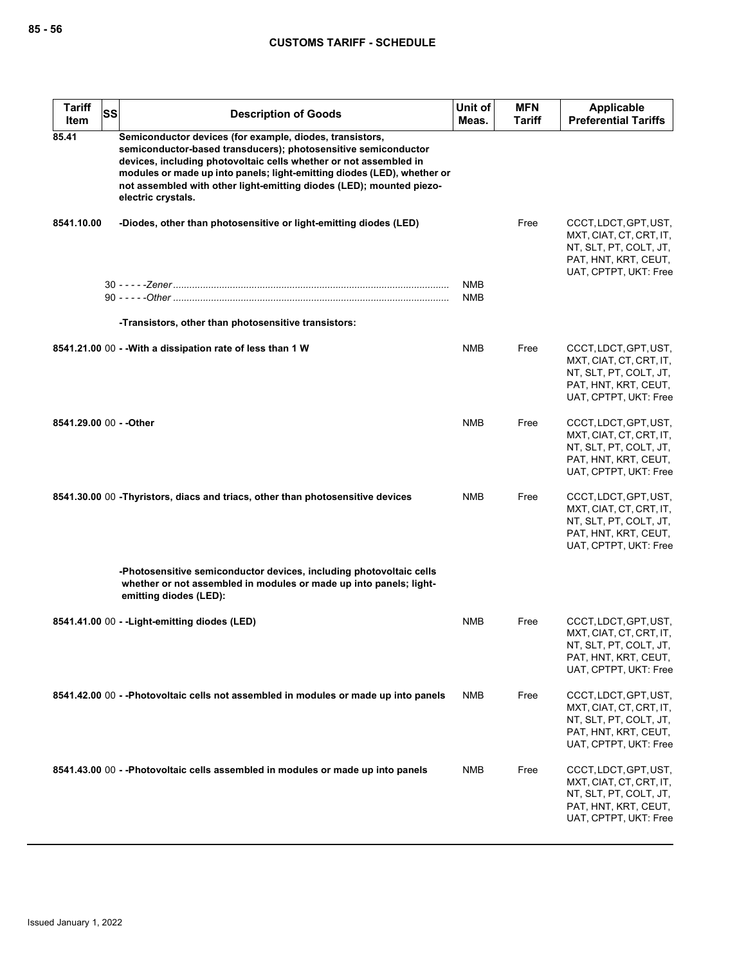| <b>Tariff</b><br>Item   | SS<br><b>Description of Goods</b>                                                                                                                                                                                                                                                                                                                                        | Unit of<br>Meas.         | <b>MFN</b><br><b>Tariff</b> | <b>Applicable</b><br><b>Preferential Tariffs</b>                                                                            |
|-------------------------|--------------------------------------------------------------------------------------------------------------------------------------------------------------------------------------------------------------------------------------------------------------------------------------------------------------------------------------------------------------------------|--------------------------|-----------------------------|-----------------------------------------------------------------------------------------------------------------------------|
| 85.41                   | Semiconductor devices (for example, diodes, transistors,<br>semiconductor-based transducers); photosensitive semiconductor<br>devices, including photovoltaic cells whether or not assembled in<br>modules or made up into panels; light-emitting diodes (LED), whether or<br>not assembled with other light-emitting diodes (LED); mounted piezo-<br>electric crystals. |                          |                             |                                                                                                                             |
| 8541.10.00              | -Diodes, other than photosensitive or light-emitting diodes (LED)                                                                                                                                                                                                                                                                                                        |                          | Free                        | CCCT, LDCT, GPT, UST,<br>MXT, CIAT, CT, CRT, IT,<br>NT, SLT, PT, COLT, JT,<br>PAT, HNT, KRT, CEUT,<br>UAT, CPTPT, UKT: Free |
|                         |                                                                                                                                                                                                                                                                                                                                                                          | <b>NMB</b><br><b>NMB</b> |                             |                                                                                                                             |
|                         | -Transistors, other than photosensitive transistors:                                                                                                                                                                                                                                                                                                                     |                          |                             |                                                                                                                             |
|                         | 8541.21.00 00 - - With a dissipation rate of less than 1 W                                                                                                                                                                                                                                                                                                               | <b>NMB</b>               | Free                        | CCCT, LDCT, GPT, UST,<br>MXT, CIAT, CT, CRT, IT,<br>NT, SLT, PT, COLT, JT,<br>PAT, HNT, KRT, CEUT,<br>UAT, CPTPT, UKT: Free |
| 8541.29.00 00 - - Other |                                                                                                                                                                                                                                                                                                                                                                          | <b>NMB</b>               | Free                        | CCCT, LDCT, GPT, UST,<br>MXT, CIAT, CT, CRT, IT,<br>NT, SLT, PT, COLT, JT,<br>PAT, HNT, KRT, CEUT,<br>UAT, CPTPT, UKT: Free |
|                         | 8541.30.00 00 -Thyristors, diacs and triacs, other than photosensitive devices                                                                                                                                                                                                                                                                                           | <b>NMB</b>               | Free                        | CCCT, LDCT, GPT, UST,<br>MXT, CIAT, CT, CRT, IT,<br>NT, SLT, PT, COLT, JT,<br>PAT, HNT, KRT, CEUT,<br>UAT, CPTPT, UKT: Free |
|                         | -Photosensitive semiconductor devices, including photovoltaic cells<br>whether or not assembled in modules or made up into panels; light-<br>emitting diodes (LED):                                                                                                                                                                                                      |                          |                             |                                                                                                                             |
|                         | 8541.41.00 00 - - Light-emitting diodes (LED)                                                                                                                                                                                                                                                                                                                            | <b>NMB</b>               | Free                        | CCCT, LDCT, GPT, UST,<br>MXT, CIAT, CT, CRT, IT,<br>NT, SLT, PT, COLT, JT,<br>PAT, HNT, KRT, CEUT,<br>UAT, CPTPT, UKT: Free |
|                         | 8541.42.00 00 - -Photovoltaic cells not assembled in modules or made up into panels                                                                                                                                                                                                                                                                                      | NMB                      | Free                        | CCCT, LDCT, GPT, UST,<br>MXT, CIAT, CT, CRT, IT,<br>NT, SLT, PT, COLT, JT,<br>PAT, HNT, KRT, CEUT,<br>UAT, CPTPT, UKT: Free |
|                         | 8541.43.00 00 - -Photovoltaic cells assembled in modules or made up into panels                                                                                                                                                                                                                                                                                          | NMB                      | Free                        | CCCT, LDCT, GPT, UST,<br>MXT, CIAT, CT, CRT, IT,<br>NT, SLT, PT, COLT, JT,<br>PAT, HNT, KRT, CEUT,<br>UAT, CPTPT, UKT: Free |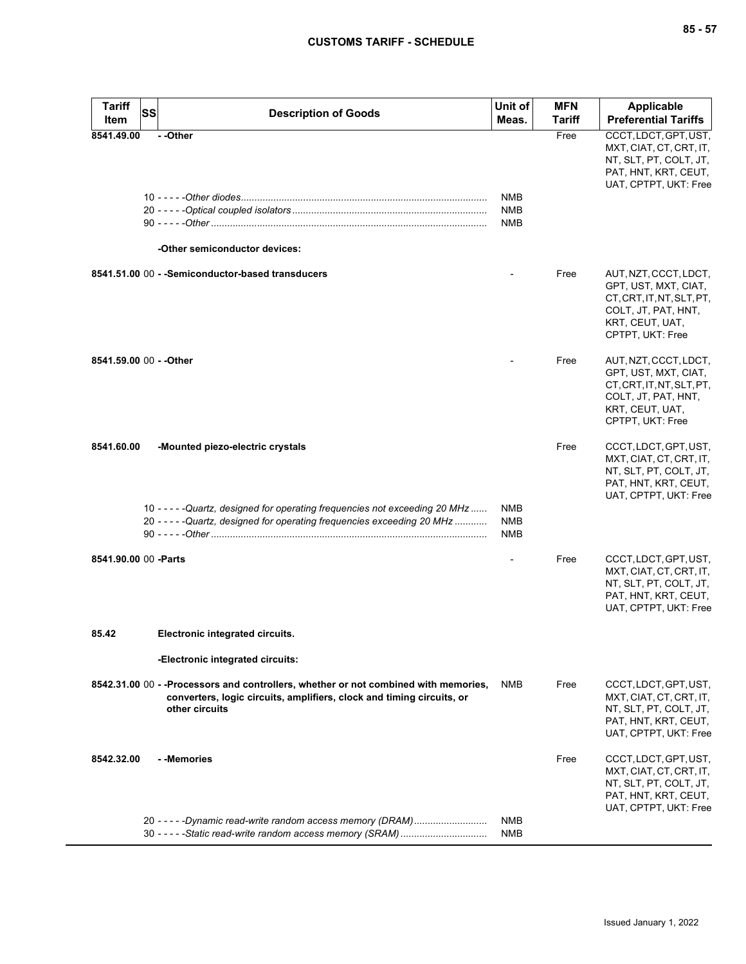| <b>Tariff</b><br>Item | SS<br><b>Description of Goods</b>                                                                                                                                                            | Unit of<br>Meas.                | <b>MFN</b><br>Tariff | <b>Applicable</b><br><b>Preferential Tariffs</b>                                                                                         |
|-----------------------|----------------------------------------------------------------------------------------------------------------------------------------------------------------------------------------------|---------------------------------|----------------------|------------------------------------------------------------------------------------------------------------------------------------------|
| 8541.49.00            | --Other<br>-Other semiconductor devices:                                                                                                                                                     | NMB<br><b>NMB</b><br><b>NMB</b> | Free                 | CCCT, LDCT, GPT, UST,<br>MXT, CIAT, CT, CRT, IT,<br>NT, SLT, PT, COLT, JT,<br>PAT, HNT, KRT, CEUT,<br>UAT, CPTPT, UKT: Free              |
|                       | 8541.51.00 00 - - Semiconductor-based transducers                                                                                                                                            |                                 | Free                 | AUT, NZT, CCCT, LDCT,<br>GPT, UST, MXT, CIAT,<br>CT, CRT, IT, NT, SLT, PT,<br>COLT, JT, PAT, HNT,<br>KRT, CEUT, UAT,<br>CPTPT, UKT: Free |
|                       | 8541.59.00 00 - - Other                                                                                                                                                                      |                                 | Free                 | AUT, NZT, CCCT, LDCT,<br>GPT, UST, MXT, CIAT,<br>CT.CRT.IT.NT.SLT.PT.<br>COLT, JT, PAT, HNT,<br>KRT, CEUT, UAT,<br>CPTPT, UKT: Free      |
| 8541.60.00            | -Mounted piezo-electric crystals<br>10 - - - - - Quartz, designed for operating frequencies not exceeding 20 MHz<br>20 - - - - - Quartz, designed for operating frequencies exceeding 20 MHz | NMB<br>NMB<br>NMB               | Free                 | CCCT, LDCT, GPT, UST,<br>MXT, CIAT, CT, CRT, IT,<br>NT, SLT, PT, COLT, JT,<br>PAT, HNT, KRT, CEUT,<br>UAT, CPTPT, UKT: Free              |
|                       | 8541.90.00 00 - Parts                                                                                                                                                                        |                                 | Free                 | CCCT, LDCT, GPT, UST,<br>MXT, CIAT, CT, CRT, IT,<br>NT, SLT, PT, COLT, JT,<br>PAT, HNT, KRT, CEUT,<br>UAT, CPTPT, UKT: Free              |
| 85.42                 | Electronic integrated circuits.<br>-Electronic integrated circuits:                                                                                                                          |                                 |                      |                                                                                                                                          |
|                       | 8542.31.00 00 - -Processors and controllers, whether or not combined with memories,<br>converters, logic circuits, amplifiers, clock and timing circuits, or<br>other circuits               | NMB                             | Free                 | CCCT, LDCT, GPT, UST,<br>MXT, CIAT, CT, CRT, IT,<br>NT, SLT, PT, COLT, JT,<br>PAT, HNT, KRT, CEUT,<br>UAT, CPTPT, UKT: Free              |
| 8542.32.00            | - -Memories<br>20 - - - - - Dynamic read-write random access memory (DRAM)                                                                                                                   | <b>NMB</b>                      | Free                 | CCCT, LDCT, GPT, UST,<br>MXT, CIAT, CT, CRT, IT,<br>NT, SLT, PT, COLT, JT,<br>PAT, HNT, KRT, CEUT,<br>UAT, CPTPT, UKT: Free              |
|                       | 30 - - - - - Static read-write random access memory (SRAM)                                                                                                                                   | NMB                             |                      |                                                                                                                                          |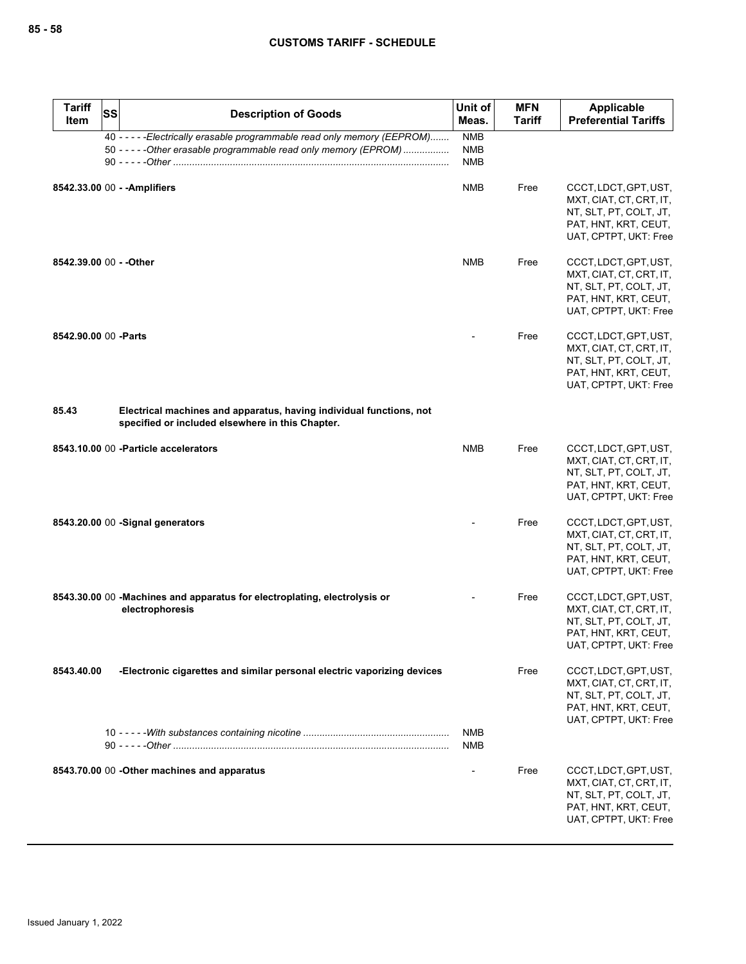| <b>Tariff</b><br>Item   | SS | <b>Description of Goods</b>                                                                                                                    | Unit of<br>Meas.                       | <b>MFN</b><br>Tariff | Applicable<br><b>Preferential Tariffs</b>                                                                                   |
|-------------------------|----|------------------------------------------------------------------------------------------------------------------------------------------------|----------------------------------------|----------------------|-----------------------------------------------------------------------------------------------------------------------------|
|                         |    | 40 - - - - - Electrically erasable programmable read only memory (EEPROM)<br>50 - - - - - Other erasable programmable read only memory (EPROM) | <b>NMB</b><br><b>NMB</b><br><b>NMB</b> |                      |                                                                                                                             |
|                         |    | 8542.33.00 00 - - Amplifiers                                                                                                                   | <b>NMB</b>                             | Free                 | CCCT, LDCT, GPT, UST,<br>MXT, CIAT, CT, CRT, IT,<br>NT, SLT, PT, COLT, JT,<br>PAT, HNT, KRT, CEUT,<br>UAT, CPTPT, UKT: Free |
| 8542.39.00 00 - - Other |    |                                                                                                                                                | <b>NMB</b>                             | Free                 | CCCT, LDCT, GPT, UST,<br>MXT, CIAT, CT, CRT, IT,<br>NT, SLT, PT, COLT, JT,<br>PAT, HNT, KRT, CEUT,<br>UAT, CPTPT, UKT: Free |
| 8542.90.00 00 -Parts    |    |                                                                                                                                                |                                        | Free                 | CCCT, LDCT, GPT, UST,<br>MXT, CIAT, CT, CRT, IT,<br>NT, SLT, PT, COLT, JT,<br>PAT, HNT, KRT, CEUT,<br>UAT, CPTPT, UKT: Free |
| 85.43                   |    | Electrical machines and apparatus, having individual functions, not<br>specified or included elsewhere in this Chapter.                        |                                        |                      |                                                                                                                             |
|                         |    | 8543.10.00 00 - Particle accelerators                                                                                                          | <b>NMB</b>                             | Free                 | CCCT, LDCT, GPT, UST,<br>MXT, CIAT, CT, CRT, IT,<br>NT, SLT, PT, COLT, JT,<br>PAT, HNT, KRT, CEUT,<br>UAT, CPTPT, UKT: Free |
|                         |    | 8543.20.00 00 - Signal generators                                                                                                              |                                        | Free                 | CCCT, LDCT, GPT, UST,<br>MXT, CIAT, CT, CRT, IT,<br>NT, SLT, PT, COLT, JT,<br>PAT, HNT, KRT, CEUT,<br>UAT, CPTPT, UKT: Free |
|                         |    | 8543.30.00 00 - Machines and apparatus for electroplating, electrolysis or<br>electrophoresis                                                  |                                        | Free                 | CCCT, LDCT, GPT, UST,<br>MXT, CIAT, CT, CRT, IT,<br>NT, SLT, PT, COLT, JT,<br>PAT, HNT, KRT, CEUT,<br>UAT, CPTPT, UKT: Free |
| 8543.40.00              |    | -Electronic cigarettes and similar personal electric vaporizing devices                                                                        |                                        | Free                 | CCCT, LDCT, GPT, UST,<br>MXT, CIAT, CT, CRT, IT,<br>NT, SLT, PT, COLT, JT,<br>PAT, HNT, KRT, CEUT,<br>UAT, CPTPT, UKT: Free |
|                         |    |                                                                                                                                                | <b>NMB</b><br><b>NMB</b>               |                      |                                                                                                                             |
|                         |    | 8543.70.00 00 - Other machines and apparatus                                                                                                   |                                        | Free                 | CCCT, LDCT, GPT, UST,<br>MXT, CIAT, CT, CRT, IT,<br>NT, SLT, PT, COLT, JT,<br>PAT, HNT, KRT, CEUT,<br>UAT, CPTPT, UKT: Free |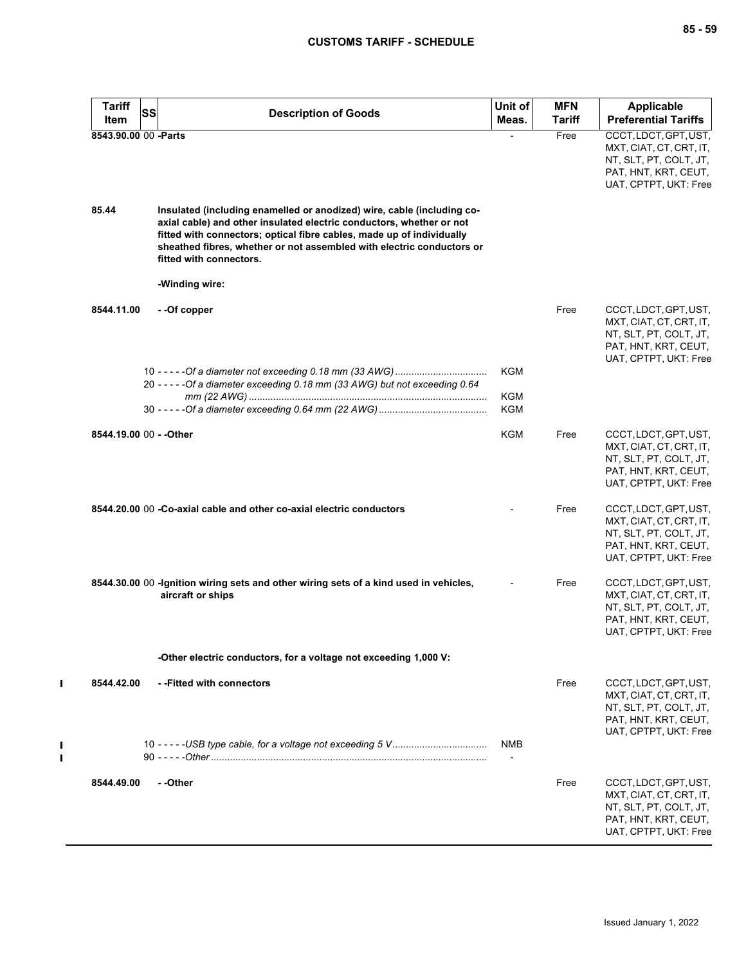| <b>Tariff</b><br>Item   | <b>SS</b> | <b>Description of Goods</b>                                                                                                                                                                                                                                                                                                 | Unit of<br>Meas.             | <b>MFN</b><br>Tariff | <b>Applicable</b><br><b>Preferential Tariffs</b>                                                                            |
|-------------------------|-----------|-----------------------------------------------------------------------------------------------------------------------------------------------------------------------------------------------------------------------------------------------------------------------------------------------------------------------------|------------------------------|----------------------|-----------------------------------------------------------------------------------------------------------------------------|
| 8543.90.00 00 -Parts    |           |                                                                                                                                                                                                                                                                                                                             |                              | Free                 | CCCT, LDCT, GPT, UST,<br>MXT, CIAT, CT, CRT, IT,<br>NT, SLT, PT, COLT, JT,<br>PAT, HNT, KRT, CEUT,<br>UAT, CPTPT, UKT: Free |
| 85.44                   |           | Insulated (including enamelled or anodized) wire, cable (including co-<br>axial cable) and other insulated electric conductors, whether or not<br>fitted with connectors; optical fibre cables, made up of individually<br>sheathed fibres, whether or not assembled with electric conductors or<br>fitted with connectors. |                              |                      |                                                                                                                             |
|                         |           | -Winding wire:                                                                                                                                                                                                                                                                                                              |                              |                      |                                                                                                                             |
| 8544.11.00              |           | - -Of copper                                                                                                                                                                                                                                                                                                                |                              | Free                 | CCCT, LDCT, GPT, UST,<br>MXT, CIAT, CT, CRT, IT,<br>NT, SLT, PT, COLT, JT,<br>PAT, HNT, KRT, CEUT,<br>UAT, CPTPT, UKT: Free |
|                         |           | 20 - - - - - Of a diameter exceeding 0.18 mm (33 AWG) but not exceeding 0.64                                                                                                                                                                                                                                                | <b>KGM</b>                   |                      |                                                                                                                             |
|                         |           |                                                                                                                                                                                                                                                                                                                             | KGM<br><b>KGM</b>            |                      |                                                                                                                             |
| 8544.19.00 00 - - Other |           |                                                                                                                                                                                                                                                                                                                             | <b>KGM</b>                   | Free                 | CCCT, LDCT, GPT, UST,<br>MXT, CIAT, CT, CRT, IT,<br>NT, SLT, PT, COLT, JT,<br>PAT, HNT, KRT, CEUT,<br>UAT, CPTPT, UKT: Free |
|                         |           | 8544.20.00 00 -Co-axial cable and other co-axial electric conductors                                                                                                                                                                                                                                                        |                              | Free                 | CCCT, LDCT, GPT, UST,<br>MXT, CIAT, CT, CRT, IT,<br>NT, SLT, PT, COLT, JT,<br>PAT, HNT, KRT, CEUT,<br>UAT, CPTPT, UKT: Free |
|                         |           | 8544.30.00 00 - Ignition wiring sets and other wiring sets of a kind used in vehicles,<br>aircraft or ships                                                                                                                                                                                                                 |                              | Free                 | CCCT, LDCT, GPT, UST,<br>MXT, CIAT, CT, CRT, IT,<br>NT, SLT, PT, COLT, JT,<br>PAT, HNT, KRT, CEUT,<br>UAT, CPTPT, UKT: Free |
|                         |           | -Other electric conductors, for a voltage not exceeding 1,000 V:                                                                                                                                                                                                                                                            |                              |                      |                                                                                                                             |
| 8544.42.00              |           | --Fitted with connectors                                                                                                                                                                                                                                                                                                    |                              | Free                 | CCCT, LDCT, GPT, UST,<br>MXT, CIAT, CT, CRT, IT,<br>NT, SLT, PT, COLT, JT,<br>PAT, HNT, KRT, CEUT,<br>UAT, CPTPT, UKT: Free |
|                         |           |                                                                                                                                                                                                                                                                                                                             | <b>NMB</b><br>$\blacksquare$ |                      |                                                                                                                             |
| 8544.49.00              |           | - -Other                                                                                                                                                                                                                                                                                                                    |                              | Free                 | CCCT, LDCT, GPT, UST,<br>MXT, CIAT, CT, CRT, IT,<br>NT, SLT, PT, COLT, JT,<br>PAT, HNT, KRT, CEUT,<br>UAT, CPTPT, UKT: Free |

 $\mathbf{I}$ 

 $\frac{1}{1}$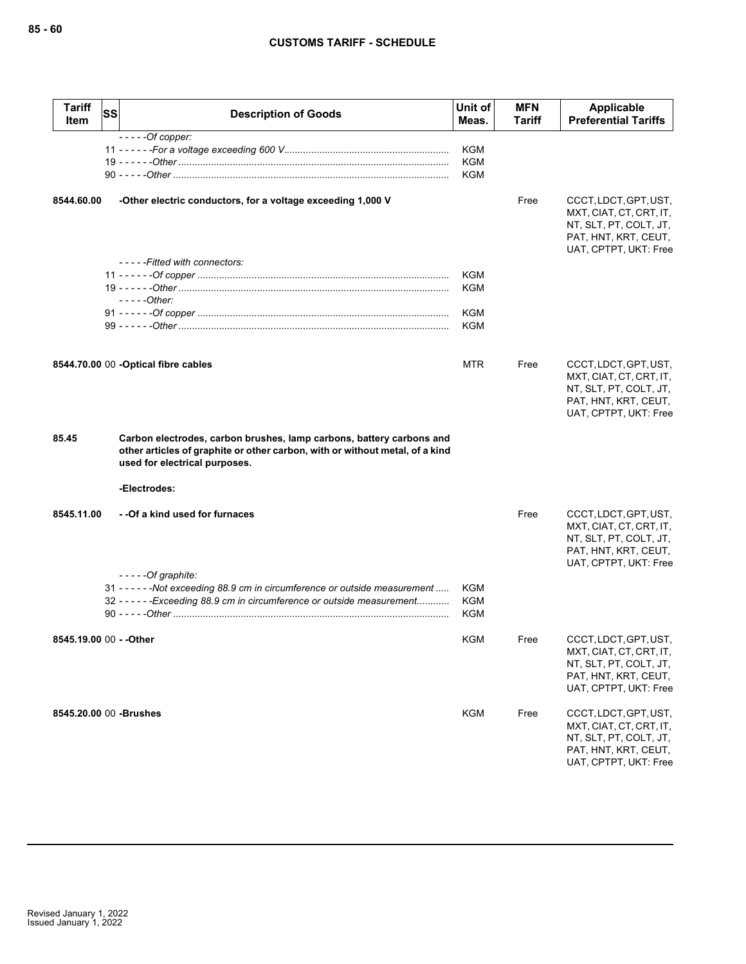| <b>Tariff</b><br>Item   | <b>SS</b> | <b>Description of Goods</b>                                                                                                                                                           | Unit of<br>Meas.                | <b>MFN</b><br><b>Tariff</b> | Applicable<br><b>Preferential Tariffs</b>                                                                                   |
|-------------------------|-----------|---------------------------------------------------------------------------------------------------------------------------------------------------------------------------------------|---------------------------------|-----------------------------|-----------------------------------------------------------------------------------------------------------------------------|
|                         |           | $---Of copper:$                                                                                                                                                                       | <b>KGM</b><br>KGM<br><b>KGM</b> |                             |                                                                                                                             |
| 8544.60.00              |           | -Other electric conductors, for a voltage exceeding 1,000 V                                                                                                                           |                                 | Free                        | CCCT, LDCT, GPT, UST,<br>MXT, CIAT, CT, CRT, IT,<br>NT, SLT, PT, COLT, JT,<br>PAT, HNT, KRT, CEUT,<br>UAT, CPTPT, UKT: Free |
|                         |           | -----Fitted with connectors:<br>$---Other:$                                                                                                                                           | <b>KGM</b><br><b>KGM</b>        |                             |                                                                                                                             |
|                         |           |                                                                                                                                                                                       | KGM<br>KGM                      |                             |                                                                                                                             |
|                         |           | 8544.70.00 00 - Optical fibre cables                                                                                                                                                  | <b>MTR</b>                      | Free                        | CCCT, LDCT, GPT, UST,<br>MXT, CIAT, CT, CRT, IT,<br>NT, SLT, PT, COLT, JT,<br>PAT, HNT, KRT, CEUT,<br>UAT, CPTPT, UKT: Free |
| 85.45                   |           | Carbon electrodes, carbon brushes, lamp carbons, battery carbons and<br>other articles of graphite or other carbon, with or without metal, of a kind<br>used for electrical purposes. |                                 |                             |                                                                                                                             |
|                         |           | -Electrodes:                                                                                                                                                                          |                                 |                             |                                                                                                                             |
| 8545.11.00              |           | - -Of a kind used for furnaces                                                                                                                                                        |                                 | Free                        | CCCT, LDCT, GPT, UST,<br>MXT, CIAT, CT, CRT, IT,<br>NT, SLT, PT, COLT, JT,<br>PAT, HNT, KRT, CEUT,<br>UAT, CPTPT, UKT: Free |
|                         |           | $---Of graphite:$<br>31 - - - - - - Not exceeding 88.9 cm in circumference or outside measurement<br>32 - - - - - - Exceeding 88.9 cm in circumference or outside measurement         | <b>KGM</b><br>KGM<br><b>KGM</b> |                             |                                                                                                                             |
|                         |           |                                                                                                                                                                                       | KGM                             | Free                        | CCCT, LDCT, GPT, UST,<br>MXT, CIAT, CT, CRT, IT,<br>NT, SLT, PT, COLT, JT,<br>PAT, HNT, KRT, CEUT,<br>UAT, CPTPT, UKT: Free |
| 8545.20.00 00 - Brushes |           |                                                                                                                                                                                       | <b>KGM</b>                      | Free                        | CCCT, LDCT, GPT, UST,<br>MXT, CIAT, CT, CRT, IT,<br>NT, SLT, PT, COLT, JT,<br>PAT, HNT, KRT, CEUT,<br>UAT, CPTPT, UKT: Free |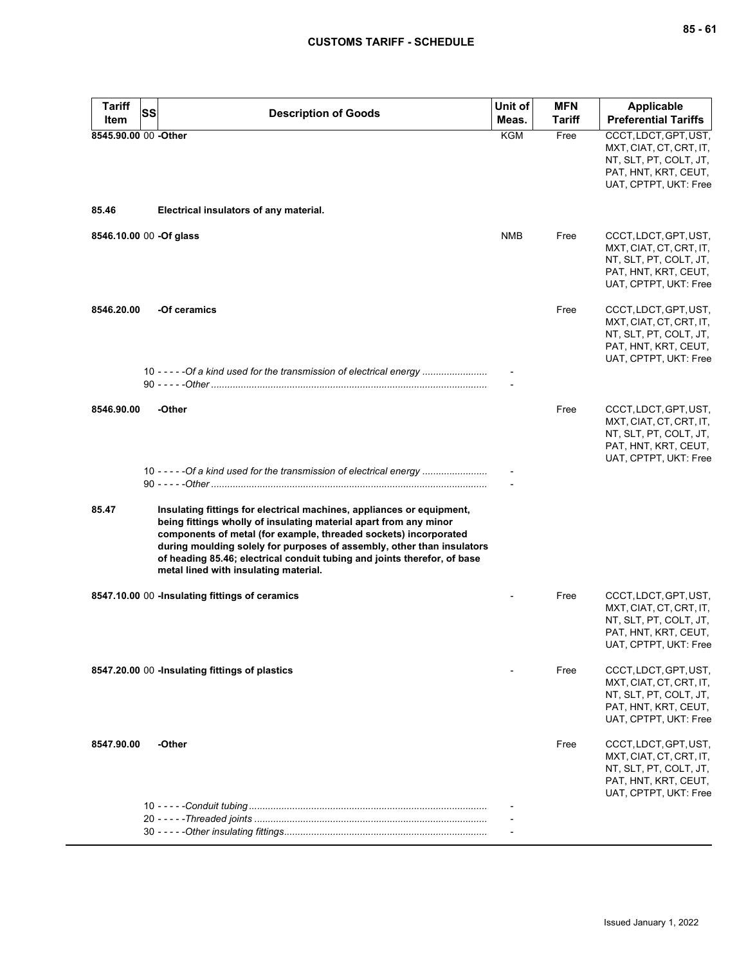| Tariff                  | SS | <b>Description of Goods</b>                                                                                                                                                                                                                                                                                                                                                                                   | Unit of    | <b>MFN</b>    | <b>Applicable</b>                                                                                                           |
|-------------------------|----|---------------------------------------------------------------------------------------------------------------------------------------------------------------------------------------------------------------------------------------------------------------------------------------------------------------------------------------------------------------------------------------------------------------|------------|---------------|-----------------------------------------------------------------------------------------------------------------------------|
| Item                    |    |                                                                                                                                                                                                                                                                                                                                                                                                               | Meas.      | <b>Tariff</b> | <b>Preferential Tariffs</b>                                                                                                 |
| 8545.90.00 00 -Other    |    |                                                                                                                                                                                                                                                                                                                                                                                                               | <b>KGM</b> | Free          | CCCT, LDCT, GPT, UST,<br>MXT, CIAT, CT, CRT, IT,<br>NT, SLT, PT, COLT, JT,<br>PAT, HNT, KRT, CEUT,<br>UAT, CPTPT, UKT: Free |
| 85.46                   |    | Electrical insulators of any material.                                                                                                                                                                                                                                                                                                                                                                        |            |               |                                                                                                                             |
| 8546.10.00 00 -Of glass |    |                                                                                                                                                                                                                                                                                                                                                                                                               | NMB        | Free          | CCCT, LDCT, GPT, UST,<br>MXT, CIAT, CT, CRT, IT,<br>NT, SLT, PT, COLT, JT,<br>PAT, HNT, KRT, CEUT,<br>UAT, CPTPT, UKT: Free |
| 8546.20.00              |    | -Of ceramics                                                                                                                                                                                                                                                                                                                                                                                                  |            | Free          | CCCT, LDCT, GPT, UST,<br>MXT, CIAT, CT, CRT, IT,<br>NT, SLT, PT, COLT, JT,<br>PAT, HNT, KRT, CEUT,<br>UAT, CPTPT, UKT: Free |
|                         |    | 10 - - - - - Of a kind used for the transmission of electrical energy                                                                                                                                                                                                                                                                                                                                         |            |               |                                                                                                                             |
| 8546.90.00              |    | -Other<br>10 - - - - - Of a kind used for the transmission of electrical energy                                                                                                                                                                                                                                                                                                                               |            | Free          | CCCT, LDCT, GPT, UST,<br>MXT, CIAT, CT, CRT, IT,<br>NT, SLT, PT, COLT, JT,<br>PAT, HNT, KRT, CEUT,<br>UAT, CPTPT, UKT: Free |
|                         |    |                                                                                                                                                                                                                                                                                                                                                                                                               |            |               |                                                                                                                             |
| 85.47                   |    | Insulating fittings for electrical machines, appliances or equipment,<br>being fittings wholly of insulating material apart from any minor<br>components of metal (for example, threaded sockets) incorporated<br>during moulding solely for purposes of assembly, other than insulators<br>of heading 85.46; electrical conduit tubing and joints therefor, of base<br>metal lined with insulating material. |            |               |                                                                                                                             |
|                         |    | 8547.10.00 00 -Insulating fittings of ceramics                                                                                                                                                                                                                                                                                                                                                                |            | Free          | CCCT, LDCT, GPT, UST,<br>MXT, CIAT, CT, CRT, IT,<br>NT, SLT, PT, COLT, JT,<br>PAT, HNT, KRT, CEUT,<br>UAT, CPTPT, UKT: Free |
|                         |    | 8547.20.00 00 -Insulating fittings of plastics                                                                                                                                                                                                                                                                                                                                                                |            | Free          | CCCT, LDCT, GPT, UST,<br>MXT, CIAT, CT, CRT, IT,<br>NT, SLT, PT, COLT, JT,<br>PAT, HNT, KRT, CEUT,<br>UAT, CPTPT, UKT: Free |
| 8547.90.00              |    | -Other                                                                                                                                                                                                                                                                                                                                                                                                        |            | Free          | CCCT, LDCT, GPT, UST,<br>MXT, CIAT, CT, CRT, IT,<br>NT, SLT, PT, COLT, JT,<br>PAT, HNT, KRT, CEUT,<br>UAT, CPTPT, UKT: Free |
|                         |    |                                                                                                                                                                                                                                                                                                                                                                                                               |            |               |                                                                                                                             |
|                         |    |                                                                                                                                                                                                                                                                                                                                                                                                               |            |               |                                                                                                                             |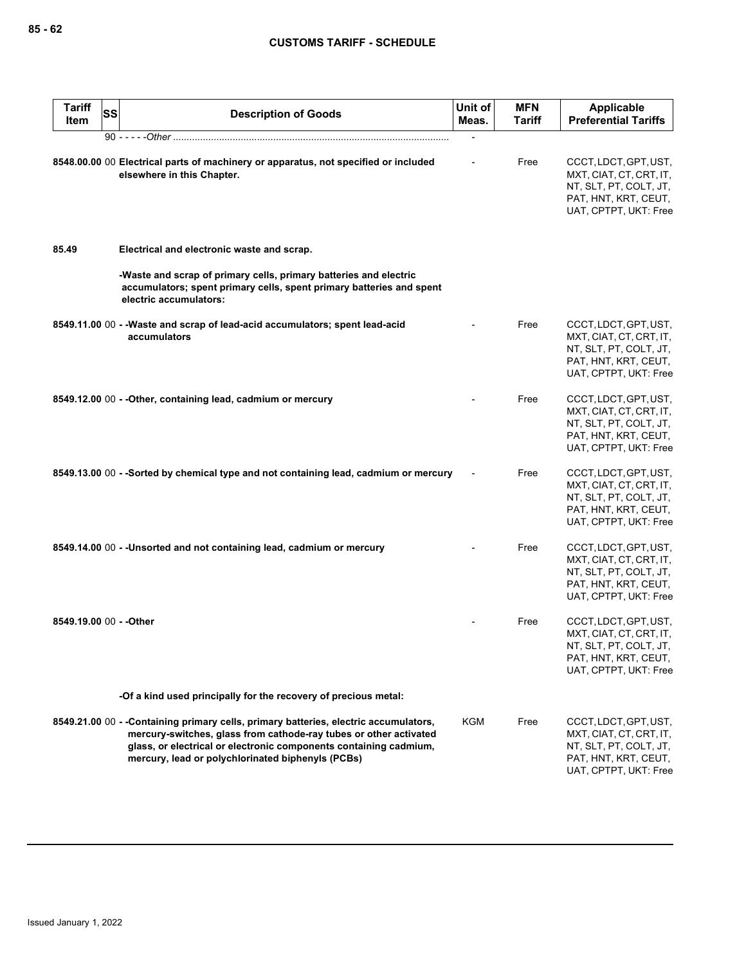|       | <b>Tariff</b><br>Item | SS | <b>Description of Goods</b>                                                                                                                                                                                                                                                         | Unit of<br>Meas. | <b>MFN</b><br><b>Tariff</b> | <b>Applicable</b><br><b>Preferential Tariffs</b>                                                                            |
|-------|-----------------------|----|-------------------------------------------------------------------------------------------------------------------------------------------------------------------------------------------------------------------------------------------------------------------------------------|------------------|-----------------------------|-----------------------------------------------------------------------------------------------------------------------------|
|       |                       |    |                                                                                                                                                                                                                                                                                     |                  |                             |                                                                                                                             |
|       |                       |    | 8548.00.00 00 Electrical parts of machinery or apparatus, not specified or included<br>elsewhere in this Chapter.                                                                                                                                                                   |                  | Free                        | CCCT, LDCT, GPT, UST,<br>MXT, CIAT, CT, CRT, IT,<br>NT, SLT, PT, COLT, JT,<br>PAT, HNT, KRT, CEUT,<br>UAT, CPTPT, UKT: Free |
| 85.49 |                       |    | Electrical and electronic waste and scrap.                                                                                                                                                                                                                                          |                  |                             |                                                                                                                             |
|       |                       |    | -Waste and scrap of primary cells, primary batteries and electric<br>accumulators; spent primary cells, spent primary batteries and spent<br>electric accumulators:                                                                                                                 |                  |                             |                                                                                                                             |
|       |                       |    | 8549.11.00 00 - - Waste and scrap of lead-acid accumulators; spent lead-acid<br>accumulators                                                                                                                                                                                        |                  | Free                        | CCCT, LDCT, GPT, UST,<br>MXT, CIAT, CT, CRT, IT,<br>NT, SLT, PT, COLT, JT,<br>PAT, HNT, KRT, CEUT,<br>UAT, CPTPT, UKT: Free |
|       |                       |    | 8549.12.00 00 - - Other, containing lead, cadmium or mercury                                                                                                                                                                                                                        |                  | Free                        | CCCT, LDCT, GPT, UST,<br>MXT, CIAT, CT, CRT, IT,<br>NT, SLT, PT, COLT, JT,<br>PAT, HNT, KRT, CEUT,<br>UAT, CPTPT, UKT: Free |
|       |                       |    | 8549.13.00 00 - -Sorted by chemical type and not containing lead, cadmium or mercury                                                                                                                                                                                                |                  | Free                        | CCCT, LDCT, GPT, UST,<br>MXT, CIAT, CT, CRT, IT,<br>NT, SLT, PT, COLT, JT,<br>PAT, HNT, KRT, CEUT,<br>UAT, CPTPT, UKT: Free |
|       |                       |    | 8549.14.00 00 - - Unsorted and not containing lead, cadmium or mercury                                                                                                                                                                                                              |                  | Free                        | CCCT, LDCT, GPT, UST,<br>MXT, CIAT, CT, CRT, IT,<br>NT, SLT, PT, COLT, JT,<br>PAT, HNT, KRT, CEUT,<br>UAT, CPTPT, UKT: Free |
|       |                       |    | 8549.19.00 00 - - Other                                                                                                                                                                                                                                                             |                  | Free                        | CCCT, LDCT, GPT, UST,<br>MXT, CIAT, CT, CRT, IT,<br>NT, SLT, PT, COLT, JT,<br>PAT, HNT, KRT, CEUT,<br>UAT, CPTPT, UKT: Free |
|       |                       |    | -Of a kind used principally for the recovery of precious metal:                                                                                                                                                                                                                     |                  |                             |                                                                                                                             |
|       |                       |    | 8549.21.00 00 - -Containing primary cells, primary batteries, electric accumulators,<br>mercury-switches, glass from cathode-ray tubes or other activated<br>glass, or electrical or electronic components containing cadmium,<br>mercury, lead or polychlorinated biphenyls (PCBs) | KGM              | Free                        | CCCT, LDCT, GPT, UST,<br>MXT, CIAT, CT, CRT, IT,<br>NT, SLT, PT, COLT, JT,<br>PAT, HNT, KRT, CEUT,<br>UAT, CPTPT, UKT: Free |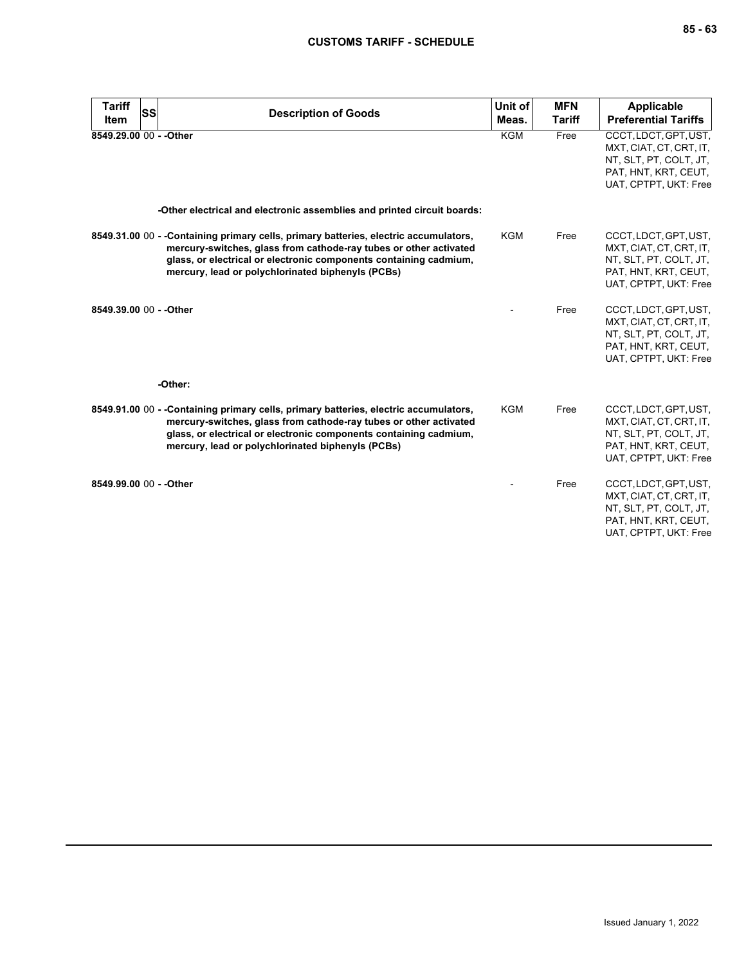| <b>Tariff</b><br><b>Item</b> | SS | <b>Description of Goods</b>                                                                                                                                                                                                                                                         | Unit of<br>Meas. | <b>MFN</b><br><b>Tariff</b> | <b>Applicable</b><br><b>Preferential Tariffs</b>                                                                            |
|------------------------------|----|-------------------------------------------------------------------------------------------------------------------------------------------------------------------------------------------------------------------------------------------------------------------------------------|------------------|-----------------------------|-----------------------------------------------------------------------------------------------------------------------------|
| 8549.29.00 00 - - Other      |    |                                                                                                                                                                                                                                                                                     | <b>KGM</b>       | Free                        | CCCT, LDCT, GPT, UST,<br>MXT, CIAT, CT, CRT, IT,<br>NT, SLT, PT, COLT, JT,<br>PAT, HNT, KRT, CEUT,<br>UAT, CPTPT, UKT: Free |
|                              |    | -Other electrical and electronic assemblies and printed circuit boards:                                                                                                                                                                                                             |                  |                             |                                                                                                                             |
|                              |    | 8549.31.00 00 - -Containing primary cells, primary batteries, electric accumulators,<br>mercury-switches, glass from cathode-ray tubes or other activated<br>glass, or electrical or electronic components containing cadmium,<br>mercury, lead or polychlorinated biphenyls (PCBs) | <b>KGM</b>       | Free                        | CCCT, LDCT, GPT, UST,<br>MXT, CIAT, CT, CRT, IT,<br>NT, SLT, PT, COLT, JT,<br>PAT, HNT, KRT, CEUT,<br>UAT, CPTPT, UKT: Free |
| 8549.39.00 00 - - Other      |    |                                                                                                                                                                                                                                                                                     |                  | Free                        | CCCT, LDCT, GPT, UST,<br>MXT, CIAT, CT, CRT, IT,<br>NT, SLT, PT, COLT, JT,<br>PAT, HNT, KRT, CEUT,<br>UAT, CPTPT, UKT: Free |
|                              |    | -Other:                                                                                                                                                                                                                                                                             |                  |                             |                                                                                                                             |
|                              |    | 8549.91.00 00 - -Containing primary cells, primary batteries, electric accumulators,<br>mercury-switches, glass from cathode-ray tubes or other activated<br>glass, or electrical or electronic components containing cadmium,<br>mercury, lead or polychlorinated biphenyls (PCBs) | <b>KGM</b>       | Free                        | CCCT, LDCT, GPT, UST,<br>MXT, CIAT, CT, CRT, IT,<br>NT, SLT, PT, COLT, JT,<br>PAT, HNT, KRT, CEUT,<br>UAT, CPTPT, UKT: Free |
| 8549.99.00 00 - - Other      |    |                                                                                                                                                                                                                                                                                     |                  | Free                        | CCCT, LDCT, GPT, UST,<br>MXT, CIAT, CT, CRT, IT,<br>NT, SLT, PT, COLT, JT,<br>PAT, HNT, KRT, CEUT,<br>UAT, CPTPT, UKT: Free |